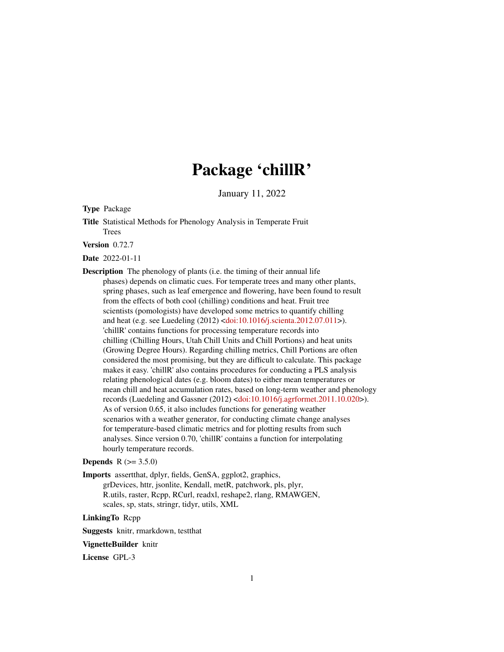# Package 'chillR'

January 11, 2022

<span id="page-0-0"></span>Type Package

Title Statistical Methods for Phenology Analysis in Temperate Fruit Trees

Version 0.72.7

Date 2022-01-11

Description The phenology of plants (i.e. the timing of their annual life phases) depends on climatic cues. For temperate trees and many other plants, spring phases, such as leaf emergence and flowering, have been found to result from the effects of both cool (chilling) conditions and heat. Fruit tree scientists (pomologists) have developed some metrics to quantify chilling and heat (e.g. see Luedeling (2012) [<doi:10.1016/j.scienta.2012.07.011>](https://doi.org/10.1016/j.scienta.2012.07.011)). 'chillR' contains functions for processing temperature records into chilling (Chilling Hours, Utah Chill Units and Chill Portions) and heat units (Growing Degree Hours). Regarding chilling metrics, Chill Portions are often considered the most promising, but they are difficult to calculate. This package makes it easy. 'chillR' also contains procedures for conducting a PLS analysis relating phenological dates (e.g. bloom dates) to either mean temperatures or mean chill and heat accumulation rates, based on long-term weather and phenology records (Luedeling and Gassner (2012) [<doi:10.1016/j.agrformet.2011.10.020>](https://doi.org/10.1016/j.agrformet.2011.10.020)). As of version 0.65, it also includes functions for generating weather scenarios with a weather generator, for conducting climate change analyses for temperature-based climatic metrics and for plotting results from such analyses. Since version 0.70, 'chillR' contains a function for interpolating hourly temperature records.

# **Depends** R  $(>= 3.5.0)$

Imports assertthat, dplyr, fields, GenSA, ggplot2, graphics,

grDevices, httr, jsonlite, Kendall, metR, patchwork, pls, plyr, R.utils, raster, Rcpp, RCurl, readxl, reshape2, rlang, RMAWGEN, scales, sp, stats, stringr, tidyr, utils, XML

LinkingTo Rcpp

Suggests knitr, rmarkdown, testthat

#### VignetteBuilder knitr

License GPL-3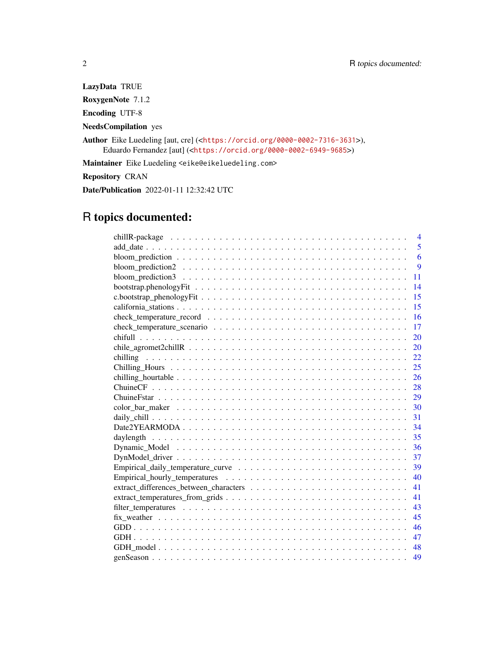LazyData TRUE RoxygenNote 7.1.2 Encoding UTF-8 NeedsCompilation yes Author Eike Luedeling [aut, cre] (<<https://orcid.org/0000-0002-7316-3631>>), Eduardo Fernandez [aut] (<<https://orcid.org/0000-0002-6949-9685>>) Maintainer Eike Luedeling <eike@eikeluedeling.com> Repository CRAN

Date/Publication 2022-01-11 12:32:42 UTC

# R topics documented:

| $\overline{4}$ |
|----------------|
| 5              |
| 6              |
| 9              |
| 11             |
| 14             |
| 15             |
| 15             |
| 16             |
| 17             |
| 20             |
| 20             |
| 22             |
| 25             |
| 26             |
| 28             |
| 29             |
|                |
| 31             |
| 34             |
| 35             |
| 36             |
| 37             |
| 39             |
| 40             |
| 41             |
| 41             |
| 43             |
| 45             |
| 46             |
| 47             |
| 48             |
| 49             |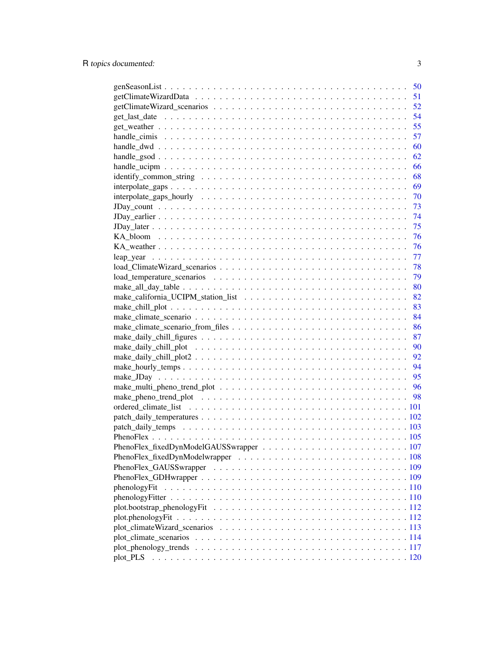|              | 50 |
|--------------|----|
|              | 51 |
|              | 52 |
|              | 54 |
|              | 55 |
|              | 57 |
|              | 60 |
|              | 62 |
|              | 66 |
|              | 68 |
|              | 69 |
|              | 70 |
|              |    |
|              | 74 |
|              | 75 |
|              | 76 |
|              | 76 |
|              | 77 |
|              | 78 |
|              | 79 |
|              | 80 |
|              | 82 |
|              | 83 |
|              | 84 |
|              | 86 |
|              | 87 |
|              | 90 |
|              | 92 |
|              | 94 |
|              |    |
|              | 95 |
|              | 96 |
|              |    |
|              |    |
|              |    |
|              |    |
|              |    |
|              |    |
|              |    |
|              |    |
|              |    |
| phenologyFit |    |
|              |    |
|              |    |
|              |    |
|              |    |
|              |    |
|              |    |
| plot_PLS     |    |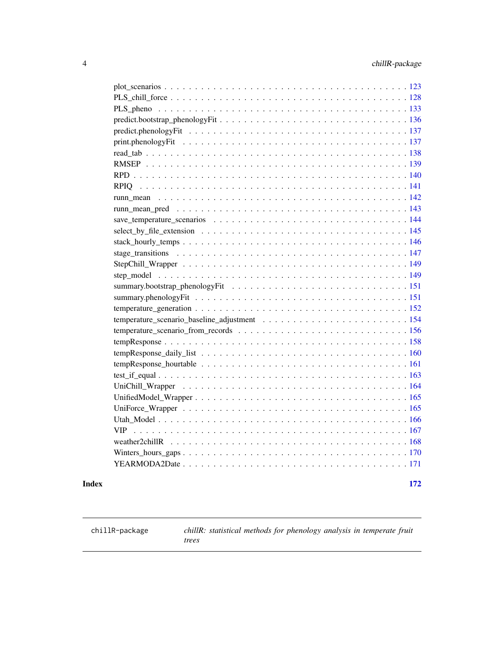<span id="page-3-0"></span>

#### **Index** 2008 **Index**

chillR-package *chillR: statistical methods for phenology analysis in temperate fruit trees*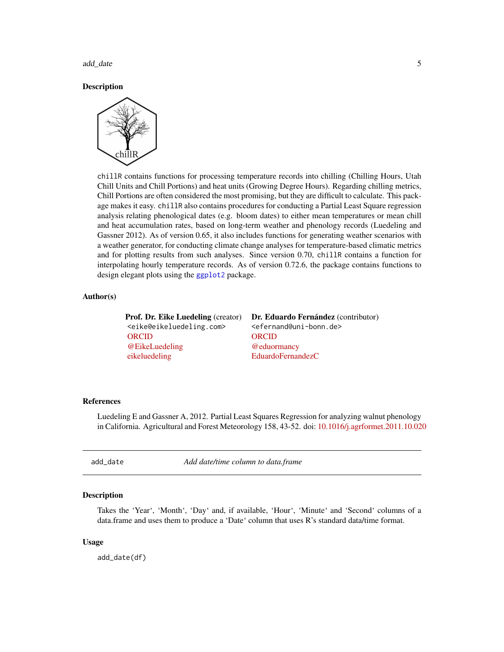<span id="page-4-0"></span>add\_date 5

**Description** 



chillR contains functions for processing temperature records into chilling (Chilling Hours, Utah Chill Units and Chill Portions) and heat units (Growing Degree Hours). Regarding chilling metrics, Chill Portions are often considered the most promising, but they are difficult to calculate. This package makes it easy. chillR also contains procedures for conducting a Partial Least Square regression analysis relating phenological dates (e.g. bloom dates) to either mean temperatures or mean chill and heat accumulation rates, based on long-term weather and phenology records (Luedeling and Gassner 2012). As of version 0.65, it also includes functions for generating weather scenarios with a weather generator, for conducting climate change analyses for temperature-based climatic metrics and for plotting results from such analyses. Since version 0.70, chillR contains a function for interpolating hourly temperature records. As of version 0.72.6, the package contains functions to design elegant plots using the [ggplot2](#page-0-0) package.

#### Author(s)

<eike@eikeluedeling.com> <efernand@uni-bonn.de> [ORCID](https://orcid.org/0000-0002-7316-3631) [ORCID](https://orcid.org/0000-0002-6949-9685) [@EikeLuedeling](https://twitter.com/EikeLuedeling) [@eduormancy](https://twitter.com/eduormancy) [eikeluedeling](https://github.com/eikeluedeling) [EduardoFernandezC](https://github.com/EduardoFernandezC)

Prof. Dr. Eike Luedeling (creator) Dr. Eduardo Fernández (contributor)

# References

Luedeling E and Gassner A, 2012. Partial Least Squares Regression for analyzing walnut phenology in California. Agricultural and Forest Meteorology 158, 43-52. doi: [10.1016/j.agrformet.2011.10.020](https://doi.org/10.1016/j.agrformet.2011.10.020)

add\_date *Add date/time column to data.frame*

## **Description**

Takes the 'Year', 'Month', 'Day' and, if available, 'Hour', 'Minute' and 'Second' columns of a data.frame and uses them to produce a 'Date' column that uses R's standard data/time format.

#### Usage

add\_date(df)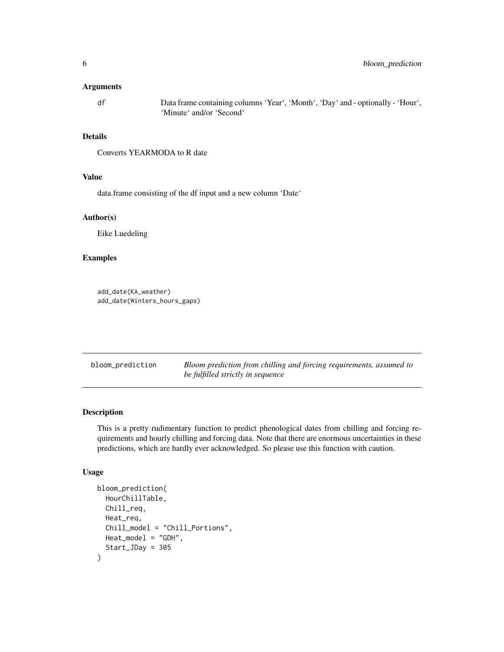#### <span id="page-5-0"></span>Arguments

df Data frame containing columns 'Year', 'Month', 'Day' and - optionally - 'Hour', 'Minute' and/or 'Second'

# Details

Converts YEARMODA to R date

# Value

data.frame consisting of the df input and a new column 'Date'

# Author(s)

Eike Luedeling

# Examples

```
add_date(KA_weather)
add_date(Winters_hours_gaps)
```
bloom\_prediction *Bloom prediction from chilling and forcing requirements, assumed to be fulfilled strictly in sequence*

# Description

This is a pretty rudimentary function to predict phenological dates from chilling and forcing requirements and hourly chilling and forcing data. Note that there are enormous uncertainties in these predictions, which are hardly ever acknowledged. So please use this function with caution.

# Usage

```
bloom_prediction(
 HourChillTable,
  Chill_req,
 Heat_req,
  Chill_model = "Chill_Portions",
 Heat_model = "GDH",
  Start_JDay = 305
)
```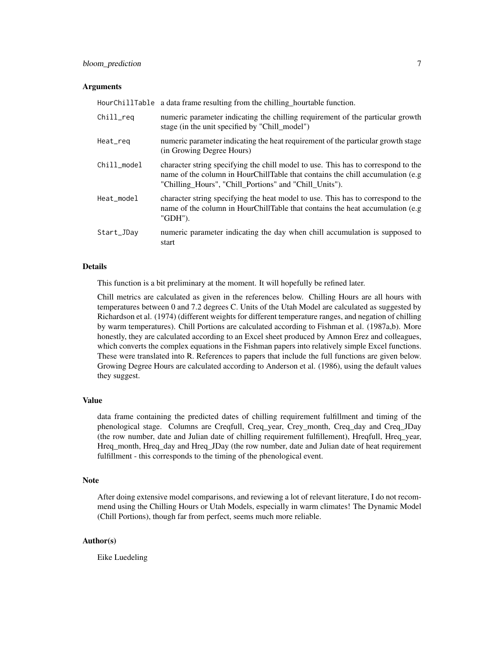# bloom\_prediction 7

#### Arguments

|             | HourChillTable a data frame resulting from the chilling hourtable function.                                                                                                                                                    |
|-------------|--------------------------------------------------------------------------------------------------------------------------------------------------------------------------------------------------------------------------------|
| Chill_reg   | numeric parameter indicating the chilling requirement of the particular growth<br>stage (in the unit specified by "Chill_model")                                                                                               |
| Heat_req    | numeric parameter indicating the heat requirement of the particular growth stage<br>(in Growing Degree Hours)                                                                                                                  |
| Chill model | character string specifying the chill model to use. This has to correspond to the<br>name of the column in HourChillTable that contains the chill accumulation (e.g.<br>"Chilling_Hours", "Chill_Portions" and "Chill_Units"). |
| Heat_model  | character string specifying the heat model to use. This has to correspond to the<br>name of the column in HourChillTable that contains the heat accumulation (e.g.<br>"GDH").                                                  |
| Start_JDay  | numeric parameter indicating the day when chill accumulation is supposed to<br>start                                                                                                                                           |

## Details

This function is a bit preliminary at the moment. It will hopefully be refined later.

Chill metrics are calculated as given in the references below. Chilling Hours are all hours with temperatures between 0 and 7.2 degrees C. Units of the Utah Model are calculated as suggested by Richardson et al. (1974) (different weights for different temperature ranges, and negation of chilling by warm temperatures). Chill Portions are calculated according to Fishman et al. (1987a,b). More honestly, they are calculated according to an Excel sheet produced by Amnon Erez and colleagues, which converts the complex equations in the Fishman papers into relatively simple Excel functions. These were translated into R. References to papers that include the full functions are given below. Growing Degree Hours are calculated according to Anderson et al. (1986), using the default values they suggest.

# Value

data frame containing the predicted dates of chilling requirement fulfillment and timing of the phenological stage. Columns are Creqfull, Creq\_year, Crey\_month, Creq\_day and Creq\_JDay (the row number, date and Julian date of chilling requirement fulfillement), Hreqfull, Hreq\_year, Hreq\_month, Hreq\_day and Hreq\_JDay (the row number, date and Julian date of heat requirement fulfillment - this corresponds to the timing of the phenological event.

#### Note

After doing extensive model comparisons, and reviewing a lot of relevant literature, I do not recommend using the Chilling Hours or Utah Models, especially in warm climates! The Dynamic Model (Chill Portions), though far from perfect, seems much more reliable.

# Author(s)

Eike Luedeling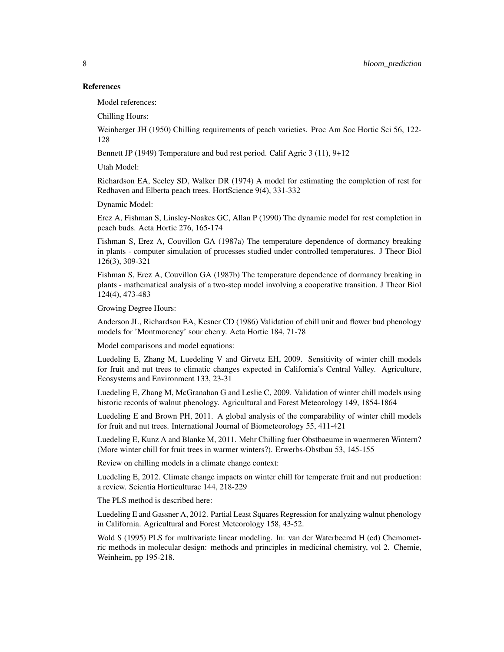# References

Model references:

Chilling Hours:

Weinberger JH (1950) Chilling requirements of peach varieties. Proc Am Soc Hortic Sci 56, 122- 128

Bennett JP (1949) Temperature and bud rest period. Calif Agric 3 (11), 9+12

Utah Model:

Richardson EA, Seeley SD, Walker DR (1974) A model for estimating the completion of rest for Redhaven and Elberta peach trees. HortScience 9(4), 331-332

Dynamic Model:

Erez A, Fishman S, Linsley-Noakes GC, Allan P (1990) The dynamic model for rest completion in peach buds. Acta Hortic 276, 165-174

Fishman S, Erez A, Couvillon GA (1987a) The temperature dependence of dormancy breaking in plants - computer simulation of processes studied under controlled temperatures. J Theor Biol 126(3), 309-321

Fishman S, Erez A, Couvillon GA (1987b) The temperature dependence of dormancy breaking in plants - mathematical analysis of a two-step model involving a cooperative transition. J Theor Biol 124(4), 473-483

Growing Degree Hours:

Anderson JL, Richardson EA, Kesner CD (1986) Validation of chill unit and flower bud phenology models for 'Montmorency' sour cherry. Acta Hortic 184, 71-78

Model comparisons and model equations:

Luedeling E, Zhang M, Luedeling V and Girvetz EH, 2009. Sensitivity of winter chill models for fruit and nut trees to climatic changes expected in California's Central Valley. Agriculture, Ecosystems and Environment 133, 23-31

Luedeling E, Zhang M, McGranahan G and Leslie C, 2009. Validation of winter chill models using historic records of walnut phenology. Agricultural and Forest Meteorology 149, 1854-1864

Luedeling E and Brown PH, 2011. A global analysis of the comparability of winter chill models for fruit and nut trees. International Journal of Biometeorology 55, 411-421

Luedeling E, Kunz A and Blanke M, 2011. Mehr Chilling fuer Obstbaeume in waermeren Wintern? (More winter chill for fruit trees in warmer winters?). Erwerbs-Obstbau 53, 145-155

Review on chilling models in a climate change context:

Luedeling E, 2012. Climate change impacts on winter chill for temperate fruit and nut production: a review. Scientia Horticulturae 144, 218-229

The PLS method is described here:

Luedeling E and Gassner A, 2012. Partial Least Squares Regression for analyzing walnut phenology in California. Agricultural and Forest Meteorology 158, 43-52.

Wold S (1995) PLS for multivariate linear modeling. In: van der Waterbeemd H (ed) Chemometric methods in molecular design: methods and principles in medicinal chemistry, vol 2. Chemie, Weinheim, pp 195-218.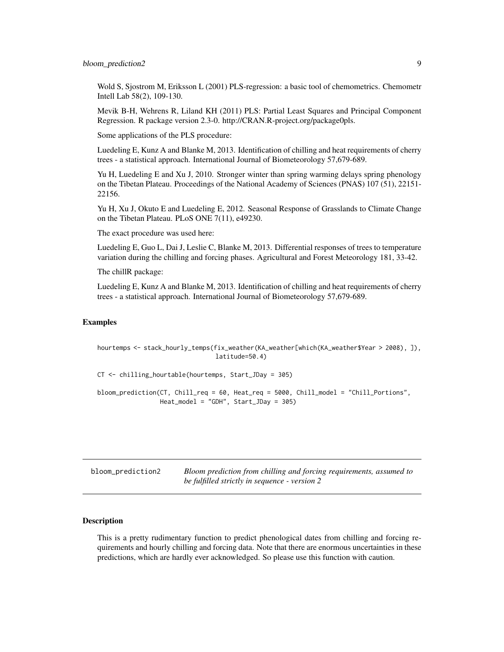# <span id="page-8-0"></span>bloom\_prediction2 9

Wold S, Sjostrom M, Eriksson L (2001) PLS-regression: a basic tool of chemometrics. Chemometr Intell Lab 58(2), 109-130.

Mevik B-H, Wehrens R, Liland KH (2011) PLS: Partial Least Squares and Principal Component Regression. R package version 2.3-0. http://CRAN.R-project.org/package0pls.

Some applications of the PLS procedure:

Luedeling E, Kunz A and Blanke M, 2013. Identification of chilling and heat requirements of cherry trees - a statistical approach. International Journal of Biometeorology 57,679-689.

Yu H, Luedeling E and Xu J, 2010. Stronger winter than spring warming delays spring phenology on the Tibetan Plateau. Proceedings of the National Academy of Sciences (PNAS) 107 (51), 22151- 22156.

Yu H, Xu J, Okuto E and Luedeling E, 2012. Seasonal Response of Grasslands to Climate Change on the Tibetan Plateau. PLoS ONE 7(11), e49230.

The exact procedure was used here:

Luedeling E, Guo L, Dai J, Leslie C, Blanke M, 2013. Differential responses of trees to temperature variation during the chilling and forcing phases. Agricultural and Forest Meteorology 181, 33-42.

The chillR package:

Luedeling E, Kunz A and Blanke M, 2013. Identification of chilling and heat requirements of cherry trees - a statistical approach. International Journal of Biometeorology 57,679-689.

## Examples

hourtemps <- stack\_hourly\_temps(fix\_weather(KA\_weather[which(KA\_weather\$Year > 2008), ]), latitude=50.4)

CT <- chilling\_hourtable(hourtemps, Start\_JDay = 305)

```
bloom_prediction(CT, Chill_req = 60, Heat_req = 5000, Chill_model = "Chill_Portions",
                Heat_model = "GDH", Start_JDay = 305)
```
bloom\_prediction2 *Bloom prediction from chilling and forcing requirements, assumed to be fulfilled strictly in sequence - version 2*

# Description

This is a pretty rudimentary function to predict phenological dates from chilling and forcing requirements and hourly chilling and forcing data. Note that there are enormous uncertainties in these predictions, which are hardly ever acknowledged. So please use this function with caution.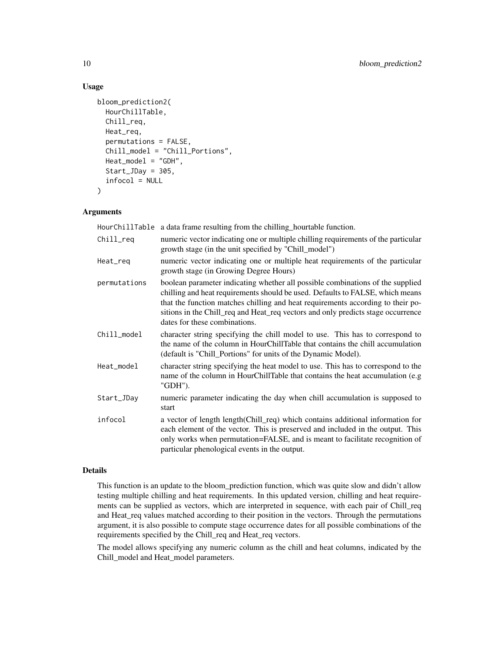# Usage

```
bloom_prediction2(
 HourChillTable,
 Chill_req,
 Heat_req,
 permutations = FALSE,
  Chill_model = "Chill_Portions",
 Heat_model = "GDH",
  Start_JDay = 305,
  infocol = NULL
)
```
# Arguments

|              | HourChillTable a data frame resulting from the chilling_hourtable function.                                                                                                                                                                                                                                                                                             |
|--------------|-------------------------------------------------------------------------------------------------------------------------------------------------------------------------------------------------------------------------------------------------------------------------------------------------------------------------------------------------------------------------|
| Chill_req    | numeric vector indicating one or multiple chilling requirements of the particular<br>growth stage (in the unit specified by "Chill_model")                                                                                                                                                                                                                              |
| Heat_req     | numeric vector indicating one or multiple heat requirements of the particular<br>growth stage (in Growing Degree Hours)                                                                                                                                                                                                                                                 |
| permutations | boolean parameter indicating whether all possible combinations of the supplied<br>chilling and heat requirements should be used. Defaults to FALSE, which means<br>that the function matches chilling and heat requirements according to their po-<br>sitions in the Chill_req and Heat_req vectors and only predicts stage occurrence<br>dates for these combinations. |
| Chill_model  | character string specifying the chill model to use. This has to correspond to<br>the name of the column in HourChillTable that contains the chill accumulation<br>(default is "Chill_Portions" for units of the Dynamic Model).                                                                                                                                         |
| Heat_model   | character string specifying the heat model to use. This has to correspond to the<br>name of the column in HourChillTable that contains the heat accumulation (e.g<br>"GDH").                                                                                                                                                                                            |
| Start_JDay   | numeric parameter indicating the day when chill accumulation is supposed to<br>start                                                                                                                                                                                                                                                                                    |
| infocol      | a vector of length length(Chill_req) which contains additional information for<br>each element of the vector. This is preserved and included in the output. This<br>only works when permutation=FALSE, and is meant to facilitate recognition of<br>particular phenological events in the output.                                                                       |

# Details

This function is an update to the bloom\_prediction function, which was quite slow and didn't allow testing multiple chilling and heat requirements. In this updated version, chilling and heat requirements can be supplied as vectors, which are interpreted in sequence, with each pair of Chill\_req and Heat\_req values matched according to their position in the vectors. Through the permutations argument, it is also possible to compute stage occurrence dates for all possible combinations of the requirements specified by the Chill\_req and Heat\_req vectors.

The model allows specifying any numeric column as the chill and heat columns, indicated by the Chill\_model and Heat\_model parameters.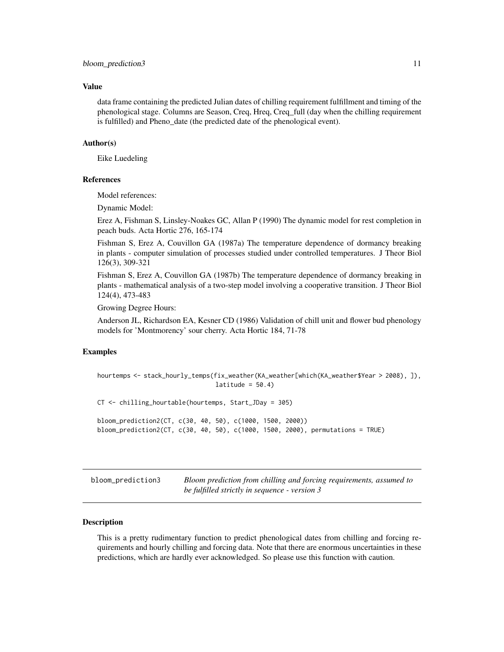#### <span id="page-10-0"></span>Value

data frame containing the predicted Julian dates of chilling requirement fulfillment and timing of the phenological stage. Columns are Season, Creq, Hreq, Creq\_full (day when the chilling requirement is fulfilled) and Pheno\_date (the predicted date of the phenological event).

#### Author(s)

Eike Luedeling

### References

Model references:

Dynamic Model:

Erez A, Fishman S, Linsley-Noakes GC, Allan P (1990) The dynamic model for rest completion in peach buds. Acta Hortic 276, 165-174

Fishman S, Erez A, Couvillon GA (1987a) The temperature dependence of dormancy breaking in plants - computer simulation of processes studied under controlled temperatures. J Theor Biol 126(3), 309-321

Fishman S, Erez A, Couvillon GA (1987b) The temperature dependence of dormancy breaking in plants - mathematical analysis of a two-step model involving a cooperative transition. J Theor Biol 124(4), 473-483

Growing Degree Hours:

Anderson JL, Richardson EA, Kesner CD (1986) Validation of chill unit and flower bud phenology models for 'Montmorency' sour cherry. Acta Hortic 184, 71-78

### Examples

```
hourtemps <- stack_hourly_temps(fix_weather(KA_weather[which(KA_weather$Year > 2008), ]),
                                lattice = 50.4CT <- chilling_hourtable(hourtemps, Start_JDay = 305)
bloom_prediction2(CT, c(30, 40, 50), c(1000, 1500, 2000))
bloom_prediction2(CT, c(30, 40, 50), c(1000, 1500, 2000), permutations = TRUE)
```
bloom\_prediction3 *Bloom prediction from chilling and forcing requirements, assumed to be fulfilled strictly in sequence - version 3*

### **Description**

This is a pretty rudimentary function to predict phenological dates from chilling and forcing requirements and hourly chilling and forcing data. Note that there are enormous uncertainties in these predictions, which are hardly ever acknowledged. So please use this function with caution.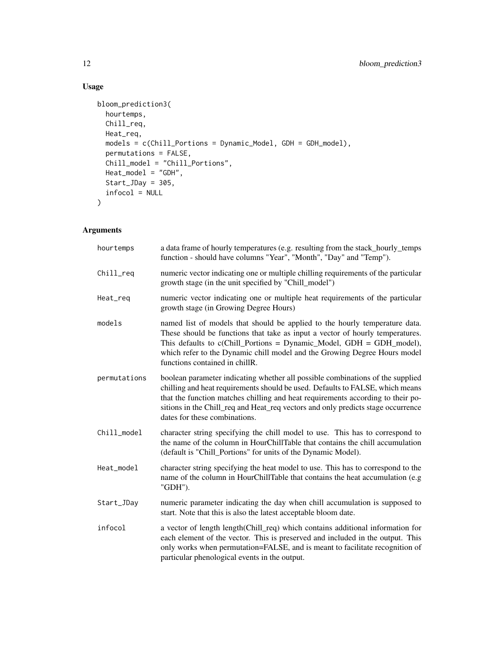# Usage

```
bloom_prediction3(
 hourtemps,
 Chill_req,
 Heat_req,
 models = c(Chill_Portions = Dynamic_Model, GDH = GDH_model),
 permutations = FALSE,
 Chill_model = "Chill_Portions",
 Heat_model = "GDH",
 Start_JDay = 305,
 infocol = NULL
)
```
# Arguments

| hourtemps    | a data frame of hourly temperatures (e.g. resulting from the stack_hourly_temps<br>function - should have columns "Year", "Month", "Day" and "Temp").                                                                                                                                                                                                                   |
|--------------|-------------------------------------------------------------------------------------------------------------------------------------------------------------------------------------------------------------------------------------------------------------------------------------------------------------------------------------------------------------------------|
| Chill_req    | numeric vector indicating one or multiple chilling requirements of the particular<br>growth stage (in the unit specified by "Chill_model")                                                                                                                                                                                                                              |
| Heat_req     | numeric vector indicating one or multiple heat requirements of the particular<br>growth stage (in Growing Degree Hours)                                                                                                                                                                                                                                                 |
| models       | named list of models that should be applied to the hourly temperature data.<br>These should be functions that take as input a vector of hourly temperatures.<br>This defaults to $c$ (Chill_Portions = Dynamic_Model, GDH = GDH_model),<br>which refer to the Dynamic chill model and the Growing Degree Hours model<br>functions contained in chillR.                  |
| permutations | boolean parameter indicating whether all possible combinations of the supplied<br>chilling and heat requirements should be used. Defaults to FALSE, which means<br>that the function matches chilling and heat requirements according to their po-<br>sitions in the Chill_req and Heat_req vectors and only predicts stage occurrence<br>dates for these combinations. |
| Chill_model  | character string specifying the chill model to use. This has to correspond to<br>the name of the column in HourChillTable that contains the chill accumulation<br>(default is "Chill_Portions" for units of the Dynamic Model).                                                                                                                                         |
| Heat_model   | character string specifying the heat model to use. This has to correspond to the<br>name of the column in HourChillTable that contains the heat accumulation (e.g<br>"GDH").                                                                                                                                                                                            |
| Start_JDay   | numeric parameter indicating the day when chill accumulation is supposed to<br>start. Note that this is also the latest acceptable bloom date.                                                                                                                                                                                                                          |
| infocol      | a vector of length length(Chill_req) which contains additional information for<br>each element of the vector. This is preserved and included in the output. This<br>only works when permutation=FALSE, and is meant to facilitate recognition of<br>particular phenological events in the output.                                                                       |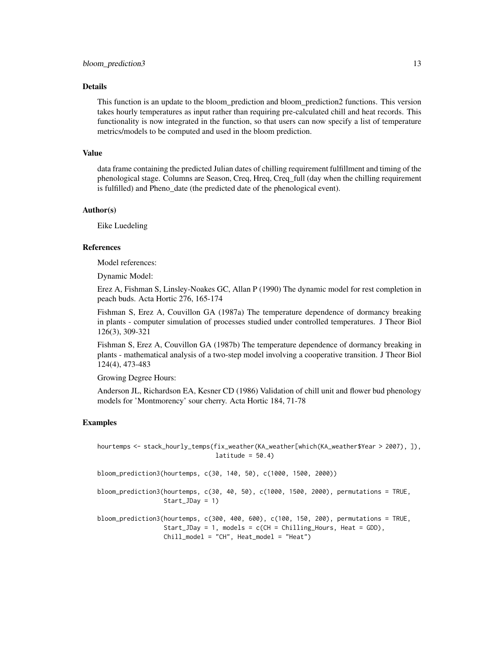#### Details

This function is an update to the bloom\_prediction and bloom\_prediction2 functions. This version takes hourly temperatures as input rather than requiring pre-calculated chill and heat records. This functionality is now integrated in the function, so that users can now specify a list of temperature metrics/models to be computed and used in the bloom prediction.

### Value

data frame containing the predicted Julian dates of chilling requirement fulfillment and timing of the phenological stage. Columns are Season, Creq, Hreq, Creq\_full (day when the chilling requirement is fulfilled) and Pheno\_date (the predicted date of the phenological event).

#### Author(s)

Eike Luedeling

#### References

Model references:

Dynamic Model:

Erez A, Fishman S, Linsley-Noakes GC, Allan P (1990) The dynamic model for rest completion in peach buds. Acta Hortic 276, 165-174

Fishman S, Erez A, Couvillon GA (1987a) The temperature dependence of dormancy breaking in plants - computer simulation of processes studied under controlled temperatures. J Theor Biol 126(3), 309-321

Fishman S, Erez A, Couvillon GA (1987b) The temperature dependence of dormancy breaking in plants - mathematical analysis of a two-step model involving a cooperative transition. J Theor Biol 124(4), 473-483

Growing Degree Hours:

Anderson JL, Richardson EA, Kesner CD (1986) Validation of chill unit and flower bud phenology models for 'Montmorency' sour cherry. Acta Hortic 184, 71-78

### Examples

```
hourtemps <- stack_hourly_temps(fix_weather(KA_weather[which(KA_weather$Year > 2007), ]),
                                lattice = 50.4bloom_prediction3(hourtemps, c(30, 140, 50), c(1000, 1500, 2000))
bloom_prediction3(hourtemps, c(30, 40, 50), c(1000, 1500, 2000), permutations = TRUE,
                 Start_JDay = 1)
bloom_prediction3(hourtemps, c(300, 400, 600), c(100, 150, 200), permutations = TRUE,
                 Start_JDay = 1, models = c(CH = Chilling_Hours, Heat = GDD),
                 Chill_model = "CH", Heat_model = "Heat")
```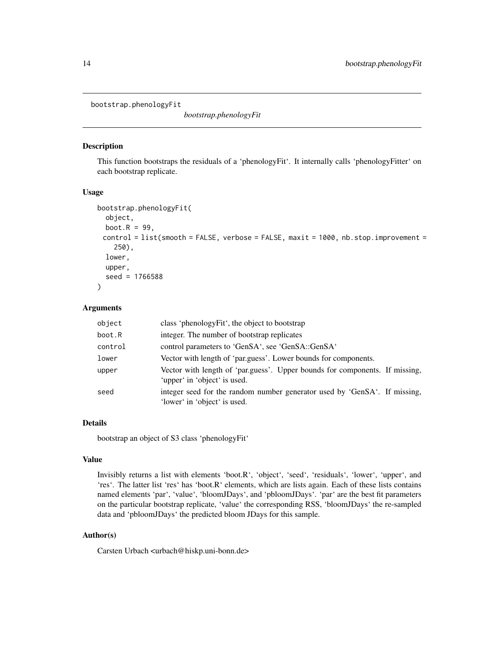<span id="page-13-0"></span>bootstrap.phenologyFit

*bootstrap.phenologyFit*

# Description

This function bootstraps the residuals of a 'phenologyFit'. It internally calls 'phenologyFitter' on each bootstrap replicate.

### Usage

```
bootstrap.phenologyFit(
 object,
 boot.R = 99,
 control = list(smooth = FALSE, verbose = FALSE, maxit = 1000, nb.stop.import =250),
 lower,
 upper,
  seed = 1766588
)
```
# Arguments

| object  | class 'phenologyFit', the object to bootstrap                                                               |
|---------|-------------------------------------------------------------------------------------------------------------|
| boot.R  | integer. The number of bootstrap replicates                                                                 |
| control | control parameters to 'GenSA', see 'GenSA::GenSA'                                                           |
| lower   | Vector with length of 'par.guess'. Lower bounds for components.                                             |
| upper   | Vector with length of 'par.guess'. Upper bounds for components. If missing,<br>'upper' in 'object' is used. |
| seed    | integer seed for the random number generator used by 'GenSA'. If missing,<br>'lower' in 'object' is used.   |

# Details

bootstrap an object of S3 class 'phenologyFit'

### Value

Invisibly returns a list with elements 'boot.R', 'object', 'seed', 'residuals', 'lower', 'upper', and 'res'. The latter list 'res' has 'boot.R' elements, which are lists again. Each of these lists contains named elements 'par', 'value', 'bloomJDays', and 'pbloomJDays'. 'par' are the best fit parameters on the particular bootstrap replicate, 'value' the corresponding RSS, 'bloomJDays' the re-sampled data and 'pbloomJDays' the predicted bloom JDays for this sample.

# Author(s)

Carsten Urbach <urbach@hiskp.uni-bonn.de>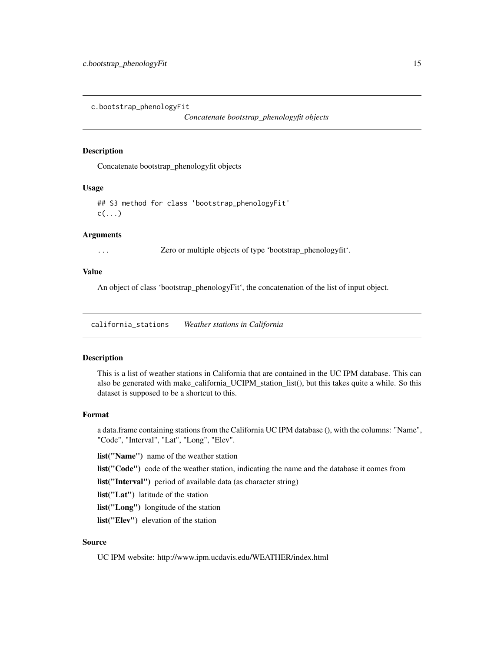<span id="page-14-0"></span>c.bootstrap\_phenologyFit

*Concatenate bootstrap\_phenologyfit objects*

#### Description

Concatenate bootstrap\_phenologyfit objects

### Usage

## S3 method for class 'bootstrap\_phenologyFit'  $c(\ldots)$ 

# Arguments

... Zero or multiple objects of type 'bootstrap\_phenologyfit'.

# Value

An object of class 'bootstrap\_phenologyFit', the concatenation of the list of input object.

california\_stations *Weather stations in California*

### Description

This is a list of weather stations in California that are contained in the UC IPM database. This can also be generated with make\_california\_UCIPM\_station\_list(), but this takes quite a while. So this dataset is supposed to be a shortcut to this.

#### Format

a data.frame containing stations from the California UC IPM database (), with the columns: "Name", "Code", "Interval", "Lat", "Long", "Elev".

list("Name") name of the weather station

list("Code") code of the weather station, indicating the name and the database it comes from

list("Interval") period of available data (as character string)

list("Lat") latitude of the station

list("Long") longitude of the station

list("Elev") elevation of the station

# Source

UC IPM website: http://www.ipm.ucdavis.edu/WEATHER/index.html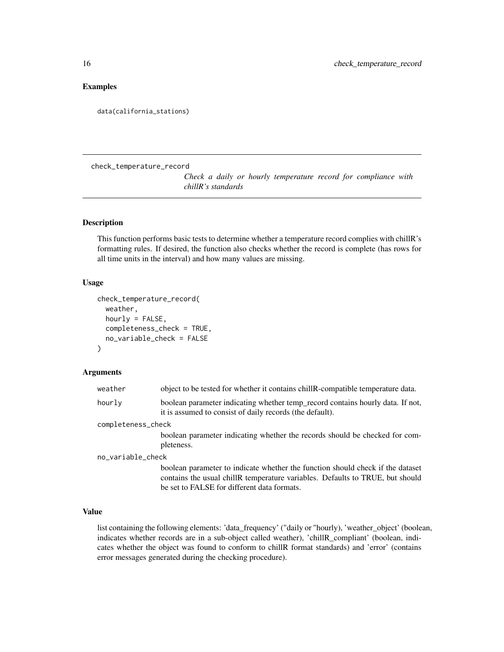### <span id="page-15-0"></span>Examples

data(california\_stations)

check\_temperature\_record

*Check a daily or hourly temperature record for compliance with chillR's standards*

# Description

This function performs basic tests to determine whether a temperature record complies with chillR's formatting rules. If desired, the function also checks whether the record is complete (has rows for all time units in the interval) and how many values are missing.

### Usage

```
check_temperature_record(
  weather,
  hourly = FALSE,
  completeness_check = TRUE,
  no_variable_check = FALSE
\mathcal{E}
```
# Arguments

| weather            | object to be tested for whether it contains chill R-compatible temperature data.                                                                                                                               |
|--------------------|----------------------------------------------------------------------------------------------------------------------------------------------------------------------------------------------------------------|
| hourly             | boolean parameter indicating whether temp_record contains hourly data. If not,<br>it is assumed to consist of daily records (the default).                                                                     |
| completeness_check |                                                                                                                                                                                                                |
|                    | boolean parameter indicating whether the records should be checked for com-                                                                                                                                    |
|                    | pleteness.                                                                                                                                                                                                     |
| no_variable_check  |                                                                                                                                                                                                                |
|                    | boolean parameter to indicate whether the function should check if the dataset<br>contains the usual chillR temperature variables. Defaults to TRUE, but should<br>be set to FALSE for different data formats. |

# Value

list containing the following elements: 'data\_frequency' ("daily or "hourly), 'weather\_object' (boolean, indicates whether records are in a sub-object called weather), 'chillR\_compliant' (boolean, indicates whether the object was found to conform to chillR format standards) and 'error' (contains error messages generated during the checking procedure).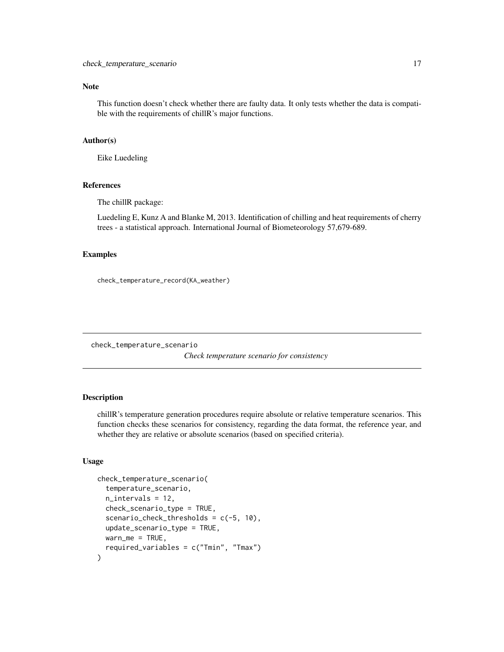# <span id="page-16-0"></span>Note

This function doesn't check whether there are faulty data. It only tests whether the data is compatible with the requirements of chillR's major functions.

### Author(s)

Eike Luedeling

# References

The chillR package:

Luedeling E, Kunz A and Blanke M, 2013. Identification of chilling and heat requirements of cherry trees - a statistical approach. International Journal of Biometeorology 57,679-689.

#### Examples

```
check_temperature_record(KA_weather)
```
check\_temperature\_scenario

*Check temperature scenario for consistency*

### Description

chillR's temperature generation procedures require absolute or relative temperature scenarios. This function checks these scenarios for consistency, regarding the data format, the reference year, and whether they are relative or absolute scenarios (based on specified criteria).

#### Usage

```
check_temperature_scenario(
  temperature_scenario,
  n_intervals = 12,
  check_scenario_type = TRUE,
  scenario_check_thresholds = c(-5, 10),
  update_scenario_type = TRUE,
 warn_me = TRUE,required_variables = c("Tmin", "Tmax")
)
```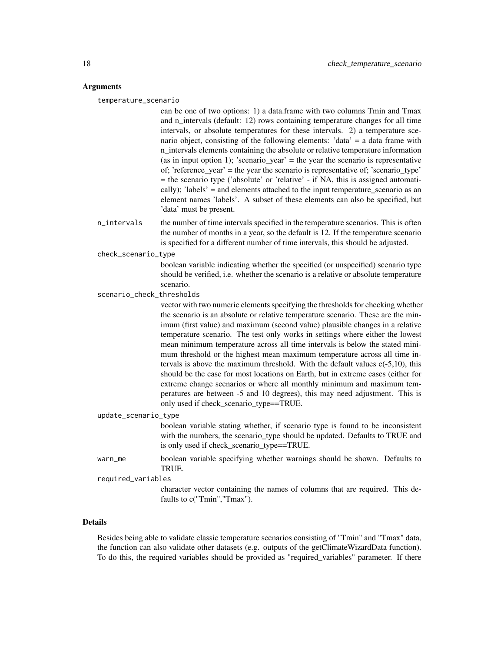#### Arguments

temperature\_scenario

can be one of two options: 1) a data.frame with two columns Tmin and Tmax and n\_intervals (default: 12) rows containing temperature changes for all time intervals, or absolute temperatures for these intervals. 2) a temperature scenario object, consisting of the following elements: 'data' = a data frame with n\_intervals elements containing the absolute or relative temperature information (as in input option 1); 'scenario\_year' = the year the scenario is representative of; 'reference\_year' = the year the scenario is representative of; 'scenario\_type' = the scenario type ('absolute' or 'relative' - if NA, this is assigned automatically); 'labels' = and elements attached to the input temperature\_scenario as an element names 'labels'. A subset of these elements can also be specified, but 'data' must be present.

n\_intervals the number of time intervals specified in the temperature scenarios. This is often the number of months in a year, so the default is 12. If the temperature scenario is specified for a different number of time intervals, this should be adjusted.

check\_scenario\_type

boolean variable indicating whether the specified (or unspecified) scenario type should be verified, i.e. whether the scenario is a relative or absolute temperature scenario.

scenario\_check\_thresholds

vector with two numeric elements specifying the thresholds for checking whether the scenario is an absolute or relative temperature scenario. These are the minimum (first value) and maximum (second value) plausible changes in a relative temperature scenario. The test only works in settings where either the lowest mean minimum temperature across all time intervals is below the stated minimum threshold or the highest mean maximum temperature across all time intervals is above the maximum threshold. With the default values c(-5,10), this should be the case for most locations on Earth, but in extreme cases (either for extreme change scenarios or where all monthly minimum and maximum temperatures are between -5 and 10 degrees), this may need adjustment. This is only used if check\_scenario\_type==TRUE.

update\_scenario\_type

boolean variable stating whether, if scenario type is found to be inconsistent with the numbers, the scenario type should be updated. Defaults to TRUE and is only used if check scenario type==TRUE.

warn\_me boolean variable specifying whether warnings should be shown. Defaults to TRUE.

required\_variables

character vector containing the names of columns that are required. This defaults to c("Tmin","Tmax").

### Details

Besides being able to validate classic temperature scenarios consisting of "Tmin" and "Tmax" data, the function can also validate other datasets (e.g. outputs of the getClimateWizardData function). To do this, the required variables should be provided as "required\_variables" parameter. If there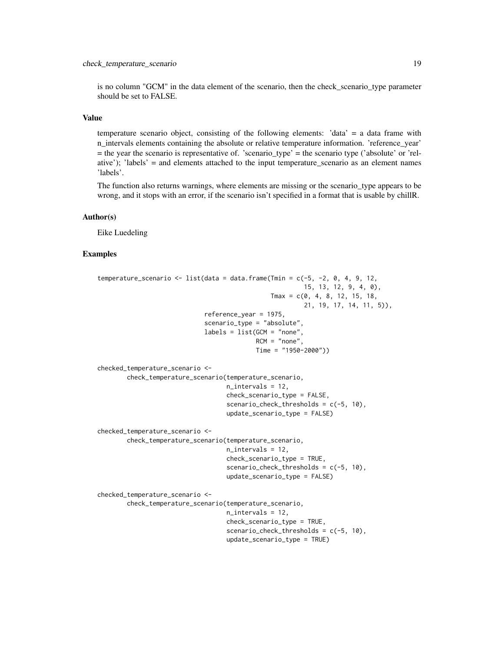is no column "GCM" in the data element of the scenario, then the check\_scenario\_type parameter should be set to FALSE.

# Value

temperature scenario object, consisting of the following elements: 'data' = a data frame with n intervals elements containing the absolute or relative temperature information. 'reference year' = the year the scenario is representative of. 'scenario\_type' = the scenario type ('absolute' or 'relative'); 'labels' = and elements attached to the input temperature\_scenario as an element names 'labels'.

The function also returns warnings, where elements are missing or the scenario\_type appears to be wrong, and it stops with an error, if the scenario isn't specified in a format that is usable by chillR.

### Author(s)

Eike Luedeling

### Examples

```
temperature_scenario \leq 1ist(data = data.frame(Tmin = c(-5, -2, 0, 4, 9, 12,
                                                        15, 13, 12, 9, 4, 0),
                                               Tmax = c(0, 4, 8, 12, 15, 18,21, 19, 17, 14, 11, 5)),
                             reference_year = 1975,
                             scenario_type = "absolute",
                             labels = list(GCM = "none",RCM = "none".Time = "1950-2000"))
checked_temperature_scenario <-
        check_temperature_scenario(temperature_scenario,
                                   n_intervals = 12,
                                   check_scenario_type = FALSE,
                                   scenario_check_thresholds = c(-5, 10),
                                   update_scenario_type = FALSE)
checked_temperature_scenario <-
       check_temperature_scenario(temperature_scenario,
                                   n_intervals = 12,
                                   check_scenario_type = TRUE,
                                   scenario_check_thresholds = c(-5, 10),
                                   update_scenario_type = FALSE)
checked_temperature_scenario <-
       check_temperature_scenario(temperature_scenario,
                                   n_intervals = 12,
                                   check_scenario_type = TRUE,
                                   scenario_check_thresholds = c(-5, 10),
                                   update_scenario_type = TRUE)
```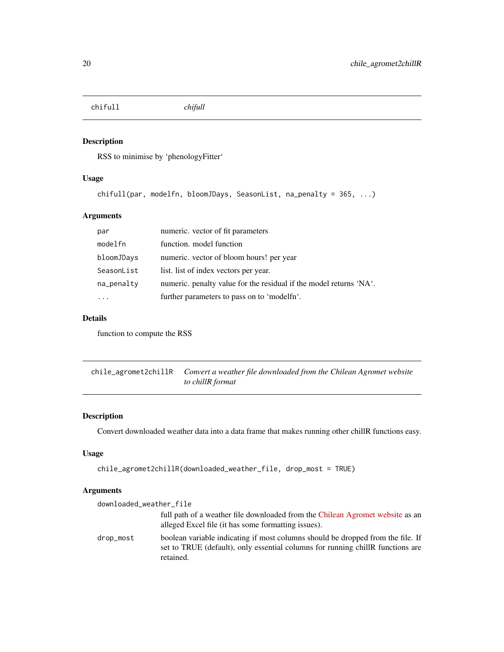<span id="page-19-0"></span>chifull *chifull*

# Description

RSS to minimise by 'phenologyFitter'

# Usage

```
chifull(par, modelfn, bloomJDays, SeasonList, na_penalty = 365, ...)
```
# Arguments

| par        | numeric. vector of fit parameters                                  |
|------------|--------------------------------------------------------------------|
| modelfn    | function. model function                                           |
| bloomJDays | numeric. vector of bloom hours! per year                           |
| SeasonList | list. list of index vectors per year.                              |
| na_penalty | numeric. penalty value for the residual if the model returns 'NA'. |
|            | further parameters to pass on to 'modelfn'.                        |

# Details

function to compute the RSS

chile\_agromet2chillR *Convert a weather file downloaded from the Chilean Agromet website to chillR format*

# Description

Convert downloaded weather data into a data frame that makes running other chillR functions easy.

# Usage

```
chile_agromet2chillR(downloaded_weather_file, drop_most = TRUE)
```
# Arguments

| downloaded_weather_file |                                                                                                                                                                                |
|-------------------------|--------------------------------------------------------------------------------------------------------------------------------------------------------------------------------|
|                         | full path of a weather file downloaded from the Chilean Agromet website as an<br>alleged Excel file (it has some formatting issues).                                           |
| drop_most               | boolean variable indicating if most columns should be dropped from the file. If<br>set to TRUE (default), only essential columns for running chillR functions are<br>retained. |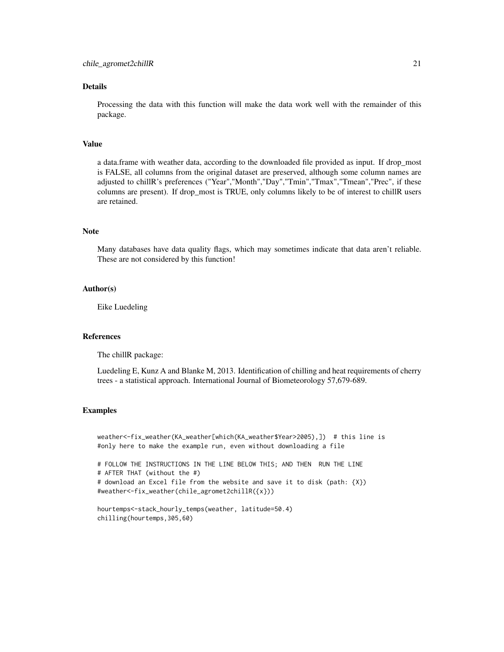# Details

Processing the data with this function will make the data work well with the remainder of this package.

# Value

a data.frame with weather data, according to the downloaded file provided as input. If drop\_most is FALSE, all columns from the original dataset are preserved, although some column names are adjusted to chillR's preferences ("Year","Month","Day","Tmin","Tmax","Tmean","Prec", if these columns are present). If drop\_most is TRUE, only columns likely to be of interest to chillR users are retained.

# Note

Many databases have data quality flags, which may sometimes indicate that data aren't reliable. These are not considered by this function!

# Author(s)

Eike Luedeling

### References

The chillR package:

Luedeling E, Kunz A and Blanke M, 2013. Identification of chilling and heat requirements of cherry trees - a statistical approach. International Journal of Biometeorology 57,679-689.

#### Examples

weather<-fix\_weather(KA\_weather[which(KA\_weather\$Year>2005),]) # this line is #only here to make the example run, even without downloading a file

# FOLLOW THE INSTRUCTIONS IN THE LINE BELOW THIS; AND THEN RUN THE LINE # AFTER THAT (without the #) # download an Excel file from the website and save it to disk (path: {X}) #weather<-fix\_weather(chile\_agromet2chillR({x}))

```
hourtemps<-stack_hourly_temps(weather, latitude=50.4)
chilling(hourtemps,305,60)
```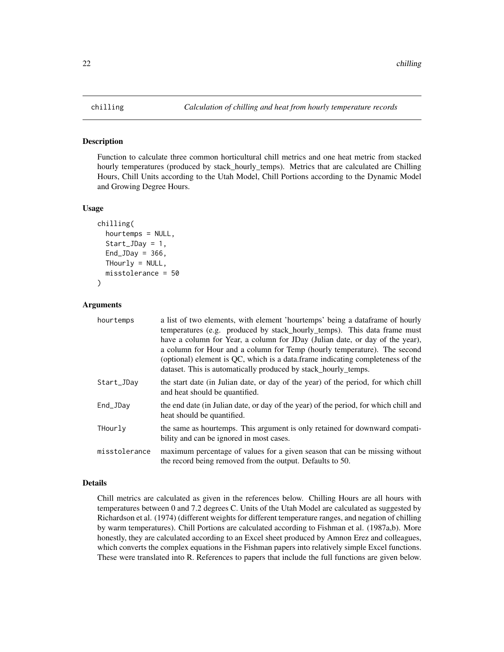### Description

Function to calculate three common horticultural chill metrics and one heat metric from stacked hourly temperatures (produced by stack\_hourly\_temps). Metrics that are calculated are Chilling Hours, Chill Units according to the Utah Model, Chill Portions according to the Dynamic Model and Growing Degree Hours.

### Usage

```
chilling(
  hourtemps = NULL,
  Start_JDay = 1,
  End_JDay = 366,THourly = NULL,
  misstolerance = 50
\lambda
```
# Arguments

| hourtemps     | a list of two elements, with element 'hourtemps' being a data frame of hourly                                                            |
|---------------|------------------------------------------------------------------------------------------------------------------------------------------|
|               | temperatures (e.g. produced by stack_hourly_temps). This data frame must                                                                 |
|               | have a column for Year, a column for JDay (Julian date, or day of the year),                                                             |
|               | a column for Hour and a column for Temp (hourly temperature). The second                                                                 |
|               | (optional) element is QC, which is a data frame indicating completeness of the                                                           |
|               | dataset. This is automatically produced by stack_hourly_temps.                                                                           |
| Start_JDay    | the start date (in Julian date, or day of the year) of the period, for which chill<br>and heat should be quantified.                     |
| End_JDav      | the end date (in Julian date, or day of the year) of the period, for which chill and<br>heat should be quantified.                       |
| THourly       | the same as hourtemps. This argument is only retained for downward compati-<br>bility and can be ignored in most cases.                  |
| misstolerance | maximum percentage of values for a given season that can be missing without<br>the record being removed from the output. Defaults to 50. |

#### Details

Chill metrics are calculated as given in the references below. Chilling Hours are all hours with temperatures between 0 and 7.2 degrees C. Units of the Utah Model are calculated as suggested by Richardson et al. (1974) (different weights for different temperature ranges, and negation of chilling by warm temperatures). Chill Portions are calculated according to Fishman et al. (1987a,b). More honestly, they are calculated according to an Excel sheet produced by Amnon Erez and colleagues, which converts the complex equations in the Fishman papers into relatively simple Excel functions. These were translated into R. References to papers that include the full functions are given below.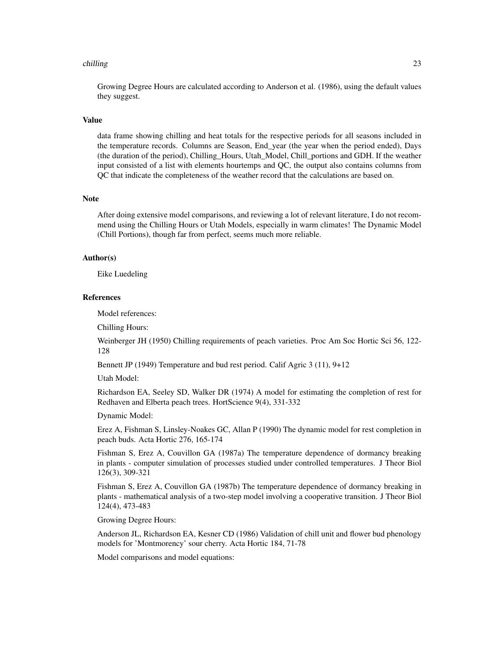#### chilling 23

Growing Degree Hours are calculated according to Anderson et al. (1986), using the default values they suggest.

#### Value

data frame showing chilling and heat totals for the respective periods for all seasons included in the temperature records. Columns are Season, End\_year (the year when the period ended), Days (the duration of the period), Chilling\_Hours, Utah\_Model, Chill\_portions and GDH. If the weather input consisted of a list with elements hourtemps and QC, the output also contains columns from QC that indicate the completeness of the weather record that the calculations are based on.

# Note

After doing extensive model comparisons, and reviewing a lot of relevant literature, I do not recommend using the Chilling Hours or Utah Models, especially in warm climates! The Dynamic Model (Chill Portions), though far from perfect, seems much more reliable.

### Author(s)

Eike Luedeling

# References

Model references:

Chilling Hours:

Weinberger JH (1950) Chilling requirements of peach varieties. Proc Am Soc Hortic Sci 56, 122- 128

Bennett JP (1949) Temperature and bud rest period. Calif Agric 3 (11), 9+12

Utah Model:

Richardson EA, Seeley SD, Walker DR (1974) A model for estimating the completion of rest for Redhaven and Elberta peach trees. HortScience 9(4), 331-332

Dynamic Model:

Erez A, Fishman S, Linsley-Noakes GC, Allan P (1990) The dynamic model for rest completion in peach buds. Acta Hortic 276, 165-174

Fishman S, Erez A, Couvillon GA (1987a) The temperature dependence of dormancy breaking in plants - computer simulation of processes studied under controlled temperatures. J Theor Biol 126(3), 309-321

Fishman S, Erez A, Couvillon GA (1987b) The temperature dependence of dormancy breaking in plants - mathematical analysis of a two-step model involving a cooperative transition. J Theor Biol 124(4), 473-483

Growing Degree Hours:

Anderson JL, Richardson EA, Kesner CD (1986) Validation of chill unit and flower bud phenology models for 'Montmorency' sour cherry. Acta Hortic 184, 71-78

Model comparisons and model equations: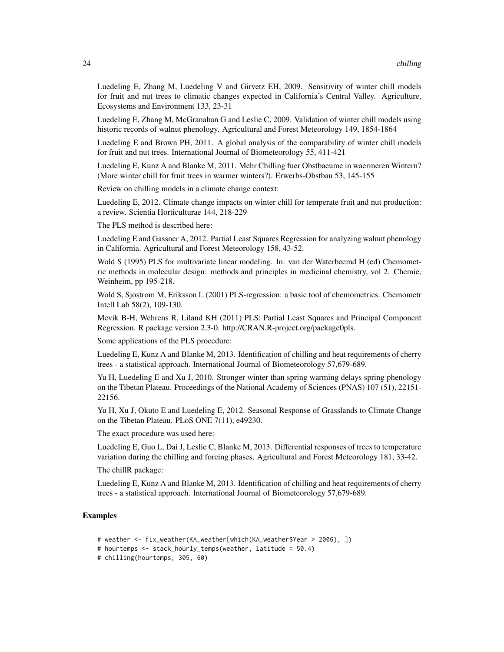Luedeling E, Zhang M, Luedeling V and Girvetz EH, 2009. Sensitivity of winter chill models for fruit and nut trees to climatic changes expected in California's Central Valley. Agriculture, Ecosystems and Environment 133, 23-31

Luedeling E, Zhang M, McGranahan G and Leslie C, 2009. Validation of winter chill models using historic records of walnut phenology. Agricultural and Forest Meteorology 149, 1854-1864

Luedeling E and Brown PH, 2011. A global analysis of the comparability of winter chill models for fruit and nut trees. International Journal of Biometeorology 55, 411-421

Luedeling E, Kunz A and Blanke M, 2011. Mehr Chilling fuer Obstbaeume in waermeren Wintern? (More winter chill for fruit trees in warmer winters?). Erwerbs-Obstbau 53, 145-155

Review on chilling models in a climate change context:

Luedeling E, 2012. Climate change impacts on winter chill for temperate fruit and nut production: a review. Scientia Horticulturae 144, 218-229

The PLS method is described here:

Luedeling E and Gassner A, 2012. Partial Least Squares Regression for analyzing walnut phenology in California. Agricultural and Forest Meteorology 158, 43-52.

Wold S (1995) PLS for multivariate linear modeling. In: van der Waterbeemd H (ed) Chemometric methods in molecular design: methods and principles in medicinal chemistry, vol 2. Chemie, Weinheim, pp 195-218.

Wold S, Sjostrom M, Eriksson L (2001) PLS-regression: a basic tool of chemometrics. Chemometr Intell Lab 58(2), 109-130.

Mevik B-H, Wehrens R, Liland KH (2011) PLS: Partial Least Squares and Principal Component Regression. R package version 2.3-0. http://CRAN.R-project.org/package0pls.

Some applications of the PLS procedure:

Luedeling E, Kunz A and Blanke M, 2013. Identification of chilling and heat requirements of cherry trees - a statistical approach. International Journal of Biometeorology 57,679-689.

Yu H, Luedeling E and Xu J, 2010. Stronger winter than spring warming delays spring phenology on the Tibetan Plateau. Proceedings of the National Academy of Sciences (PNAS) 107 (51), 22151- 22156.

Yu H, Xu J, Okuto E and Luedeling E, 2012. Seasonal Response of Grasslands to Climate Change on the Tibetan Plateau. PLoS ONE 7(11), e49230.

The exact procedure was used here:

Luedeling E, Guo L, Dai J, Leslie C, Blanke M, 2013. Differential responses of trees to temperature variation during the chilling and forcing phases. Agricultural and Forest Meteorology 181, 33-42.

The chillR package:

Luedeling E, Kunz A and Blanke M, 2013. Identification of chilling and heat requirements of cherry trees - a statistical approach. International Journal of Biometeorology 57,679-689.

# Examples

- # weather <- fix\_weather(KA\_weather[which(KA\_weather\$Year > 2006), ])
- # hourtemps <- stack\_hourly\_temps(weather, latitude = 50.4)

# chilling(hourtemps, 305, 60)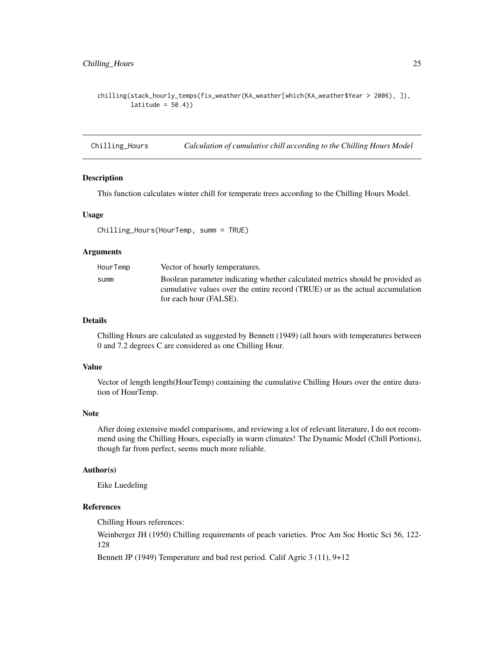<span id="page-24-0"></span>chilling(stack\_hourly\_temps(fix\_weather(KA\_weather[which(KA\_weather\$Year > 2006), ]),  $lattice = 50.4)$ 

Chilling\_Hours *Calculation of cumulative chill according to the Chilling Hours Model*

#### Description

This function calculates winter chill for temperate trees according to the Chilling Hours Model.

### Usage

Chilling\_Hours(HourTemp, summ = TRUE)

### Arguments

| HourTemp | Vector of hourly temperatures.                                                |
|----------|-------------------------------------------------------------------------------|
| summ     | Boolean parameter indicating whether calculated metrics should be provided as |
|          | cumulative values over the entire record (TRUE) or as the actual accumulation |
|          | for each hour (FALSE).                                                        |

# Details

Chilling Hours are calculated as suggested by Bennett (1949) (all hours with temperatures between 0 and 7.2 degrees C are considered as one Chilling Hour.

#### Value

Vector of length length(HourTemp) containing the cumulative Chilling Hours over the entire duration of HourTemp.

### Note

After doing extensive model comparisons, and reviewing a lot of relevant literature, I do not recommend using the Chilling Hours, especially in warm climates! The Dynamic Model (Chill Portions), though far from perfect, seems much more reliable.

# Author(s)

Eike Luedeling

# References

Chilling Hours references:

Weinberger JH (1950) Chilling requirements of peach varieties. Proc Am Soc Hortic Sci 56, 122- 128

Bennett JP (1949) Temperature and bud rest period. Calif Agric 3 (11), 9+12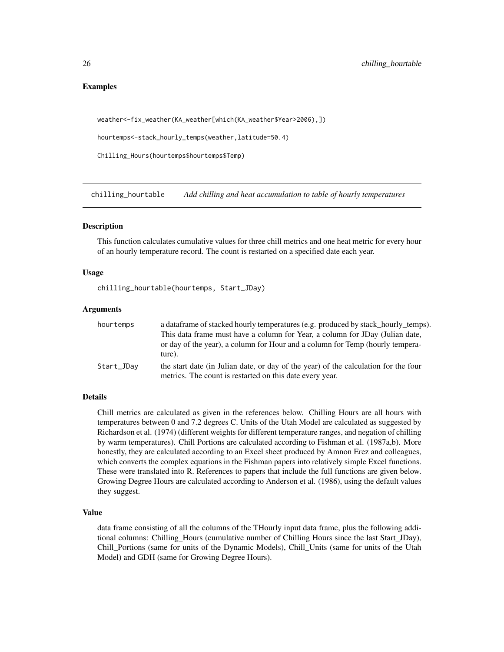# Examples

```
weather<-fix_weather(KA_weather[which(KA_weather$Year>2006),])
```
hourtemps<-stack\_hourly\_temps(weather,latitude=50.4)

Chilling\_Hours(hourtemps\$hourtemps\$Temp)

chilling\_hourtable *Add chilling and heat accumulation to table of hourly temperatures*

### Description

This function calculates cumulative values for three chill metrics and one heat metric for every hour of an hourly temperature record. The count is restarted on a specified date each year.

# Usage

chilling\_hourtable(hourtemps, Start\_JDay)

#### Arguments

| hourtemps  | a data frame of stacked hourly temperatures (e.g. produced by stack_hourly_temps).                                                              |
|------------|-------------------------------------------------------------------------------------------------------------------------------------------------|
|            | This data frame must have a column for Year, a column for JDay (Julian date,                                                                    |
|            | or day of the year), a column for Hour and a column for Temp (hourly tempera-<br>ture).                                                         |
| Start_JDav | the start date (in Julian date, or day of the year) of the calculation for the four<br>metrics. The count is restarted on this date every year. |

# Details

Chill metrics are calculated as given in the references below. Chilling Hours are all hours with temperatures between 0 and 7.2 degrees C. Units of the Utah Model are calculated as suggested by Richardson et al. (1974) (different weights for different temperature ranges, and negation of chilling by warm temperatures). Chill Portions are calculated according to Fishman et al. (1987a,b). More honestly, they are calculated according to an Excel sheet produced by Amnon Erez and colleagues, which converts the complex equations in the Fishman papers into relatively simple Excel functions. These were translated into R. References to papers that include the full functions are given below. Growing Degree Hours are calculated according to Anderson et al. (1986), using the default values they suggest.

#### Value

data frame consisting of all the columns of the THourly input data frame, plus the following additional columns: Chilling\_Hours (cumulative number of Chilling Hours since the last Start\_JDay), Chill\_Portions (same for units of the Dynamic Models), Chill\_Units (same for units of the Utah Model) and GDH (same for Growing Degree Hours).

<span id="page-25-0"></span>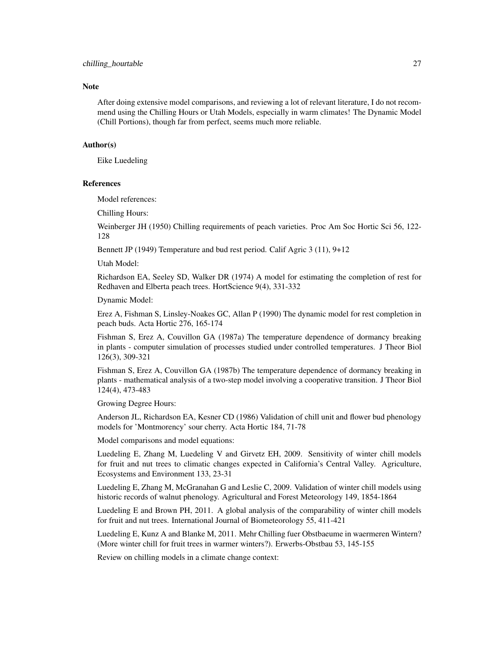#### **Note**

After doing extensive model comparisons, and reviewing a lot of relevant literature, I do not recommend using the Chilling Hours or Utah Models, especially in warm climates! The Dynamic Model (Chill Portions), though far from perfect, seems much more reliable.

# Author(s)

Eike Luedeling

### References

Model references:

Chilling Hours:

Weinberger JH (1950) Chilling requirements of peach varieties. Proc Am Soc Hortic Sci 56, 122- 128

Bennett JP (1949) Temperature and bud rest period. Calif Agric 3 (11), 9+12

Utah Model:

Richardson EA, Seeley SD, Walker DR (1974) A model for estimating the completion of rest for Redhaven and Elberta peach trees. HortScience 9(4), 331-332

Dynamic Model:

Erez A, Fishman S, Linsley-Noakes GC, Allan P (1990) The dynamic model for rest completion in peach buds. Acta Hortic 276, 165-174

Fishman S, Erez A, Couvillon GA (1987a) The temperature dependence of dormancy breaking in plants - computer simulation of processes studied under controlled temperatures. J Theor Biol 126(3), 309-321

Fishman S, Erez A, Couvillon GA (1987b) The temperature dependence of dormancy breaking in plants - mathematical analysis of a two-step model involving a cooperative transition. J Theor Biol 124(4), 473-483

Growing Degree Hours:

Anderson JL, Richardson EA, Kesner CD (1986) Validation of chill unit and flower bud phenology models for 'Montmorency' sour cherry. Acta Hortic 184, 71-78

Model comparisons and model equations:

Luedeling E, Zhang M, Luedeling V and Girvetz EH, 2009. Sensitivity of winter chill models for fruit and nut trees to climatic changes expected in California's Central Valley. Agriculture, Ecosystems and Environment 133, 23-31

Luedeling E, Zhang M, McGranahan G and Leslie C, 2009. Validation of winter chill models using historic records of walnut phenology. Agricultural and Forest Meteorology 149, 1854-1864

Luedeling E and Brown PH, 2011. A global analysis of the comparability of winter chill models for fruit and nut trees. International Journal of Biometeorology 55, 411-421

Luedeling E, Kunz A and Blanke M, 2011. Mehr Chilling fuer Obstbaeume in waermeren Wintern? (More winter chill for fruit trees in warmer winters?). Erwerbs-Obstbau 53, 145-155

Review on chilling models in a climate change context: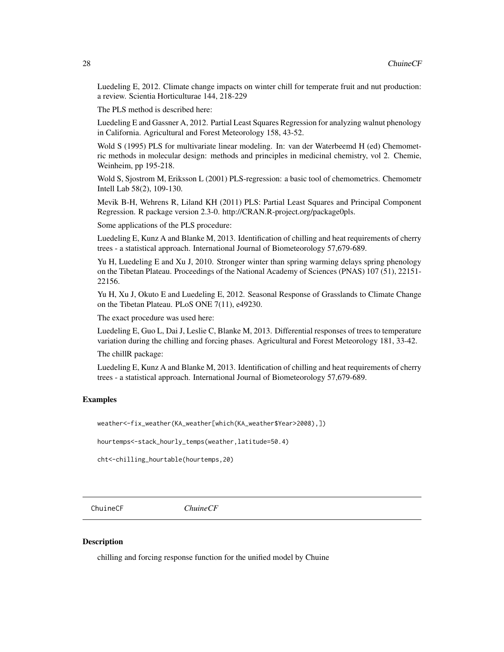<span id="page-27-0"></span>Luedeling E, 2012. Climate change impacts on winter chill for temperate fruit and nut production: a review. Scientia Horticulturae 144, 218-229

The PLS method is described here:

Luedeling E and Gassner A, 2012. Partial Least Squares Regression for analyzing walnut phenology in California. Agricultural and Forest Meteorology 158, 43-52.

Wold S (1995) PLS for multivariate linear modeling. In: van der Waterbeemd H (ed) Chemometric methods in molecular design: methods and principles in medicinal chemistry, vol 2. Chemie, Weinheim, pp 195-218.

Wold S, Sjostrom M, Eriksson L (2001) PLS-regression: a basic tool of chemometrics. Chemometr Intell Lab 58(2), 109-130.

Mevik B-H, Wehrens R, Liland KH (2011) PLS: Partial Least Squares and Principal Component Regression. R package version 2.3-0. http://CRAN.R-project.org/package0pls.

Some applications of the PLS procedure:

Luedeling E, Kunz A and Blanke M, 2013. Identification of chilling and heat requirements of cherry trees - a statistical approach. International Journal of Biometeorology 57,679-689.

Yu H, Luedeling E and Xu J, 2010. Stronger winter than spring warming delays spring phenology on the Tibetan Plateau. Proceedings of the National Academy of Sciences (PNAS) 107 (51), 22151- 22156.

Yu H, Xu J, Okuto E and Luedeling E, 2012. Seasonal Response of Grasslands to Climate Change on the Tibetan Plateau. PLoS ONE 7(11), e49230.

The exact procedure was used here:

Luedeling E, Guo L, Dai J, Leslie C, Blanke M, 2013. Differential responses of trees to temperature variation during the chilling and forcing phases. Agricultural and Forest Meteorology 181, 33-42.

The chillR package:

Luedeling E, Kunz A and Blanke M, 2013. Identification of chilling and heat requirements of cherry trees - a statistical approach. International Journal of Biometeorology 57,679-689.

# Examples

weather<-fix\_weather(KA\_weather[which(KA\_weather\$Year>2008),])

hourtemps<-stack\_hourly\_temps(weather,latitude=50.4)

cht<-chilling\_hourtable(hourtemps,20)

ChuineCF *ChuineCF*

### **Description**

chilling and forcing response function for the unified model by Chuine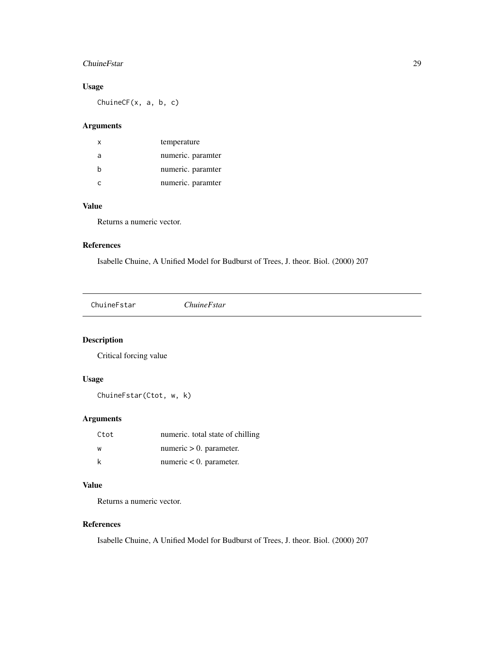# <span id="page-28-0"></span>ChuineFstar 29

# Usage

ChuineCF(x, a, b, c)

### Arguments

| $\mathsf{x}$ | temperature       |
|--------------|-------------------|
| a            | numeric. paramter |
| b            | numeric. paramter |
|              | numeric. paramter |

# Value

Returns a numeric vector.

### References

Isabelle Chuine, A Unified Model for Budburst of Trees, J. theor. Biol. (2000) 207

ChuineFstar *ChuineFstar*

# Description

Critical forcing value

# Usage

ChuineFstar(Ctot, w, k)

# Arguments

| Ctot | numeric. total state of chilling |
|------|----------------------------------|
| w    | numeric $> 0$ . parameter.       |
|      | numeric $< 0$ . parameter.       |

# Value

Returns a numeric vector.

# References

Isabelle Chuine, A Unified Model for Budburst of Trees, J. theor. Biol. (2000) 207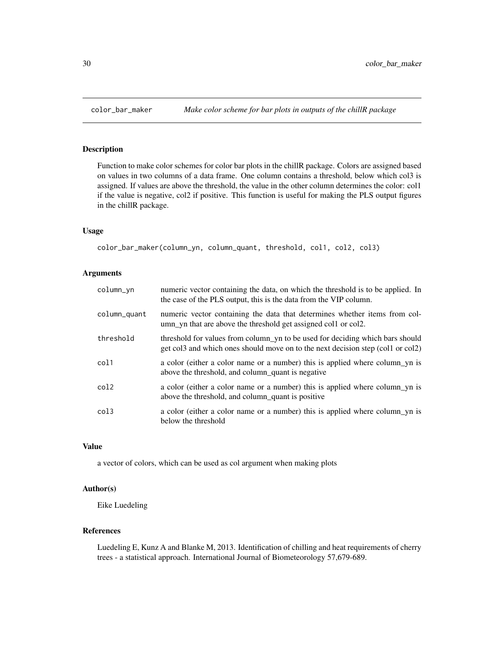# Description

Function to make color schemes for color bar plots in the chillR package. Colors are assigned based on values in two columns of a data frame. One column contains a threshold, below which col3 is assigned. If values are above the threshold, the value in the other column determines the color: col1 if the value is negative, col2 if positive. This function is useful for making the PLS output figures in the chillR package.

# Usage

```
color_bar_maker(column_yn, column_quant, threshold, col1, col2, col3)
```
### Arguments

| column_yn    | numeric vector containing the data, on which the threshold is to be applied. In<br>the case of the PLS output, this is the data from the VIP column.             |
|--------------|------------------------------------------------------------------------------------------------------------------------------------------------------------------|
| column_quant | numeric vector containing the data that determines whether items from col-<br>umn yn that are above the threshold get assigned coll or coll.                     |
| threshold    | threshold for values from column_yn to be used for deciding which bars should<br>get col3 and which ones should move on to the next decision step (col1 or col2) |
| col1         | a color (either a color name or a number) this is applied where column yn is<br>above the threshold, and column_quant is negative                                |
| col2         | a color (either a color name or a number) this is applied where column yn is<br>above the threshold, and column_quant is positive                                |
| col3         | a color (either a color name or a number) this is applied where column_yn is<br>below the threshold                                                              |

#### Value

a vector of colors, which can be used as col argument when making plots

# Author(s)

Eike Luedeling

# References

Luedeling E, Kunz A and Blanke M, 2013. Identification of chilling and heat requirements of cherry trees - a statistical approach. International Journal of Biometeorology 57,679-689.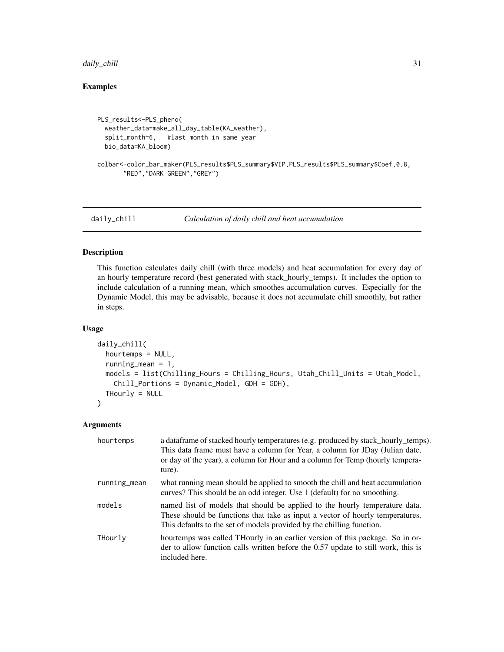# <span id="page-30-0"></span>daily\_chill 31

# Examples

```
PLS_results<-PLS_pheno(
 weather_data=make_all_day_table(KA_weather),
 split_month=6, #last month in same year
 bio_data=KA_bloom)
colbar<-color_bar_maker(PLS_results$PLS_summary$VIP,PLS_results$PLS_summary$Coef,0.8,
      "RED","DARK GREEN","GREY")
```
daily\_chill *Calculation of daily chill and heat accumulation*

# Description

This function calculates daily chill (with three models) and heat accumulation for every day of an hourly temperature record (best generated with stack\_hourly\_temps). It includes the option to include calculation of a running mean, which smoothes accumulation curves. Especially for the Dynamic Model, this may be advisable, because it does not accumulate chill smoothly, but rather in steps.

### Usage

```
daily_chill(
  hourtemps = NULL,
  running_mean = 1,
 models = list(Chilling_Hours = Chilling_Hours, Utah_Chill_Units = Utah_Model,
    Chill_Portions = Dynamic_Model, GDH = GDH),
  THourly = NULL
\mathcal{L}
```
# Arguments

| hourtemps    | a data frame of stacked hourly temperatures (e.g. produced by stack hourly temps).<br>This data frame must have a column for Year, a column for JDay (Julian date,<br>or day of the year), a column for Hour and a column for Temp (hourly tempera-<br>ture). |
|--------------|---------------------------------------------------------------------------------------------------------------------------------------------------------------------------------------------------------------------------------------------------------------|
| running_mean | what running mean should be applied to smooth the chill and heat accumulation<br>curves? This should be an odd integer. Use 1 (default) for no smoothing.                                                                                                     |
| models       | named list of models that should be applied to the hourly temperature data.<br>These should be functions that take as input a vector of hourly temperatures.<br>This defaults to the set of models provided by the chilling function.                         |
| THourly      | hourtemps was called THourly in an earlier version of this package. So in or-<br>der to allow function calls written before the 0.57 update to still work, this is<br>included here.                                                                          |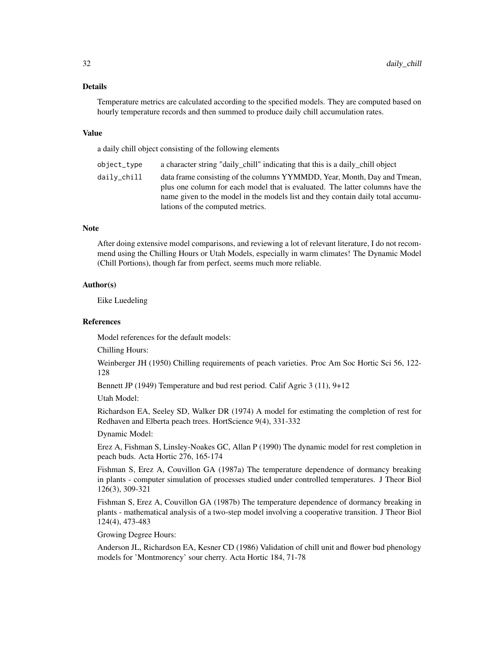### Details

Temperature metrics are calculated according to the specified models. They are computed based on hourly temperature records and then summed to produce daily chill accumulation rates.

#### Value

a daily chill object consisting of the following elements

object\_type a character string "daily\_chill" indicating that this is a daily\_chill object daily\_chill data frame consisting of the columns YYMMDD, Year, Month, Day and Tmean, plus one column for each model that is evaluated. The latter columns have the name given to the model in the models list and they contain daily total accumulations of the computed metrics.

### **Note**

After doing extensive model comparisons, and reviewing a lot of relevant literature, I do not recommend using the Chilling Hours or Utah Models, especially in warm climates! The Dynamic Model (Chill Portions), though far from perfect, seems much more reliable.

# Author(s)

Eike Luedeling

### References

Model references for the default models:

Chilling Hours:

Weinberger JH (1950) Chilling requirements of peach varieties. Proc Am Soc Hortic Sci 56, 122- 128

Bennett JP (1949) Temperature and bud rest period. Calif Agric 3 (11), 9+12

Utah Model:

Richardson EA, Seeley SD, Walker DR (1974) A model for estimating the completion of rest for Redhaven and Elberta peach trees. HortScience 9(4), 331-332

Dynamic Model:

Erez A, Fishman S, Linsley-Noakes GC, Allan P (1990) The dynamic model for rest completion in peach buds. Acta Hortic 276, 165-174

Fishman S, Erez A, Couvillon GA (1987a) The temperature dependence of dormancy breaking in plants - computer simulation of processes studied under controlled temperatures. J Theor Biol 126(3), 309-321

Fishman S, Erez A, Couvillon GA (1987b) The temperature dependence of dormancy breaking in plants - mathematical analysis of a two-step model involving a cooperative transition. J Theor Biol 124(4), 473-483

Growing Degree Hours:

Anderson JL, Richardson EA, Kesner CD (1986) Validation of chill unit and flower bud phenology models for 'Montmorency' sour cherry. Acta Hortic 184, 71-78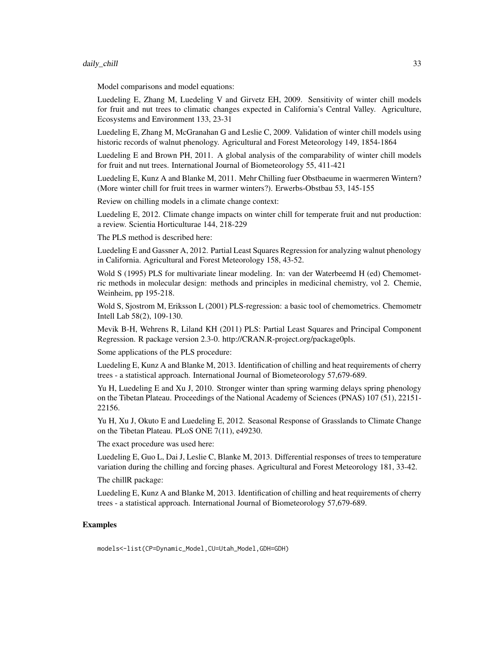#### daily\_chill 33

Model comparisons and model equations:

Luedeling E, Zhang M, Luedeling V and Girvetz EH, 2009. Sensitivity of winter chill models for fruit and nut trees to climatic changes expected in California's Central Valley. Agriculture, Ecosystems and Environment 133, 23-31

Luedeling E, Zhang M, McGranahan G and Leslie C, 2009. Validation of winter chill models using historic records of walnut phenology. Agricultural and Forest Meteorology 149, 1854-1864

Luedeling E and Brown PH, 2011. A global analysis of the comparability of winter chill models for fruit and nut trees. International Journal of Biometeorology 55, 411-421

Luedeling E, Kunz A and Blanke M, 2011. Mehr Chilling fuer Obstbaeume in waermeren Wintern? (More winter chill for fruit trees in warmer winters?). Erwerbs-Obstbau 53, 145-155

Review on chilling models in a climate change context:

Luedeling E, 2012. Climate change impacts on winter chill for temperate fruit and nut production: a review. Scientia Horticulturae 144, 218-229

The PLS method is described here:

Luedeling E and Gassner A, 2012. Partial Least Squares Regression for analyzing walnut phenology in California. Agricultural and Forest Meteorology 158, 43-52.

Wold S (1995) PLS for multivariate linear modeling. In: van der Waterbeemd H (ed) Chemometric methods in molecular design: methods and principles in medicinal chemistry, vol 2. Chemie, Weinheim, pp 195-218.

Wold S, Sjostrom M, Eriksson L (2001) PLS-regression: a basic tool of chemometrics. Chemometr Intell Lab 58(2), 109-130.

Mevik B-H, Wehrens R, Liland KH (2011) PLS: Partial Least Squares and Principal Component Regression. R package version 2.3-0. http://CRAN.R-project.org/package0pls.

Some applications of the PLS procedure:

Luedeling E, Kunz A and Blanke M, 2013. Identification of chilling and heat requirements of cherry trees - a statistical approach. International Journal of Biometeorology 57,679-689.

Yu H, Luedeling E and Xu J, 2010. Stronger winter than spring warming delays spring phenology on the Tibetan Plateau. Proceedings of the National Academy of Sciences (PNAS) 107 (51), 22151- 22156.

Yu H, Xu J, Okuto E and Luedeling E, 2012. Seasonal Response of Grasslands to Climate Change on the Tibetan Plateau. PLoS ONE 7(11), e49230.

The exact procedure was used here:

Luedeling E, Guo L, Dai J, Leslie C, Blanke M, 2013. Differential responses of trees to temperature variation during the chilling and forcing phases. Agricultural and Forest Meteorology 181, 33-42.

The chillR package:

Luedeling E, Kunz A and Blanke M, 2013. Identification of chilling and heat requirements of cherry trees - a statistical approach. International Journal of Biometeorology 57,679-689.

# Examples

models<-list(CP=Dynamic\_Model,CU=Utah\_Model,GDH=GDH)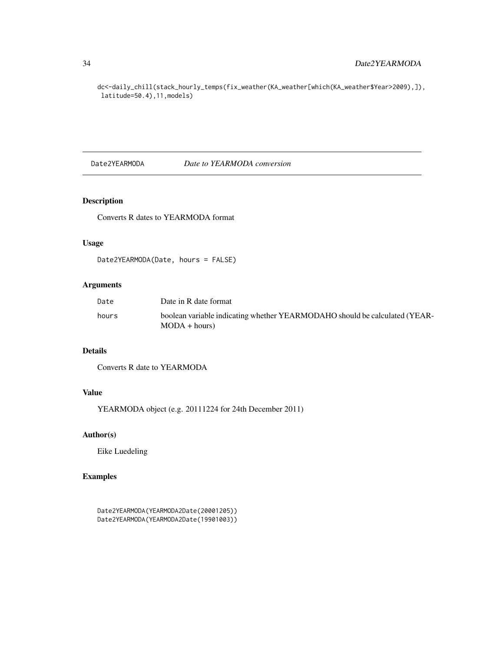dc<-daily\_chill(stack\_hourly\_temps(fix\_weather(KA\_weather[which(KA\_weather\$Year>2009),]), latitude=50.4),11,models)

Date2YEARMODA *Date to YEARMODA conversion*

# Description

Converts R dates to YEARMODA format

### Usage

Date2YEARMODA(Date, hours = FALSE)

# Arguments

| Date  | Date in R date format                                                                         |
|-------|-----------------------------------------------------------------------------------------------|
| hours | boolean variable indicating whether YEARMODAHO should be calculated (YEAR-<br>$MODA + hours)$ |

# Details

Converts R date to YEARMODA

# Value

YEARMODA object (e.g. 20111224 for 24th December 2011)

# Author(s)

Eike Luedeling

# Examples

```
Date2YEARMODA(YEARMODA2Date(20001205))
Date2YEARMODA(YEARMODA2Date(19901003))
```
<span id="page-33-0"></span>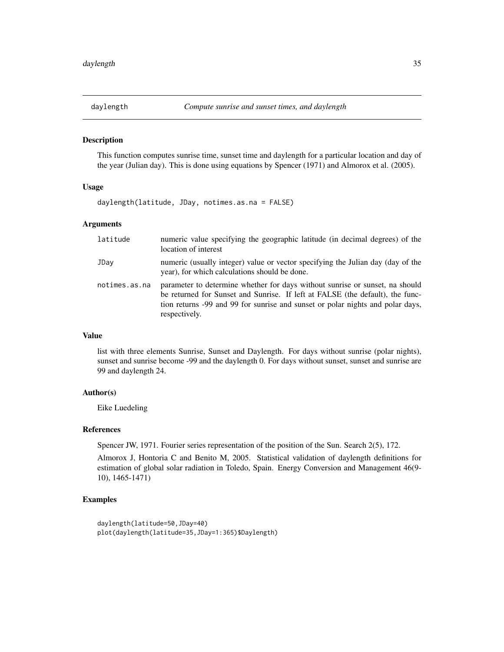<span id="page-34-0"></span>

# Description

This function computes sunrise time, sunset time and daylength for a particular location and day of the year (Julian day). This is done using equations by Spencer (1971) and Almorox et al. (2005).

#### Usage

daylength(latitude, JDay, notimes.as.na = FALSE)

### Arguments

| latitude      | numeric value specifying the geographic latitude (in decimal degrees) of the<br>location of interest                                                                                                                                                             |
|---------------|------------------------------------------------------------------------------------------------------------------------------------------------------------------------------------------------------------------------------------------------------------------|
| JDay          | numeric (usually integer) value or vector specifying the Julian day (day of the<br>year), for which calculations should be done.                                                                                                                                 |
| notimes.as.na | parameter to determine whether for days without sunrise or sunset, na should<br>be returned for Sunset and Sunrise. If left at FALSE (the default), the func-<br>tion returns -99 and 99 for sunrise and sunset or polar nights and polar days,<br>respectively. |

# Value

list with three elements Sunrise, Sunset and Daylength. For days without sunrise (polar nights), sunset and sunrise become -99 and the daylength 0. For days without sunset, sunset and sunrise are 99 and daylength 24.

### Author(s)

Eike Luedeling

#### References

Spencer JW, 1971. Fourier series representation of the position of the Sun. Search 2(5), 172.

Almorox J, Hontoria C and Benito M, 2005. Statistical validation of daylength definitions for estimation of global solar radiation in Toledo, Spain. Energy Conversion and Management 46(9- 10), 1465-1471)

# Examples

```
daylength(latitude=50,JDay=40)
plot(daylength(latitude=35,JDay=1:365)$Daylength)
```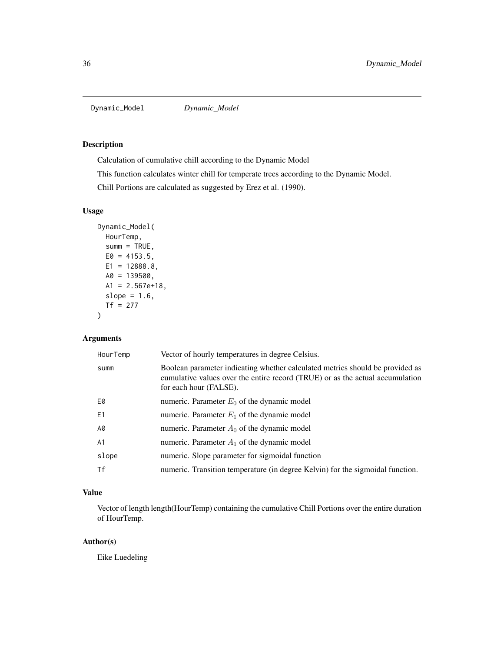<span id="page-35-0"></span>Dynamic\_Model *Dynamic\_Model*

# Description

Calculation of cumulative chill according to the Dynamic Model

This function calculates winter chill for temperate trees according to the Dynamic Model.

Chill Portions are calculated as suggested by Erez et al. (1990).

### Usage

```
Dynamic_Model(
 HourTemp,
 sum = TRUE,E0 = 4153.5,
 E1 = 12888.8,
 A0 = 139500,A1 = 2.567e+18,
 slope = 1.6,
 Tf = 277)
```
# Arguments

| HourTemp | Vector of hourly temperatures in degree Celsius.                                                                                                                                         |
|----------|------------------------------------------------------------------------------------------------------------------------------------------------------------------------------------------|
| summ     | Boolean parameter indicating whether calculated metrics should be provided as<br>cumulative values over the entire record (TRUE) or as the actual accumulation<br>for each hour (FALSE). |
| E0       | numeric. Parameter $E_0$ of the dynamic model                                                                                                                                            |
| E1       | numeric. Parameter $E_1$ of the dynamic model                                                                                                                                            |
| A0       | numeric. Parameter $A_0$ of the dynamic model                                                                                                                                            |
| A1       | numeric. Parameter $A_1$ of the dynamic model                                                                                                                                            |
| slope    | numeric. Slope parameter for sigmoidal function                                                                                                                                          |
| Τf       | numeric. Transition temperature (in degree Kelvin) for the sigmoidal function.                                                                                                           |

# Value

Vector of length length(HourTemp) containing the cumulative Chill Portions over the entire duration of HourTemp.

# Author(s)

Eike Luedeling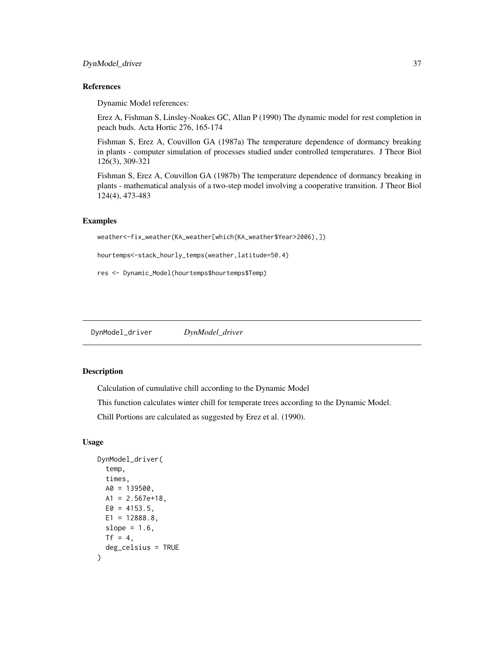# DynModel\_driver 37

# References

Dynamic Model references:

Erez A, Fishman S, Linsley-Noakes GC, Allan P (1990) The dynamic model for rest completion in peach buds. Acta Hortic 276, 165-174

Fishman S, Erez A, Couvillon GA (1987a) The temperature dependence of dormancy breaking in plants - computer simulation of processes studied under controlled temperatures. J Theor Biol 126(3), 309-321

Fishman S, Erez A, Couvillon GA (1987b) The temperature dependence of dormancy breaking in plants - mathematical analysis of a two-step model involving a cooperative transition. J Theor Biol 124(4), 473-483

## Examples

```
weather<-fix_weather(KA_weather[which(KA_weather$Year>2006),])
```
hourtemps<-stack\_hourly\_temps(weather,latitude=50.4)

res <- Dynamic\_Model(hourtemps\$hourtemps\$Temp)

DynModel\_driver *DynModel\_driver*

# Description

Calculation of cumulative chill according to the Dynamic Model

This function calculates winter chill for temperate trees according to the Dynamic Model.

Chill Portions are calculated as suggested by Erez et al. (1990).

### Usage

```
DynModel_driver(
  temp,
  times,
 A0 = 139500,
 A1 = 2.567e + 18,
 E0 = 4153.5,
 E1 = 12888.8,
  slope = 1.6.
 Tf = 4,
  deg_celsius = TRUE
)
```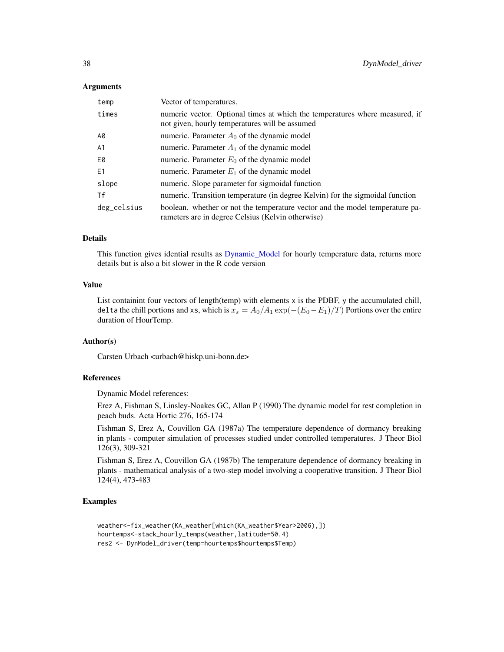### Arguments

| temp           | Vector of temperatures.                                                                                                           |
|----------------|-----------------------------------------------------------------------------------------------------------------------------------|
| times          | numeric vector. Optional times at which the temperatures where measured, if<br>not given, hourly temperatures will be assumed     |
| A0             | numeric. Parameter $A_0$ of the dynamic model                                                                                     |
| A <sub>1</sub> | numeric. Parameter $A_1$ of the dynamic model                                                                                     |
| E0             | numeric. Parameter $E_0$ of the dynamic model                                                                                     |
| E <sub>1</sub> | numeric. Parameter $E_1$ of the dynamic model                                                                                     |
| slope          | numeric. Slope parameter for sigmoidal function                                                                                   |
| Tf             | numeric. Transition temperature (in degree Kelvin) for the sigmoidal function                                                     |
| deg_celsius    | boolean. whether or not the temperature vector and the model temperature pa-<br>rameters are in degree Celsius (Kelvin otherwise) |

## Details

This function gives idential results as [Dynamic\\_Model](#page-35-0) for hourly temperature data, returns more details but is also a bit slower in the R code version

# Value

List containint four vectors of length(temp) with elements  $x$  is the PDBF,  $y$  the accumulated chill, delta the chill portions and xs, which is  $x_s = A_0/A_1 \exp(-(E_0-E_1)/T)$  Portions over the entire duration of HourTemp.

## Author(s)

Carsten Urbach <urbach@hiskp.uni-bonn.de>

## References

Dynamic Model references:

Erez A, Fishman S, Linsley-Noakes GC, Allan P (1990) The dynamic model for rest completion in peach buds. Acta Hortic 276, 165-174

Fishman S, Erez A, Couvillon GA (1987a) The temperature dependence of dormancy breaking in plants - computer simulation of processes studied under controlled temperatures. J Theor Biol 126(3), 309-321

Fishman S, Erez A, Couvillon GA (1987b) The temperature dependence of dormancy breaking in plants - mathematical analysis of a two-step model involving a cooperative transition. J Theor Biol 124(4), 473-483

## Examples

```
weather<-fix_weather(KA_weather[which(KA_weather$Year>2006),])
hourtemps<-stack_hourly_temps(weather,latitude=50.4)
res2 <- DynModel_driver(temp=hourtemps$hourtemps$Temp)
```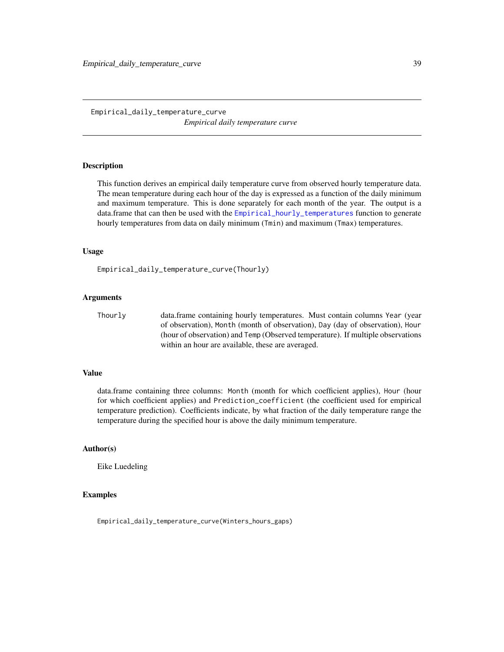# <span id="page-38-0"></span>Empirical\_daily\_temperature\_curve *Empirical daily temperature curve*

# **Description**

This function derives an empirical daily temperature curve from observed hourly temperature data. The mean temperature during each hour of the day is expressed as a function of the daily minimum and maximum temperature. This is done separately for each month of the year. The output is a data.frame that can then be used with the [Empirical\\_hourly\\_temperatures](#page-39-0) function to generate hourly temperatures from data on daily minimum (Tmin) and maximum (Tmax) temperatures.

### Usage

Empirical\_daily\_temperature\_curve(Thourly)

## Arguments

Thourly data.frame containing hourly temperatures. Must contain columns Year (year of observation), Month (month of observation), Day (day of observation), Hour (hour of observation) and Temp (Observed temperature). If multiple observations within an hour are available, these are averaged.

### Value

data.frame containing three columns: Month (month for which coefficient applies), Hour (hour for which coefficient applies) and Prediction\_coefficient (the coefficient used for empirical temperature prediction). Coefficients indicate, by what fraction of the daily temperature range the temperature during the specified hour is above the daily minimum temperature.

# Author(s)

Eike Luedeling

## Examples

Empirical\_daily\_temperature\_curve(Winters\_hours\_gaps)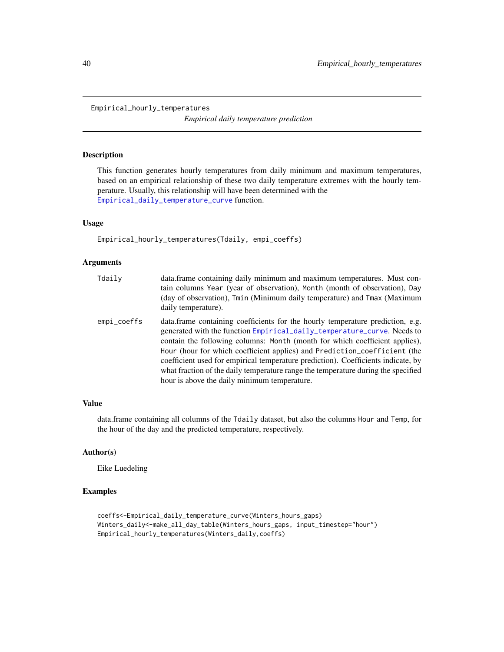<span id="page-39-0"></span>Empirical\_hourly\_temperatures

*Empirical daily temperature prediction*

## Description

This function generates hourly temperatures from daily minimum and maximum temperatures, based on an empirical relationship of these two daily temperature extremes with the hourly temperature. Usually, this relationship will have been determined with the [Empirical\\_daily\\_temperature\\_curve](#page-38-0) function.

### Usage

Empirical\_hourly\_temperatures(Tdaily, empi\_coeffs)

## Arguments

| Tdaily      | data.frame containing daily minimum and maximum temperatures. Must con-<br>tain columns Year (year of observation), Month (month of observation), Day<br>(day of observation), Tmin (Minimum daily temperature) and Tmax (Maximum<br>daily temperature).                                                                                                                                                                                                                                                                                         |
|-------------|--------------------------------------------------------------------------------------------------------------------------------------------------------------------------------------------------------------------------------------------------------------------------------------------------------------------------------------------------------------------------------------------------------------------------------------------------------------------------------------------------------------------------------------------------|
| empi_coeffs | data. frame containing coefficients for the hourly temperature prediction, e.g.<br>generated with the function Empirical_daily_temperature_curve. Needs to<br>contain the following columns: Month (month for which coefficient applies),<br>Hour (hour for which coefficient applies) and Prediction_coefficient (the<br>coefficient used for empirical temperature prediction). Coefficients indicate, by<br>what fraction of the daily temperature range the temperature during the specified<br>hour is above the daily minimum temperature. |

## Value

data.frame containing all columns of the Tdaily dataset, but also the columns Hour and Temp, for the hour of the day and the predicted temperature, respectively.

## Author(s)

Eike Luedeling

## Examples

```
coeffs<-Empirical_daily_temperature_curve(Winters_hours_gaps)
Winters_daily<-make_all_day_table(Winters_hours_gaps, input_timestep="hour")
Empirical_hourly_temperatures(Winters_daily,coeffs)
```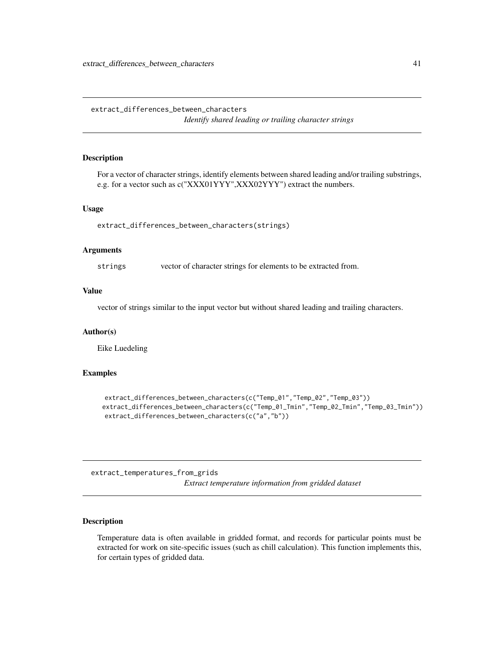extract\_differences\_between\_characters *Identify shared leading or trailing character strings*

## Description

For a vector of character strings, identify elements between shared leading and/or trailing substrings, e.g. for a vector such as c("XXX01YYY",XXX02YYY") extract the numbers.

### Usage

extract\_differences\_between\_characters(strings)

### Arguments

strings vector of character strings for elements to be extracted from.

### Value

vector of strings similar to the input vector but without shared leading and trailing characters.

#### Author(s)

Eike Luedeling

### Examples

```
extract_differences_between_characters(c("Temp_01","Temp_02","Temp_03"))
extract_differences_between_characters(c("Temp_01_Tmin","Temp_02_Tmin","Temp_03_Tmin"))
extract_differences_between_characters(c("a","b"))
```
extract\_temperatures\_from\_grids *Extract temperature information from gridded dataset*

## Description

Temperature data is often available in gridded format, and records for particular points must be extracted for work on site-specific issues (such as chill calculation). This function implements this, for certain types of gridded data.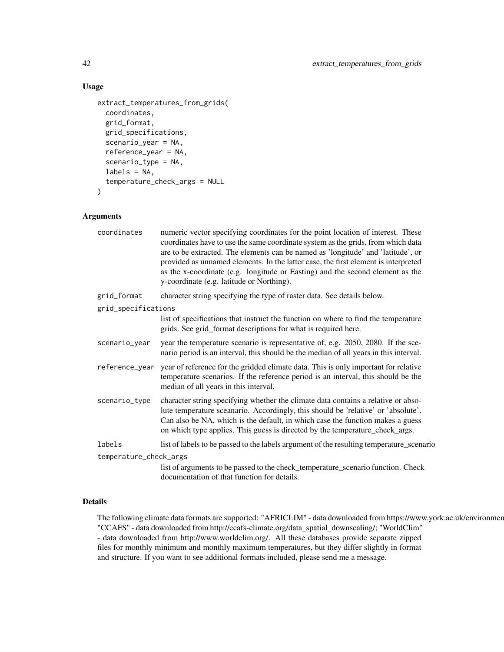# Usage

```
extract_temperatures_from_grids(
  coordinates,
  grid_format,
  grid_specifications,
  scenario_year = NA,
  reference_year = NA,
  scenario_type = NA,
  labels = NA,
  temperature_check_args = NULL
\lambda
```
## Arguments

| coordinates            | numeric vector specifying coordinates for the point location of interest. These<br>coordinates have to use the same coordinate system as the grids, from which data<br>are to be extracted. The elements can be named as 'longitude' and 'latitude', or<br>provided as unnamed elements. In the latter case, the first element is interpreted<br>as the x-coordinate (e.g. longitude or Easting) and the second element as the<br>y-coordinate (e.g. latitude or Northing). |
|------------------------|-----------------------------------------------------------------------------------------------------------------------------------------------------------------------------------------------------------------------------------------------------------------------------------------------------------------------------------------------------------------------------------------------------------------------------------------------------------------------------|
| grid_format            | character string specifying the type of raster data. See details below.                                                                                                                                                                                                                                                                                                                                                                                                     |
| grid_specifications    |                                                                                                                                                                                                                                                                                                                                                                                                                                                                             |
|                        | list of specifications that instruct the function on where to find the temperature<br>grids. See grid_format descriptions for what is required here.                                                                                                                                                                                                                                                                                                                        |
| scenario_year          | year the temperature scenario is representative of, e.g. 2050, 2080. If the sce-<br>nario period is an interval, this should be the median of all years in this interval.                                                                                                                                                                                                                                                                                                   |
| reference_year         | year of reference for the gridded climate data. This is only important for relative<br>temperature scenarios. If the reference period is an interval, this should be the<br>median of all years in this interval.                                                                                                                                                                                                                                                           |
| scenario_type          | character string specifying whether the climate data contains a relative or abso-<br>lute temperature sceanario. Accordingly, this should be 'relative' or 'absolute'.<br>Can also be NA, which is the default, in which case the function makes a guess<br>on which type applies. This guess is directed by the temperature_check_args.                                                                                                                                    |
| labels                 | list of labels to be passed to the labels argument of the resulting temperature_scenario                                                                                                                                                                                                                                                                                                                                                                                    |
| temperature_check_args |                                                                                                                                                                                                                                                                                                                                                                                                                                                                             |
|                        | list of arguments to be passed to the check_temperature_scenario function. Check<br>documentation of that function for details.                                                                                                                                                                                                                                                                                                                                             |

# Details

The following climate data formats are supported: "AFRICLIM" - data downloaded from https://www.york.ac.uk/environmer "CCAFS" - data downloaded from http://ccafs-climate.org/data\_spatial\_downscaling/; "WorldClim" - data downloaded from http://www.worldclim.org/. All these databases provide separate zipped files for monthly minimum and monthly maximum temperatures, but they differ slightly in format and structure. If you want to see additional formats included, please send me a message.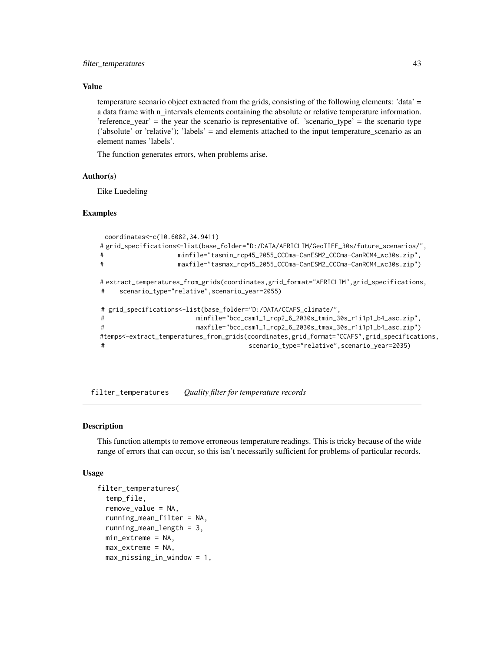## Value

temperature scenario object extracted from the grids, consisting of the following elements: 'data' = a data frame with n\_intervals elements containing the absolute or relative temperature information. 'reference\_year' = the year the scenario is representative of. 'scenario\_type' = the scenario type ('absolute' or 'relative'); 'labels' = and elements attached to the input temperature\_scenario as an element names 'labels'.

The function generates errors, when problems arise.

## Author(s)

Eike Luedeling

## Examples

```
coordinates<-c(10.6082,34.9411)
# grid_specifications<-list(base_folder="D:/DATA/AFRICLIM/GeoTIFF_30s/future_scenarios/",
                  minfile="tasmin_rcp45_2055_CCCma-CanESM2_CCCma-CanRCM4_wc30s.zip",
# maxfile="tasmax_rcp45_2055_CCCma-CanESM2_CCCma-CanRCM4_wc30s.zip")
# extract_temperatures_from_grids(coordinates,grid_format="AFRICLIM",grid_specifications,
# scenario_type="relative",scenario_year=2055)
# grid_specifications<-list(base_folder="D:/DATA/CCAFS_climate/",
# minfile="bcc_csm1_1_rcp2_6_2030s_tmin_30s_r1i1p1_b4_asc.zip",
# maxfile="bcc_csm1_1_rcp2_6_2030s_tmax_30s_r1i1p1_b4_asc.zip")
#temps<-extract_temperatures_from_grids(coordinates,grid_format="CCAFS",grid_specifications,
# scenario_type="relative",scenario_year=2035)
```
filter\_temperatures *Quality filter for temperature records*

### Description

This function attempts to remove erroneous temperature readings. This is tricky because of the wide range of errors that can occur, so this isn't necessarily sufficient for problems of particular records.

#### Usage

```
filter_temperatures(
  temp_file,
  remove_value = NA,
  running_mean_filter = NA,
  running_mean_length = 3,
 min_extreme = NA,
 max_extreme = NA,
 max_missing_in_window = 1,
```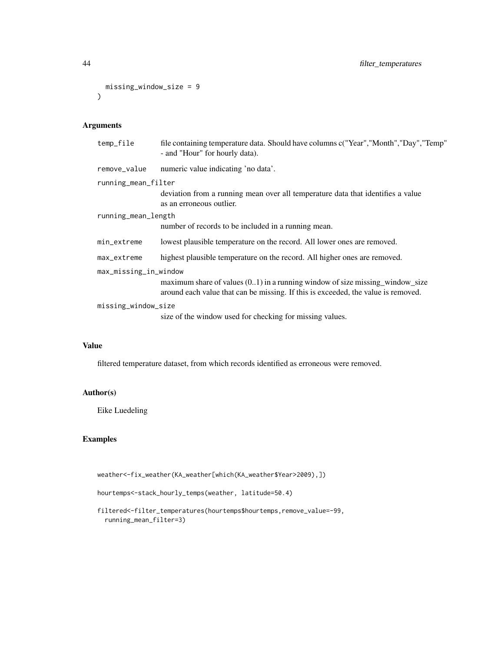```
missing_window_size = 9
\lambda
```
# Arguments

| temp_file             | file containing temperature data. Should have columns c("Year","Month","Day","Temp"<br>- and "Hour" for hourly data).                                                |
|-----------------------|----------------------------------------------------------------------------------------------------------------------------------------------------------------------|
| remove_value          | numeric value indicating 'no data'.                                                                                                                                  |
| running_mean_filter   |                                                                                                                                                                      |
|                       | deviation from a running mean over all temperature data that identifies a value<br>as an erroneous outlier.                                                          |
| running_mean_length   |                                                                                                                                                                      |
|                       | number of records to be included in a running mean.                                                                                                                  |
| min_extreme           | lowest plausible temperature on the record. All lower ones are removed.                                                                                              |
| max_extreme           | highest plausible temperature on the record. All higher ones are removed.                                                                                            |
| max_missing_in_window |                                                                                                                                                                      |
|                       | maximum share of values $(0.1)$ in a running window of size missing window size<br>around each value that can be missing. If this is exceeded, the value is removed. |
| missing_window_size   |                                                                                                                                                                      |
|                       | size of the window used for checking for missing values.                                                                                                             |

## Value

filtered temperature dataset, from which records identified as erroneous were removed.

## Author(s)

Eike Luedeling

# Examples

weather<-fix\_weather(KA\_weather[which(KA\_weather\$Year>2009),])

```
hourtemps<-stack_hourly_temps(weather, latitude=50.4)
```
filtered<-filter\_temperatures(hourtemps\$hourtemps,remove\_value=-99, running\_mean\_filter=3)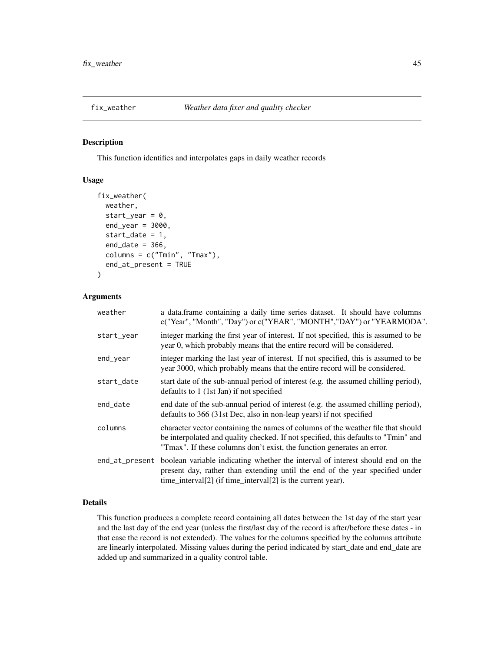## Description

This function identifies and interpolates gaps in daily weather records

# Usage

```
fix_weather(
  weather,
  start_year = 0,
  end\_year = 3000,start_date = 1,
  end\_date = 366,column = c("Tmin", "Tmax"),
  end_at_present = TRUE
)
```
## Arguments

| weather    | a data.frame containing a daily time series dataset. It should have columns<br>c("Year", "Month", "Day") or c("YEAR", "MONTH", "DAY") or "YEARMODA".                                                                                             |
|------------|--------------------------------------------------------------------------------------------------------------------------------------------------------------------------------------------------------------------------------------------------|
| start_year | integer marking the first year of interest. If not specified, this is assumed to be<br>year 0, which probably means that the entire record will be considered.                                                                                   |
| end_year   | integer marking the last year of interest. If not specified, this is assumed to be<br>year 3000, which probably means that the entire record will be considered.                                                                                 |
| start_date | start date of the sub-annual period of interest (e.g. the assumed chilling period),<br>defaults to 1 (1st Jan) if not specified                                                                                                                  |
| end_date   | end date of the sub-annual period of interest (e.g. the assumed chilling period),<br>defaults to 366 (31st Dec, also in non-leap years) if not specified                                                                                         |
| columns    | character vector containing the names of columns of the weather file that should<br>be interpolated and quality checked. If not specified, this defaults to "Tmin" and<br>"Tmax". If these columns don't exist, the function generates an error. |
|            | end_at_present boolean variable indicating whether the interval of interest should end on the<br>present day, rather than extending until the end of the year specified under<br>time_interval[2] (if time_interval[2] is the current year).     |

# Details

This function produces a complete record containing all dates between the 1st day of the start year and the last day of the end year (unless the first/last day of the record is after/before these dates - in that case the record is not extended). The values for the columns specified by the columns attribute are linearly interpolated. Missing values during the period indicated by start\_date and end\_date are added up and summarized in a quality control table.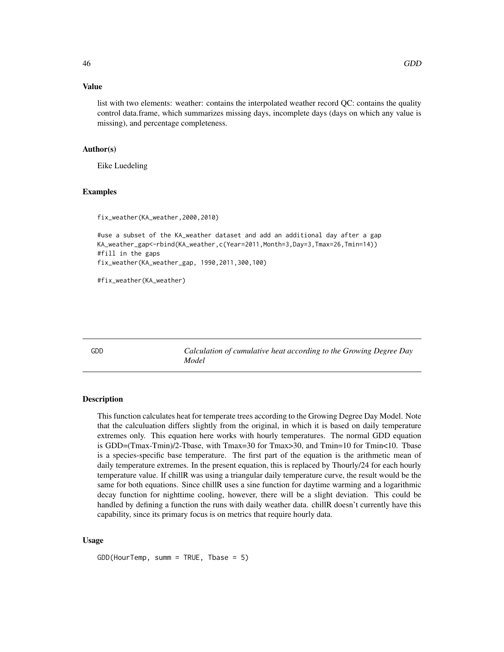## Value

list with two elements: weather: contains the interpolated weather record QC: contains the quality control data.frame, which summarizes missing days, incomplete days (days on which any value is missing), and percentage completeness.

## Author(s)

Eike Luedeling

## Examples

```
fix_weather(KA_weather,2000,2010)
```

```
#use a subset of the KA_weather dataset and add an additional day after a gap
KA_weather_gap<-rbind(KA_weather,c(Year=2011,Month=3,Day=3,Tmax=26,Tmin=14))
#fill in the gaps
fix_weather(KA_weather_gap, 1990,2011,300,100)
```
#fix\_weather(KA\_weather)

GDD *Calculation of cumulative heat according to the Growing Degree Day Model*

## Description

This function calculates heat for temperate trees according to the Growing Degree Day Model. Note that the calculuation differs slightly from the original, in which it is based on daily temperature extremes only. This equation here works with hourly temperatures. The normal GDD equation is GDD=(Tmax-Tmin)/2-Tbase, with Tmax=30 for Tmax>30, and Tmin=10 for Tmin<10. Tbase is a species-specific base temperature. The first part of the equation is the arithmetic mean of daily temperature extremes. In the present equation, this is replaced by Thourly/24 for each hourly temperature value. If chillR was using a triangular daily temperature curve, the result would be the same for both equations. Since chillR uses a sine function for daytime warming and a logarithmic decay function for nighttime cooling, however, there will be a slight deviation. This could be handled by defining a function the runs with daily weather data. chillR doesn't currently have this capability, since its primary focus is on metrics that require hourly data.

### Usage

GDD(HourTemp, summ = TRUE, Tbase = 5)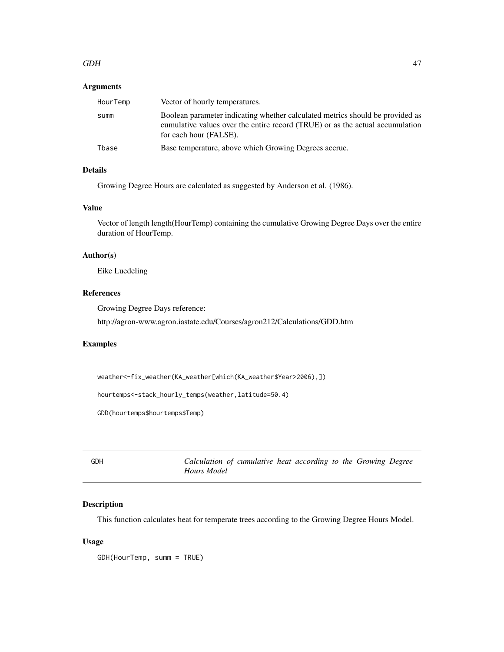### $GDH$  47

# Arguments

| HourTemp | Vector of hourly temperatures.                                                                                                                                                           |
|----------|------------------------------------------------------------------------------------------------------------------------------------------------------------------------------------------|
| summ     | Boolean parameter indicating whether calculated metrics should be provided as<br>cumulative values over the entire record (TRUE) or as the actual accumulation<br>for each hour (FALSE). |
| Tbase    | Base temperature, above which Growing Degrees accrue.                                                                                                                                    |

# Details

Growing Degree Hours are calculated as suggested by Anderson et al. (1986).

## Value

Vector of length length(HourTemp) containing the cumulative Growing Degree Days over the entire duration of HourTemp.

# Author(s)

Eike Luedeling

## References

Growing Degree Days reference:

http://agron-www.agron.iastate.edu/Courses/agron212/Calculations/GDD.htm

# Examples

```
weather<-fix_weather(KA_weather[which(KA_weather$Year>2006),])
```
hourtemps<-stack\_hourly\_temps(weather,latitude=50.4)

GDD(hourtemps\$hourtemps\$Temp)

GDH *Calculation of cumulative heat according to the Growing Degree Hours Model*

# Description

This function calculates heat for temperate trees according to the Growing Degree Hours Model.

## Usage

GDH(HourTemp, summ = TRUE)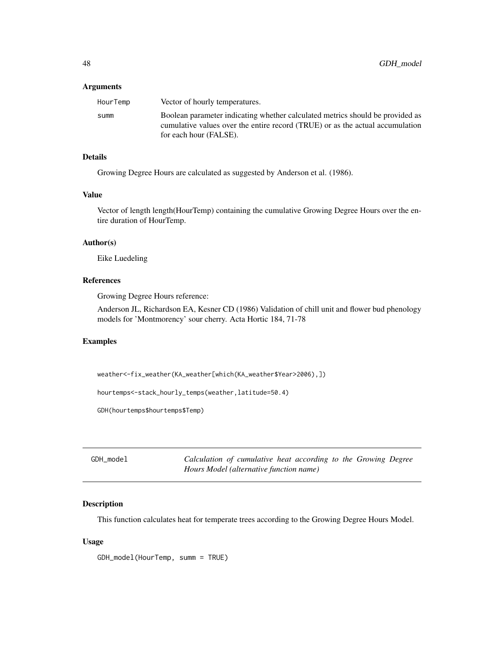### **Arguments**

| HourTemp | Vector of hourly temperatures.                                                                                                                                 |
|----------|----------------------------------------------------------------------------------------------------------------------------------------------------------------|
| summ     | Boolean parameter indicating whether calculated metrics should be provided as<br>cumulative values over the entire record (TRUE) or as the actual accumulation |
|          | for each hour (FALSE).                                                                                                                                         |

# Details

Growing Degree Hours are calculated as suggested by Anderson et al. (1986).

## Value

Vector of length length(HourTemp) containing the cumulative Growing Degree Hours over the entire duration of HourTemp.

## Author(s)

Eike Luedeling

# References

Growing Degree Hours reference:

Anderson JL, Richardson EA, Kesner CD (1986) Validation of chill unit and flower bud phenology models for 'Montmorency' sour cherry. Acta Hortic 184, 71-78

### Examples

weather<-fix\_weather(KA\_weather[which(KA\_weather\$Year>2006),])

hourtemps<-stack\_hourly\_temps(weather,latitude=50.4)

GDH(hourtemps\$hourtemps\$Temp)

GDH\_model *Calculation of cumulative heat according to the Growing Degree Hours Model (alternative function name)*

### Description

This function calculates heat for temperate trees according to the Growing Degree Hours Model.

## Usage

GDH\_model(HourTemp, summ = TRUE)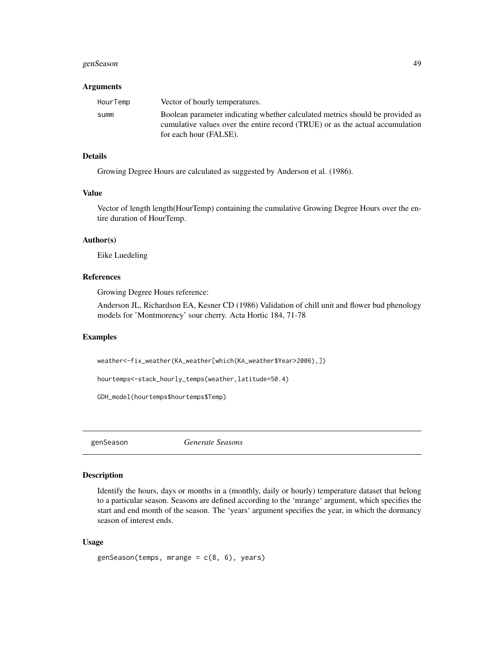### genSeason 49

#### Arguments

| HourTemp | Vector of hourly temperatures.                                                                                                                                 |
|----------|----------------------------------------------------------------------------------------------------------------------------------------------------------------|
| summ     | Boolean parameter indicating whether calculated metrics should be provided as<br>cumulative values over the entire record (TRUE) or as the actual accumulation |
|          | for each hour (FALSE).                                                                                                                                         |

### Details

Growing Degree Hours are calculated as suggested by Anderson et al. (1986).

#### Value

Vector of length length(HourTemp) containing the cumulative Growing Degree Hours over the entire duration of HourTemp.

# Author(s)

Eike Luedeling

# References

Growing Degree Hours reference:

Anderson JL, Richardson EA, Kesner CD (1986) Validation of chill unit and flower bud phenology models for 'Montmorency' sour cherry. Acta Hortic 184, 71-78

### Examples

weather<-fix\_weather(KA\_weather[which(KA\_weather\$Year>2006),])

hourtemps<-stack\_hourly\_temps(weather,latitude=50.4)

GDH\_model(hourtemps\$hourtemps\$Temp)

genSeason *Generate Seasons*

# Description

Identify the hours, days or months in a (monthly, daily or hourly) temperature dataset that belong to a particular season. Seasons are defined according to the 'mrange' argument, which specifies the start and end month of the season. The 'years' argument specifies the year, in which the dormancy season of interest ends.

## Usage

 $genSeason(temps, mrange = c(8, 6), years)$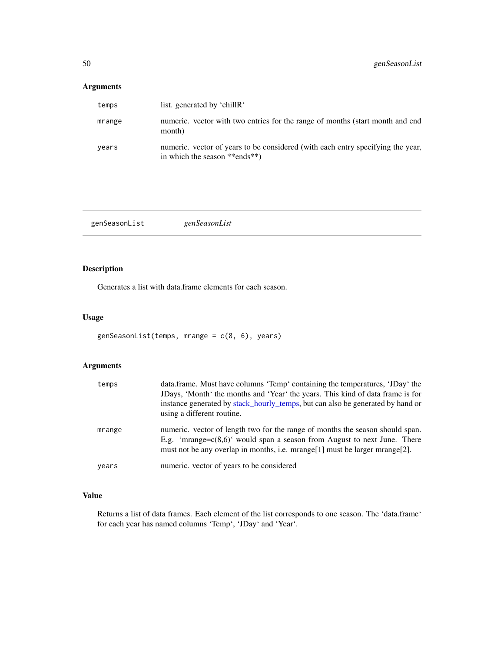# Arguments

| temps  | list. generated by 'chillR'                                                                                      |
|--------|------------------------------------------------------------------------------------------------------------------|
| mrange | numeric, vector with two entries for the range of months (start month and end<br>month)                          |
| years  | numeric, vector of years to be considered (with each entry specifying the year,<br>in which the season **ends**) |

genSeasonList *genSeasonList*

# Description

Generates a list with data.frame elements for each season.

# Usage

```
genSeasonList(temps, mrange = c(8, 6), years)
```
# Arguments

| temps  | data.frame. Must have columns 'Temp' containing the temperatures, 'JDay' the<br>JDays, 'Month' the months and 'Year' the years. This kind of data frame is for<br>instance generated by stack_hourly_temps, but can also be generated by hand or<br>using a different routine. |
|--------|--------------------------------------------------------------------------------------------------------------------------------------------------------------------------------------------------------------------------------------------------------------------------------|
| mrange | numeric, vector of length two for the range of months the season should span.<br>E.g. 'mrange= $c(8.6)$ ' would span a season from August to next June. There<br>must not be any overlap in months, i.e. $mrange[1]$ must be larger $mrange[2]$ .                              |
| years  | numeric. vector of years to be considered                                                                                                                                                                                                                                      |

# Value

Returns a list of data frames. Each element of the list corresponds to one season. The 'data.frame' for each year has named columns 'Temp', 'JDay' and 'Year'.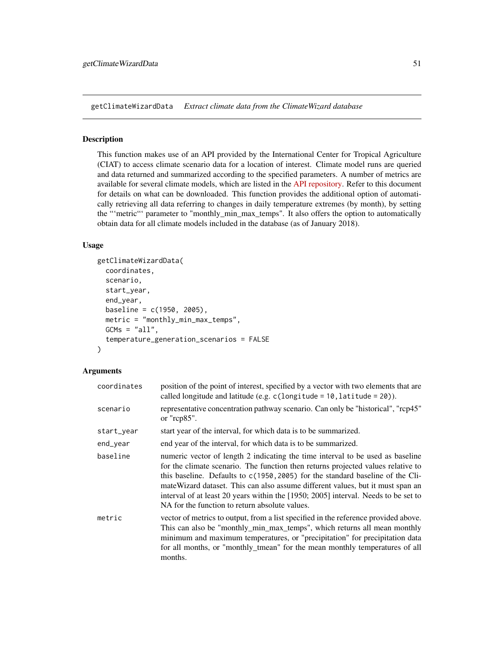getClimateWizardData *Extract climate data from the ClimateWizard database*

### Description

This function makes use of an API provided by the International Center for Tropical Agriculture (CIAT) to access climate scenario data for a location of interest. Climate model runs are queried and data returned and summarized according to the specified parameters. A number of metrics are available for several climate models, which are listed in the [API repository.](https://github.com/CIAT-DAPA/climate_wizard_api) Refer to this document for details on what can be downloaded. This function provides the additional option of automatically retrieving all data referring to changes in daily temperature extremes (by month), by setting the "'metric"' parameter to "monthly\_min\_max\_temps". It also offers the option to automatically obtain data for all climate models included in the database (as of January 2018).

## Usage

```
getClimateWizardData(
  coordinates,
  scenario,
  start_year,
  end_year,
  baseline = c(1950, 2005),
 metric = "monthly_min_max_temps",
  GCMs = "all",temperature_generation_scenarios = FALSE
)
```
## Arguments

| coordinates | position of the point of interest, specified by a vector with two elements that are<br>called longitude and latitude (e.g. $c$ (longitude = 10, latitude = 20)).                                                                                                                                                                                                                                                                                                                |
|-------------|---------------------------------------------------------------------------------------------------------------------------------------------------------------------------------------------------------------------------------------------------------------------------------------------------------------------------------------------------------------------------------------------------------------------------------------------------------------------------------|
| scenario    | representative concentration pathway scenario. Can only be "historical", "rcp45"<br>or " $rcp85$ ".                                                                                                                                                                                                                                                                                                                                                                             |
| start_year  | start year of the interval, for which data is to be summarized.                                                                                                                                                                                                                                                                                                                                                                                                                 |
| end_year    | end year of the interval, for which data is to be summarized.                                                                                                                                                                                                                                                                                                                                                                                                                   |
| baseline    | numeric vector of length 2 indicating the time interval to be used as baseline<br>for the climate scenario. The function then returns projected values relative to<br>this baseline. Defaults to c(1950, 2005) for the standard baseline of the Cli-<br>mate Wizard dataset. This can also assume different values, but it must span an<br>interval of at least 20 years within the [1950; 2005] interval. Needs to be set to<br>NA for the function to return absolute values. |
| metric      | vector of metrics to output, from a list specified in the reference provided above.<br>This can also be "monthly_min_max_temps", which returns all mean monthly<br>minimum and maximum temperatures, or "precipitation" for precipitation data<br>for all months, or "monthly_tmean" for the mean monthly temperatures of all<br>months.                                                                                                                                        |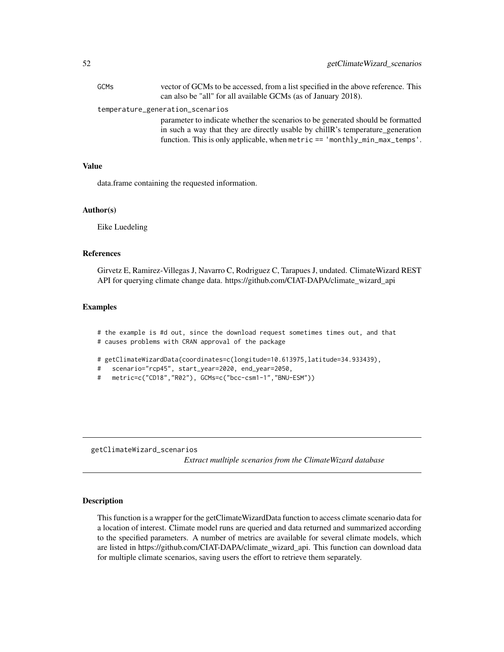| <b>GCMs</b> | vector of GCMs to be accessed, from a list specified in the above reference. This<br>can also be "all" for all available GCMs (as of January 2018).                                                                                                |
|-------------|----------------------------------------------------------------------------------------------------------------------------------------------------------------------------------------------------------------------------------------------------|
|             | temperature_generation_scenarios                                                                                                                                                                                                                   |
|             | parameter to indicate whether the scenarios to be generated should be formatted<br>in such a way that they are directly usable by chill R's temperature_generation<br>function. This is only applicable, when metric $==$ 'monthly_min_max_temps'. |

## Value

data.frame containing the requested information.

### Author(s)

Eike Luedeling

## References

Girvetz E, Ramirez-Villegas J, Navarro C, Rodriguez C, Tarapues J, undated. ClimateWizard REST API for querying climate change data. https://github.com/CIAT-DAPA/climate\_wizard\_api

# Examples

# the example is #d out, since the download request sometimes times out, and that # causes problems with CRAN approval of the package

# getClimateWizardData(coordinates=c(longitude=10.613975,latitude=34.933439),

- # scenario="rcp45", start\_year=2020, end\_year=2050,
- # metric=c("CD18","R02"), GCMs=c("bcc-csm1-1","BNU-ESM"))

getClimateWizard\_scenarios

*Extract mutltiple scenarios from the ClimateWizard database*

## Description

This function is a wrapper for the getClimateWizardData function to access climate scenario data for a location of interest. Climate model runs are queried and data returned and summarized according to the specified parameters. A number of metrics are available for several climate models, which are listed in https://github.com/CIAT-DAPA/climate\_wizard\_api. This function can download data for multiple climate scenarios, saving users the effort to retrieve them separately.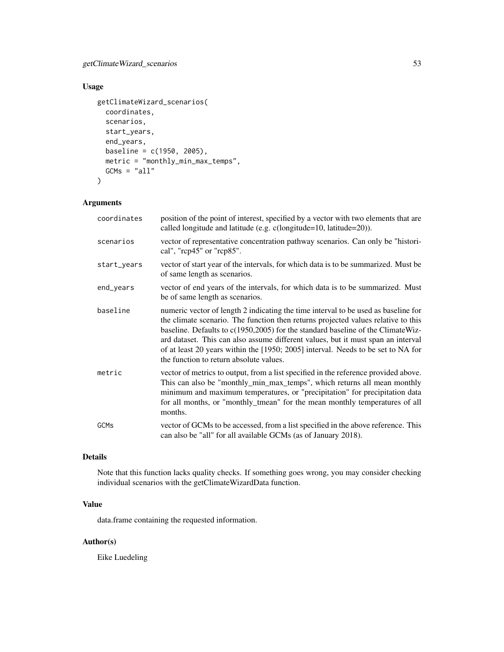# getClimateWizard\_scenarios 53

# Usage

```
getClimateWizard_scenarios(
  coordinates,
  scenarios,
  start_years,
  end_years,
  baseline = c(1950, 2005),
  metric = "monthly_min_max_temps",
  GCMs = "all"\mathcal{L}
```
# Arguments

| coordinates | position of the point of interest, specified by a vector with two elements that are<br>called longitude and latitude (e.g. c(longitude=10, latitude=20)).                                                                                                                                                                                                                                                                                                                     |
|-------------|-------------------------------------------------------------------------------------------------------------------------------------------------------------------------------------------------------------------------------------------------------------------------------------------------------------------------------------------------------------------------------------------------------------------------------------------------------------------------------|
| scenarios   | vector of representative concentration pathway scenarios. Can only be "histori-<br>cal", "rcp45" or "rcp85".                                                                                                                                                                                                                                                                                                                                                                  |
| start_years | vector of start year of the intervals, for which data is to be summarized. Must be<br>of same length as scenarios.                                                                                                                                                                                                                                                                                                                                                            |
| end_years   | vector of end years of the intervals, for which data is to be summarized. Must<br>be of same length as scenarios.                                                                                                                                                                                                                                                                                                                                                             |
| baseline    | numeric vector of length 2 indicating the time interval to be used as baseline for<br>the climate scenario. The function then returns projected values relative to this<br>baseline. Defaults to c(1950,2005) for the standard baseline of the ClimateWiz-<br>ard dataset. This can also assume different values, but it must span an interval<br>of at least 20 years within the [1950; 2005] interval. Needs to be set to NA for<br>the function to return absolute values. |
| metric      | vector of metrics to output, from a list specified in the reference provided above.<br>This can also be "monthly_min_max_temps", which returns all mean monthly<br>minimum and maximum temperatures, or "precipitation" for precipitation data<br>for all months, or "monthly_tmean" for the mean monthly temperatures of all<br>months.                                                                                                                                      |
| <b>GCMs</b> | vector of GCMs to be accessed, from a list specified in the above reference. This<br>can also be "all" for all available GCMs (as of January 2018).                                                                                                                                                                                                                                                                                                                           |

# Details

Note that this function lacks quality checks. If something goes wrong, you may consider checking individual scenarios with the getClimateWizardData function.

# Value

data.frame containing the requested information.

# Author(s)

Eike Luedeling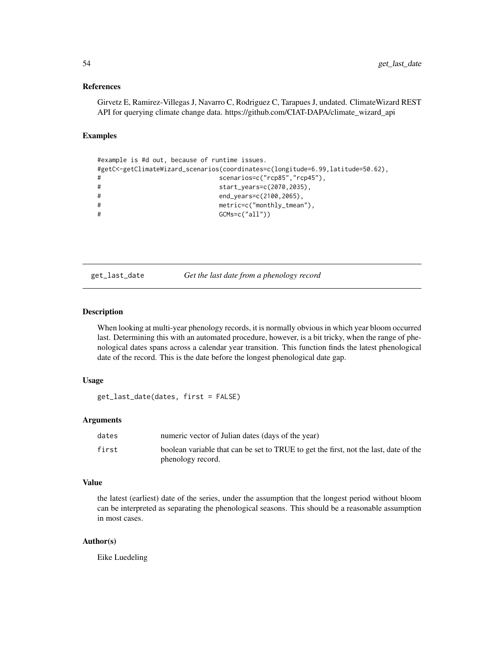### References

Girvetz E, Ramirez-Villegas J, Navarro C, Rodriguez C, Tarapues J, undated. ClimateWizard REST API for querying climate change data. https://github.com/CIAT-DAPA/climate\_wizard\_api

# Examples

```
#example is #d out, because of runtime issues.
#getC<-getClimateWizard_scenarios(coordinates=c(longitude=6.99,latitude=50.62),
# scenarios=c("rcp85","rcp45"),
# start_years=c(2070,2035),
# end_years=c(2100,2065),
# metric=c("monthly_tmean"),
# GCMs=c("all"))
```
get\_last\_date *Get the last date from a phenology record*

# Description

When looking at multi-year phenology records, it is normally obvious in which year bloom occurred last. Determining this with an automated procedure, however, is a bit tricky, when the range of phenological dates spans across a calendar year transition. This function finds the latest phenological date of the record. This is the date before the longest phenological date gap.

### Usage

```
get_last_date(dates, first = FALSE)
```
## Arguments

| numeric vector of Julian dates (days of the year)                                                         |
|-----------------------------------------------------------------------------------------------------------|
| boolean variable that can be set to TRUE to get the first, not the last, date of the<br>phenology record. |
|                                                                                                           |

#### Value

the latest (earliest) date of the series, under the assumption that the longest period without bloom can be interpreted as separating the phenological seasons. This should be a reasonable assumption in most cases.

## Author(s)

Eike Luedeling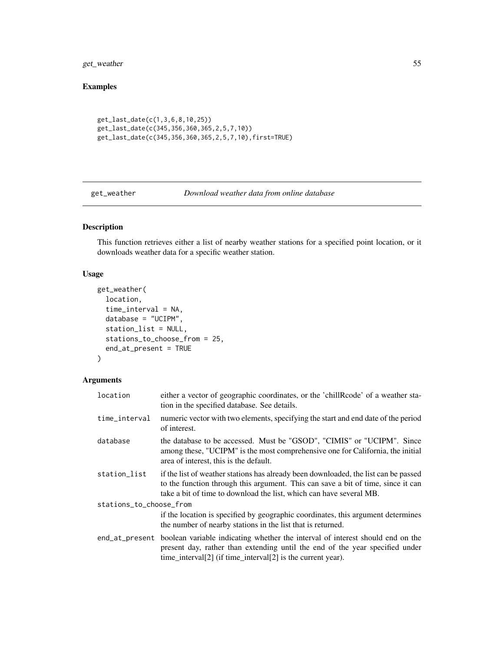get\_weather 55

# Examples

```
get_last_date(c(1,3,6,8,10,25))
get_last_date(c(345,356,360,365,2,5,7,10))
get_last_date(c(345,356,360,365,2,5,7,10),first=TRUE)
```
<span id="page-54-0"></span>get\_weather *Download weather data from online database*

# Description

This function retrieves either a list of nearby weather stations for a specified point location, or it downloads weather data for a specific weather station.

## Usage

```
get_weather(
  location,
  time_interval = NA,
  database = "UCIPM",
  station_list = NULL,
  stations_to_choose_from = 25,
  end_at_present = TRUE
\mathcal{L}
```
# Arguments

| location                | either a vector of geographic coordinates, or the 'chillRcode' of a weather sta-<br>tion in the specified database. See details.                                                                                                               |  |
|-------------------------|------------------------------------------------------------------------------------------------------------------------------------------------------------------------------------------------------------------------------------------------|--|
| time_interval           | numeric vector with two elements, specifying the start and end date of the period<br>of interest.                                                                                                                                              |  |
| database                | the database to be accessed. Must be "GSOD", "CIMIS" or "UCIPM". Since<br>among these, "UCIPM" is the most comprehensive one for California, the initial<br>area of interest, this is the default.                                             |  |
| station_list            | if the list of weather stations has already been downloaded, the list can be passed<br>to the function through this argument. This can save a bit of time, since it can<br>take a bit of time to download the list, which can have several MB. |  |
| stations_to_choose_from |                                                                                                                                                                                                                                                |  |
|                         | if the location is specified by geographic coordinates, this argument determines<br>the number of nearby stations in the list that is returned.                                                                                                |  |
|                         | end_at_present boolean variable indicating whether the interval of interest should end on the<br>present day, rather than extending until the end of the year specified under<br>time_interval[2] (if time_interval[2] is the current year).   |  |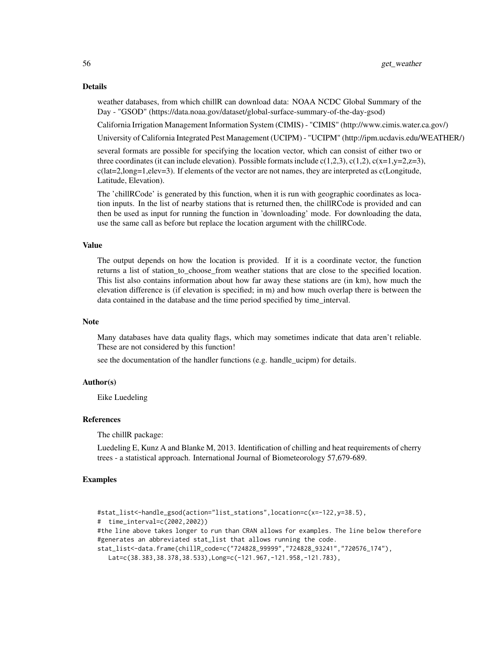### Details

weather databases, from which chillR can download data: NOAA NCDC Global Summary of the Day - "GSOD" (https://data.noaa.gov/dataset/global-surface-summary-of-the-day-gsod)

California Irrigation Management Information System (CIMIS) - "CIMIS" (http://www.cimis.water.ca.gov/)

University of California Integrated Pest Management (UCIPM) - "UCIPM" (http://ipm.ucdavis.edu/WEATHER/)

several formats are possible for specifying the location vector, which can consist of either two or three coordinates (it can include elevation). Possible formats include  $c(1,2,3)$ ,  $c(1,2)$ ,  $c(x=1,y=2,z=3)$ ,  $c(lat=2, long=1, elev=3)$ . If elements of the vector are not names, they are interpreted as  $c(Longitude,$ Latitude, Elevation).

The 'chillRCode' is generated by this function, when it is run with geographic coordinates as location inputs. In the list of nearby stations that is returned then, the chillRCode is provided and can then be used as input for running the function in 'downloading' mode. For downloading the data, use the same call as before but replace the location argument with the chillRCode.

### Value

The output depends on how the location is provided. If it is a coordinate vector, the function returns a list of station\_to\_choose\_from weather stations that are close to the specified location. This list also contains information about how far away these stations are (in km), how much the elevation difference is (if elevation is specified; in m) and how much overlap there is between the data contained in the database and the time period specified by time\_interval.

### Note

Many databases have data quality flags, which may sometimes indicate that data aren't reliable. These are not considered by this function!

see the documentation of the handler functions (e.g. handle\_ucipm) for details.

#### Author(s)

Eike Luedeling

## References

The chillR package:

Luedeling E, Kunz A and Blanke M, 2013. Identification of chilling and heat requirements of cherry trees - a statistical approach. International Journal of Biometeorology 57,679-689.

## Examples

```
#stat_list<-handle_gsod(action="list_stations",location=c(x=-122,y=38.5),
# time_interval=c(2002,2002))
#the line above takes longer to run than CRAN allows for examples. The line below therefore
#generates an abbreviated stat_list that allows running the code.
stat_list<-data.frame(chillR_code=c("724828_99999","724828_93241","720576_174"),
  Lat=c(38.383,38.378,38.533),Long=c(-121.967,-121.958,-121.783),
```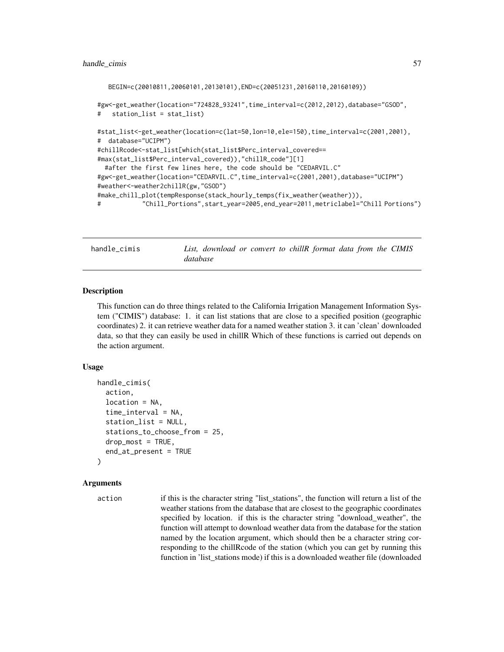```
BEGIN=c(20010811,20060101,20130101),END=c(20051231,20160110,20160109))
```

```
#gw<-get_weather(location="724828_93241",time_interval=c(2012,2012),database="GSOD",
# station_list = stat_list)
```

```
#stat_list<-get_weather(location=c(lat=50,lon=10,ele=150),time_interval=c(2001,2001),
# database="UCIPM")
#chillRcode<-stat_list[which(stat_list$Perc_interval_covered==
#max(stat_list$Perc_interval_covered)),"chillR_code"][1]
 #after the first few lines here, the code should be "CEDARVIL.C"
#gw<-get_weather(location="CEDARVIL.C",time_interval=c(2001,2001),database="UCIPM")
#weather<-weather2chillR(gw,"GSOD")
#make_chill_plot(tempResponse(stack_hourly_temps(fix_weather(weather))),
# "Chill_Portions",start_year=2005,end_year=2011,metriclabel="Chill Portions")
```
handle\_cimis *List, download or convert to chillR format data from the CIMIS database*

## **Description**

This function can do three things related to the California Irrigation Management Information System ("CIMIS") database: 1. it can list stations that are close to a specified position (geographic coordinates) 2. it can retrieve weather data for a named weather station 3. it can 'clean' downloaded data, so that they can easily be used in chillR Which of these functions is carried out depends on the action argument.

## Usage

```
handle_cimis(
  action,
  location = NA,
  time_interval = NA,
  station_list = NULL,
  stations_to_choose_from = 25,
  drop_most = TRUE,end_at_present = TRUE
\mathcal{L}
```
## Arguments

action if this is the character string "list\_stations", the function will return a list of the weather stations from the database that are closest to the geographic coordinates specified by location. if this is the character string "download\_weather", the function will attempt to download weather data from the database for the station named by the location argument, which should then be a character string corresponding to the chillRcode of the station (which you can get by running this function in 'list\_stations mode) if this is a downloaded weather file (downloaded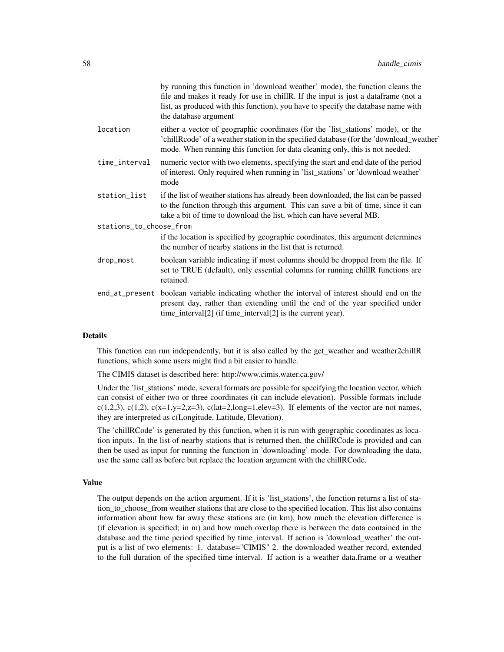|                         | by running this function in 'download weather' mode), the function cleans the<br>file and makes it ready for use in chill R. If the input is just a dataframe (not a<br>list, as produced with this function), you have to specify the database name with<br>the database argument |
|-------------------------|------------------------------------------------------------------------------------------------------------------------------------------------------------------------------------------------------------------------------------------------------------------------------------|
| location                | either a vector of geographic coordinates (for the 'list_stations' mode), or the<br>'chillRcode' of a weather station in the specified database (for the 'download_weather'<br>mode. When running this function for data cleaning only, this is not needed.                        |
| time_interval           | numeric vector with two elements, specifying the start and end date of the period<br>of interest. Only required when running in 'list_stations' or 'download weather'<br>mode                                                                                                      |
| station_list            | if the list of weather stations has already been downloaded, the list can be passed<br>to the function through this argument. This can save a bit of time, since it can<br>take a bit of time to download the list, which can have several MB.                                     |
| stations_to_choose_from |                                                                                                                                                                                                                                                                                    |
|                         | if the location is specified by geographic coordinates, this argument determines<br>the number of nearby stations in the list that is returned.                                                                                                                                    |
| drop_most               | boolean variable indicating if most columns should be dropped from the file. If<br>set to TRUE (default), only essential columns for running chillR functions are<br>retained.                                                                                                     |
|                         | end_at_present boolean variable indicating whether the interval of interest should end on the<br>present day, rather than extending until the end of the year specified under<br>time_interval[2] (if time_interval[2] is the current year).                                       |
|                         |                                                                                                                                                                                                                                                                                    |

# Details

This function can run independently, but it is also called by the get\_weather and weather2chillR functions, which some users might find a bit easier to handle.

The CIMIS dataset is described here: http://www.cimis.water.ca.gov/

Under the 'list\_stations' mode, several formats are possible for specifying the location vector, which can consist of either two or three coordinates (it can include elevation). Possible formats include c(1,2,3), c(1,2), c(x=1,y=2,z=3), c(lat=2,long=1,elev=3). If elements of the vector are not names, they are interpreted as c(Longitude, Latitude, Elevation).

The 'chillRCode' is generated by this function, when it is run with geographic coordinates as location inputs. In the list of nearby stations that is returned then, the chillRCode is provided and can then be used as input for running the function in 'downloading' mode. For downloading the data, use the same call as before but replace the location argument with the chillRCode.

### Value

The output depends on the action argument. If it is 'list\_stations', the function returns a list of station to choose from weather stations that are close to the specified location. This list also contains information about how far away these stations are (in km), how much the elevation difference is (if elevation is specified; in m) and how much overlap there is between the data contained in the database and the time period specified by time\_interval. If action is 'download\_weather' the output is a list of two elements: 1. database="CIMIS" 2. the downloaded weather record, extended to the full duration of the specified time interval. If action is a weather data.frame or a weather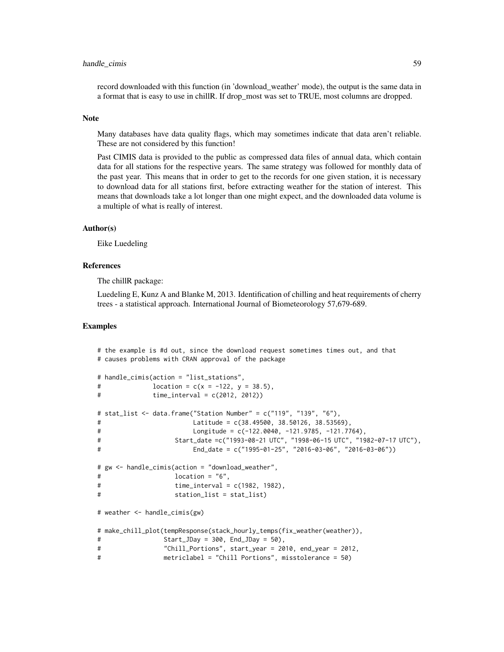# handle\_cimis 59

record downloaded with this function (in 'download\_weather' mode), the output is the same data in a format that is easy to use in chillR. If drop\_most was set to TRUE, most columns are dropped.

#### Note

Many databases have data quality flags, which may sometimes indicate that data aren't reliable. These are not considered by this function!

Past CIMIS data is provided to the public as compressed data files of annual data, which contain data for all stations for the respective years. The same strategy was followed for monthly data of the past year. This means that in order to get to the records for one given station, it is necessary to download data for all stations first, before extracting weather for the station of interest. This means that downloads take a lot longer than one might expect, and the downloaded data volume is a multiple of what is really of interest.

### Author(s)

Eike Luedeling

### References

The chillR package:

Luedeling E, Kunz A and Blanke M, 2013. Identification of chilling and heat requirements of cherry trees - a statistical approach. International Journal of Biometeorology 57,679-689.

## Examples

```
# the example is #d out, since the download request sometimes times out, and that
# causes problems with CRAN approval of the package
# handle_cimis(action = "list_stations",
\# location = c(x = -122, y = 38.5),
# time_interval = c(2012, 2012))
# stat_list <- data.frame("Station Number" = c("119", "139", "6"),
# Latitude = c(38.49500, 38.50126, 38.53569),
# Longitude = c(-122.0040, -121.9785, -121.7764),
# Start_date =c("1993-08-21 UTC", "1998-06-15 UTC", "1982-07-17 UTC"),
# End_date = c("1995-01-25", "2016-03-06", "2016-03-06"))
# gw <- handle_cimis(action = "download_weather",
\# location = "6",# time_interval = c(1982, 1982),
# station_list = stat_list)
# weather <- handle_cimis(gw)
# make_chill_plot(tempResponse(stack_hourly_temps(fix_weather(weather)),
# Start_JDay = 300, End_JDay = 50),
# "Chill_Portions", start_year = 2010, end_year = 2012,
# metriclabel = "Chill Portions", misstolerance = 50)
```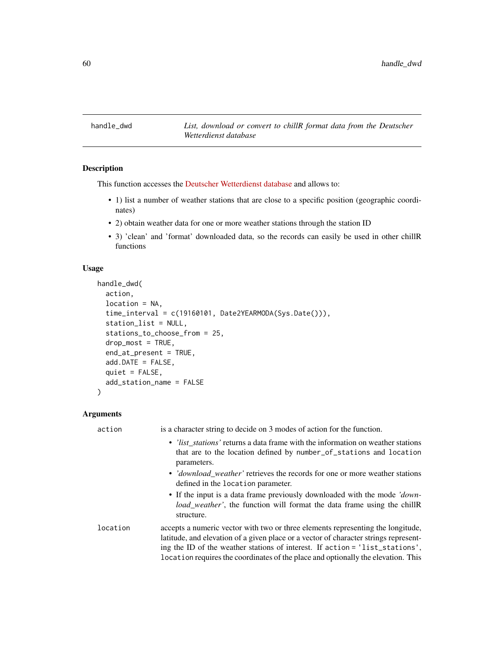handle\_dwd *List, download or convert to chillR format data from the Deutscher Wetterdienst database*

# Description

This function accesses the [Deutscher Wetterdienst database](https://www.dwd.de/EN/climate_environment/cdc/cdc_node_en.html) and allows to:

- 1) list a number of weather stations that are close to a specific position (geographic coordinates)
- 2) obtain weather data for one or more weather stations through the station ID
- 3) 'clean' and 'format' downloaded data, so the records can easily be used in other chillR functions

# Usage

```
handle_dwd(
  action,
  location = NA,
  time_interval = c(19160101, Date2YEARMODA(Sys.Date())),
  station_list = NULL,
  stations_to_choose_from = 25,
  drop_most = TRUE,
  end_at_present = TRUE,
  add.DATE = FALSE,
  quiet = FALSE,
  add_station_name = FALSE
)
```
# Arguments

| action   | is a character string to decide on 3 modes of action for the function.                                                                                                                                                                                                                                                                       |
|----------|----------------------------------------------------------------------------------------------------------------------------------------------------------------------------------------------------------------------------------------------------------------------------------------------------------------------------------------------|
|          | • <i>list stations</i> returns a data frame with the information on weather stations<br>that are to the location defined by number_of_stations and location<br>parameters.                                                                                                                                                                   |
|          | • 'download_weather' retrieves the records for one or more weather stations<br>defined in the location parameter.                                                                                                                                                                                                                            |
|          | • If the input is a data frame previously downloaded with the mode 'down-<br><i>load_weather'</i> , the function will format the data frame using the chillR<br>structure.                                                                                                                                                                   |
| location | accepts a numeric vector with two or three elements representing the longitude,<br>latitude, and elevation of a given place or a vector of character strings represent-<br>ing the ID of the weather stations of interest. If action = 'list_stations',<br>location requires the coordinates of the place and optionally the elevation. This |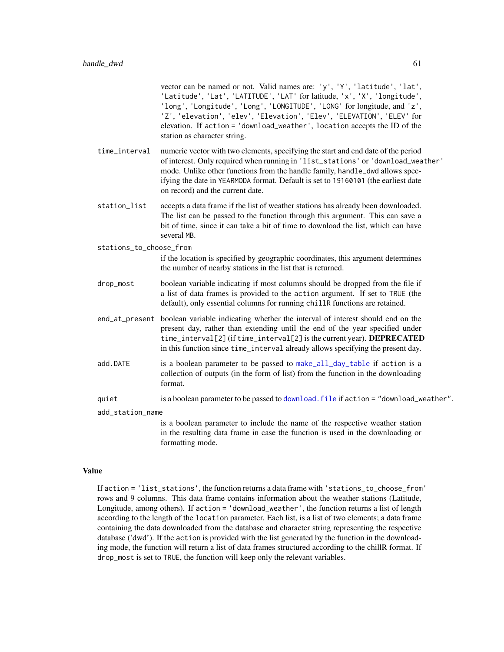vector can be named or not. Valid names are: 'y', 'Y', 'latitude', 'lat', 'Latitude', 'Lat', 'LATITUDE', 'LAT' for latitude, 'x', 'X', 'longitude', 'long', 'Longitude', 'Long', 'LONGITUDE', 'LONG' for longitude, and 'z', 'Z', 'elevation', 'elev', 'Elevation', 'Elev', 'ELEVATION', 'ELEV' for elevation. If action = 'download\_weather', location accepts the ID of the station as character string.

- time\_interval numeric vector with two elements, specifying the start and end date of the period of interest. Only required when running in 'list\_stations' or 'download\_weather' mode. Unlike other functions from the handle family, handle\_dwd allows specifying the date in YEARMODA format. Default is set to 19160101 (the earliest date on record) and the current date.
- station\_list accepts a data frame if the list of weather stations has already been downloaded. The list can be passed to the function through this argument. This can save a bit of time, since it can take a bit of time to download the list, which can have several MB.

stations\_to\_choose\_from

if the location is specified by geographic coordinates, this argument determines the number of nearby stations in the list that is returned.

- drop\_most boolean variable indicating if most columns should be dropped from the file if a list of data frames is provided to the action argument. If set to TRUE (the default), only essential columns for running chillR functions are retained.
- end\_at\_present boolean variable indicating whether the interval of interest should end on the present day, rather than extending until the end of the year specified under time\_interval[2] (if time\_interval[2] is the current year). DEPRECATED in this function since time\_interval already allows specifying the present day.
- add.DATE is a boolean parameter to be passed to [make\\_all\\_day\\_table](#page-79-0) if action is a collection of outputs (in the form of list) from the function in the downloading format.
- quiet is a boolean parameter to be passed to [download.file](#page-0-0) if action = "download\_weather".

add\_station\_name

is a boolean parameter to include the name of the respective weather station in the resulting data frame in case the function is used in the downloading or formatting mode.

## Value

If action = 'list\_stations', the function returns a data frame with 'stations\_to\_choose\_from' rows and 9 columns. This data frame contains information about the weather stations (Latitude, Longitude, among others). If action = 'download\_weather', the function returns a list of length according to the length of the location parameter. Each list, is a list of two elements; a data frame containing the data downloaded from the database and character string representing the respective database ('dwd'). If the action is provided with the list generated by the function in the downloading mode, the function will return a list of data frames structured according to the chillR format. If drop\_most is set to TRUE, the function will keep only the relevant variables.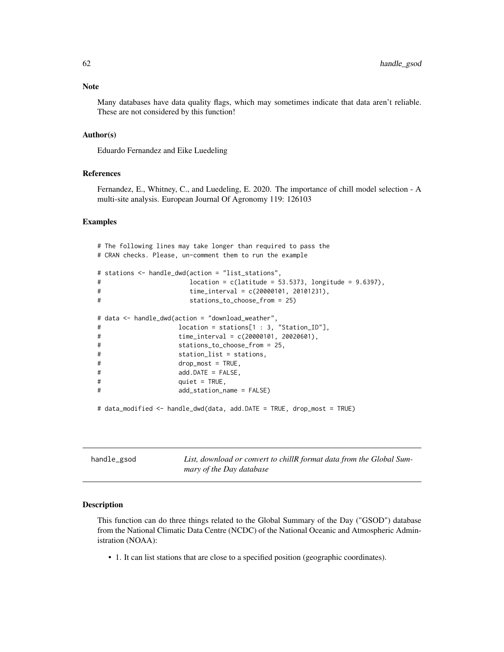Many databases have data quality flags, which may sometimes indicate that data aren't reliable. These are not considered by this function!

# Author(s)

Eduardo Fernandez and Eike Luedeling

### References

Fernandez, E., Whitney, C., and Luedeling, E. 2020. The importance of chill model selection - A multi-site analysis. European Journal Of Agronomy 119: 126103

## Examples

```
# The following lines may take longer than required to pass the
# CRAN checks. Please, un-comment them to run the example
# stations <- handle_dwd(action = "list_stations",
# location = c(latitude = 53.5373, longitude = 9.6397),
# time_interval = c(20000101, 20101231),
# stations_to_choose_from = 25)
# data <- handle_dwd(action = "download_weather",
# location = stations[1 : 3, "Station_ID"],
# time_interval = c(20000101, 20020601),
# stations_to_choose_from = 25,
# station_list = stations,
# drop_most = TRUE,
# add.DATE = FALSE,
# quiet = TRUE,
# add_station_name = FALSE)
# data_modified <- handle_dwd(data, add.DATE = TRUE, drop_most = TRUE)
```
handle\_gsod *List, download or convert to chillR format data from the Global Summary of the Day database*

### Description

This function can do three things related to the Global Summary of the Day ("GSOD") database from the National Climatic Data Centre (NCDC) of the National Oceanic and Atmospheric Administration (NOAA):

• 1. It can list stations that are close to a specified position (geographic coordinates).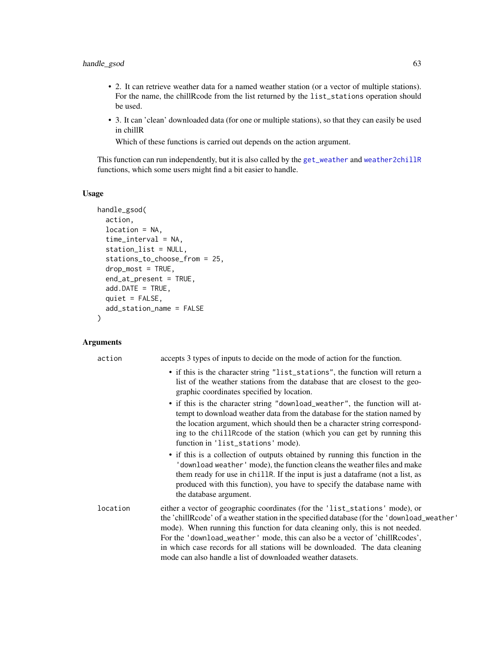# handle\_gsod 63

- 2. It can retrieve weather data for a named weather station (or a vector of multiple stations). For the name, the chillRcode from the list returned by the list\_stations operation should be used.
- 3. It can 'clean' downloaded data (for one or multiple stations), so that they can easily be used in chillR

Which of these functions is carried out depends on the action argument.

This function can run independently, but it is also called by the [get\\_weather](#page-54-0) and [weather2chillR](#page-167-0) functions, which some users might find a bit easier to handle.

# Usage

```
handle_gsod(
  action,
  location = NA,
  time_interval = NA,
  station_list = NULL,
  stations_to_choose_from = 25,
  drop_most = TRUE,end_at_present = TRUE,
  add.DATE = TRUE,quiet = FALSE,
  add_station_name = FALSE
)
```
# Arguments

| action   | accepts 3 types of inputs to decide on the mode of action for the function.                                                                                                                                                                                                                                                                                                                                                                                                                 |
|----------|---------------------------------------------------------------------------------------------------------------------------------------------------------------------------------------------------------------------------------------------------------------------------------------------------------------------------------------------------------------------------------------------------------------------------------------------------------------------------------------------|
|          | • if this is the character string "list_stations", the function will return a<br>list of the weather stations from the database that are closest to the geo-<br>graphic coordinates specified by location.                                                                                                                                                                                                                                                                                  |
|          | • if this is the character string "download_weather", the function will at-<br>tempt to download weather data from the database for the station named by<br>the location argument, which should then be a character string correspond-<br>ing to the chill Rcode of the station (which you can get by running this<br>function in 'list_stations' mode).                                                                                                                                    |
|          | • if this is a collection of outputs obtained by running this function in the<br>' download weather ' mode), the function cleans the weather files and make<br>them ready for use in chiller. If the input is just a dataframe (not a list, as<br>produced with this function), you have to specify the database name with<br>the database argument.                                                                                                                                        |
| location | either a vector of geographic coordinates (for the 'list_stations' mode), or<br>the 'chillRcode' of a weather station in the specified database (for the 'download_weather'<br>mode). When running this function for data cleaning only, this is not needed.<br>For the 'download_weather' mode, this can also be a vector of 'chillRcodes',<br>in which case records for all stations will be downloaded. The data cleaning<br>mode can also handle a list of downloaded weather datasets. |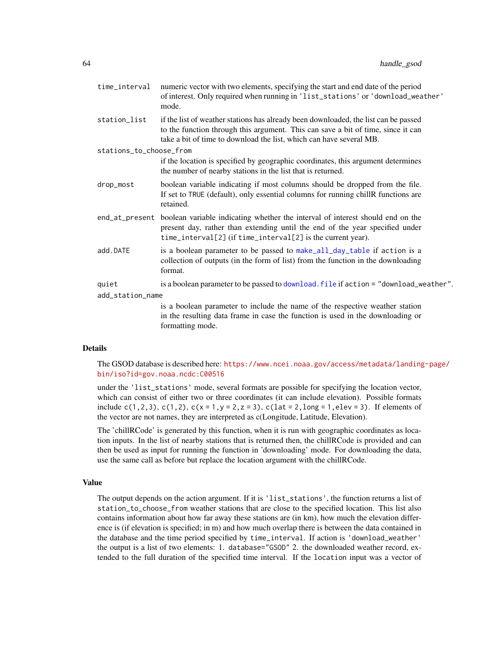| time_interval           | numeric vector with two elements, specifying the start and end date of the period<br>of interest. Only required when running in 'list_stations' or 'download_weather'<br>mode.                                                                          |
|-------------------------|---------------------------------------------------------------------------------------------------------------------------------------------------------------------------------------------------------------------------------------------------------|
| station_list            | if the list of weather stations has already been downloaded, the list can be passed<br>to the function through this argument. This can save a bit of time, since it can<br>take a bit of time to download the list, which can have several MB.          |
| stations_to_choose_from |                                                                                                                                                                                                                                                         |
|                         | if the location is specified by geographic coordinates, this argument determines<br>the number of nearby stations in the list that is returned.                                                                                                         |
| drop_most               | boolean variable indicating if most columns should be dropped from the file.<br>If set to TRUE (default), only essential columns for running chillR functions are<br>retained.                                                                          |
|                         | end <sub>at</sub> present boolean variable indicating whether the interval of interest should end on the<br>present day, rather than extending until the end of the year specified under<br>time_interval[2] (if time_interval[2] is the current year). |
| add.DATE                | is a boolean parameter to be passed to make_all_day_table if action is a<br>collection of outputs (in the form of list) from the function in the downloading<br>format.                                                                                 |
| quiet                   | is a boolean parameter to be passed to download. file if action = "download_weather".                                                                                                                                                                   |
| add_station_name        |                                                                                                                                                                                                                                                         |
|                         | is a boolean parameter to include the name of the respective weather station                                                                                                                                                                            |
|                         | in the resulting data frame in case the function is used in the downloading or<br>formatting mode.                                                                                                                                                      |

## Details

The GSOD database is described here: [https://www.ncei.noaa.gov/access/metadata/landing](https://www.ncei.noaa.gov/access/metadata/landing-page/bin/iso?id=gov.noaa.ncdc:C00516)-page/ [bin/iso?id=gov.noaa.ncdc:C00516](https://www.ncei.noaa.gov/access/metadata/landing-page/bin/iso?id=gov.noaa.ncdc:C00516)

under the 'list\_stations' mode, several formats are possible for specifying the location vector, which can consist of either two or three coordinates (it can include elevation). Possible formats include c(1,2,3), c(1,2), c(x = 1,y = 2,z = 3), c(lat = 2, long = 1, elev = 3). If elements of the vector are not names, they are interpreted as c(Longitude, Latitude, Elevation).

The 'chillRCode' is generated by this function, when it is run with geographic coordinates as location inputs. In the list of nearby stations that is returned then, the chillRCode is provided and can then be used as input for running the function in 'downloading' mode. For downloading the data, use the same call as before but replace the location argument with the chillRCode.

### Value

The output depends on the action argument. If it is 'list\_stations', the function returns a list of station\_to\_choose\_from weather stations that are close to the specified location. This list also contains information about how far away these stations are (in km), how much the elevation difference is (if elevation is specified; in m) and how much overlap there is between the data contained in the database and the time period specified by time\_interval. If action is 'download\_weather' the output is a list of two elements: 1. database="GSOD" 2. the downloaded weather record, extended to the full duration of the specified time interval. If the location input was a vector of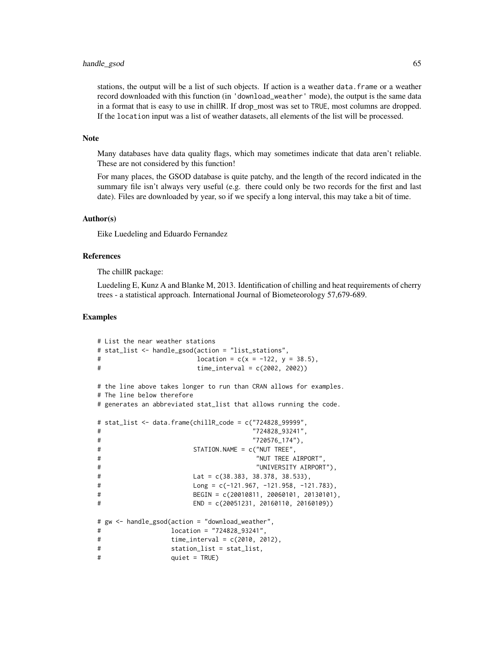## handle\_gsod 65

stations, the output will be a list of such objects. If action is a weather data.frame or a weather record downloaded with this function (in 'download\_weather' mode), the output is the same data in a format that is easy to use in chill R. If drop most was set to TRUE, most columns are dropped. If the location input was a list of weather datasets, all elements of the list will be processed.

## Note

Many databases have data quality flags, which may sometimes indicate that data aren't reliable. These are not considered by this function!

For many places, the GSOD database is quite patchy, and the length of the record indicated in the summary file isn't always very useful (e.g. there could only be two records for the first and last date). Files are downloaded by year, so if we specify a long interval, this may take a bit of time.

#### Author(s)

Eike Luedeling and Eduardo Fernandez

## References

The chillR package:

Luedeling E, Kunz A and Blanke M, 2013. Identification of chilling and heat requirements of cherry trees - a statistical approach. International Journal of Biometeorology 57,679-689.

## Examples

```
# List the near weather stations
# stat_list <- handle_gsod(action = "list_stations",
\# location = c(x = -122, y = 38.5),
# time_interval = c(2002, 2002))
# the line above takes longer to run than CRAN allows for examples.
# The line below therefore
# generates an abbreviated stat_list that allows running the code.
# stat_list <- data.frame(chillR_code = c("724828_99999",
# "724828_93241",
# "720576_174"),
# STATION.NAME = c("NUT TREE",
# "NUT TREE AIRPORT",
# "UNIVERSITY AIRPORT"),
# Lat = c(38.383, 38.378, 38.533),
# Long = c(-121.967, -121.958, -121.783),
# BEGIN = c(20010811, 20060101, 20130101),
# END = c(20051231, 20160110, 20160109))
# gw <- handle_gsod(action = "download_weather",
# location = "724828_93241",
# time_interval = c(2010, 2012),
# station_list = stat_list,
# quiet = TRUE)
```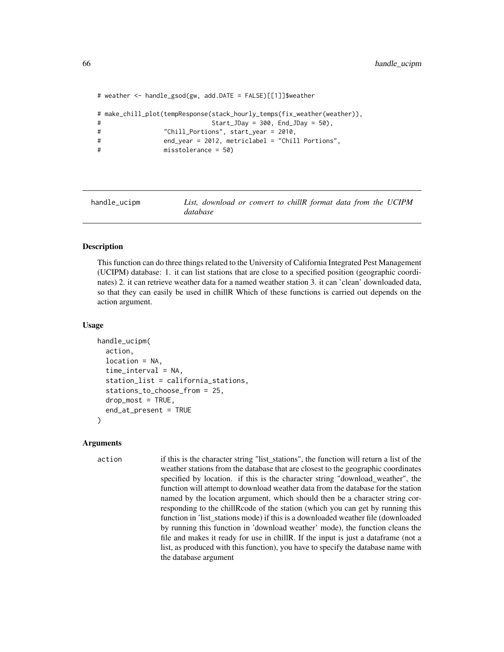```
# weather <- handle_gsod(gw, add.DATE = FALSE)[[1]]$weather
# make_chill_plot(tempResponse(stack_hourly_temps(fix_weather(weather)),
# Start_JDay = 300, End_JDay = 50),
# "Chill_Portions", start_year = 2010,
# end_year = 2012, metriclabel = "Chill Portions",
# misstolerance = 50)
```
handle\_ucipm *List, download or convert to chillR format data from the UCIPM database*

### Description

This function can do three things related to the University of California Integrated Pest Management (UCIPM) database: 1. it can list stations that are close to a specified position (geographic coordinates) 2. it can retrieve weather data for a named weather station 3. it can 'clean' downloaded data, so that they can easily be used in chillR Which of these functions is carried out depends on the action argument.

### Usage

```
handle_ucipm(
  action,
  location = NA,
  time_interval = NA,
  station_list = california_stations,
  stations_to_choose_from = 25,
  drop_most = TRUE,
  end_at_present = TRUE
)
```
### Arguments

action if this is the character string "list\_stations", the function will return a list of the weather stations from the database that are closest to the geographic coordinates specified by location. if this is the character string "download\_weather", the function will attempt to download weather data from the database for the station named by the location argument, which should then be a character string corresponding to the chillRcode of the station (which you can get by running this function in 'list\_stations mode) if this is a downloaded weather file (downloaded by running this function in 'download weather' mode), the function cleans the file and makes it ready for use in chillR. If the input is just a dataframe (not a list, as produced with this function), you have to specify the database name with the database argument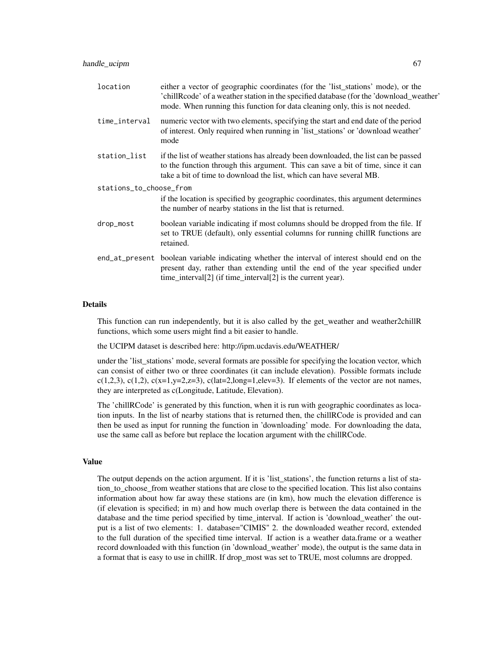| location                | either a vector of geographic coordinates (for the 'list_stations' mode), or the<br>'chillRcode' of a weather station in the specified database (for the 'download_weather'<br>mode. When running this function for data cleaning only, this is not needed. |  |
|-------------------------|-------------------------------------------------------------------------------------------------------------------------------------------------------------------------------------------------------------------------------------------------------------|--|
| time_interval           | numeric vector with two elements, specifying the start and end date of the period<br>of interest. Only required when running in 'list_stations' or 'download weather'<br>mode                                                                               |  |
| station_list            | if the list of weather stations has already been downloaded, the list can be passed<br>to the function through this argument. This can save a bit of time, since it can<br>take a bit of time to download the list, which can have several MB.              |  |
| stations_to_choose_from |                                                                                                                                                                                                                                                             |  |
|                         | if the location is specified by geographic coordinates, this argument determines<br>the number of nearby stations in the list that is returned.                                                                                                             |  |
| drop_most               | boolean variable indicating if most columns should be dropped from the file. If<br>set to TRUE (default), only essential columns for running chillR functions are<br>retained.                                                                              |  |
|                         | end <sub>at</sub> present boolean variable indicating whether the interval of interest should end on the<br>present day, rather than extending until the end of the year specified under<br>time_interval[2] (if time_interval[2] is the current year).     |  |

### Details

This function can run independently, but it is also called by the get\_weather and weather2chillR functions, which some users might find a bit easier to handle.

the UCIPM dataset is described here: http://ipm.ucdavis.edu/WEATHER/

under the 'list\_stations' mode, several formats are possible for specifying the location vector, which can consist of either two or three coordinates (it can include elevation). Possible formats include c(1,2,3), c(1,2), c(x=1,y=2,z=3), c(lat=2,long=1,elev=3). If elements of the vector are not names, they are interpreted as c(Longitude, Latitude, Elevation).

The 'chillRCode' is generated by this function, when it is run with geographic coordinates as location inputs. In the list of nearby stations that is returned then, the chillRCode is provided and can then be used as input for running the function in 'downloading' mode. For downloading the data, use the same call as before but replace the location argument with the chillRCode.

# Value

The output depends on the action argument. If it is 'list\_stations', the function returns a list of station\_to\_choose\_from weather stations that are close to the specified location. This list also contains information about how far away these stations are (in km), how much the elevation difference is (if elevation is specified; in m) and how much overlap there is between the data contained in the database and the time period specified by time\_interval. If action is 'download\_weather' the output is a list of two elements: 1. database="CIMIS" 2. the downloaded weather record, extended to the full duration of the specified time interval. If action is a weather data.frame or a weather record downloaded with this function (in 'download\_weather' mode), the output is the same data in a format that is easy to use in chillR. If drop\_most was set to TRUE, most columns are dropped.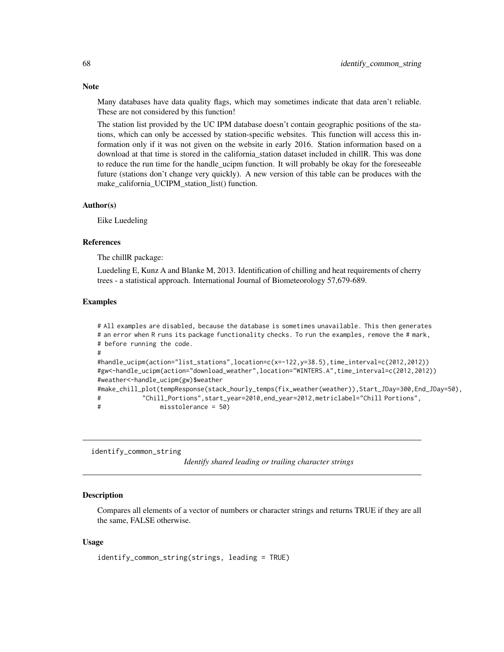Many databases have data quality flags, which may sometimes indicate that data aren't reliable. These are not considered by this function!

The station list provided by the UC IPM database doesn't contain geographic positions of the stations, which can only be accessed by station-specific websites. This function will access this information only if it was not given on the website in early 2016. Station information based on a download at that time is stored in the california station dataset included in chillR. This was done to reduce the run time for the handle ucipm function. It will probably be okay for the foreseeable future (stations don't change very quickly). A new version of this table can be produces with the make\_california\_UCIPM\_station\_list() function.

#### Author(s)

Eike Luedeling

#### References

The chillR package:

Luedeling E, Kunz A and Blanke M, 2013. Identification of chilling and heat requirements of cherry trees - a statistical approach. International Journal of Biometeorology 57,679-689.

### Examples

# All examples are disabled, because the database is sometimes unavailable. This then generates # an error when R runs its package functionality checks. To run the examples, remove the # mark, # before running the code. # #handle\_ucipm(action="list\_stations",location=c(x=-122,y=38.5),time\_interval=c(2012,2012)) #gw<-handle\_ucipm(action="download\_weather",location="WINTERS.A",time\_interval=c(2012,2012)) #weather<-handle\_ucipm(gw)\$weather #make\_chill\_plot(tempResponse(stack\_hourly\_temps(fix\_weather(weather)),Start\_JDay=300,End\_JDay=50), # "Chill\_Portions",start\_year=2010,end\_year=2012,metriclabel="Chill Portions", # misstolerance = 50)

identify\_common\_string

*Identify shared leading or trailing character strings*

### **Description**

Compares all elements of a vector of numbers or character strings and returns TRUE if they are all the same, FALSE otherwise.

## Usage

```
identify_common_string(strings, leading = TRUE)
```
### **Note**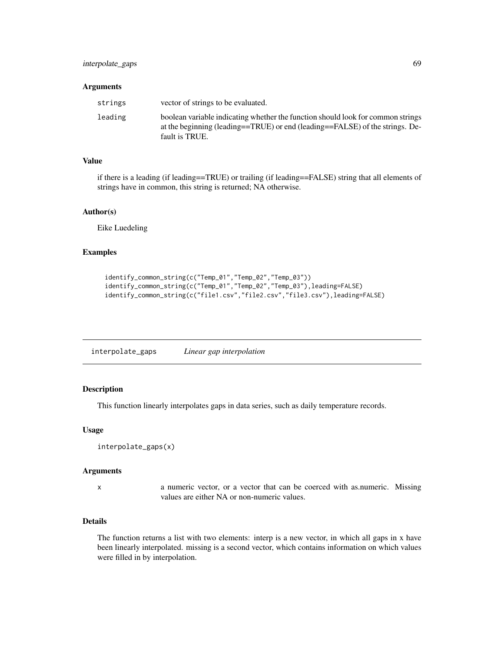#### **Arguments**

| strings | vector of strings to be evaluated.                                                                                                                                                |
|---------|-----------------------------------------------------------------------------------------------------------------------------------------------------------------------------------|
| leading | boolean variable indicating whether the function should look for common strings<br>at the beginning (leading==TRUE) or end (leading==FALSE) of the strings. De-<br>fault is TRUE. |

#### Value

if there is a leading (if leading==TRUE) or trailing (if leading==FALSE) string that all elements of strings have in common, this string is returned; NA otherwise.

### Author(s)

Eike Luedeling

## Examples

```
identify_common_string(c("Temp_01","Temp_02","Temp_03"))
identify_common_string(c("Temp_01","Temp_02","Temp_03"),leading=FALSE)
identify_common_string(c("file1.csv","file2.csv","file3.csv"),leading=FALSE)
```
interpolate\_gaps *Linear gap interpolation*

# Description

This function linearly interpolates gaps in data series, such as daily temperature records.

### Usage

```
interpolate_gaps(x)
```
#### Arguments

x a numeric vector, or a vector that can be coerced with as.numeric. Missing values are either NA or non-numeric values.

## Details

The function returns a list with two elements: interp is a new vector, in which all gaps in x have been linearly interpolated. missing is a second vector, which contains information on which values were filled in by interpolation.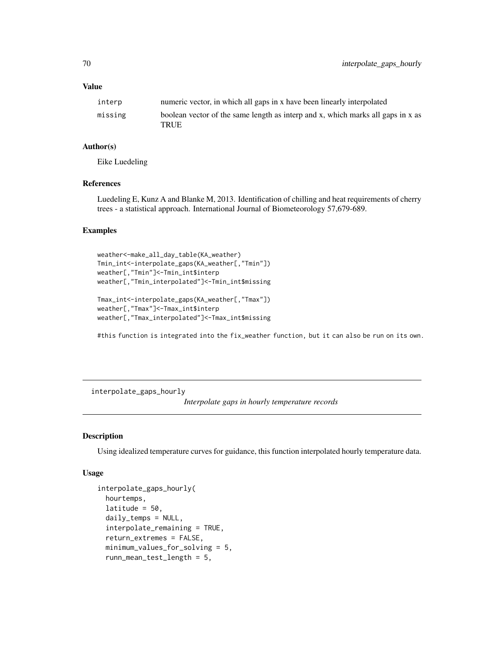# Value

| interp  | numeric vector, in which all gaps in x have been linearly interpolated                  |
|---------|-----------------------------------------------------------------------------------------|
| missing | boolean vector of the same length as interp and x, which marks all gaps in x as<br>TRUE |

# Author(s)

Eike Luedeling

# References

Luedeling E, Kunz A and Blanke M, 2013. Identification of chilling and heat requirements of cherry trees - a statistical approach. International Journal of Biometeorology 57,679-689.

# Examples

```
weather<-make_all_day_table(KA_weather)
Tmin_int<-interpolate_gaps(KA_weather[,"Tmin"])
weather[,"Tmin"]<-Tmin_int$interp
weather[,"Tmin_interpolated"]<-Tmin_int$missing
```

```
Tmax_int<-interpolate_gaps(KA_weather[,"Tmax"])
weather[,"Tmax"]<-Tmax_int$interp
weather[,"Tmax_interpolated"]<-Tmax_int$missing
```
#this function is integrated into the fix\_weather function, but it can also be run on its own.

interpolate\_gaps\_hourly

*Interpolate gaps in hourly temperature records*

# Description

Using idealized temperature curves for guidance, this function interpolated hourly temperature data.

## Usage

```
interpolate_gaps_hourly(
  hourtemps,
  latitude = 50.
  daily_temps = NULL,
  interpolate_remaining = TRUE,
  return_extremes = FALSE,
  minimum_values_for_solving = 5,
  runn_mean_test_length = 5,
```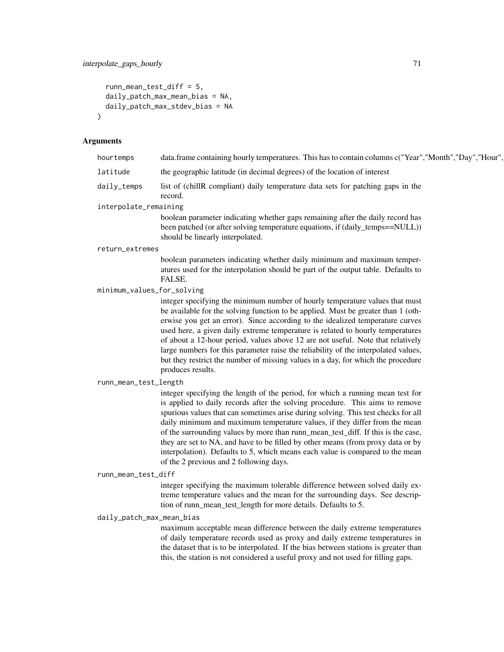```
runn_mean_test_diff = 5,
  daily_patch_max_mean_bias = NA,
  daily_patch_max_stdev_bias = NA
\mathcal{L}
```
# Arguments

| hourtemps                  | data.frame containing hourly temperatures. This has to contain columns c("Year","Month","Day","Hour",                                                                                                                                                                                                                                                                                                                                                                                                                                                                                                                                |
|----------------------------|--------------------------------------------------------------------------------------------------------------------------------------------------------------------------------------------------------------------------------------------------------------------------------------------------------------------------------------------------------------------------------------------------------------------------------------------------------------------------------------------------------------------------------------------------------------------------------------------------------------------------------------|
| latitude                   | the geographic latitude (in decimal degrees) of the location of interest                                                                                                                                                                                                                                                                                                                                                                                                                                                                                                                                                             |
| daily_temps                | list of (chillR compliant) daily temperature data sets for patching gaps in the<br>record.                                                                                                                                                                                                                                                                                                                                                                                                                                                                                                                                           |
| interpolate_remaining      |                                                                                                                                                                                                                                                                                                                                                                                                                                                                                                                                                                                                                                      |
|                            | boolean parameter indicating whether gaps remaining after the daily record has<br>been patched (or after solving temperature equations, if (daily_temps==NULL))<br>should be linearly interpolated.                                                                                                                                                                                                                                                                                                                                                                                                                                  |
| return_extremes            |                                                                                                                                                                                                                                                                                                                                                                                                                                                                                                                                                                                                                                      |
|                            | boolean parameters indicating whether daily minimum and maximum temper-<br>atures used for the interpolation should be part of the output table. Defaults to<br>FALSE.                                                                                                                                                                                                                                                                                                                                                                                                                                                               |
| minimum_values_for_solving |                                                                                                                                                                                                                                                                                                                                                                                                                                                                                                                                                                                                                                      |
|                            | integer specifying the minimum number of hourly temperature values that must<br>be available for the solving function to be applied. Must be greater than 1 (oth-<br>erwise you get an error). Since according to the idealized temperature curves<br>used here, a given daily extreme temperature is related to hourly temperatures<br>of about a 12-hour period, values above 12 are not useful. Note that relatively<br>large numbers for this parameter raise the reliability of the interpolated values,<br>but they restrict the number of missing values in a day, for which the procedure<br>produces results.               |
| runn_mean_test_length      |                                                                                                                                                                                                                                                                                                                                                                                                                                                                                                                                                                                                                                      |
|                            | integer specifying the length of the period, for which a running mean test for<br>is applied to daily records after the solving procedure. This aims to remove<br>spurious values that can sometimes arise during solving. This test checks for all<br>daily minimum and maximum temperature values, if they differ from the mean<br>of the surrounding values by more than runn_mean_test_diff. If this is the case,<br>they are set to NA, and have to be filled by other means (from proxy data or by<br>interpolation). Defaults to 5, which means each value is compared to the mean<br>of the 2 previous and 2 following days. |
| runn_mean_test_diff        |                                                                                                                                                                                                                                                                                                                                                                                                                                                                                                                                                                                                                                      |
|                            | integer specifying the maximum tolerable difference between solved daily ex-<br>treme temperature values and the mean for the surrounding days. See descrip-<br>tion of runn_mean_test_length for more details. Defaults to 5.                                                                                                                                                                                                                                                                                                                                                                                                       |
| daily_patch_max_mean_bias  |                                                                                                                                                                                                                                                                                                                                                                                                                                                                                                                                                                                                                                      |
|                            | maximum acceptable mean difference between the daily extreme temperatures<br>of doily tompometum moonds used as nuovy and doily oxtroma tompometums in                                                                                                                                                                                                                                                                                                                                                                                                                                                                               |

of daily temperature records used as proxy and daily extreme temperatures in the dataset that is to be interpolated. If the bias between stations is greater than this, the station is not considered a useful proxy and not used for filling gaps.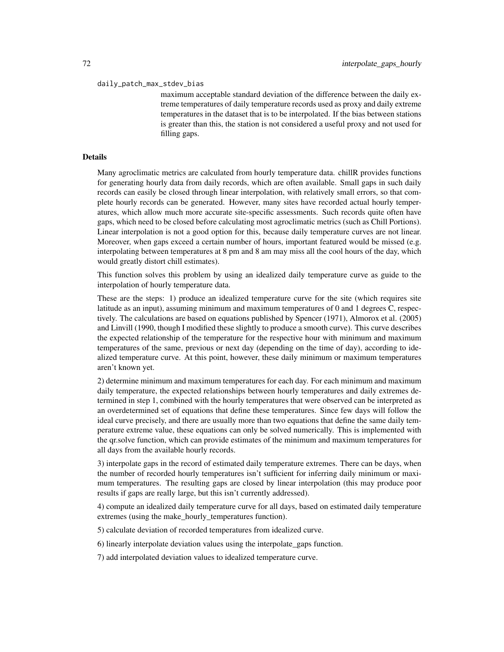#### daily\_patch\_max\_stdev\_bias

maximum acceptable standard deviation of the difference between the daily extreme temperatures of daily temperature records used as proxy and daily extreme temperatures in the dataset that is to be interpolated. If the bias between stations is greater than this, the station is not considered a useful proxy and not used for filling gaps.

### Details

Many agroclimatic metrics are calculated from hourly temperature data. chillR provides functions for generating hourly data from daily records, which are often available. Small gaps in such daily records can easily be closed through linear interpolation, with relatively small errors, so that complete hourly records can be generated. However, many sites have recorded actual hourly temperatures, which allow much more accurate site-specific assessments. Such records quite often have gaps, which need to be closed before calculating most agroclimatic metrics (such as Chill Portions). Linear interpolation is not a good option for this, because daily temperature curves are not linear. Moreover, when gaps exceed a certain number of hours, important featured would be missed (e.g. interpolating between temperatures at 8 pm and 8 am may miss all the cool hours of the day, which would greatly distort chill estimates).

This function solves this problem by using an idealized daily temperature curve as guide to the interpolation of hourly temperature data.

These are the steps: 1) produce an idealized temperature curve for the site (which requires site latitude as an input), assuming minimum and maximum temperatures of 0 and 1 degrees C, respectively. The calculations are based on equations published by Spencer (1971), Almorox et al. (2005) and Linvill (1990, though I modified these slightly to produce a smooth curve). This curve describes the expected relationship of the temperature for the respective hour with minimum and maximum temperatures of the same, previous or next day (depending on the time of day), according to idealized temperature curve. At this point, however, these daily minimum or maximum temperatures aren't known yet.

2) determine minimum and maximum temperatures for each day. For each minimum and maximum daily temperature, the expected relationships between hourly temperatures and daily extremes determined in step 1, combined with the hourly temperatures that were observed can be interpreted as an overdetermined set of equations that define these temperatures. Since few days will follow the ideal curve precisely, and there are usually more than two equations that define the same daily temperature extreme value, these equations can only be solved numerically. This is implemented with the qr.solve function, which can provide estimates of the minimum and maximum temperatures for all days from the available hourly records.

3) interpolate gaps in the record of estimated daily temperature extremes. There can be days, when the number of recorded hourly temperatures isn't sufficient for inferring daily minimum or maximum temperatures. The resulting gaps are closed by linear interpolation (this may produce poor results if gaps are really large, but this isn't currently addressed).

4) compute an idealized daily temperature curve for all days, based on estimated daily temperature extremes (using the make\_hourly\_temperatures function).

5) calculate deviation of recorded temperatures from idealized curve.

- 6) linearly interpolate deviation values using the interpolate\_gaps function.
- 7) add interpolated deviation values to idealized temperature curve.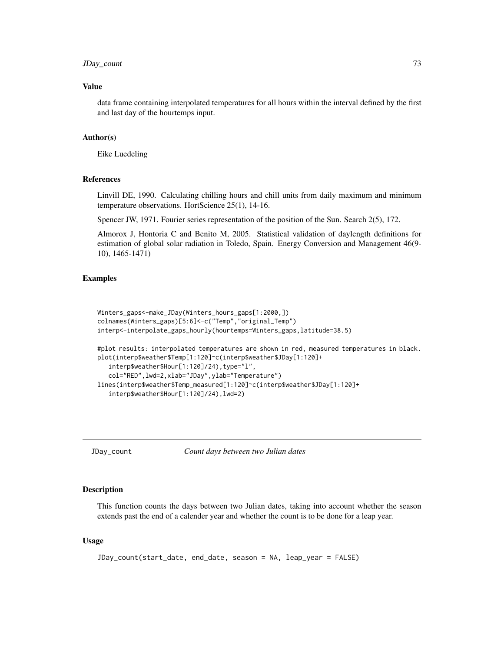## JDay\_count 73

#### Value

data frame containing interpolated temperatures for all hours within the interval defined by the first and last day of the hourtemps input.

#### Author(s)

Eike Luedeling

#### References

Linvill DE, 1990. Calculating chilling hours and chill units from daily maximum and minimum temperature observations. HortScience 25(1), 14-16.

Spencer JW, 1971. Fourier series representation of the position of the Sun. Search 2(5), 172.

Almorox J, Hontoria C and Benito M, 2005. Statistical validation of daylength definitions for estimation of global solar radiation in Toledo, Spain. Energy Conversion and Management 46(9- 10), 1465-1471)

#### Examples

```
Winters_gaps<-make_JDay(Winters_hours_gaps[1:2000,])
colnames(Winters_gaps)[5:6]<-c("Temp","original_Temp")
interp<-interpolate_gaps_hourly(hourtemps=Winters_gaps,latitude=38.5)
#plot results: interpolated temperatures are shown in red, measured temperatures in black.
plot(interp$weather$Temp[1:120]~c(interp$weather$JDay[1:120]+
   interp$weather$Hour[1:120]/24),type="l",
  col="RED",lwd=2,xlab="JDay",ylab="Temperature")
lines(interp$weather$Temp_measured[1:120]~c(interp$weather$JDay[1:120]+
   interp$weather$Hour[1:120]/24),lwd=2)
```
JDay\_count *Count days between two Julian dates*

#### Description

This function counts the days between two Julian dates, taking into account whether the season extends past the end of a calender year and whether the count is to be done for a leap year.

#### Usage

```
JDay_count(start_date, end_date, season = NA, leap_year = FALSE)
```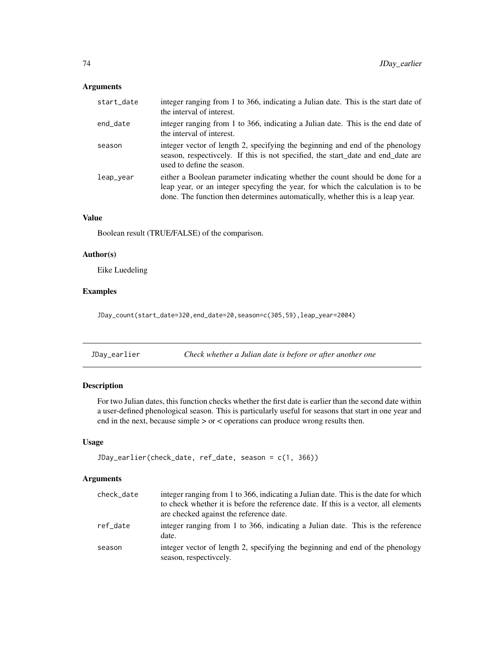## Arguments

| start_date | integer ranging from 1 to 366, indicating a Julian date. This is the start date of<br>the interval of interest.                                                                                                                                   |
|------------|---------------------------------------------------------------------------------------------------------------------------------------------------------------------------------------------------------------------------------------------------|
| end_date   | integer ranging from 1 to 366, indicating a Julian date. This is the end date of<br>the interval of interest.                                                                                                                                     |
| season     | integer vector of length 2, specifying the beginning and end of the phenology<br>season, respectively. If this is not specified, the start_date and end_date are<br>used to define the season.                                                    |
| leap_year  | either a Boolean parameter indicating whether the count should be done for a<br>leap year, or an integer specyfing the year, for which the calculation is to be<br>done. The function then determines automatically, whether this is a leap year. |

## Value

Boolean result (TRUE/FALSE) of the comparison.

## Author(s)

Eike Luedeling

## Examples

JDay\_count(start\_date=320,end\_date=20,season=c(305,59),leap\_year=2004)

JDay\_earlier *Check whether a Julian date is before or after another one*

## Description

For two Julian dates, this function checks whether the first date is earlier than the second date within a user-defined phenological season. This is particularly useful for seasons that start in one year and end in the next, because simple > or < operations can produce wrong results then.

## Usage

```
JDay_earlier(check_date, ref_date, season = c(1, 366))
```
## Arguments

| check_date | integer ranging from 1 to 366, indicating a Julian date. This is the date for which<br>to check whether it is before the reference date. If this is a vector, all elements<br>are checked against the reference date. |
|------------|-----------------------------------------------------------------------------------------------------------------------------------------------------------------------------------------------------------------------|
| ref date   | integer ranging from 1 to 366, indicating a Julian date. This is the reference<br>date.                                                                                                                               |
| season     | integer vector of length 2, specifying the beginning and end of the phenology<br>season, respectively.                                                                                                                |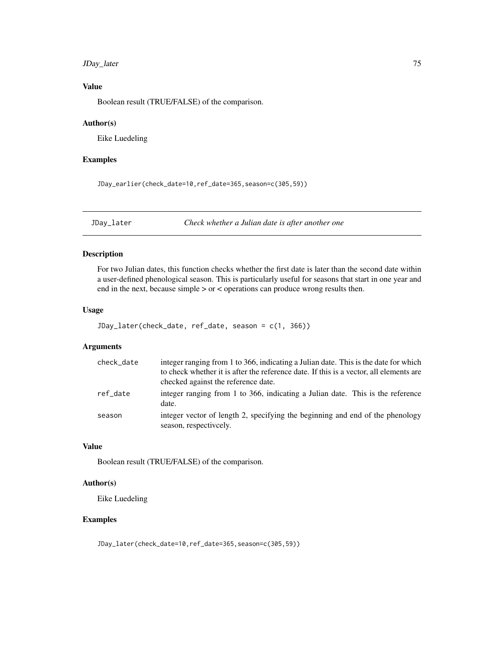## JDay\_later 75

## Value

Boolean result (TRUE/FALSE) of the comparison.

#### Author(s)

Eike Luedeling

## Examples

JDay\_earlier(check\_date=10,ref\_date=365,season=c(305,59))

JDay\_later *Check whether a Julian date is after another one*

## Description

For two Julian dates, this function checks whether the first date is later than the second date within a user-defined phenological season. This is particularly useful for seasons that start in one year and end in the next, because simple > or < operations can produce wrong results then.

#### Usage

```
JDay_later(check_date, ref_date, season = c(1, 366))
```
## Arguments

| check_date | integer ranging from 1 to 366, indicating a Julian date. This is the date for which<br>to check whether it is after the reference date. If this is a vector, all elements are<br>checked against the reference date. |
|------------|----------------------------------------------------------------------------------------------------------------------------------------------------------------------------------------------------------------------|
| ref date   | integer ranging from 1 to 366, indicating a Julian date. This is the reference<br>date.                                                                                                                              |
| season     | integer vector of length 2, specifying the beginning and end of the phenology<br>season, respectively.                                                                                                               |

#### Value

Boolean result (TRUE/FALSE) of the comparison.

#### Author(s)

Eike Luedeling

#### Examples

JDay\_later(check\_date=10,ref\_date=365,season=c(305,59))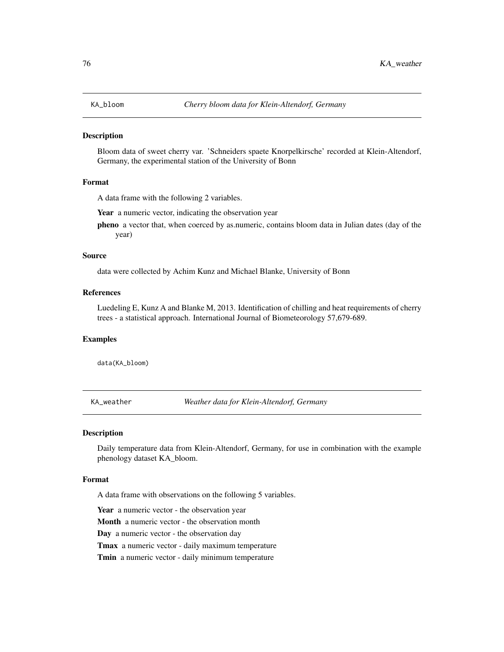## Description

Bloom data of sweet cherry var. 'Schneiders spaete Knorpelkirsche' recorded at Klein-Altendorf, Germany, the experimental station of the University of Bonn

#### Format

A data frame with the following 2 variables.

Year a numeric vector, indicating the observation year

pheno a vector that, when coerced by as.numeric, contains bloom data in Julian dates (day of the year)

#### Source

data were collected by Achim Kunz and Michael Blanke, University of Bonn

#### References

Luedeling E, Kunz A and Blanke M, 2013. Identification of chilling and heat requirements of cherry trees - a statistical approach. International Journal of Biometeorology 57,679-689.

## Examples

data(KA\_bloom)

KA\_weather *Weather data for Klein-Altendorf, Germany*

#### Description

Daily temperature data from Klein-Altendorf, Germany, for use in combination with the example phenology dataset KA\_bloom.

#### Format

A data frame with observations on the following 5 variables.

Year a numeric vector - the observation year

Month a numeric vector - the observation month

Day a numeric vector - the observation day

Tmax a numeric vector - daily maximum temperature

Tmin a numeric vector - daily minimum temperature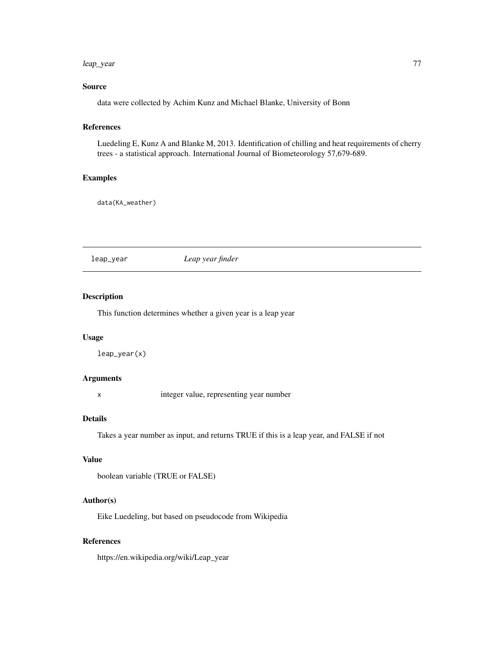#### leap\_year 77

## Source

data were collected by Achim Kunz and Michael Blanke, University of Bonn

## References

Luedeling E, Kunz A and Blanke M, 2013. Identification of chilling and heat requirements of cherry trees - a statistical approach. International Journal of Biometeorology 57,679-689.

#### Examples

data(KA\_weather)

leap\_year *Leap year finder*

## Description

This function determines whether a given year is a leap year

## Usage

leap\_year(x)

#### Arguments

x integer value, representing year number

#### Details

Takes a year number as input, and returns TRUE if this is a leap year, and FALSE if not

## Value

```
boolean variable (TRUE or FALSE)
```
## Author(s)

Eike Luedeling, but based on pseudocode from Wikipedia

#### References

https://en.wikipedia.org/wiki/Leap\_year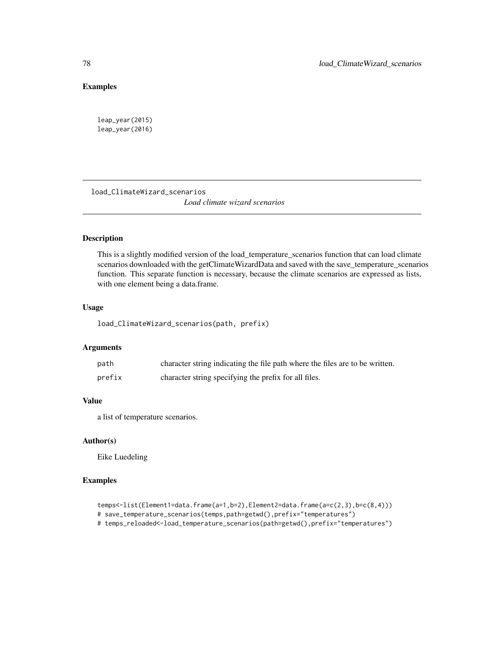## Examples

leap\_year(2015) leap\_year(2016)

load\_ClimateWizard\_scenarios *Load climate wizard scenarios*

## Description

This is a slightly modified version of the load\_temperature\_scenarios function that can load climate scenarios downloaded with the getClimateWizardData and saved with the save\_temperature\_scenarios function. This separate function is necessary, because the climate scenarios are expressed as lists, with one element being a data.frame.

#### Usage

load\_ClimateWizard\_scenarios(path, prefix)

### Arguments

| path   | character string indicating the file path where the files are to be written. |
|--------|------------------------------------------------------------------------------|
| prefix | character string specifying the prefix for all files.                        |

## Value

a list of temperature scenarios.

#### Author(s)

Eike Luedeling

## Examples

```
temps<-list(Element1=data.frame(a=1,b=2),Element2=data.frame(a=c(2,3),b=c(8,4)))
# save_temperature_scenarios(temps,path=getwd(),prefix="temperatures")
# temps_reloaded<-load_temperature_scenarios(path=getwd(),prefix="temperatures")
```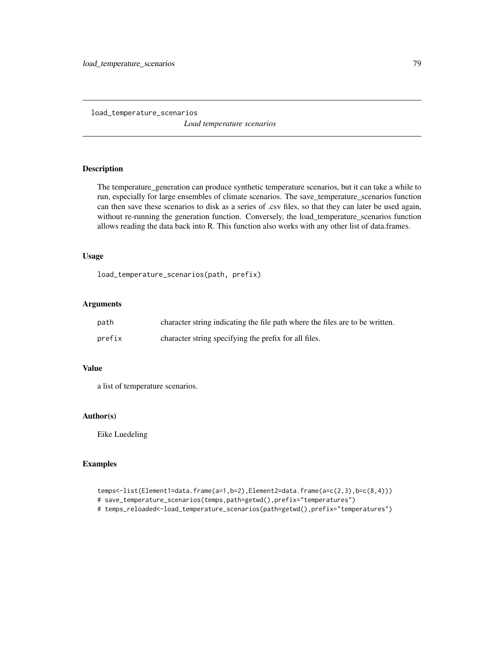load\_temperature\_scenarios *Load temperature scenarios*

#### Description

The temperature\_generation can produce synthetic temperature scenarios, but it can take a while to run, especially for large ensembles of climate scenarios. The save\_temperature\_scenarios function can then save these scenarios to disk as a series of .csv files, so that they can later be used again, without re-running the generation function. Conversely, the load\_temperature\_scenarios function allows reading the data back into R. This function also works with any other list of data.frames.

#### Usage

load\_temperature\_scenarios(path, prefix)

#### Arguments

| path   | character string indicating the file path where the files are to be written. |
|--------|------------------------------------------------------------------------------|
| prefix | character string specifying the prefix for all files.                        |

## Value

a list of temperature scenarios.

## Author(s)

Eike Luedeling

#### Examples

```
temps<-list(Element1=data.frame(a=1,b=2),Element2=data.frame(a=c(2,3),b=c(8,4)))
# save_temperature_scenarios(temps,path=getwd(),prefix="temperatures")
# temps_reloaded<-load_temperature_scenarios(path=getwd(),prefix="temperatures")
```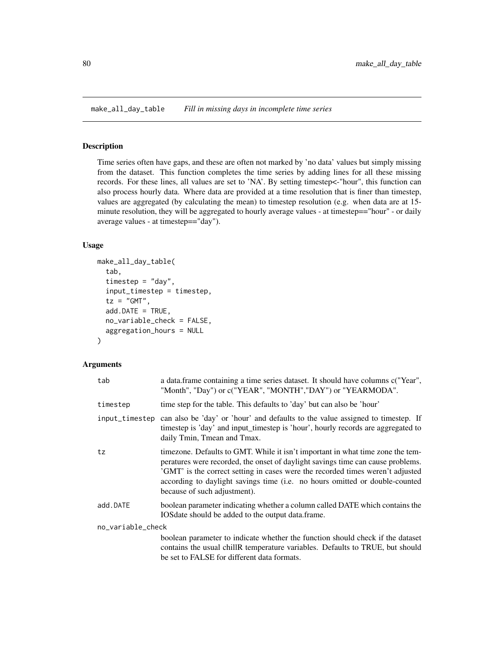make\_all\_day\_table *Fill in missing days in incomplete time series*

#### Description

Time series often have gaps, and these are often not marked by 'no data' values but simply missing from the dataset. This function completes the time series by adding lines for all these missing records. For these lines, all values are set to 'NA'. By setting timestep<-"hour", this function can also process hourly data. Where data are provided at a time resolution that is finer than timestep, values are aggregated (by calculating the mean) to timestep resolution (e.g. when data are at 15 minute resolution, they will be aggregated to hourly average values - at timestep=="hour" - or daily average values - at timestep=="day").

#### Usage

```
make_all_day_table(
  tab,
  timestep = "day",
  input_timestep = timestep,
  tz = "GMT",add.DATE = TRUE,no_variable_check = FALSE,
  aggregation_hours = NULL
)
```
#### Arguments

| tab               | a data.frame containing a time series dataset. It should have columns c("Year",<br>"Month", "Day") or c("YEAR", "MONTH","DAY") or "YEARMODA".                                                                                                                                                                                                                      |  |
|-------------------|--------------------------------------------------------------------------------------------------------------------------------------------------------------------------------------------------------------------------------------------------------------------------------------------------------------------------------------------------------------------|--|
| timestep          | time step for the table. This defaults to 'day' but can also be 'hour'                                                                                                                                                                                                                                                                                             |  |
|                   | input_timestep can also be 'day' or 'hour' and defaults to the value assigned to timestep. If<br>timestep is 'day' and input_timestep is 'hour', hourly records are aggregated to<br>daily Tmin, Tmean and Tmax.                                                                                                                                                   |  |
| tz                | timezone. Defaults to GMT. While it isn't important in what time zone the tem-<br>peratures were recorded, the onset of daylight savings time can cause problems.<br>'GMT' is the correct setting in cases were the recorded times weren't adjusted<br>according to daylight savings time (i.e. no hours omitted or double-counted<br>because of such adjustment). |  |
| add.DATE          | boolean parameter indicating whether a column called DATE which contains the<br>IOSdate should be added to the output data.frame.                                                                                                                                                                                                                                  |  |
| no_variable_check |                                                                                                                                                                                                                                                                                                                                                                    |  |
|                   | boolean parameter to indicate whether the function should check if the dataset<br>contains the usual chillR temperature variables. Defaults to TRUE, but should<br>be set to FALSE for different data formats.                                                                                                                                                     |  |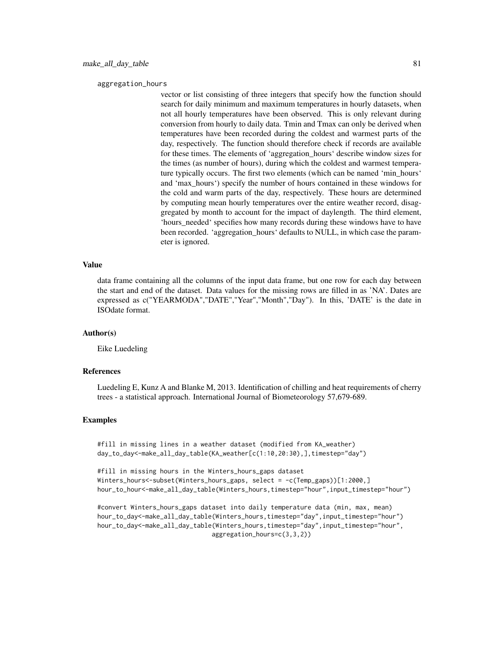aggregation\_hours

vector or list consisting of three integers that specify how the function should search for daily minimum and maximum temperatures in hourly datasets, when not all hourly temperatures have been observed. This is only relevant during conversion from hourly to daily data. Tmin and Tmax can only be derived when temperatures have been recorded during the coldest and warmest parts of the day, respectively. The function should therefore check if records are available for these times. The elements of 'aggregation\_hours' describe window sizes for the times (as number of hours), during which the coldest and warmest temperature typically occurs. The first two elements (which can be named 'min\_hours' and 'max\_hours') specify the number of hours contained in these windows for the cold and warm parts of the day, respectively. These hours are determined by computing mean hourly temperatures over the entire weather record, disaggregated by month to account for the impact of daylength. The third element, 'hours\_needed' specifies how many records during these windows have to have been recorded. 'aggregation\_hours' defaults to NULL, in which case the parameter is ignored.

#### Value

data frame containing all the columns of the input data frame, but one row for each day between the start and end of the dataset. Data values for the missing rows are filled in as 'NA'. Dates are expressed as c("YEARMODA","DATE","Year","Month","Day"). In this, 'DATE' is the date in ISOdate format.

#### Author(s)

Eike Luedeling

#### References

Luedeling E, Kunz A and Blanke M, 2013. Identification of chilling and heat requirements of cherry trees - a statistical approach. International Journal of Biometeorology 57,679-689.

#### Examples

#fill in missing lines in a weather dataset (modified from KA\_weather) day\_to\_day<-make\_all\_day\_table(KA\_weather[c(1:10,20:30),],timestep="day")

```
#fill in missing hours in the Winters_hours_gaps dataset
Winters_hours<-subset(Winters_hours_gaps, select = -c(Temp_gaps))[1:2000,]
hour_to_hour<-make_all_day_table(Winters_hours,timestep="hour",input_timestep="hour")
```

```
#convert Winters_hours_gaps dataset into daily temperature data (min, max, mean)
hour_to_day<-make_all_day_table(Winters_hours,timestep="day",input_timestep="hour")
hour_to_day<-make_all_day_table(Winters_hours,timestep="day",input_timestep="hour",
                               aggregation_hours=c(3,3,2))
```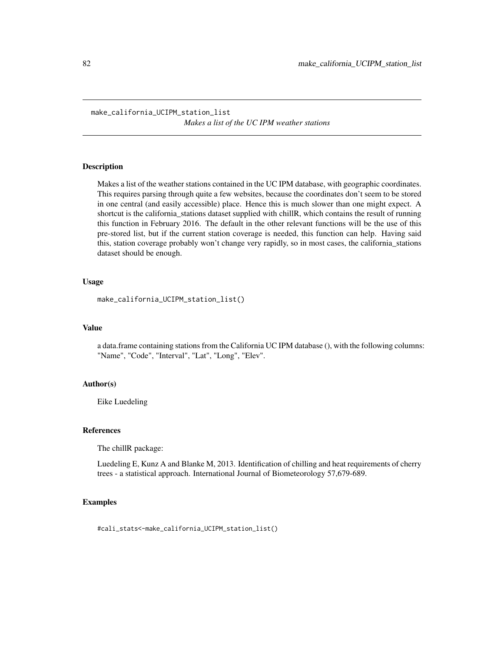#### Description

Makes a list of the weather stations contained in the UC IPM database, with geographic coordinates. This requires parsing through quite a few websites, because the coordinates don't seem to be stored in one central (and easily accessible) place. Hence this is much slower than one might expect. A shortcut is the california\_stations dataset supplied with chillR, which contains the result of running this function in February 2016. The default in the other relevant functions will be the use of this pre-stored list, but if the current station coverage is needed, this function can help. Having said this, station coverage probably won't change very rapidly, so in most cases, the california\_stations dataset should be enough.

#### Usage

```
make_california_UCIPM_station_list()
```
#### Value

a data.frame containing stations from the California UC IPM database (), with the following columns: "Name", "Code", "Interval", "Lat", "Long", "Elev".

#### Author(s)

Eike Luedeling

## References

The chillR package:

Luedeling E, Kunz A and Blanke M, 2013. Identification of chilling and heat requirements of cherry trees - a statistical approach. International Journal of Biometeorology 57,679-689.

## Examples

#cali\_stats<-make\_california\_UCIPM\_station\_list()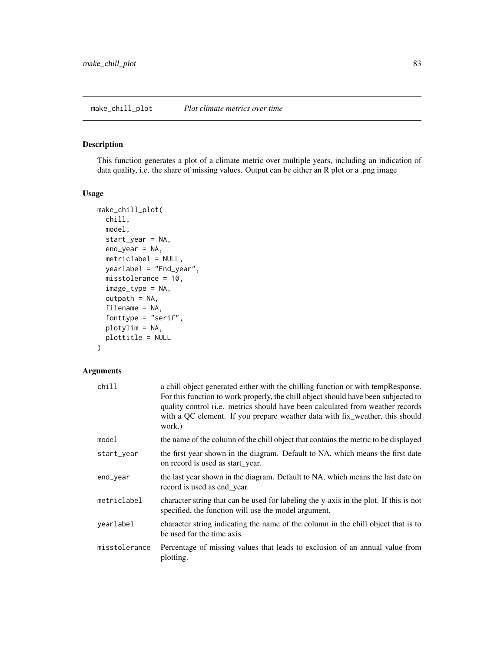## Description

This function generates a plot of a climate metric over multiple years, including an indication of data quality, i.e. the share of missing values. Output can be either an R plot or a .png image

#### Usage

```
make_chill_plot(
  chill,
 model,
  start_year = NA,
  end_year = NA,
 metriclabel = NULL,
 yearlabel = "End_year",
 misstolerance = 10,
  image_type = NA,
  outpath = NA,
  filename = NA,
  fonttype = "serif",
 plotylim = NA,
 plottitle = NULL
)
```
## Arguments

| chill         | a chill object generated either with the chilling function or with tempResponse.<br>For this function to work properly, the chill object should have been subjected to<br>quality control (i.e. metrics should have been calculated from weather records<br>with a QC element. If you prepare weather data with fix_weather, this should<br>work.) |
|---------------|----------------------------------------------------------------------------------------------------------------------------------------------------------------------------------------------------------------------------------------------------------------------------------------------------------------------------------------------------|
| model         | the name of the column of the chill object that contains the metric to be displayed                                                                                                                                                                                                                                                                |
| start_year    | the first year shown in the diagram. Default to NA, which means the first date<br>on record is used as start_year.                                                                                                                                                                                                                                 |
| end_year      | the last year shown in the diagram. Default to NA, which means the last date on<br>record is used as end_year.                                                                                                                                                                                                                                     |
| metriclabel   | character string that can be used for labeling the y-axis in the plot. If this is not<br>specified, the function will use the model argument.                                                                                                                                                                                                      |
| yearlabel     | character string indicating the name of the column in the chill object that is to<br>be used for the time axis.                                                                                                                                                                                                                                    |
| misstolerance | Percentage of missing values that leads to exclusion of an annual value from<br>plotting.                                                                                                                                                                                                                                                          |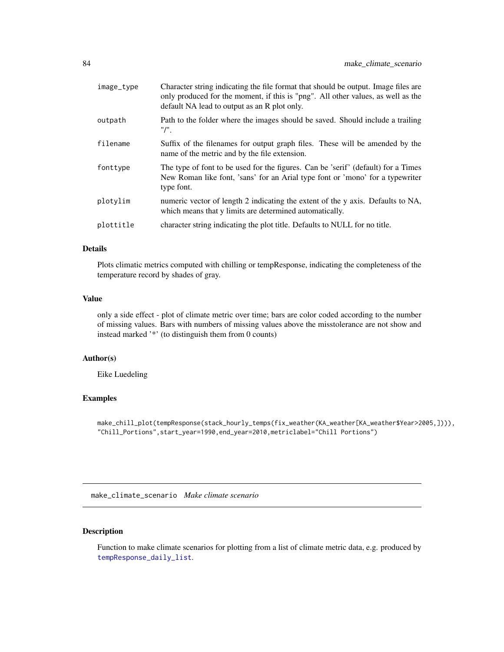| image_type | Character string indicating the file format that should be output. Image files are<br>only produced for the moment, if this is "png". All other values, as well as the<br>default NA lead to output as an R plot only. |
|------------|------------------------------------------------------------------------------------------------------------------------------------------------------------------------------------------------------------------------|
| outpath    | Path to the folder where the images should be saved. Should include a trailing<br>"/".                                                                                                                                 |
| filename   | Suffix of the filenames for output graph files. These will be amended by the<br>name of the metric and by the file extension.                                                                                          |
| fonttype   | The type of font to be used for the figures. Can be 'serif' (default) for a Times<br>New Roman like font, 'sans' for an Arial type font or 'mono' for a typewriter<br>type font.                                       |
| plotylim   | numeric vector of length 2 indicating the extent of the y axis. Defaults to NA,<br>which means that y limits are determined automatically.                                                                             |
| plottitle  | character string indicating the plot title. Defaults to NULL for no title.                                                                                                                                             |

## Details

Plots climatic metrics computed with chilling or tempResponse, indicating the completeness of the temperature record by shades of gray.

## Value

only a side effect - plot of climate metric over time; bars are color coded according to the number of missing values. Bars with numbers of missing values above the misstolerance are not show and instead marked '\*' (to distinguish them from 0 counts)

#### Author(s)

Eike Luedeling

## Examples

```
make_chill_plot(tempResponse(stack_hourly_temps(fix_weather(KA_weather[KA_weather$Year>2005,]))),
"Chill_Portions",start_year=1990,end_year=2010,metriclabel="Chill Portions")
```
make\_climate\_scenario *Make climate scenario*

## Description

Function to make climate scenarios for plotting from a list of climate metric data, e.g. produced by [tempResponse\\_daily\\_list](#page-159-0).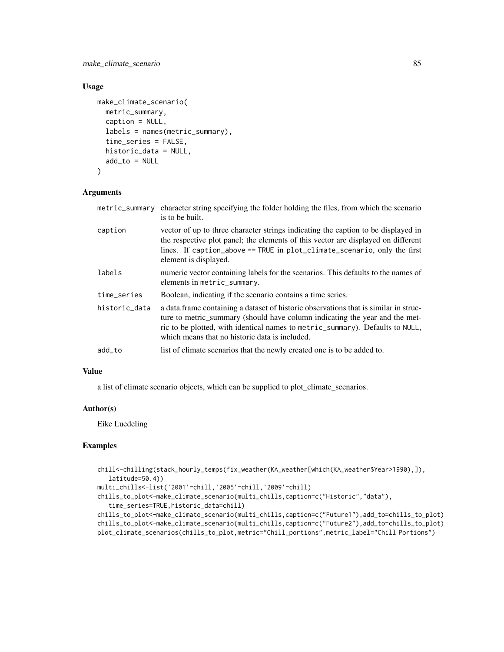make\_climate\_scenario 85

## Usage

```
make_climate_scenario(
 metric_summary,
  caption = NULL,
  labels = names(metric_summary),
  time_series = FALSE,
  historic_data = NULL,
  add_to = NULL
)
```
## Arguments

| metric_summary | character string specifying the folder holding the files, from which the scenario<br>is to be built.                                                                                                                                                                                                    |
|----------------|---------------------------------------------------------------------------------------------------------------------------------------------------------------------------------------------------------------------------------------------------------------------------------------------------------|
| caption        | vector of up to three character strings indicating the caption to be displayed in<br>the respective plot panel; the elements of this vector are displayed on different<br>lines. If caption_above == TRUE in plot_climate_scenario, only the first<br>element is displayed.                             |
| labels         | numeric vector containing labels for the scenarios. This defaults to the names of<br>elements in metric_summary.                                                                                                                                                                                        |
| time_series    | Boolean, indicating if the scenario contains a time series.                                                                                                                                                                                                                                             |
| historic_data  | a data. frame containing a dataset of historic observations that is similar in struc-<br>ture to metric_summary (should have column indicating the year and the met-<br>ric to be plotted, with identical names to metric_summary). Defaults to NULL,<br>which means that no historic data is included. |
| add_to         | list of climate scenarios that the newly created one is to be added to.                                                                                                                                                                                                                                 |

## Value

a list of climate scenario objects, which can be supplied to plot\_climate\_scenarios.

#### Author(s)

Eike Luedeling

#### Examples

```
chill<-chilling(stack_hourly_temps(fix_weather(KA_weather[which(KA_weather$Year>1990),]),
   latitude=50.4))
multi_chills<-list('2001'=chill,'2005'=chill,'2009'=chill)
chills_to_plot<-make_climate_scenario(multi_chills,caption=c("Historic","data"),
   time_series=TRUE,historic_data=chill)
chills_to_plot<-make_climate_scenario(multi_chills,caption=c("Future1"),add_to=chills_to_plot)
chills_to_plot<-make_climate_scenario(multi_chills,caption=c("Future2"),add_to=chills_to_plot)
plot_climate_scenarios(chills_to_plot,metric="Chill_portions",metric_label="Chill Portions")
```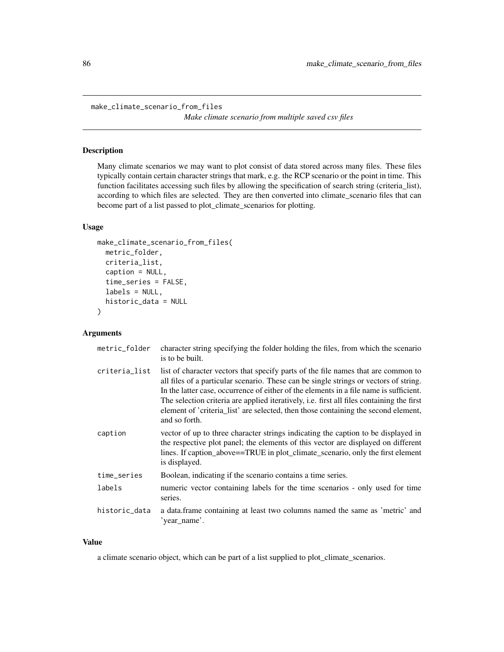make\_climate\_scenario\_from\_files

*Make climate scenario from multiple saved csv files*

## Description

Many climate scenarios we may want to plot consist of data stored across many files. These files typically contain certain character strings that mark, e.g. the RCP scenario or the point in time. This function facilitates accessing such files by allowing the specification of search string (criteria\_list), according to which files are selected. They are then converted into climate\_scenario files that can become part of a list passed to plot\_climate\_scenarios for plotting.

#### Usage

```
make_climate_scenario_from_files(
  metric_folder,
  criteria_list,
  caption = NULL,
  time_series = FALSE,
  labels = NULL,
  historic_data = NULL
)
```
#### Arguments

| metric_folder | character string specifying the folder holding the files, from which the scenario<br>is to be built.                                                                                                                                                                                                                                                                                                                                                                     |
|---------------|--------------------------------------------------------------------------------------------------------------------------------------------------------------------------------------------------------------------------------------------------------------------------------------------------------------------------------------------------------------------------------------------------------------------------------------------------------------------------|
| criteria_list | list of character vectors that specify parts of the file names that are common to<br>all files of a particular scenario. These can be single strings or vectors of string.<br>In the latter case, occurrence of either of the elements in a file name is sufficient.<br>The selection criteria are applied iteratively, i.e. first all files containing the first<br>element of 'criteria_list' are selected, then those containing the second element,<br>and so forth. |
| caption       | vector of up to three character strings indicating the caption to be displayed in<br>the respective plot panel; the elements of this vector are displayed on different<br>lines. If caption_above==TRUE in plot_climate_scenario, only the first element<br>is displayed.                                                                                                                                                                                                |
| time_series   | Boolean, indicating if the scenario contains a time series.                                                                                                                                                                                                                                                                                                                                                                                                              |
| labels        | numeric vector containing labels for the time scenarios - only used for time<br>series.                                                                                                                                                                                                                                                                                                                                                                                  |
| historic_data | a data.frame containing at least two columns named the same as 'metric' and<br>'year_name'.                                                                                                                                                                                                                                                                                                                                                                              |
|               |                                                                                                                                                                                                                                                                                                                                                                                                                                                                          |

## Value

a climate scenario object, which can be part of a list supplied to plot\_climate\_scenarios.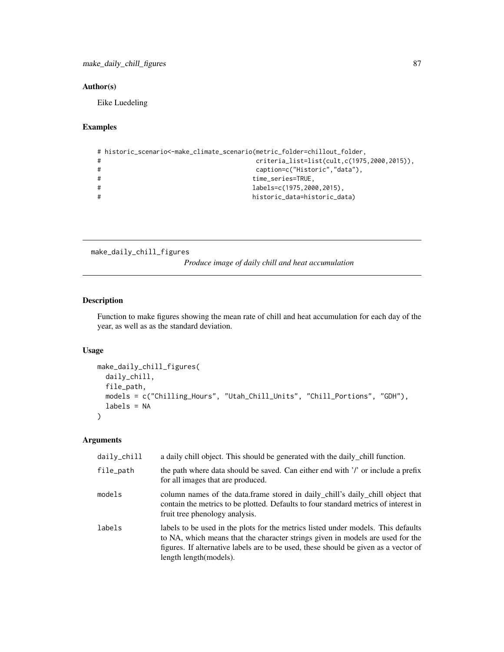## Author(s)

Eike Luedeling

## Examples

```
# historic_scenario<-make_climate_scenario(metric_folder=chillout_folder,
# criteria_list=list(cult,c(1975,2000,2015)),
# caption=c("Historic","data"),
# time_series=TRUE,
# labels=c(1975,2000,2015),
                        historic_data=historic_data)
```
make\_daily\_chill\_figures

*Produce image of daily chill and heat accumulation*

#### Description

Function to make figures showing the mean rate of chill and heat accumulation for each day of the year, as well as as the standard deviation.

## Usage

```
make_daily_chill_figures(
  daily_chill,
  file_path,
 models = c("Chilling_Hours", "Utah_Chill_Units", "Chill_Portions", "GDH"),
  labels = NA
\mathcal{E}
```
## Arguments

| daily_chill | a daily chill object. This should be generated with the daily chill function.                                                                                                                                                                                                         |
|-------------|---------------------------------------------------------------------------------------------------------------------------------------------------------------------------------------------------------------------------------------------------------------------------------------|
| file_path   | the path where data should be saved. Can either end with '/' or include a prefix<br>for all images that are produced.                                                                                                                                                                 |
| models      | column names of the data.frame stored in daily_chill's daily_chill object that<br>contain the metrics to be plotted. Defaults to four standard metrics of interest in<br>fruit tree phenology analysis.                                                                               |
| labels      | labels to be used in the plots for the metrics listed under models. This defaults<br>to NA, which means that the character strings given in models are used for the<br>figures. If alternative labels are to be used, these should be given as a vector of<br>length length (models). |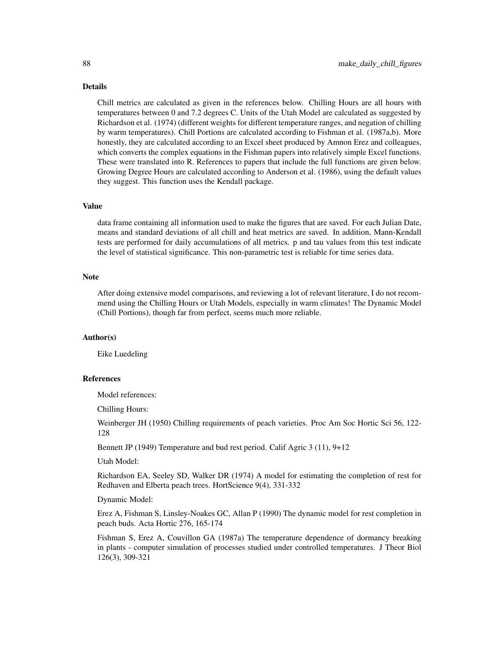#### Details

Chill metrics are calculated as given in the references below. Chilling Hours are all hours with temperatures between 0 and 7.2 degrees C. Units of the Utah Model are calculated as suggested by Richardson et al. (1974) (different weights for different temperature ranges, and negation of chilling by warm temperatures). Chill Portions are calculated according to Fishman et al. (1987a,b). More honestly, they are calculated according to an Excel sheet produced by Amnon Erez and colleagues, which converts the complex equations in the Fishman papers into relatively simple Excel functions. These were translated into R. References to papers that include the full functions are given below. Growing Degree Hours are calculated according to Anderson et al. (1986), using the default values they suggest. This function uses the Kendall package.

#### Value

data frame containing all information used to make the figures that are saved. For each Julian Date, means and standard deviations of all chill and heat metrics are saved. In addition, Mann-Kendall tests are performed for daily accumulations of all metrics. p and tau values from this test indicate the level of statistical significance. This non-parametric test is reliable for time series data.

#### Note

After doing extensive model comparisons, and reviewing a lot of relevant literature, I do not recommend using the Chilling Hours or Utah Models, especially in warm climates! The Dynamic Model (Chill Portions), though far from perfect, seems much more reliable.

## Author(s)

Eike Luedeling

#### References

Model references:

Chilling Hours:

Weinberger JH (1950) Chilling requirements of peach varieties. Proc Am Soc Hortic Sci 56, 122- 128

Bennett JP (1949) Temperature and bud rest period. Calif Agric 3 (11), 9+12

Utah Model:

Richardson EA, Seeley SD, Walker DR (1974) A model for estimating the completion of rest for Redhaven and Elberta peach trees. HortScience 9(4), 331-332

Dynamic Model:

Erez A, Fishman S, Linsley-Noakes GC, Allan P (1990) The dynamic model for rest completion in peach buds. Acta Hortic 276, 165-174

Fishman S, Erez A, Couvillon GA (1987a) The temperature dependence of dormancy breaking in plants - computer simulation of processes studied under controlled temperatures. J Theor Biol 126(3), 309-321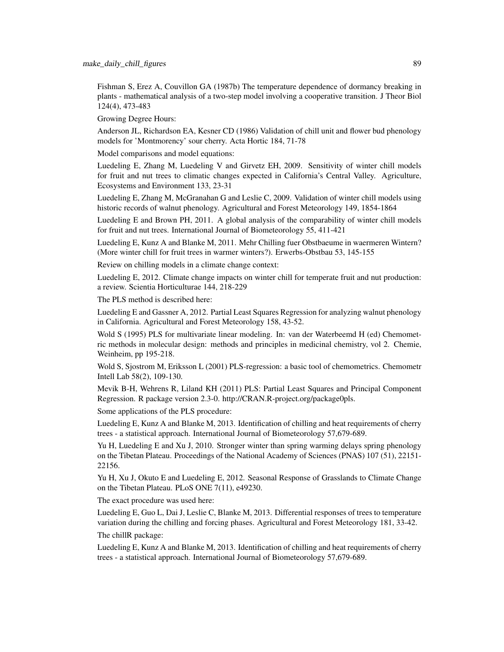Fishman S, Erez A, Couvillon GA (1987b) The temperature dependence of dormancy breaking in plants - mathematical analysis of a two-step model involving a cooperative transition. J Theor Biol 124(4), 473-483

Growing Degree Hours:

Anderson JL, Richardson EA, Kesner CD (1986) Validation of chill unit and flower bud phenology models for 'Montmorency' sour cherry. Acta Hortic 184, 71-78

Model comparisons and model equations:

Luedeling E, Zhang M, Luedeling V and Girvetz EH, 2009. Sensitivity of winter chill models for fruit and nut trees to climatic changes expected in California's Central Valley. Agriculture, Ecosystems and Environment 133, 23-31

Luedeling E, Zhang M, McGranahan G and Leslie C, 2009. Validation of winter chill models using historic records of walnut phenology. Agricultural and Forest Meteorology 149, 1854-1864

Luedeling E and Brown PH, 2011. A global analysis of the comparability of winter chill models for fruit and nut trees. International Journal of Biometeorology 55, 411-421

Luedeling E, Kunz A and Blanke M, 2011. Mehr Chilling fuer Obstbaeume in waermeren Wintern? (More winter chill for fruit trees in warmer winters?). Erwerbs-Obstbau 53, 145-155

Review on chilling models in a climate change context:

Luedeling E, 2012. Climate change impacts on winter chill for temperate fruit and nut production: a review. Scientia Horticulturae 144, 218-229

The PLS method is described here:

Luedeling E and Gassner A, 2012. Partial Least Squares Regression for analyzing walnut phenology in California. Agricultural and Forest Meteorology 158, 43-52.

Wold S (1995) PLS for multivariate linear modeling. In: van der Waterbeemd H (ed) Chemometric methods in molecular design: methods and principles in medicinal chemistry, vol 2. Chemie, Weinheim, pp 195-218.

Wold S, Sjostrom M, Eriksson L (2001) PLS-regression: a basic tool of chemometrics. Chemometr Intell Lab 58(2), 109-130.

Mevik B-H, Wehrens R, Liland KH (2011) PLS: Partial Least Squares and Principal Component Regression. R package version 2.3-0. http://CRAN.R-project.org/package0pls.

Some applications of the PLS procedure:

Luedeling E, Kunz A and Blanke M, 2013. Identification of chilling and heat requirements of cherry trees - a statistical approach. International Journal of Biometeorology 57,679-689.

Yu H, Luedeling E and Xu J, 2010. Stronger winter than spring warming delays spring phenology on the Tibetan Plateau. Proceedings of the National Academy of Sciences (PNAS) 107 (51), 22151- 22156.

Yu H, Xu J, Okuto E and Luedeling E, 2012. Seasonal Response of Grasslands to Climate Change on the Tibetan Plateau. PLoS ONE 7(11), e49230.

The exact procedure was used here:

Luedeling E, Guo L, Dai J, Leslie C, Blanke M, 2013. Differential responses of trees to temperature variation during the chilling and forcing phases. Agricultural and Forest Meteorology 181, 33-42.

The chillR package:

Luedeling E, Kunz A and Blanke M, 2013. Identification of chilling and heat requirements of cherry trees - a statistical approach. International Journal of Biometeorology 57,679-689.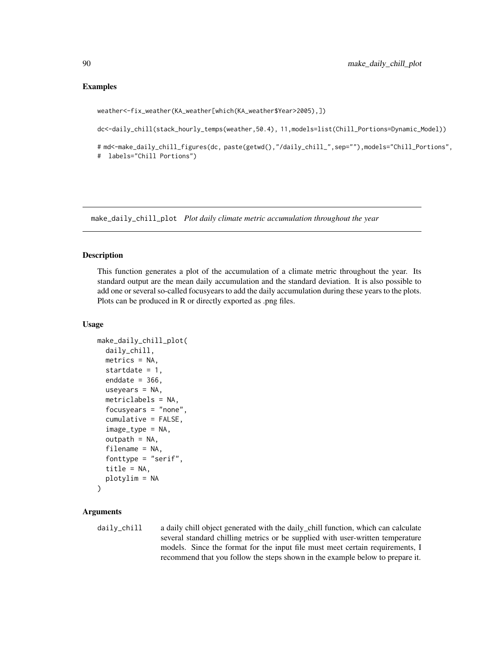#### Examples

weather<-fix\_weather(KA\_weather[which(KA\_weather\$Year>2005),])

dc<-daily\_chill(stack\_hourly\_temps(weather,50.4), 11,models=list(Chill\_Portions=Dynamic\_Model))

# md<-make\_daily\_chill\_figures(dc, paste(getwd(),"/daily\_chill\_",sep=""),models="Chill\_Portions", # labels="Chill Portions")

make\_daily\_chill\_plot *Plot daily climate metric accumulation throughout the year*

#### Description

This function generates a plot of the accumulation of a climate metric throughout the year. Its standard output are the mean daily accumulation and the standard deviation. It is also possible to add one or several so-called focusyears to add the daily accumulation during these years to the plots. Plots can be produced in R or directly exported as .png files.

#### Usage

```
make_daily_chill_plot(
  daily_chill,
 metrics = NA,
  startdate = 1,
  enddate = 366,
 useyears = NA,
 metriclabels = NA,
  focusyears = "none",
  cumulative = FALSE,
  image_type = NA,
  outpath = NA,
  filename = NA,
  fonttype = "serif",
  title = NA,
 plotylim = NA
)
```
## Arguments

daily\_chill a daily chill object generated with the daily\_chill function, which can calculate several standard chilling metrics or be supplied with user-written temperature models. Since the format for the input file must meet certain requirements, I recommend that you follow the steps shown in the example below to prepare it.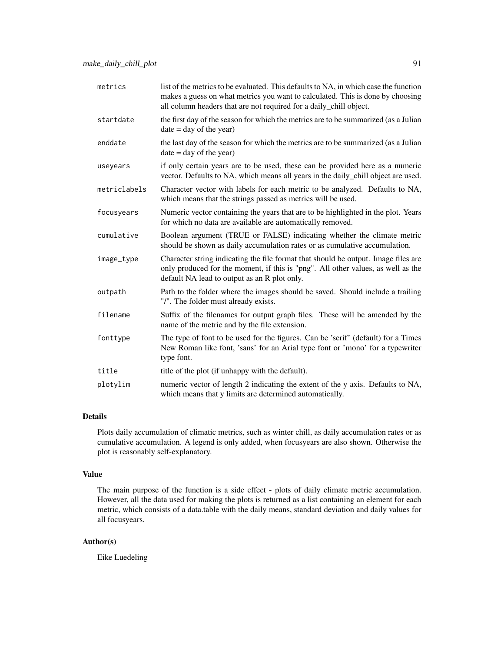| metrics      | list of the metrics to be evaluated. This defaults to NA, in which case the function<br>makes a guess on what metrics you want to calculated. This is done by choosing<br>all column headers that are not required for a daily_chill object. |
|--------------|----------------------------------------------------------------------------------------------------------------------------------------------------------------------------------------------------------------------------------------------|
| startdate    | the first day of the season for which the metrics are to be summarized (as a Julian<br>$date = day of the year)$                                                                                                                             |
| enddate      | the last day of the season for which the metrics are to be summarized (as a Julian<br>$date = day of the year)$                                                                                                                              |
| useyears     | if only certain years are to be used, these can be provided here as a numeric<br>vector. Defaults to NA, which means all years in the daily_chill object are used.                                                                           |
| metriclabels | Character vector with labels for each metric to be analyzed. Defaults to NA,<br>which means that the strings passed as metrics will be used.                                                                                                 |
| focusyears   | Numeric vector containing the years that are to be highlighted in the plot. Years<br>for which no data are available are automatically removed.                                                                                              |
| cumulative   | Boolean argument (TRUE or FALSE) indicating whether the climate metric<br>should be shown as daily accumulation rates or as cumulative accumulation.                                                                                         |
| image_type   | Character string indicating the file format that should be output. Image files are<br>only produced for the moment, if this is "png". All other values, as well as the<br>default NA lead to output as an R plot only.                       |
| outpath      | Path to the folder where the images should be saved. Should include a trailing<br>"/". The folder must already exists.                                                                                                                       |
| filename     | Suffix of the filenames for output graph files. These will be amended by the<br>name of the metric and by the file extension.                                                                                                                |
| fonttype     | The type of font to be used for the figures. Can be 'serif' (default) for a Times<br>New Roman like font, 'sans' for an Arial type font or 'mono' for a typewriter<br>type font.                                                             |
| title        | title of the plot (if unhappy with the default).                                                                                                                                                                                             |
| plotylim     | numeric vector of length 2 indicating the extent of the y axis. Defaults to NA,<br>which means that y limits are determined automatically.                                                                                                   |

## Details

Plots daily accumulation of climatic metrics, such as winter chill, as daily accumulation rates or as cumulative accumulation. A legend is only added, when focusyears are also shown. Otherwise the plot is reasonably self-explanatory.

#### Value

The main purpose of the function is a side effect - plots of daily climate metric accumulation. However, all the data used for making the plots is returned as a list containing an element for each metric, which consists of a data.table with the daily means, standard deviation and daily values for all focusyears.

## Author(s)

Eike Luedeling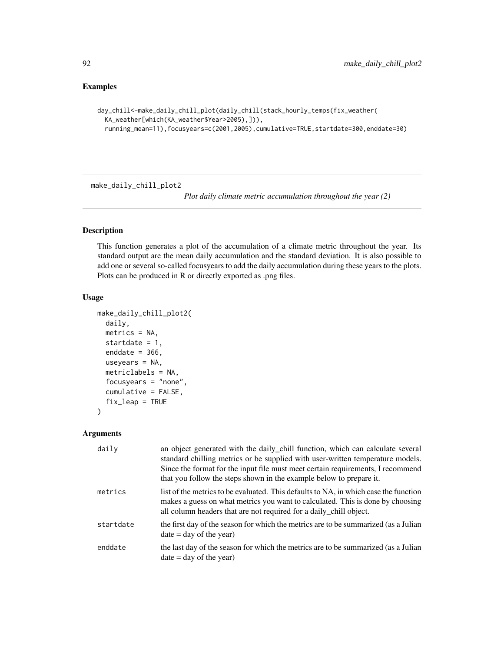## Examples

```
day_chill<-make_daily_chill_plot(daily_chill(stack_hourly_temps(fix_weather(
 KA_weather[which(KA_weather$Year>2005),])),
 running_mean=11),focusyears=c(2001,2005),cumulative=TRUE,startdate=300,enddate=30)
```
make\_daily\_chill\_plot2

*Plot daily climate metric accumulation throughout the year (2)*

## Description

This function generates a plot of the accumulation of a climate metric throughout the year. Its standard output are the mean daily accumulation and the standard deviation. It is also possible to add one or several so-called focusyears to add the daily accumulation during these years to the plots. Plots can be produced in R or directly exported as .png files.

#### Usage

```
make_daily_chill_plot2(
  daily,
  metrics = NA,
  startdate = 1,
  enddate = 366,
  useyears = NA,
  metriclabels = NA,
  focusyears = "none",
  cumulative = FALSE,
  fix_leap = TRUE
\mathcal{L}
```
#### Arguments

| daily     | an object generated with the daily_chill function, which can calculate several<br>standard chilling metrics or be supplied with user-written temperature models.<br>Since the format for the input file must meet certain requirements, I recommend<br>that you follow the steps shown in the example below to prepare it. |
|-----------|----------------------------------------------------------------------------------------------------------------------------------------------------------------------------------------------------------------------------------------------------------------------------------------------------------------------------|
| metrics   | list of the metrics to be evaluated. This defaults to NA, in which case the function<br>makes a guess on what metrics you want to calculated. This is done by choosing<br>all column headers that are not required for a daily_chill object.                                                                               |
| startdate | the first day of the season for which the metrics are to be summarized (as a Julian<br>$date = day of the year)$                                                                                                                                                                                                           |
| enddate   | the last day of the season for which the metrics are to be summarized (as a Julian<br>$date = day of the year)$                                                                                                                                                                                                            |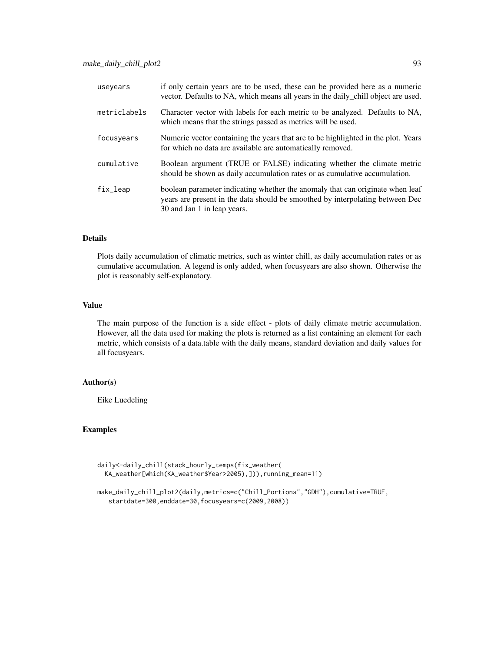| useyears      | if only certain years are to be used, these can be provided here as a numeric<br>vector. Defaults to NA, which means all years in the daily_chill object are used.                            |
|---------------|-----------------------------------------------------------------------------------------------------------------------------------------------------------------------------------------------|
| metriclabels  | Character vector with labels for each metric to be analyzed. Defaults to NA,<br>which means that the strings passed as metrics will be used.                                                  |
| focusyears    | Numeric vector containing the years that are to be highlighted in the plot. Years<br>for which no data are available are automatically removed.                                               |
| cumulative    | Boolean argument (TRUE or FALSE) indicating whether the climate metric<br>should be shown as daily accumulation rates or as cumulative accumulation.                                          |
| $fix$ $l$ eap | boolean parameter indicating whether the anomaly that can originate when leaf<br>years are present in the data should be smoothed by interpolating between Dec<br>30 and Jan 1 in leap years. |

#### Details

Plots daily accumulation of climatic metrics, such as winter chill, as daily accumulation rates or as cumulative accumulation. A legend is only added, when focusyears are also shown. Otherwise the plot is reasonably self-explanatory.

#### Value

The main purpose of the function is a side effect - plots of daily climate metric accumulation. However, all the data used for making the plots is returned as a list containing an element for each metric, which consists of a data.table with the daily means, standard deviation and daily values for all focusyears.

#### Author(s)

Eike Luedeling

### Examples

```
daily<-daily_chill(stack_hourly_temps(fix_weather(
 KA_weather[which(KA_weather$Year>2005),])),running_mean=11)
```

```
make_daily_chill_plot2(daily,metrics=c("Chill_Portions","GDH"),cumulative=TRUE,
  startdate=300,enddate=30,focusyears=c(2009,2008))
```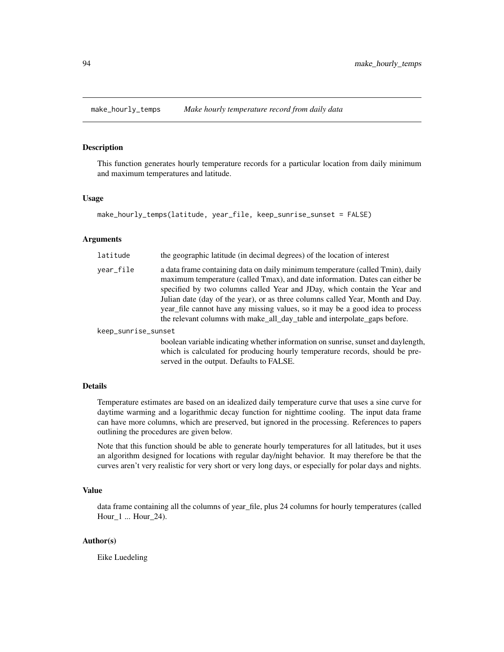#### Description

This function generates hourly temperature records for a particular location from daily minimum and maximum temperatures and latitude.

#### Usage

```
make_hourly_temps(latitude, year_file, keep_sunrise_sunset = FALSE)
```
## Arguments

| latitude            | the geographic latitude (in decimal degrees) of the location of interest                                                                                                                                                                                                                                                                                                                                                                                                                    |
|---------------------|---------------------------------------------------------------------------------------------------------------------------------------------------------------------------------------------------------------------------------------------------------------------------------------------------------------------------------------------------------------------------------------------------------------------------------------------------------------------------------------------|
| year_file           | a data frame containing data on daily minimum temperature (called Tmin), daily<br>maximum temperature (called Tmax), and date information. Dates can either be<br>specified by two columns called Year and JDay, which contain the Year and<br>Julian date (day of the year), or as three columns called Year, Month and Day.<br>year_file cannot have any missing values, so it may be a good idea to process<br>the relevant columns with make_all_day_table and interpolate_gaps before. |
| keep_sunrise_sunset |                                                                                                                                                                                                                                                                                                                                                                                                                                                                                             |
|                     | hooleen verichle indicating whether information on suprise, support and day langth                                                                                                                                                                                                                                                                                                                                                                                                          |

boolean variable indicating whether information on sunrise, sunset and daylength, which is calculated for producing hourly temperature records, should be preserved in the output. Defaults to FALSE.

## Details

Temperature estimates are based on an idealized daily temperature curve that uses a sine curve for daytime warming and a logarithmic decay function for nighttime cooling. The input data frame can have more columns, which are preserved, but ignored in the processing. References to papers outlining the procedures are given below.

Note that this function should be able to generate hourly temperatures for all latitudes, but it uses an algorithm designed for locations with regular day/night behavior. It may therefore be that the curves aren't very realistic for very short or very long days, or especially for polar days and nights.

## Value

data frame containing all the columns of year\_file, plus 24 columns for hourly temperatures (called Hour\_1 ... Hour\_24).

#### Author(s)

Eike Luedeling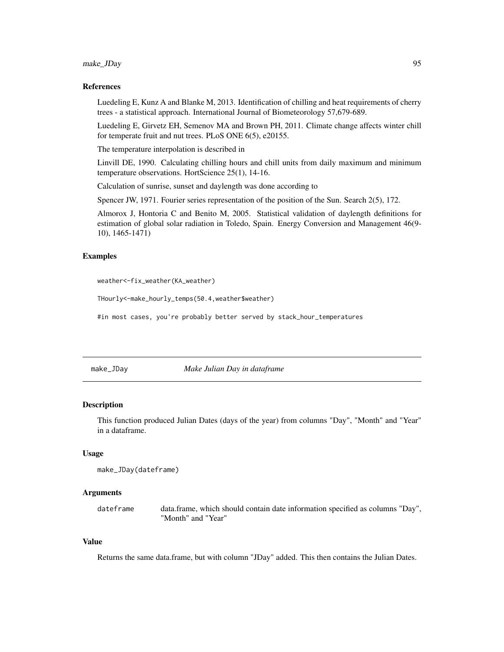## make\_JDay 95

#### References

Luedeling E, Kunz A and Blanke M, 2013. Identification of chilling and heat requirements of cherry trees - a statistical approach. International Journal of Biometeorology 57,679-689.

Luedeling E, Girvetz EH, Semenov MA and Brown PH, 2011. Climate change affects winter chill for temperate fruit and nut trees. PLoS ONE 6(5), e20155.

The temperature interpolation is described in

Linvill DE, 1990. Calculating chilling hours and chill units from daily maximum and minimum temperature observations. HortScience 25(1), 14-16.

Calculation of sunrise, sunset and daylength was done according to

Spencer JW, 1971. Fourier series representation of the position of the Sun. Search 2(5), 172.

Almorox J, Hontoria C and Benito M, 2005. Statistical validation of daylength definitions for estimation of global solar radiation in Toledo, Spain. Energy Conversion and Management 46(9- 10), 1465-1471)

#### Examples

weather<-fix\_weather(KA\_weather)

THourly<-make\_hourly\_temps(50.4,weather\$weather)

#in most cases, you're probably better served by stack\_hour\_temperatures

make\_JDay *Make Julian Day in dataframe*

#### Description

This function produced Julian Dates (days of the year) from columns "Day", "Month" and "Year" in a dataframe.

#### Usage

```
make_JDay(dateframe)
```
#### Arguments

dateframe data.frame, which should contain date information specified as columns "Day", "Month" and "Year"

#### Value

Returns the same data.frame, but with column "JDay" added. This then contains the Julian Dates.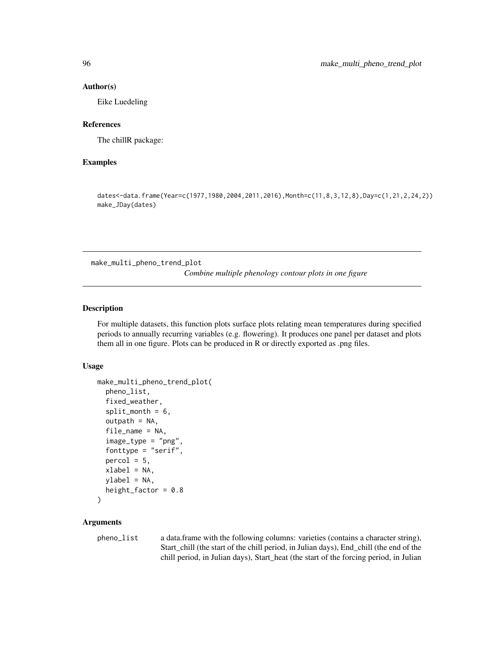#### Author(s)

Eike Luedeling

#### References

The chillR package:

## Examples

dates<-data.frame(Year=c(1977,1980,2004,2011,2016),Month=c(11,8,3,12,8),Day=c(1,21,2,24,2)) make\_JDay(dates)

make\_multi\_pheno\_trend\_plot

*Combine multiple phenology contour plots in one figure*

## **Description**

For multiple datasets, this function plots surface plots relating mean temperatures during specified periods to annually recurring variables (e.g. flowering). It produces one panel per dataset and plots them all in one figure. Plots can be produced in R or directly exported as .png files.

## Usage

```
make_multi_pheno_trend_plot(
  pheno_list,
  fixed_weather,
  split\_month = 6,
  outpath = NA,
  file_name = NA,
  image_type = "png",
  fonttype = "serif",
  percol = 5,
  xlabel = NA,
 ylabel = NA,
  height_factor = 0.8)
```
#### Arguments

pheno\_list a data.frame with the following columns: varieties (contains a character string), Start\_chill (the start of the chill period, in Julian days), End\_chill (the end of the chill period, in Julian days), Start\_heat (the start of the forcing period, in Julian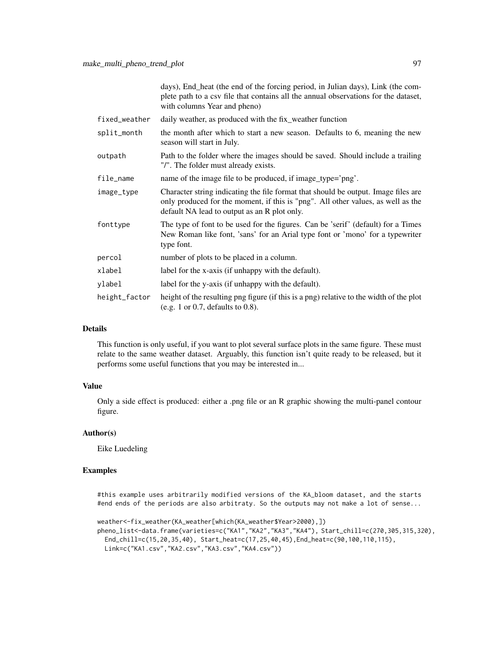days), End\_heat (the end of the forcing period, in Julian days), Link (the complete path to a csv file that contains all the annual observations for the dataset, with columns Year and pheno)

| fixed_weather | daily weather, as produced with the fix_weather function                                                                                                                                                               |
|---------------|------------------------------------------------------------------------------------------------------------------------------------------------------------------------------------------------------------------------|
| split_month   | the month after which to start a new season. Defaults to 6, meaning the new<br>season will start in July.                                                                                                              |
| outpath       | Path to the folder where the images should be saved. Should include a trailing<br>"/". The folder must already exists.                                                                                                 |
| file_name     | name of the image file to be produced, if image_type='png'.                                                                                                                                                            |
| image_type    | Character string indicating the file format that should be output. Image files are<br>only produced for the moment, if this is "png". All other values, as well as the<br>default NA lead to output as an R plot only. |
| fonttype      | The type of font to be used for the figures. Can be 'serif' (default) for a Times<br>New Roman like font, 'sans' for an Arial type font or 'mono' for a typewriter<br>type font.                                       |
| percol        | number of plots to be placed in a column.                                                                                                                                                                              |
| xlabel        | label for the x-axis (if unhappy with the default).                                                                                                                                                                    |
| ylabel        | label for the y-axis (if unhappy with the default).                                                                                                                                                                    |
| height_factor | height of the resulting png figure (if this is a png) relative to the width of the plot<br>(e.g. 1 or 0.7, defaults to $0.8$ ).                                                                                        |

## Details

This function is only useful, if you want to plot several surface plots in the same figure. These must relate to the same weather dataset. Arguably, this function isn't quite ready to be released, but it performs some useful functions that you may be interested in...

## Value

Only a side effect is produced: either a .png file or an R graphic showing the multi-panel contour figure.

#### Author(s)

Eike Luedeling

#### Examples

#this example uses arbitrarily modified versions of the KA\_bloom dataset, and the starts #end ends of the periods are also arbitraty. So the outputs may not make a lot of sense...

```
weather<-fix_weather(KA_weather[which(KA_weather$Year>2000),])
```

```
pheno_list<-data.frame(varieties=c("KA1","KA2","KA3","KA4"), Start_chill=c(270,305,315,320),
 End_chill=c(15,20,35,40), Start_heat=c(17,25,40,45),End_heat=c(90,100,110,115),
 Link=c("KA1.csv","KA2.csv","KA3.csv","KA4.csv"))
```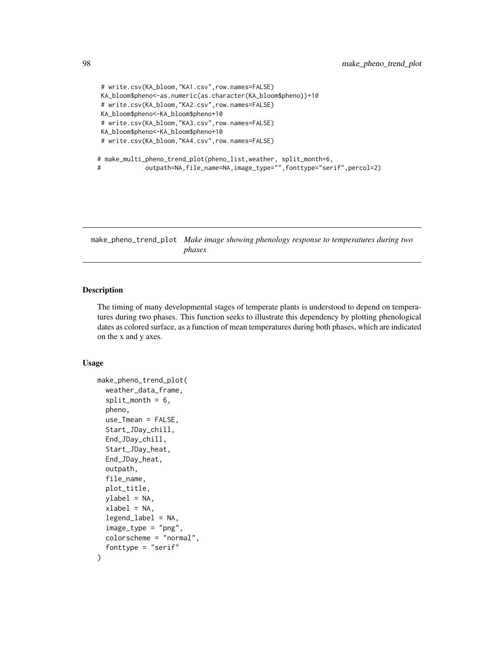```
# write.csv(KA_bloom,"KA1.csv",row.names=FALSE)
KA_bloom$pheno<-as.numeric(as.character(KA_bloom$pheno))+10
# write.csv(KA_bloom,"KA2.csv",row.names=FALSE)
KA_bloom$pheno<-KA_bloom$pheno+10
# write.csv(KA_bloom,"KA3.csv",row.names=FALSE)
KA_bloom$pheno<-KA_bloom$pheno+10
# write.csv(KA_bloom,"KA4.csv",row.names=FALSE)
# make_multi_pheno_trend_plot(pheno_list,weather, split_month=6,
# outpath=NA,file_name=NA,image_type="",fonttype="serif",percol=2)
```
make\_pheno\_trend\_plot *Make image showing phenology response to temperatures during two phases*

## Description

The timing of many developmental stages of temperate plants is understood to depend on temperatures during two phases. This function seeks to illustrate this dependency by plotting phenological dates as colored surface, as a function of mean temperatures during both phases, which are indicated on the x and y axes.

#### Usage

```
make_pheno_trend_plot(
  weather_data_frame,
  split\_month = 6,
  pheno,
  use_Tmean = FALSE,
  Start_JDay_chill,
  End_JDay_chill,
  Start_JDay_heat,
 End_JDay_heat,
  outpath,
  file_name,
  plot_title,
 ylabel = NA,
  xlabel = NA,
  legend_label = NA,
  image_type = "png",
  colorscheme = "normal",
  fonttype = "serif"
)
```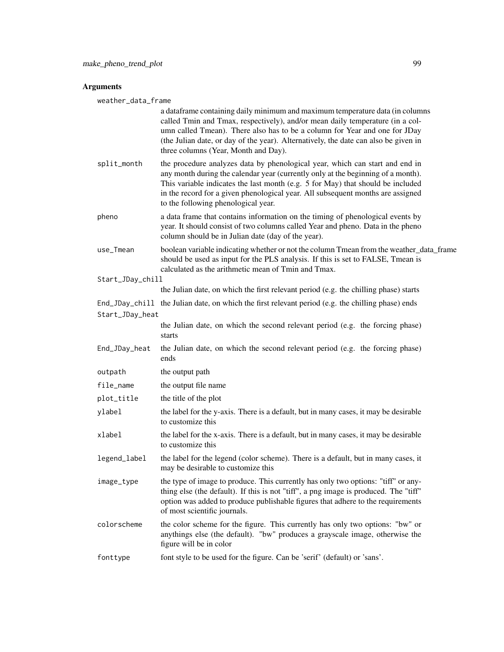## Arguments

weather\_data\_frame

|                  | a dataframe containing daily minimum and maximum temperature data (in columns<br>called Tmin and Tmax, respectively), and/or mean daily temperature (in a col-<br>umn called Tmean). There also has to be a column for Year and one for JDay<br>(the Julian date, or day of the year). Alternatively, the date can also be given in<br>three columns (Year, Month and Day).   |
|------------------|-------------------------------------------------------------------------------------------------------------------------------------------------------------------------------------------------------------------------------------------------------------------------------------------------------------------------------------------------------------------------------|
| split_month      | the procedure analyzes data by phenological year, which can start and end in<br>any month during the calendar year (currently only at the beginning of a month).<br>This variable indicates the last month (e.g. 5 for May) that should be included<br>in the record for a given phenological year. All subsequent months are assigned<br>to the following phenological year. |
| pheno            | a data frame that contains information on the timing of phenological events by<br>year. It should consist of two columns called Year and pheno. Data in the pheno<br>column should be in Julian date (day of the year).                                                                                                                                                       |
| use_Tmean        | boolean variable indicating whether or not the column Tmean from the weather_data_frame<br>should be used as input for the PLS analysis. If this is set to FALSE, Tmean is<br>calculated as the arithmetic mean of Tmin and Tmax.                                                                                                                                             |
| Start_JDay_chill |                                                                                                                                                                                                                                                                                                                                                                               |
|                  | the Julian date, on which the first relevant period (e.g. the chilling phase) starts                                                                                                                                                                                                                                                                                          |
| Start_JDay_heat  | End_JDay_chill the Julian date, on which the first relevant period (e.g. the chilling phase) ends                                                                                                                                                                                                                                                                             |
|                  | the Julian date, on which the second relevant period (e.g. the forcing phase)                                                                                                                                                                                                                                                                                                 |
|                  | starts                                                                                                                                                                                                                                                                                                                                                                        |
| End_JDay_heat    | the Julian date, on which the second relevant period (e.g. the forcing phase)<br>ends                                                                                                                                                                                                                                                                                         |
| outpath          | the output path                                                                                                                                                                                                                                                                                                                                                               |
| file_name        | the output file name                                                                                                                                                                                                                                                                                                                                                          |
| plot_title       | the title of the plot                                                                                                                                                                                                                                                                                                                                                         |
| ylabel           | the label for the y-axis. There is a default, but in many cases, it may be desirable<br>to customize this                                                                                                                                                                                                                                                                     |
| xlabel           | the label for the x-axis. There is a default, but in many cases, it may be desirable<br>to customize this                                                                                                                                                                                                                                                                     |
| legend_label     | the label for the legend (color scheme). There is a default, but in many cases, it<br>may be desirable to customize this                                                                                                                                                                                                                                                      |
| image_type       | the type of image to produce. This currently has only two options: "tiff" or any-<br>thing else (the default). If this is not "tiff", a png image is produced. The "tiff"<br>option was added to produce publishable figures that adhere to the requirements<br>of most scientific journals.                                                                                  |
| colorscheme      | the color scheme for the figure. This currently has only two options: "bw" or<br>anythings else (the default). "bw" produces a grayscale image, otherwise the<br>figure will be in color                                                                                                                                                                                      |
| fonttype         | font style to be used for the figure. Can be 'serif' (default) or 'sans'.                                                                                                                                                                                                                                                                                                     |
|                  |                                                                                                                                                                                                                                                                                                                                                                               |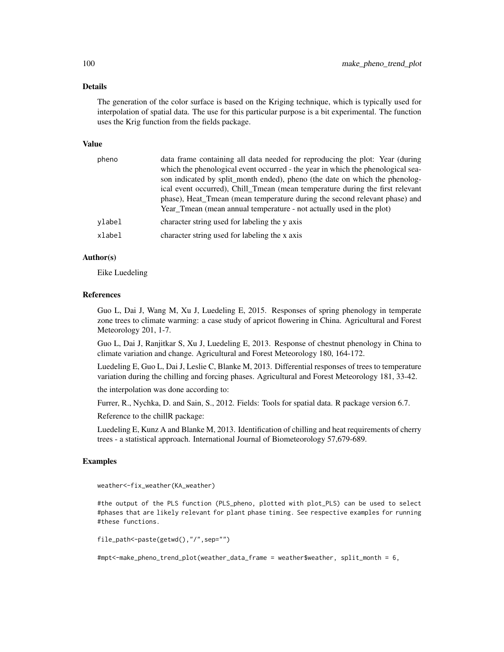#### Details

The generation of the color surface is based on the Kriging technique, which is typically used for interpolation of spatial data. The use for this particular purpose is a bit experimental. The function uses the Krig function from the fields package.

#### Value

| pheno  | data frame containing all data needed for reproducing the plot: Year (during    |
|--------|---------------------------------------------------------------------------------|
|        | which the phenological event occurred - the year in which the phenological sea- |
|        | son indicated by split_month ended), pheno (the date on which the phenolog-     |
|        | ical event occurred), Chill Tmean (mean temperature during the first relevant   |
|        | phase), Heat Tmean (mean temperature during the second relevant phase) and      |
|        | Year Tmean (mean annual temperature - not actually used in the plot)            |
| vlabel | character string used for labeling the y axis                                   |
| xlabel | character string used for labeling the x axis                                   |
|        |                                                                                 |

## Author(s)

Eike Luedeling

#### References

Guo L, Dai J, Wang M, Xu J, Luedeling E, 2015. Responses of spring phenology in temperate zone trees to climate warming: a case study of apricot flowering in China. Agricultural and Forest Meteorology 201, 1-7.

Guo L, Dai J, Ranjitkar S, Xu J, Luedeling E, 2013. Response of chestnut phenology in China to climate variation and change. Agricultural and Forest Meteorology 180, 164-172.

Luedeling E, Guo L, Dai J, Leslie C, Blanke M, 2013. Differential responses of trees to temperature variation during the chilling and forcing phases. Agricultural and Forest Meteorology 181, 33-42.

the interpolation was done according to:

Furrer, R., Nychka, D. and Sain, S., 2012. Fields: Tools for spatial data. R package version 6.7.

Reference to the chillR package:

Luedeling E, Kunz A and Blanke M, 2013. Identification of chilling and heat requirements of cherry trees - a statistical approach. International Journal of Biometeorology 57,679-689.

#### Examples

weather<-fix\_weather(KA\_weather)

#the output of the PLS function (PLS\_pheno, plotted with plot\_PLS) can be used to select #phases that are likely relevant for plant phase timing. See respective examples for running #these functions.

file\_path<-paste(getwd(),"/",sep="")

#mpt<-make\_pheno\_trend\_plot(weather\_data\_frame = weather\$weather, split\_month = 6,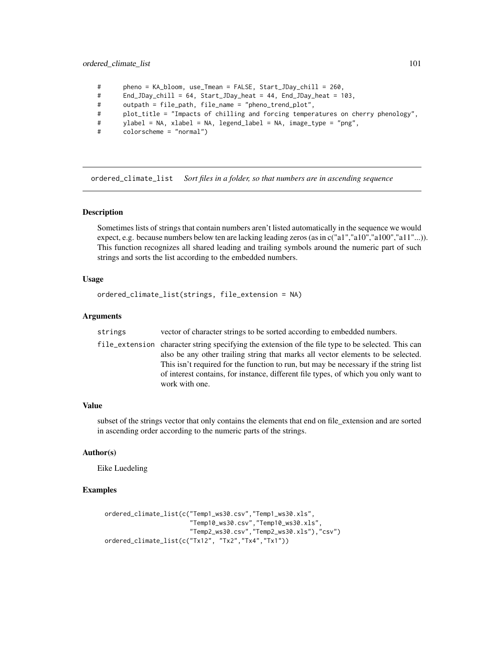## ordered\_climate\_list 101

- # pheno = KA\_bloom, use\_Tmean = FALSE, Start\_JDay\_chill = 260,
- # End\_JDay\_chill = 64, Start\_JDay\_heat = 44, End\_JDay\_heat = 103,
- # outpath = file\_path, file\_name = "pheno\_trend\_plot",
- # plot\_title = "Impacts of chilling and forcing temperatures on cherry phenology",
- # ylabel = NA, xlabel = NA, legend\_label = NA, image\_type = "png",
- # colorscheme = "normal")

ordered\_climate\_list *Sort files in a folder, so that numbers are in ascending sequence*

#### Description

Sometimes lists of strings that contain numbers aren't listed automatically in the sequence we would expect, e.g. because numbers below ten are lacking leading zeros (as in c("a1","a10","a100","a11"...)). This function recognizes all shared leading and trailing symbols around the numeric part of such strings and sorts the list according to the embedded numbers.

#### Usage

```
ordered_climate_list(strings, file_extension = NA)
```
#### Arguments

| strings | vector of character strings to be sorted according to embedded numbers.                                                                                                                                                                                                                                                                                                                 |
|---------|-----------------------------------------------------------------------------------------------------------------------------------------------------------------------------------------------------------------------------------------------------------------------------------------------------------------------------------------------------------------------------------------|
|         | file_extension character string specifying the extension of the file type to be selected. This can<br>also be any other trailing string that marks all vector elements to be selected.<br>This isn't required for the function to run, but may be necessary if the string list<br>of interest contains, for instance, different file types, of which you only want to<br>work with one. |

## Value

subset of the strings vector that only contains the elements that end on file\_extension and are sorted in ascending order according to the numeric parts of the strings.

#### Author(s)

Eike Luedeling

## Examples

```
ordered_climate_list(c("Temp1_ws30.csv","Temp1_ws30.xls",
                       "Temp10_ws30.csv","Temp10_ws30.xls",
                       "Temp2_ws30.csv","Temp2_ws30.xls"),"csv")
ordered_climate_list(c("Tx12", "Tx2","Tx4","Tx1"))
```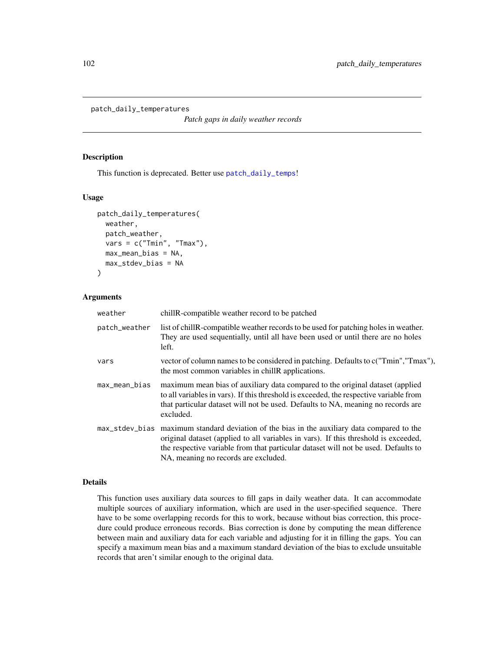```
patch_daily_temperatures
```
*Patch gaps in daily weather records*

#### Description

This function is deprecated. Better use [patch\\_daily\\_temps](#page-102-0)!

#### Usage

```
patch_daily_temperatures(
  weather,
 patch_weather,
  vars = c("Tmin", "Tmax"),
  max_mean_bias = NA,
  max_stdev_bias = NA
)
```
## Arguments

| weather       | chillR-compatible weather record to be patched                                                                                                                                                                                                                                                                   |
|---------------|------------------------------------------------------------------------------------------------------------------------------------------------------------------------------------------------------------------------------------------------------------------------------------------------------------------|
| patch_weather | list of chill R-compatible weather records to be used for patching holes in weather.<br>They are used sequentially, until all have been used or until there are no holes<br>left.                                                                                                                                |
| vars          | vector of column names to be considered in patching. Defaults to c("Tmin","Tmax"),<br>the most common variables in chill R applications.                                                                                                                                                                         |
| max_mean_bias | maximum mean bias of auxiliary data compared to the original dataset (applied<br>to all variables in vars). If this threshold is exceeded, the respective variable from<br>that particular dataset will not be used. Defaults to NA, meaning no records are<br>excluded.                                         |
|               | max_stdev_bias maximum standard deviation of the bias in the auxiliary data compared to the<br>original dataset (applied to all variables in vars). If this threshold is exceeded,<br>the respective variable from that particular dataset will not be used. Defaults to<br>NA, meaning no records are excluded. |

#### Details

This function uses auxiliary data sources to fill gaps in daily weather data. It can accommodate multiple sources of auxiliary information, which are used in the user-specified sequence. There have to be some overlapping records for this to work, because without bias correction, this procedure could produce erroneous records. Bias correction is done by computing the mean difference between main and auxiliary data for each variable and adjusting for it in filling the gaps. You can specify a maximum mean bias and a maximum standard deviation of the bias to exclude unsuitable records that aren't similar enough to the original data.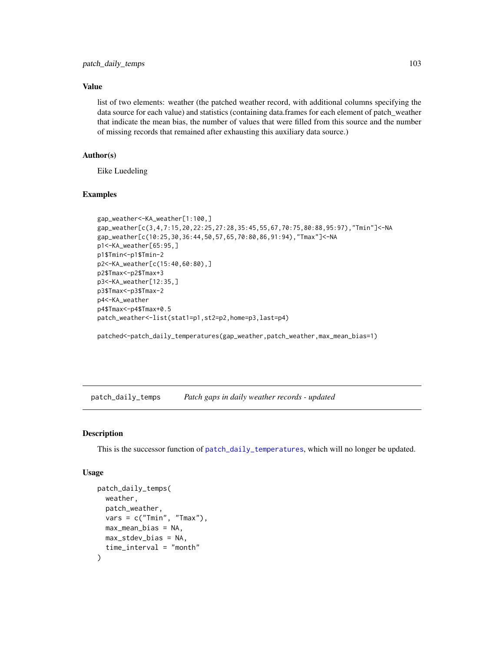## Value

list of two elements: weather (the patched weather record, with additional columns specifying the data source for each value) and statistics (containing data.frames for each element of patch\_weather that indicate the mean bias, the number of values that were filled from this source and the number of missing records that remained after exhausting this auxiliary data source.)

## Author(s)

Eike Luedeling

## Examples

```
gap_weather<-KA_weather[1:100,]
gap_weather[c(3,4,7:15,20,22:25,27:28,35:45,55,67,70:75,80:88,95:97),"Tmin"]<-NA
gap_weather[c(10:25,30,36:44,50,57,65,70:80,86,91:94),"Tmax"]<-NA
p1<-KA_weather[65:95,]
p1$Tmin<-p1$Tmin-2
p2<-KA_weather[c(15:40,60:80),]
p2$Tmax<-p2$Tmax+3
p3<-KA_weather[12:35,]
p3$Tmax<-p3$Tmax-2
p4<-KA_weather
p4$Tmax<-p4$Tmax+0.5
patch_weather<-list(stat1=p1,st2=p2,home=p3,last=p4)
```
patched<-patch\_daily\_temperatures(gap\_weather,patch\_weather,max\_mean\_bias=1)

<span id="page-102-0"></span>patch\_daily\_temps *Patch gaps in daily weather records - updated*

#### Description

This is the successor function of [patch\\_daily\\_temperatures](#page-101-0), which will no longer be updated.

#### Usage

```
patch_daily_temps(
 weather,
  patch_weather,
  vars = c("Tmin", "Tmax"),
 max_mean_bias = NA,
 max_stdev_bias = NA,
  time_interval = "month"
)
```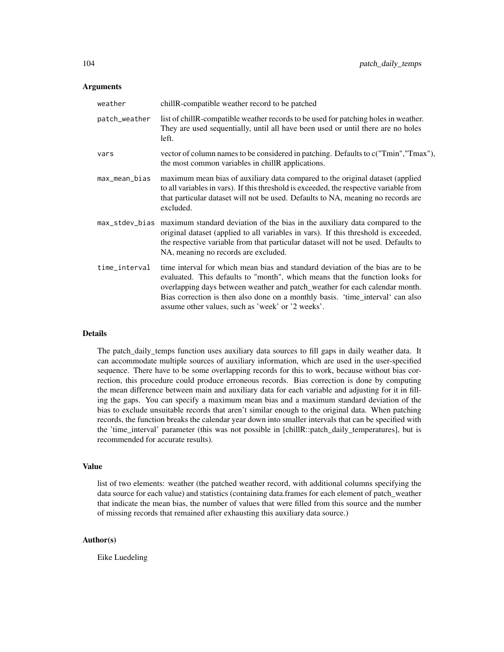#### Arguments

| weather       | chillR-compatible weather record to be patched                                                                                                                                                                                                                                                                                                                                       |
|---------------|--------------------------------------------------------------------------------------------------------------------------------------------------------------------------------------------------------------------------------------------------------------------------------------------------------------------------------------------------------------------------------------|
| patch_weather | list of chillR-compatible weather records to be used for patching holes in weather.<br>They are used sequentially, until all have been used or until there are no holes<br>left.                                                                                                                                                                                                     |
| vars          | vector of column names to be considered in patching. Defaults to c("Tmin", "Tmax"),<br>the most common variables in chillR applications.                                                                                                                                                                                                                                             |
| max_mean_bias | maximum mean bias of auxiliary data compared to the original dataset (applied<br>to all variables in vars). If this threshold is exceeded, the respective variable from<br>that particular dataset will not be used. Defaults to NA, meaning no records are<br>excluded.                                                                                                             |
|               | max_stdev_bias maximum standard deviation of the bias in the auxiliary data compared to the<br>original dataset (applied to all variables in vars). If this threshold is exceeded,<br>the respective variable from that particular dataset will not be used. Defaults to<br>NA, meaning no records are excluded.                                                                     |
| time_interval | time interval for which mean bias and standard deviation of the bias are to be<br>evaluated. This defaults to "month", which means that the function looks for<br>overlapping days between weather and patch_weather for each calendar month.<br>Bias correction is then also done on a monthly basis. 'time_interval' can also<br>assume other values, such as 'week' or '2 weeks'. |

#### Details

The patch\_daily\_temps function uses auxiliary data sources to fill gaps in daily weather data. It can accommodate multiple sources of auxiliary information, which are used in the user-specified sequence. There have to be some overlapping records for this to work, because without bias correction, this procedure could produce erroneous records. Bias correction is done by computing the mean difference between main and auxiliary data for each variable and adjusting for it in filling the gaps. You can specify a maximum mean bias and a maximum standard deviation of the bias to exclude unsuitable records that aren't similar enough to the original data. When patching records, the function breaks the calendar year down into smaller intervals that can be specified with the 'time\_interval' parameter (this was not possible in [chillR::patch\_daily\_temperatures], but is recommended for accurate results).

## Value

list of two elements: weather (the patched weather record, with additional columns specifying the data source for each value) and statistics (containing data.frames for each element of patch\_weather that indicate the mean bias, the number of values that were filled from this source and the number of missing records that remained after exhausting this auxiliary data source.)

#### Author(s)

Eike Luedeling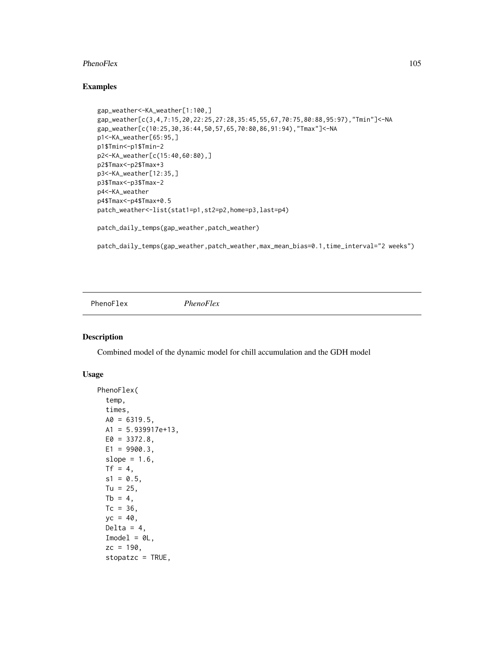#### PhenoFlex 105

## Examples

```
gap_weather<-KA_weather[1:100,]
gap_weather[c(3,4,7:15,20,22:25,27:28,35:45,55,67,70:75,80:88,95:97),"Tmin"]<-NA
gap_weather[c(10:25,30,36:44,50,57,65,70:80,86,91:94),"Tmax"]<-NA
p1<-KA_weather[65:95,]
p1$Tmin<-p1$Tmin-2
p2<-KA_weather[c(15:40,60:80),]
p2$Tmax<-p2$Tmax+3
p3<-KA_weather[12:35,]
p3$Tmax<-p3$Tmax-2
p4<-KA_weather
p4$Tmax<-p4$Tmax+0.5
patch_weather<-list(stat1=p1,st2=p2,home=p3,last=p4)
patch_daily_temps(gap_weather,patch_weather)
```
patch\_daily\_temps(gap\_weather,patch\_weather,max\_mean\_bias=0.1,time\_interval="2 weeks")

<span id="page-104-0"></span>PhenoFlex *PhenoFlex*

#### Description

Combined model of the dynamic model for chill accumulation and the GDH model

#### Usage

```
PhenoFlex(
  temp,
  times,
 A0 = 6319.5,
 A1 = 5.939917e+13,
 E0 = 3372.8,
 E1 = 9900.3,
  slope = 1.6,
  Tf = 4,
  s1 = 0.5,
 Tu = 25,
 Tb = 4,
  Tc = 36.
  yc = 40,
  Delta = 4,
  Imodel = 0L,
  zc = 190,stopatzc = TRUE,
```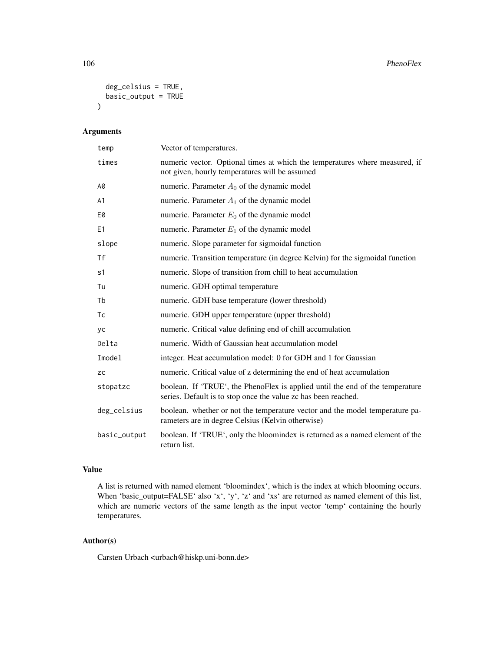```
deg_celsius = TRUE,
  basic_output = TRUE
\mathcal{L}
```
## Arguments

| temp           | Vector of temperatures.                                                                                                                         |
|----------------|-------------------------------------------------------------------------------------------------------------------------------------------------|
| times          | numeric vector. Optional times at which the temperatures where measured, if<br>not given, hourly temperatures will be assumed                   |
| A0             | numeric. Parameter $A_0$ of the dynamic model                                                                                                   |
| A1             | numeric. Parameter $A_1$ of the dynamic model                                                                                                   |
| E0             | numeric. Parameter $E_0$ of the dynamic model                                                                                                   |
| E <sub>1</sub> | numeric. Parameter $E_1$ of the dynamic model                                                                                                   |
| slope          | numeric. Slope parameter for sigmoidal function                                                                                                 |
| <b>Tf</b>      | numeric. Transition temperature (in degree Kelvin) for the sigmoidal function                                                                   |
| s1             | numeric. Slope of transition from chill to heat accumulation                                                                                    |
| Tu             | numeric. GDH optimal temperature                                                                                                                |
| Tb             | numeric. GDH base temperature (lower threshold)                                                                                                 |
| Tc             | numeric. GDH upper temperature (upper threshold)                                                                                                |
| уc             | numeric. Critical value defining end of chill accumulation                                                                                      |
| Delta          | numeric. Width of Gaussian heat accumulation model                                                                                              |
| Imodel         | integer. Heat accumulation model: 0 for GDH and 1 for Gaussian                                                                                  |
| <b>ZC</b>      | numeric. Critical value of z determining the end of heat accumulation                                                                           |
| stopatzc       | boolean. If 'TRUE', the PhenoFlex is applied until the end of the temperature<br>series. Default is to stop once the value zc has been reached. |
| deg_celsius    | boolean. whether or not the temperature vector and the model temperature pa-<br>rameters are in degree Celsius (Kelvin otherwise)               |
| basic_output   | boolean. If 'TRUE', only the bloomindex is returned as a named element of the<br>return list.                                                   |

## Value

A list is returned with named element 'bloomindex', which is the index at which blooming occurs. When 'basic\_output=FALSE' also 'x', 'y', 'z' and 'xs' are returned as named element of this list, which are numeric vectors of the same length as the input vector 'temp' containing the hourly temperatures.

## Author(s)

Carsten Urbach <urbach@hiskp.uni-bonn.de>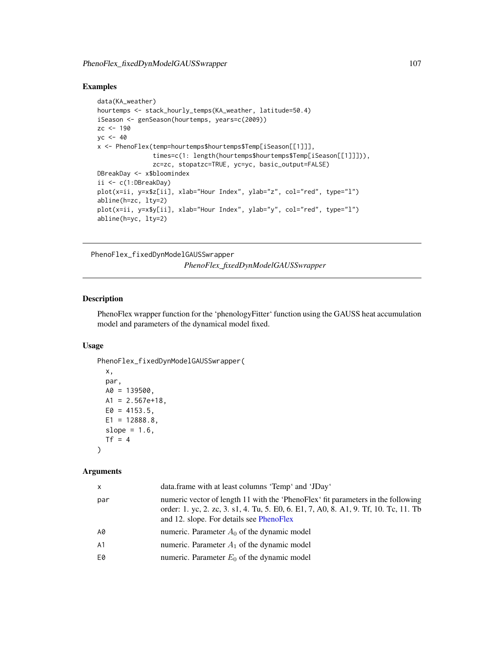## Examples

```
data(KA_weather)
hourtemps <- stack_hourly_temps(KA_weather, latitude=50.4)
iSeason <- genSeason(hourtemps, years=c(2009))
zc <-190yc < -40x <- PhenoFlex(temp=hourtemps$hourtemps$Temp[iSeason[[1]]],
               times=c(1: length(hourtemps$hourtemps$Temp[iSeason[[1]]])),
              zc=zc, stopatzc=TRUE, yc=yc, basic_output=FALSE)
DBreakDay <- x$bloomindex
ii <- c(1:DBreakDay)
plot(x=ii, y=x$z[ii], xlab="Hour Index", ylab="z", col="red", type="l")
abline(h=zc, lty=2)
plot(x=ii, y=x$y[ii], xlab="Hour Index", ylab="y", col="red", type="l")
abline(h=yc, lty=2)
```

```
PhenoFlex_fixedDynModelGAUSSwrapper
                      PhenoFlex_fixedDynModelGAUSSwrapper
```
## Description

PhenoFlex wrapper function for the 'phenologyFitter' function using the GAUSS heat accumulation model and parameters of the dynamical model fixed.

#### Usage

```
PhenoFlex_fixedDynModelGAUSSwrapper(
 x,
 par,
 A0 = 139500,
 A1 = 2.567e + 18,
 E0 = 4153.5,
 E1 = 12888.8,
 slope = 1.6,
```
# )

 $Tf = 4$ 

## Arguments

| x   | data.frame with at least columns 'Temp' and 'JDay'                                                                                                                                                                   |
|-----|----------------------------------------------------------------------------------------------------------------------------------------------------------------------------------------------------------------------|
| par | numeric vector of length 11 with the 'PhenoFlex' fit parameters in the following<br>order: 1. yc, 2. zc, 3. s1, 4. Tu, 5. E0, 6. E1, 7, A0, 8. A1, 9. Tf, 10. Tc, 11. Tb<br>and 12. slope. For details see PhenoFlex |
| A0  | numeric. Parameter $A_0$ of the dynamic model                                                                                                                                                                        |
| А1  | numeric. Parameter $A_1$ of the dynamic model                                                                                                                                                                        |
| E0  | numeric. Parameter $E_0$ of the dynamic model                                                                                                                                                                        |
|     |                                                                                                                                                                                                                      |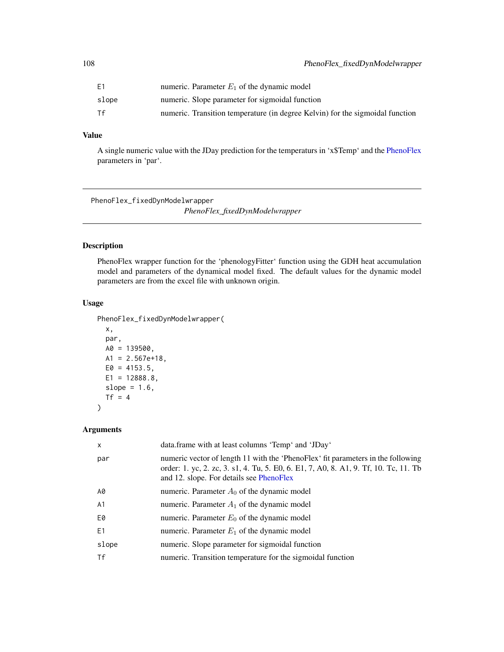| E1    | numeric. Parameter $E_1$ of the dynamic model                                 |
|-------|-------------------------------------------------------------------------------|
| slope | numeric. Slope parameter for sigmoidal function                               |
| Tf    | numeric. Transition temperature (in degree Kelvin) for the sigmoidal function |

## Value

A single numeric value with the JDay prediction for the temperaturs in 'x\$Temp' and the [PhenoFlex](#page-104-0) parameters in 'par'.

PhenoFlex\_fixedDynModelwrapper

*PhenoFlex\_fixedDynModelwrapper*

## Description

PhenoFlex wrapper function for the 'phenologyFitter' function using the GDH heat accumulation model and parameters of the dynamical model fixed. The default values for the dynamic model parameters are from the excel file with unknown origin.

## Usage

PhenoFlex\_fixedDynModelwrapper(

```
x,
par,
A0 = 139500,
A1 = 2.567e+18,
E0 = 4153.5,
E1 = 12888.8,
slope = 1.6,
Tf = 4
```
## Arguments

 $\mathcal{L}$ 

| X              | data.frame with at least columns 'Temp' and 'JDay'                                                                                                                                                                   |
|----------------|----------------------------------------------------------------------------------------------------------------------------------------------------------------------------------------------------------------------|
| par            | numeric vector of length 11 with the 'PhenoFlex' fit parameters in the following<br>order: 1. yc, 2. zc, 3. s1, 4. Tu, 5. E0, 6. E1, 7, A0, 8. A1, 9. Tf, 10. Tc, 11. Tb<br>and 12. slope. For details see PhenoFlex |
| A0             | numeric. Parameter $A_0$ of the dynamic model                                                                                                                                                                        |
| A <sub>1</sub> | numeric. Parameter $A_1$ of the dynamic model                                                                                                                                                                        |
| E0             | numeric. Parameter $E_0$ of the dynamic model                                                                                                                                                                        |
| E1             | numeric. Parameter $E_1$ of the dynamic model                                                                                                                                                                        |
| slope          | numeric. Slope parameter for sigmoidal function                                                                                                                                                                      |
| Τf             | numeric. Transition temperature for the sigmoidal function                                                                                                                                                           |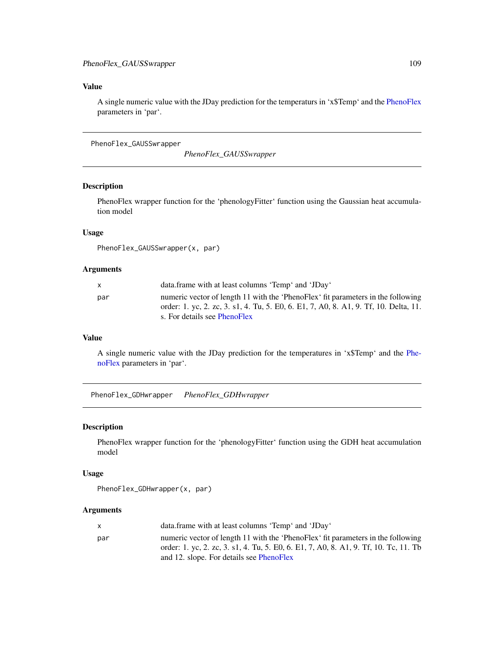# Value

A single numeric value with the JDay prediction for the temperaturs in 'x\$Temp' and the [PhenoFlex](#page-104-0) parameters in 'par'.

<span id="page-108-0"></span>PhenoFlex\_GAUSSwrapper

*PhenoFlex\_GAUSSwrapper*

# Description

PhenoFlex wrapper function for the 'phenologyFitter' function using the Gaussian heat accumulation model

## Usage

```
PhenoFlex_GAUSSwrapper(x, par)
```
#### Arguments

|     | data.frame with at least columns 'Temp' and 'JDay'                                   |
|-----|--------------------------------------------------------------------------------------|
| par | numeric vector of length 11 with the 'PhenoFlex' fit parameters in the following     |
|     | order: 1. yc, 2. zc, 3. s1, 4. Tu, 5. E0, 6. E1, 7, A0, 8. A1, 9. Tf, 10. Delta, 11. |
|     | s. For details see PhenoFlex                                                         |

## Value

A single numeric value with the JDay prediction for the temperatures in 'x\$Temp' and the [Phe](#page-104-0)[noFlex](#page-104-0) parameters in 'par'.

PhenoFlex\_GDHwrapper *PhenoFlex\_GDHwrapper*

## Description

PhenoFlex wrapper function for the 'phenologyFitter' function using the GDH heat accumulation model

## Usage

```
PhenoFlex_GDHwrapper(x, par)
```
#### Arguments

|     | data.frame with at least columns 'Temp' and 'JDay'                                   |
|-----|--------------------------------------------------------------------------------------|
| par | numeric vector of length 11 with the 'PhenoFlex' fit parameters in the following     |
|     | order: 1, yc, 2, zc, 3, s1, 4, Tu, 5, E0, 6, E1, 7, A0, 8, A1, 9, Tf, 10, Tc, 11, Tb |
|     | and 12. slope. For details see PhenoFlex                                             |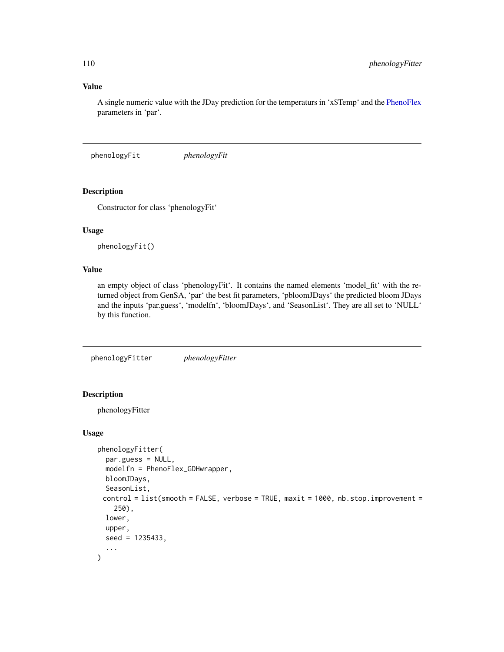## Value

A single numeric value with the JDay prediction for the temperaturs in 'x\$Temp' and the [PhenoFlex](#page-104-0) parameters in 'par'.

<span id="page-109-0"></span>phenologyFit *phenologyFit*

## Description

Constructor for class 'phenologyFit'

# Usage

phenologyFit()

#### Value

an empty object of class 'phenologyFit'. It contains the named elements 'model\_fit' with the returned object from GenSA, 'par' the best fit parameters, 'pbloomJDays' the predicted bloom JDays and the inputs 'par.guess', 'modelfn', 'bloomJDays', and 'SeasonList'. They are all set to 'NULL' by this function.

phenologyFitter *phenologyFitter*

# Description

phenologyFitter

## Usage

```
phenologyFitter(
 par.guess = NULL,
  modelfn = PhenoFlex_GDHwrapper,
 bloomJDays,
  SeasonList,
 control = list(smooth = FALSE, verbose = TRUE, maxit = 1000, nb.stop.improvement =
    250),
  lower,
  upper,
  seed = 1235433,
  ...
)
```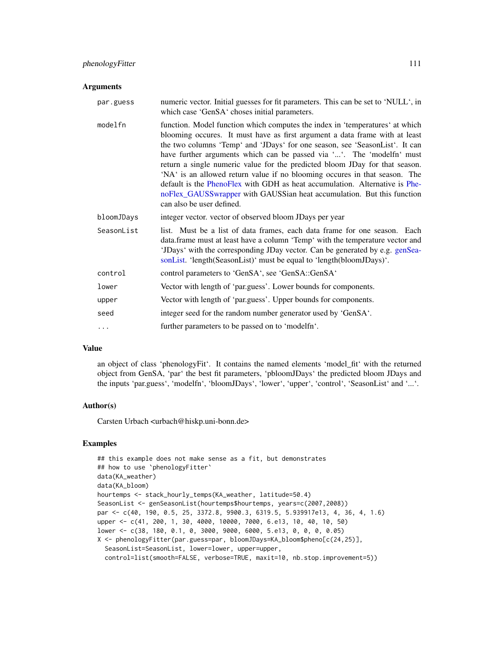#### **Arguments**

| numeric vector. Initial guesses for fit parameters. This can be set to 'NULL', in<br>which case 'GenSA' choses initial parameters.                                                                                                                                                                                                                                                                                                                                                                                                                                                                                                                                     |
|------------------------------------------------------------------------------------------------------------------------------------------------------------------------------------------------------------------------------------------------------------------------------------------------------------------------------------------------------------------------------------------------------------------------------------------------------------------------------------------------------------------------------------------------------------------------------------------------------------------------------------------------------------------------|
| function. Model function which computes the index in 'temperatures' at which<br>blooming occures. It must have as first argument a data frame with at least<br>the two columns 'Temp' and 'JDays' for one season, see 'SeasonList'. It can<br>have further arguments which can be passed via ''. The 'modelfn' must<br>return a single numeric value for the predicted bloom JDay for that season.<br>'NA' is an allowed return value if no blooming occures in that season. The<br>default is the PhenoFlex with GDH as heat accumulation. Alternative is Phe-<br>noFlex_GAUSSwrapper with GAUSSian heat accumulation. But this function<br>can also be user defined. |
| integer vector. vector of observed bloom JDays per year                                                                                                                                                                                                                                                                                                                                                                                                                                                                                                                                                                                                                |
| list. Must be a list of data frames, each data frame for one season. Each<br>data.frame must at least have a column 'Temp' with the temperature vector and<br>'JDays' with the corresponding JDay vector. Can be generated by e.g. genSea-<br>sonList. 'length(SeasonList)' must be equal to 'length(bloomJDays)'.                                                                                                                                                                                                                                                                                                                                                     |
| control parameters to 'GenSA', see 'GenSA::GenSA'                                                                                                                                                                                                                                                                                                                                                                                                                                                                                                                                                                                                                      |
| Vector with length of 'par.guess'. Lower bounds for components.                                                                                                                                                                                                                                                                                                                                                                                                                                                                                                                                                                                                        |
| Vector with length of 'par.guess'. Upper bounds for components.                                                                                                                                                                                                                                                                                                                                                                                                                                                                                                                                                                                                        |
| integer seed for the random number generator used by 'GenSA'.                                                                                                                                                                                                                                                                                                                                                                                                                                                                                                                                                                                                          |
| further parameters to be passed on to 'modelfn'.                                                                                                                                                                                                                                                                                                                                                                                                                                                                                                                                                                                                                       |
|                                                                                                                                                                                                                                                                                                                                                                                                                                                                                                                                                                                                                                                                        |

# Value

an object of class 'phenologyFit'. It contains the named elements 'model\_fit' with the returned object from GenSA, 'par' the best fit parameters, 'pbloomJDays' the predicted bloom JDays and the inputs 'par.guess', 'modelfn', 'bloomJDays', 'lower', 'upper', 'control', 'SeasonList' and '...'.

## Author(s)

Carsten Urbach <urbach@hiskp.uni-bonn.de>

## Examples

```
## this example does not make sense as a fit, but demonstrates
## how to use `phenologyFitter`
data(KA_weather)
data(KA_bloom)
hourtemps <- stack_hourly_temps(KA_weather, latitude=50.4)
SeasonList <- genSeasonList(hourtemps$hourtemps, years=c(2007,2008))
par <- c(40, 190, 0.5, 25, 3372.8, 9900.3, 6319.5, 5.939917e13, 4, 36, 4, 1.6)
upper <- c(41, 200, 1, 30, 4000, 10000, 7000, 6.e13, 10, 40, 10, 50)
lower <- c(38, 180, 0.1, 0, 3000, 9000, 6000, 5.e13, 0, 0, 0, 0.05)
X <- phenologyFitter(par.guess=par, bloomJDays=KA_bloom$pheno[c(24,25)],
  SeasonList=SeasonList, lower=lower, upper=upper,
  control=list(smooth=FALSE, verbose=TRUE, maxit=10, nb.stop.improvement=5))
```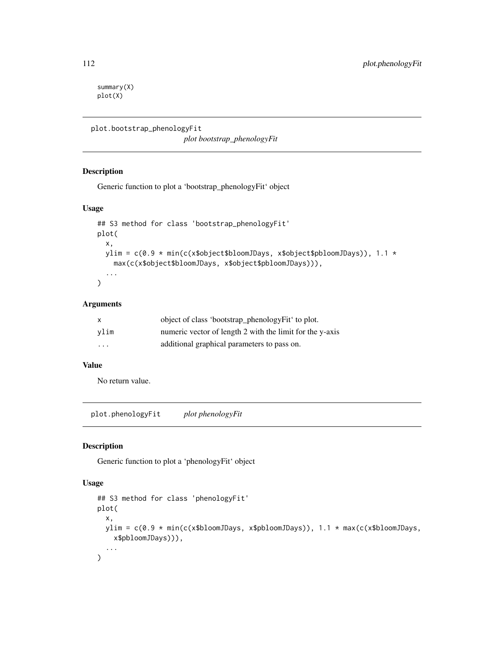summary(X) plot(X)

```
plot.bootstrap_phenologyFit
```
*plot bootstrap\_phenologyFit*

## Description

Generic function to plot a 'bootstrap\_phenologyFit' object

# Usage

```
## S3 method for class 'bootstrap_phenologyFit'
plot(
 x,
 ylim = c(0.9 * min(c(x$object$bloomJDays, x$object$pbloomJDays)), 1.1 *
   max(c(x$object$bloomJDays, x$object$pbloomJDays))),
  ...
)
```
# Arguments

| X    | object of class 'bootstrap_phenologyFit' to plot.        |
|------|----------------------------------------------------------|
| vlim | numeric vector of length 2 with the limit for the y-axis |
| .    | additional graphical parameters to pass on.              |

#### Value

No return value.

plot.phenologyFit *plot phenologyFit*

# Description

Generic function to plot a 'phenologyFit' object

## Usage

```
## S3 method for class 'phenologyFit'
plot(
  x,
 ylim = c(0.9 * min(c(x$bloomJDays, x$pbloomJDays)), 1.1 * max(c(x$bloomJDays,
    x$pbloomJDays))),
  ...
\mathcal{E}
```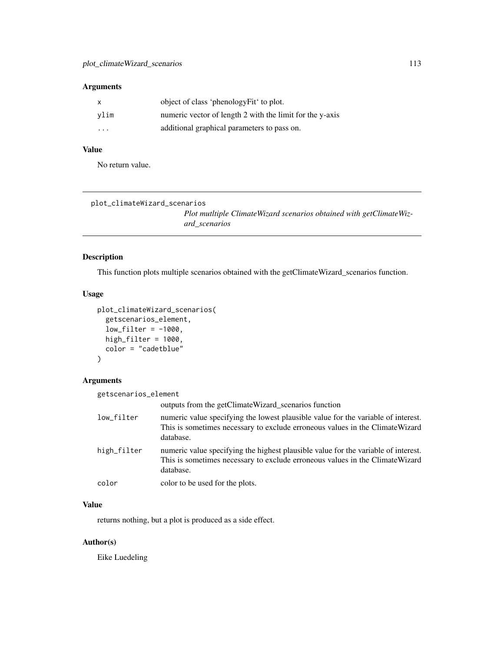## Arguments

|          | object of class 'phenologyFit' to plot.                  |
|----------|----------------------------------------------------------|
| vlim     | numeric vector of length 2 with the limit for the y-axis |
| $\cdots$ | additional graphical parameters to pass on.              |

# Value

No return value.

plot\_climateWizard\_scenarios

*Plot mutltiple ClimateWizard scenarios obtained with getClimateWizard\_scenarios*

# Description

This function plots multiple scenarios obtained with the getClimateWizard\_scenarios function.

# Usage

```
plot_climateWizard_scenarios(
  getscenarios_element,
  low_fitter = -1000,
  high_filter = 1000,
  color = "cadetblue"
\mathcal{L}
```
# Arguments

| getscenarios_element |                                                                                                                                                                                  |
|----------------------|----------------------------------------------------------------------------------------------------------------------------------------------------------------------------------|
|                      | outputs from the getClimateWizard scenarios function                                                                                                                             |
| low_filter           | numeric value specifying the lowest plausible value for the variable of interest.<br>This is sometimes necessary to exclude erroneous values in the Climate Wizard<br>database.  |
| high_filter          | numeric value specifying the highest plausible value for the variable of interest.<br>This is sometimes necessary to exclude erroneous values in the Climate Wizard<br>database. |
| color                | color to be used for the plots.                                                                                                                                                  |

# Value

returns nothing, but a plot is produced as a side effect.

# Author(s)

Eike Luedeling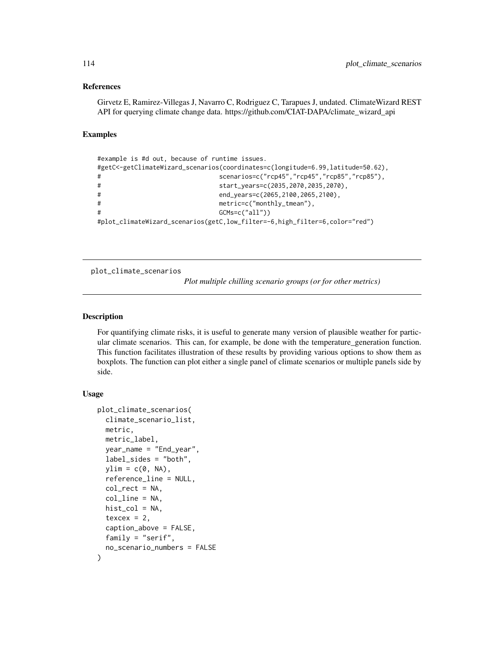#### References

Girvetz E, Ramirez-Villegas J, Navarro C, Rodriguez C, Tarapues J, undated. ClimateWizard REST API for querying climate change data. https://github.com/CIAT-DAPA/climate\_wizard\_api

## Examples

```
#example is #d out, because of runtime issues.
#getC<-getClimateWizard_scenarios(coordinates=c(longitude=6.99,latitude=50.62),
# scenarios=c("rcp45","rcp45","rcp85","rcp85"),
# start_years=c(2035,2070,2035,2070),
# end_years=c(2065,2100,2065,2100),
# metric=c("monthly_tmean"),
# GCMs=c("all"))
#plot_climateWizard_scenarios(getC,low_filter=-6,high_filter=6,color="red")
```
plot\_climate\_scenarios

*Plot multiple chilling scenario groups (or for other metrics)*

## Description

For quantifying climate risks, it is useful to generate many version of plausible weather for particular climate scenarios. This can, for example, be done with the temperature\_generation function. This function facilitates illustration of these results by providing various options to show them as boxplots. The function can plot either a single panel of climate scenarios or multiple panels side by side.

## Usage

```
plot_climate_scenarios(
  climate_scenario_list,
 metric,
 metric_label,
 year_name = "End_year",
  label_sides = "both",
  ylim = c(0, NA),
  reference_line = NULL,
  col\_rect = NA,
  col_line = NA,
  hist_{col} = NA,
  texcex = 2,
  caption_above = FALSE,
  family = "serif",
  no_scenario_numbers = FALSE
)
```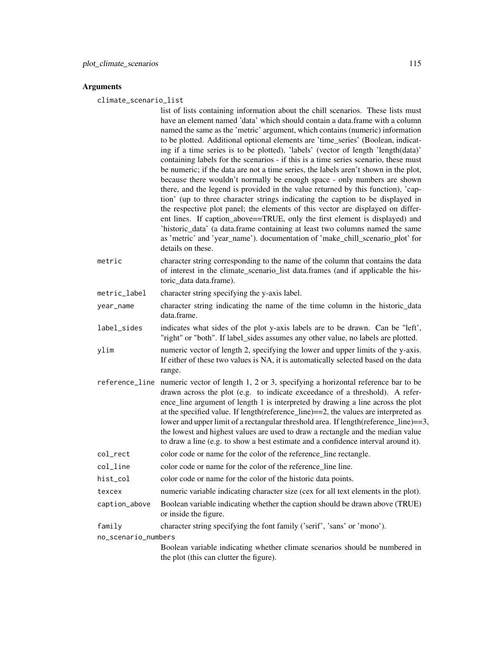#### Arguments

climate\_scenario\_list

- list of lists containing information about the chill scenarios. These lists must have an element named 'data' which should contain a data.frame with a column named the same as the 'metric' argument, which contains (numeric) information to be plotted. Additional optional elements are 'time\_series' (Boolean, indicating if a time series is to be plotted), 'labels' (vector of length 'length(data)' containing labels for the scenarios - if this is a time series scenario, these must be numeric; if the data are not a time series, the labels aren't shown in the plot, because there wouldn't normally be enough space - only numbers are shown there, and the legend is provided in the value returned by this function), 'caption' (up to three character strings indicating the caption to be displayed in the respective plot panel; the elements of this vector are displayed on different lines. If caption above==TRUE, only the first element is displayed) and 'historic\_data' (a data.frame containing at least two columns named the same as 'metric' and 'year\_name'). documentation of 'make\_chill\_scenario\_plot' for details on these.
- metric character string corresponding to the name of the column that contains the data of interest in the climate\_scenario\_list data.frames (and if applicable the historic\_data data.frame).

metric\_label character string specifying the y-axis label.

- year\_name character string indicating the name of the time column in the historic\_data data.frame.
- label\_sides indicates what sides of the plot y-axis labels are to be drawn. Can be "left', "right" or "both". If label\_sides assumes any other value, no labels are plotted.
- ylim numeric vector of length 2, specifying the lower and upper limits of the y-axis. If either of these two values is NA, it is automatically selected based on the data range.
- reference\_line numeric vector of length 1, 2 or 3, specifying a horizontal reference bar to be drawn across the plot (e.g. to indicate exceedance of a threshold). A reference\_line argument of length 1 is interpreted by drawing a line across the plot at the specified value. If length(reference\_line)==2, the values are interpreted as lower and upper limit of a rectangular threshold area. If length(reference\_line)==3, the lowest and highest values are used to draw a rectangle and the median value to draw a line (e.g. to show a best estimate and a confidence interval around it).
- col\_rect color code or name for the color of the reference\_line rectangle.
- col\_line color code or name for the color of the reference\_line line.
- hist\_col color code or name for the color of the historic data points.
- texcex numeric variable indicating character size (cex for all text elements in the plot).
- caption\_above Boolean variable indicating whether the caption should be drawn above (TRUE) or inside the figure.
- family character string specifying the font family ('serif', 'sans' or 'mono').

no\_scenario\_numbers

Boolean variable indicating whether climate scenarios should be numbered in the plot (this can clutter the figure).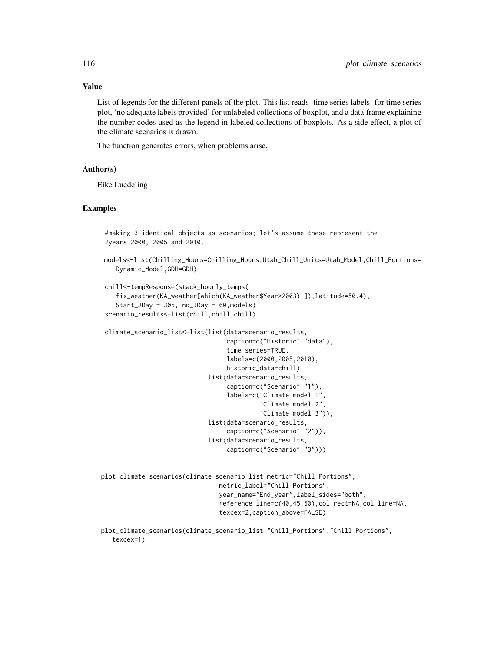## Value

List of legends for the different panels of the plot. This list reads 'time series labels' for time series plot, 'no adequate labels provided' for unlabeled collections of boxplot, and a data.frame explaining the number codes used as the legend in labeled collections of boxplots. As a side effect, a plot of the climate scenarios is drawn.

The function generates errors, when problems arise.

#### Author(s)

Eike Luedeling

## Examples

```
#making 3 identical objects as scenarios; let's assume these represent the
#years 2000, 2005 and 2010.
models<-list(Chilling_Hours=Chilling_Hours,Utah_Chill_Units=Utah_Model,Chill_Portions=
    Dynamic_Model,GDH=GDH)
chill<-tempResponse(stack_hourly_temps(
    fix_weather(KA_weather[which(KA_weather$Year>2003),]),latitude=50.4),
    Start_JDay = 305,End_JDay = 60,models)
scenario_results<-list(chill,chill,chill)
climate_scenario_list<-list(list(data=scenario_results,
                                  caption=c("Historic","data"),
                                  time_series=TRUE,
                                  labels=c(2000,2005,2010),
                                  historic_data=chill),
                             list(data=scenario_results,
                                  caption=c("Scenario","1"),
                                  labels=c("Climate model 1",
                                           "Climate model 2",
                                           "Climate model 3")),
                             list(data=scenario_results,
                                  caption=c("Scenario","2")),
                             list(data=scenario_results,
                                  caption=c("Scenario","3")))
plot_climate_scenarios(climate_scenario_list,metric="Chill_Portions",
                                metric_label="Chill Portions",
                                year_name="End_year",label_sides="both",
                                reference_line=c(40,45,50),col_rect=NA,col_line=NA,
                                texcex=2,caption_above=FALSE)
plot_climate_scenarios(climate_scenario_list,"Chill_Portions","Chill Portions",
```

```
texcex=1)
```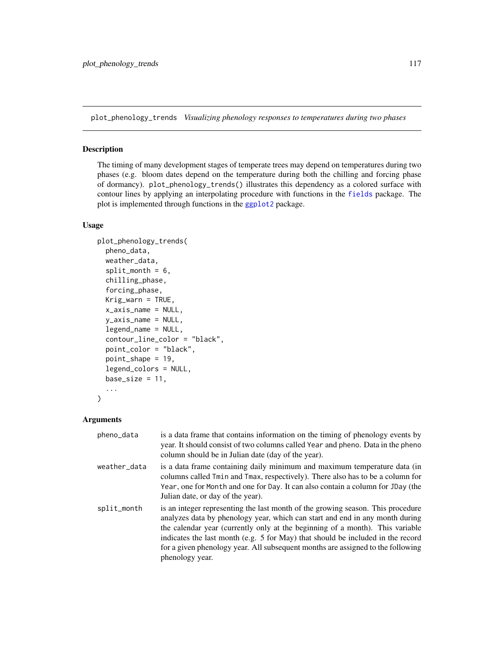plot\_phenology\_trends *Visualizing phenology responses to temperatures during two phases*

# Description

The timing of many development stages of temperate trees may depend on temperatures during two phases (e.g. bloom dates depend on the temperature during both the chilling and forcing phase of dormancy). plot\_phenology\_trends() illustrates this dependency as a colored surface with contour lines by applying an interpolating procedure with functions in the [fields](#page-0-0) package. The plot is implemented through functions in the [ggplot2](#page-0-0) package.

#### Usage

```
plot_phenology_trends(
 pheno_data,
 weather_data,
  split\_month = 6,
  chilling_phase,
  forcing_phase,
 Krig_warn = TRUE,
  x_axis_name = NULL,
 y_axis_name = NULL,
  legend_name = NULL,
  contour_line_color = "black",
 point_color = "black",
 point_shape = 19,
  legend_colors = NULL,
 base_size = 11,
  ...
\mathcal{L}
```
## Arguments

| pheno_data   | is a data frame that contains information on the timing of phenology events by<br>year. It should consist of two columns called Year and pheno. Data in the pheno<br>column should be in Julian date (day of the year).                                                                                                                                                                                                                   |
|--------------|-------------------------------------------------------------------------------------------------------------------------------------------------------------------------------------------------------------------------------------------------------------------------------------------------------------------------------------------------------------------------------------------------------------------------------------------|
| weather_data | is a data frame containing daily minimum and maximum temperature data (in<br>columns called Tmin and Tmax, respectively). There also has to be a column for<br>Year, one for Month and one for Day. It can also contain a column for JDay (the<br>Julian date, or day of the year).                                                                                                                                                       |
| split_month  | is an integer representing the last month of the growing season. This procedure<br>analyzes data by phenology year, which can start and end in any month during<br>the calendar year (currently only at the beginning of a month). This variable<br>indicates the last month (e.g. 5 for May) that should be included in the record<br>for a given phenology year. All subsequent months are assigned to the following<br>phenology year. |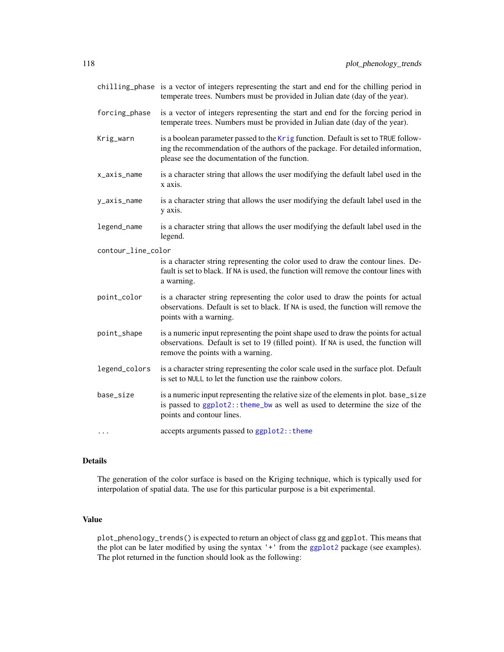|                    | chilling_phase is a vector of integers representing the start and end for the chilling period in<br>temperate trees. Numbers must be provided in Julian date (day of the year).                                        |
|--------------------|------------------------------------------------------------------------------------------------------------------------------------------------------------------------------------------------------------------------|
| forcing_phase      | is a vector of integers representing the start and end for the forcing period in<br>temperate trees. Numbers must be provided in Julian date (day of the year).                                                        |
| Krig_warn          | is a boolean parameter passed to the Krig function. Default is set to TRUE follow-<br>ing the recommendation of the authors of the package. For detailed information,<br>please see the documentation of the function. |
| x_axis_name        | is a character string that allows the user modifying the default label used in the<br>x axis.                                                                                                                          |
| y_axis_name        | is a character string that allows the user modifying the default label used in the<br>y axis.                                                                                                                          |
| legend_name        | is a character string that allows the user modifying the default label used in the<br>legend.                                                                                                                          |
| contour_line_color |                                                                                                                                                                                                                        |
|                    | is a character string representing the color used to draw the contour lines. De-<br>fault is set to black. If NA is used, the function will remove the contour lines with<br>a warning.                                |
| point_color        | is a character string representing the color used to draw the points for actual<br>observations. Default is set to black. If NA is used, the function will remove the<br>points with a warning.                        |
| point_shape        | is a numeric input representing the point shape used to draw the points for actual<br>observations. Default is set to 19 (filled point). If NA is used, the function will<br>remove the points with a warning.         |
| legend_colors      | is a character string representing the color scale used in the surface plot. Default<br>is set to NULL to let the function use the rainbow colors.                                                                     |
| base_size          | is a numeric input representing the relative size of the elements in plot. base_size<br>is passed to ggplot2:: theme_bw as well as used to determine the size of the<br>points and contour lines.                      |
| $\ddots$           | accepts arguments passed to ggplot2:: theme                                                                                                                                                                            |
|                    |                                                                                                                                                                                                                        |

# Details

The generation of the color surface is based on the Kriging technique, which is typically used for interpolation of spatial data. The use for this particular purpose is a bit experimental.

## Value

plot\_phenology\_trends() is expected to return an object of class gg and ggplot. This means that the plot can be later modified by using the syntax '+' from the [ggplot2](#page-0-0) package (see examples). The plot returned in the function should look as the following: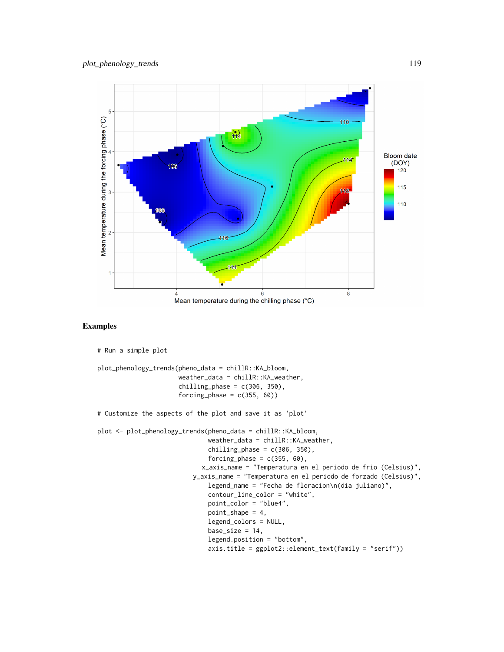

## Examples

```
# Run a simple plot
plot_phenology_trends(pheno_data = chillR::KA_bloom,
                      weather_data = chillR::KA_weather,
                      chilling_phase = c(306, 350),
                      forcing_phase = c(355, 60))
# Customize the aspects of the plot and save it as 'plot'
plot <- plot_phenology_trends(pheno_data = chillR::KA_bloom,
                              weather_data = chillR::KA_weather,
                              chilling_phase = c(306, 350),
                              forcing_phase = c(355, 60),
                            x_axis_name = "Temperatura en el periodo de frio (Celsius)",
                          y_axis_name = "Temperatura en el periodo de forzado (Celsius)",
                              legend_name = "Fecha de floracion\n(dia juliano)",
                              contour_line_color = "white",
                              point_color = "blue4",
                              point\_shape = 4,
                              legend_colors = NULL,
                              base_size = 14,
                              legend.position = "bottom",
                              axis.title = ggplot2::element_text(family = "serif"))
```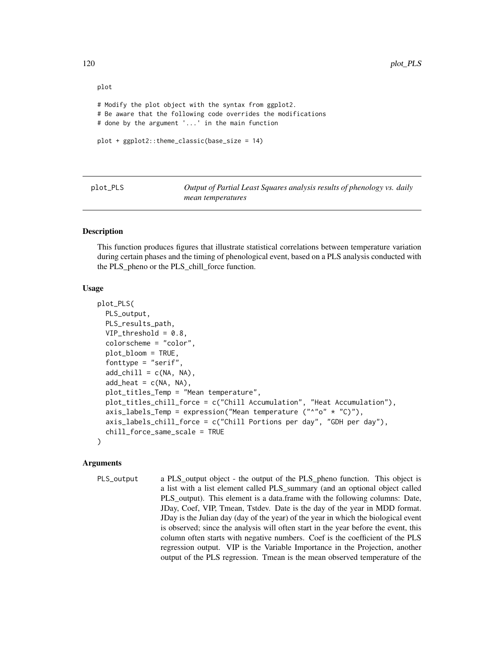```
plot
# Modify the plot object with the syntax from ggplot2.
# Be aware that the following code overrides the modifications
# done by the argument '...' in the main function
plot + ggplot2::theme_classic(base_size = 14)
```
plot\_PLS *Output of Partial Least Squares analysis results of phenology vs. daily mean temperatures*

#### Description

This function produces figures that illustrate statistical correlations between temperature variation during certain phases and the timing of phenological event, based on a PLS analysis conducted with the PLS\_pheno or the PLS\_chill\_force function.

#### Usage

```
plot_PLS(
 PLS_output,
 PLS_results_path,
  VIP_threshold = 0.8,
  colorscheme = "color",
  plot_bloom = TRUE,
  fonttype = "serif",
  add\_child = c(NA, NA),
  add\_heat = c(NA, NA),
  plot_titles_Temp = "Mean temperature",
 plot_titles_chill_force = c("Chill Accumulation", "Heat Accumulation"),
  axis_labels_Temp = expression("Mean temperature ("^"o" * "C)"),
  axis_labels_chill_force = c("Chill Portions per day", "GDH per day"),
  chill_force_same_scale = TRUE
)
```
## Arguments

PLS\_output a PLS\_output object - the output of the PLS\_pheno function. This object is a list with a list element called PLS\_summary (and an optional object called PLS\_output). This element is a data.frame with the following columns: Date, JDay, Coef, VIP, Tmean, Tstdev. Date is the day of the year in MDD format. JDay is the Julian day (day of the year) of the year in which the biological event is observed; since the analysis will often start in the year before the event, this column often starts with negative numbers. Coef is the coefficient of the PLS regression output. VIP is the Variable Importance in the Projection, another output of the PLS regression. Tmean is the mean observed temperature of the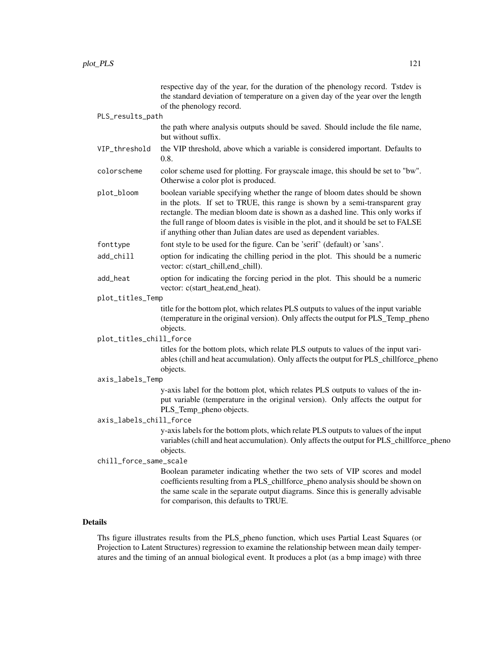|                              |                         | respective day of the year, for the duration of the phenology record. Tstdev is<br>the standard deviation of temperature on a given day of the year over the length<br>of the phenology record.                                                                                                                                                                                                               |
|------------------------------|-------------------------|---------------------------------------------------------------------------------------------------------------------------------------------------------------------------------------------------------------------------------------------------------------------------------------------------------------------------------------------------------------------------------------------------------------|
|                              | PLS_results_path        |                                                                                                                                                                                                                                                                                                                                                                                                               |
|                              |                         | the path where analysis outputs should be saved. Should include the file name,<br>but without suffix.                                                                                                                                                                                                                                                                                                         |
|                              | VIP_threshold           | the VIP threshold, above which a variable is considered important. Defaults to<br>0.8.                                                                                                                                                                                                                                                                                                                        |
|                              | colorscheme             | color scheme used for plotting. For grayscale image, this should be set to "bw".<br>Otherwise a color plot is produced.                                                                                                                                                                                                                                                                                       |
|                              | plot_bloom              | boolean variable specifying whether the range of bloom dates should be shown<br>in the plots. If set to TRUE, this range is shown by a semi-transparent gray<br>rectangle. The median bloom date is shown as a dashed line. This only works if<br>the full range of bloom dates is visible in the plot, and it should be set to FALSE<br>if anything other than Julian dates are used as dependent variables. |
|                              | fonttype                | font style to be used for the figure. Can be 'serif' (default) or 'sans'.                                                                                                                                                                                                                                                                                                                                     |
|                              | add_chill               | option for indicating the chilling period in the plot. This should be a numeric<br>vector: c(start_chill,end_chill).                                                                                                                                                                                                                                                                                          |
|                              | add_heat                | option for indicating the forcing period in the plot. This should be a numeric<br>vector: c(start_heat,end_heat).                                                                                                                                                                                                                                                                                             |
|                              | plot_titles_Temp        |                                                                                                                                                                                                                                                                                                                                                                                                               |
|                              |                         | title for the bottom plot, which relates PLS outputs to values of the input variable<br>(temperature in the original version). Only affects the output for PLS_Temp_pheno<br>objects.                                                                                                                                                                                                                         |
|                              | plot_titles_chill_force |                                                                                                                                                                                                                                                                                                                                                                                                               |
|                              |                         | titles for the bottom plots, which relate PLS outputs to values of the input vari-<br>ables (chill and heat accumulation). Only affects the output for PLS_chillforce_pheno                                                                                                                                                                                                                                   |
| objects.<br>axis_labels_Temp |                         |                                                                                                                                                                                                                                                                                                                                                                                                               |
|                              |                         | y-axis label for the bottom plot, which relates PLS outputs to values of the in-<br>put variable (temperature in the original version). Only affects the output for<br>PLS_Temp_pheno objects.                                                                                                                                                                                                                |
| axis_labels_chill_force      |                         |                                                                                                                                                                                                                                                                                                                                                                                                               |
|                              |                         | y-axis labels for the bottom plots, which relate PLS outputs to values of the input<br>variables (chill and heat accumulation). Only affects the output for PLS_chillforce_pheno<br>objects.                                                                                                                                                                                                                  |
|                              | chill_force_same_scale  |                                                                                                                                                                                                                                                                                                                                                                                                               |
|                              |                         | Boolean parameter indicating whether the two sets of VIP scores and model<br>coefficients resulting from a PLS_chillforce_pheno analysis should be shown on<br>the same scale in the separate output diagrams. Since this is generally advisable<br>for comparison, this defaults to TRUE.                                                                                                                    |
|                              |                         |                                                                                                                                                                                                                                                                                                                                                                                                               |

# Details

Ths figure illustrates results from the PLS\_pheno function, which uses Partial Least Squares (or Projection to Latent Structures) regression to examine the relationship between mean daily temperatures and the timing of an annual biological event. It produces a plot (as a bmp image) with three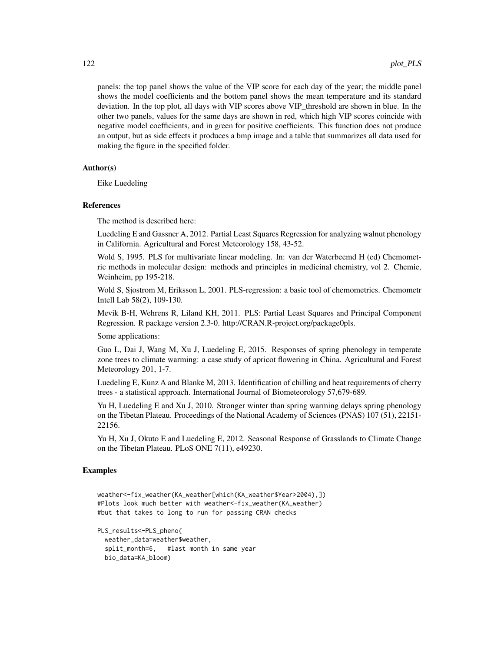panels: the top panel shows the value of the VIP score for each day of the year; the middle panel shows the model coefficients and the bottom panel shows the mean temperature and its standard deviation. In the top plot, all days with VIP scores above VIP threshold are shown in blue. In the other two panels, values for the same days are shown in red, which high VIP scores coincide with negative model coefficients, and in green for positive coefficients. This function does not produce an output, but as side effects it produces a bmp image and a table that summarizes all data used for making the figure in the specified folder.

## Author(s)

Eike Luedeling

#### References

The method is described here:

Luedeling E and Gassner A, 2012. Partial Least Squares Regression for analyzing walnut phenology in California. Agricultural and Forest Meteorology 158, 43-52.

Wold S, 1995. PLS for multivariate linear modeling. In: van der Waterbeemd H (ed) Chemometric methods in molecular design: methods and principles in medicinal chemistry, vol 2. Chemie, Weinheim, pp 195-218.

Wold S, Sjostrom M, Eriksson L, 2001. PLS-regression: a basic tool of chemometrics. Chemometr Intell Lab 58(2), 109-130.

Mevik B-H, Wehrens R, Liland KH, 2011. PLS: Partial Least Squares and Principal Component Regression. R package version 2.3-0. http://CRAN.R-project.org/package0pls.

Some applications:

Guo L, Dai J, Wang M, Xu J, Luedeling E, 2015. Responses of spring phenology in temperate zone trees to climate warming: a case study of apricot flowering in China. Agricultural and Forest Meteorology 201, 1-7.

Luedeling E, Kunz A and Blanke M, 2013. Identification of chilling and heat requirements of cherry trees - a statistical approach. International Journal of Biometeorology 57,679-689.

Yu H, Luedeling E and Xu J, 2010. Stronger winter than spring warming delays spring phenology on the Tibetan Plateau. Proceedings of the National Academy of Sciences (PNAS) 107 (51), 22151- 22156.

Yu H, Xu J, Okuto E and Luedeling E, 2012. Seasonal Response of Grasslands to Climate Change on the Tibetan Plateau. PLoS ONE 7(11), e49230.

## Examples

```
weather<-fix_weather(KA_weather[which(KA_weather$Year>2004),])
#Plots look much better with weather<-fix_weather(KA_weather)
#but that takes to long to run for passing CRAN checks
```
PLS\_results<-PLS\_pheno( weather\_data=weather\$weather, split\_month=6, #last month in same year bio\_data=KA\_bloom)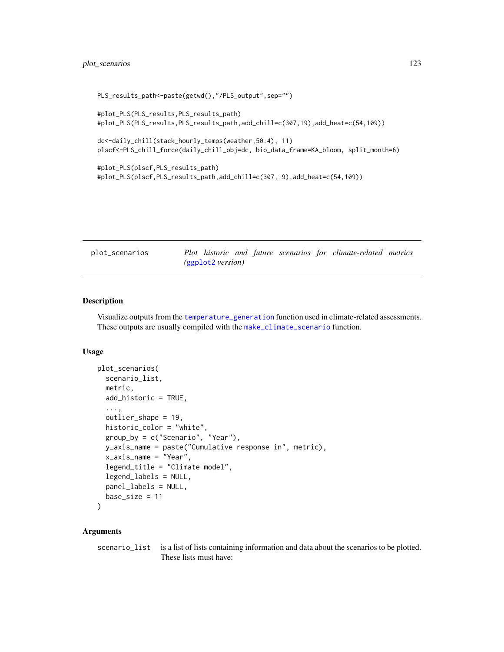```
PLS_results_path<-paste(getwd(),"/PLS_output",sep="")
#plot_PLS(PLS_results,PLS_results_path)
#plot_PLS(PLS_results,PLS_results_path,add_chill=c(307,19),add_heat=c(54,109))
dc<-daily_chill(stack_hourly_temps(weather,50.4), 11)
plscf<-PLS_chill_force(daily_chill_obj=dc, bio_data_frame=KA_bloom, split_month=6)
#plot_PLS(plscf,PLS_results_path)
#plot_PLS(plscf,PLS_results_path,add_chill=c(307,19),add_heat=c(54,109))
```

| plot_scenarios | Plot historic and future scenarios for climate-related metrics |  |
|----------------|----------------------------------------------------------------|--|
|                | (ggplot2 version)                                              |  |

Visualize outputs from the [temperature\\_generation](#page-151-0) function used in climate-related assessments. These outputs are usually compiled with the [make\\_climate\\_scenario](#page-83-0) function.

## Usage

```
plot_scenarios(
  scenario_list,
 metric,
 add_historic = TRUE,
  ...,
 outlier_shape = 19,
 historic_color = "white",
 group_by = c("Scenario", "Year"),
 y_axis_name = paste("Cumulative response in", metric),
 x_axis_name = "Year",
  legend_title = "Climate model",
  legend_labels = NULL,
 panel_labels = NULL,
 base_size = 11
\lambda
```
# Arguments

scenario\_list is a list of lists containing information and data about the scenarios to be plotted. These lists must have: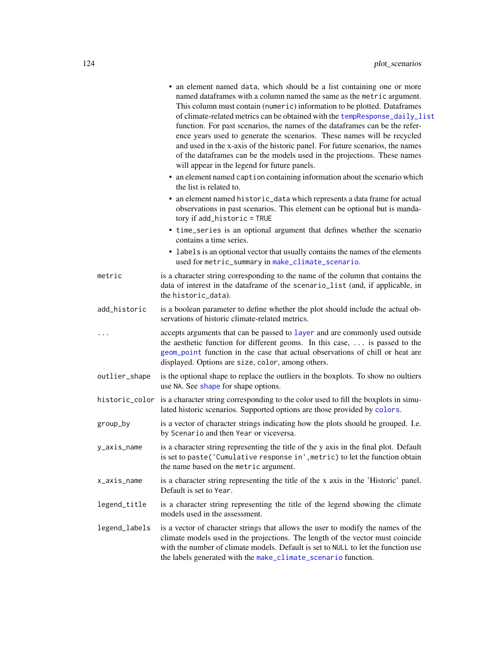|               | • an element named data, which should be a list containing one or more<br>named dataframes with a column named the same as the metric argument.<br>This column must contain (numeric) information to be plotted. Dataframes<br>of climate-related metrics can be obtained with the tempResponse_daily_list<br>function. For past scenarios, the names of the dataframes can be the refer-<br>ence years used to generate the scenarios. These names will be recycled<br>and used in the x-axis of the historic panel. For future scenarios, the names<br>of the dataframes can be the models used in the projections. These names<br>will appear in the legend for future panels.<br>• an element named caption containing information about the scenario which<br>the list is related to.<br>• an element named historic_data which represents a data frame for actual<br>observations in past scenarios. This element can be optional but is manda-<br>tory if add_historic = TRUE<br>• time_series is an optional argument that defines whether the scenario |
|---------------|-----------------------------------------------------------------------------------------------------------------------------------------------------------------------------------------------------------------------------------------------------------------------------------------------------------------------------------------------------------------------------------------------------------------------------------------------------------------------------------------------------------------------------------------------------------------------------------------------------------------------------------------------------------------------------------------------------------------------------------------------------------------------------------------------------------------------------------------------------------------------------------------------------------------------------------------------------------------------------------------------------------------------------------------------------------------|
|               | contains a time series.<br>• labels is an optional vector that usually contains the names of the elements                                                                                                                                                                                                                                                                                                                                                                                                                                                                                                                                                                                                                                                                                                                                                                                                                                                                                                                                                       |
|               | used for metric_summary in make_climate_scenario.                                                                                                                                                                                                                                                                                                                                                                                                                                                                                                                                                                                                                                                                                                                                                                                                                                                                                                                                                                                                               |
| metric        | is a character string corresponding to the name of the column that contains the<br>data of interest in the dataframe of the scenario_list (and, if applicable, in<br>the historic_data).                                                                                                                                                                                                                                                                                                                                                                                                                                                                                                                                                                                                                                                                                                                                                                                                                                                                        |
| add_historic  | is a boolean parameter to define whether the plot should include the actual ob-<br>servations of historic climate-related metrics.                                                                                                                                                                                                                                                                                                                                                                                                                                                                                                                                                                                                                                                                                                                                                                                                                                                                                                                              |
| .             | accepts arguments that can be passed to layer and are commonly used outside<br>the aesthetic function for different geoms. In this case,  is passed to the<br>geom_point function in the case that actual observations of chill or heat are<br>displayed. Options are size, color, among others.                                                                                                                                                                                                                                                                                                                                                                                                                                                                                                                                                                                                                                                                                                                                                                |
| outlier_shape | is the optional shape to replace the outliers in the boxplots. To show no oultiers<br>use NA. See shape for shape options.                                                                                                                                                                                                                                                                                                                                                                                                                                                                                                                                                                                                                                                                                                                                                                                                                                                                                                                                      |
|               | historic_color is a character string corresponding to the color used to fill the boxplots in simu-<br>lated historic scenarios. Supported options are those provided by colors.                                                                                                                                                                                                                                                                                                                                                                                                                                                                                                                                                                                                                                                                                                                                                                                                                                                                                 |
| group_by      | is a vector of character strings indicating how the plots should be grouped. I.e.<br>by Scenario and then Year or viceversa.                                                                                                                                                                                                                                                                                                                                                                                                                                                                                                                                                                                                                                                                                                                                                                                                                                                                                                                                    |
| y_axis_name   | is a character string representing the title of the y axis in the final plot. Default<br>is set to paste ('Cumulative response in', metric) to let the function obtain<br>the name based on the metric argument.                                                                                                                                                                                                                                                                                                                                                                                                                                                                                                                                                                                                                                                                                                                                                                                                                                                |
| x_axis_name   | is a character string representing the title of the x axis in the 'Historic' panel.<br>Default is set to Year.                                                                                                                                                                                                                                                                                                                                                                                                                                                                                                                                                                                                                                                                                                                                                                                                                                                                                                                                                  |
| legend_title  | is a character string representing the title of the legend showing the climate<br>models used in the assessment.                                                                                                                                                                                                                                                                                                                                                                                                                                                                                                                                                                                                                                                                                                                                                                                                                                                                                                                                                |
| legend_labels | is a vector of character strings that allows the user to modify the names of the<br>climate models used in the projections. The length of the vector must coincide<br>with the number of climate models. Default is set to NULL to let the function use<br>the labels generated with the make_climate_scenario function.                                                                                                                                                                                                                                                                                                                                                                                                                                                                                                                                                                                                                                                                                                                                        |
|               |                                                                                                                                                                                                                                                                                                                                                                                                                                                                                                                                                                                                                                                                                                                                                                                                                                                                                                                                                                                                                                                                 |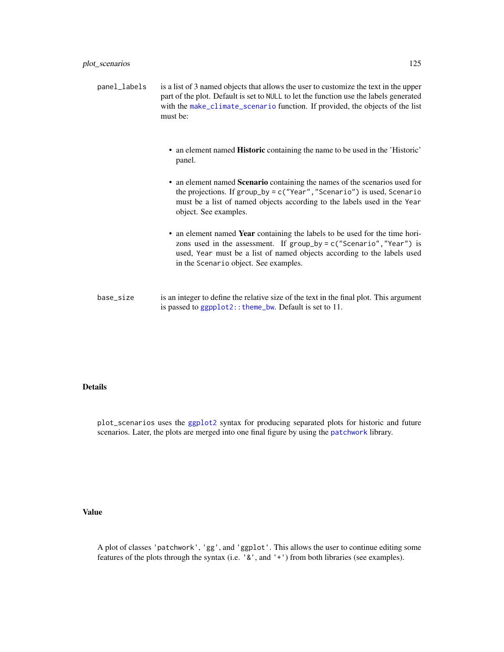- an element named Historic containing the name to be used in the 'Historic' panel.
- an element named Scenario containing the names of the scenarios used for the projections. If group\_by = c("Year","Scenario") is used, Scenario must be a list of named objects according to the labels used in the Year object. See examples.
- an element named Year containing the labels to be used for the time horizons used in the assessment. If group\_by = c("Scenario","Year") is used, Year must be a list of named objects according to the labels used in the Scenario object. See examples.
- base\_size is an integer to define the relative size of the text in the final plot. This argument is passed to ggpplot2:: theme\_bw. Default is set to 11.

#### Details

plot\_scenarios uses the [ggplot2](#page-0-0) syntax for producing separated plots for historic and future scenarios. Later, the plots are merged into one final figure by using the [patchwork](#page-0-0) library.

## Value

A plot of classes 'patchwork', 'gg', and 'ggplot'. This allows the user to continue editing some features of the plots through the syntax (i.e. '&', and '+') from both libraries (see examples).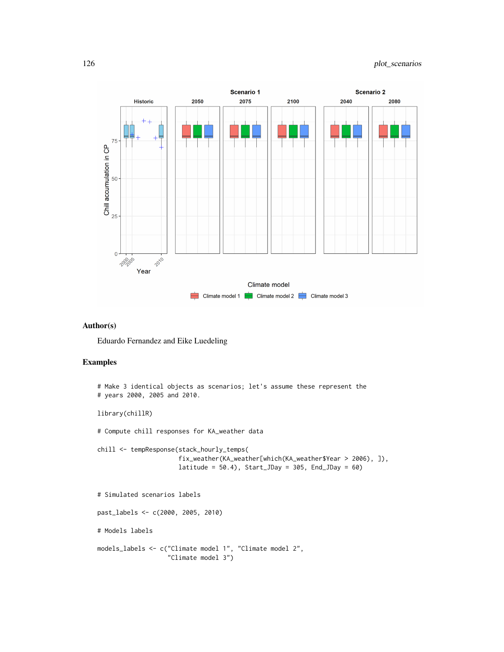

## Author(s)

Eduardo Fernandez and Eike Luedeling

# Examples

```
# Make 3 identical objects as scenarios; let's assume these represent the
# years 2000, 2005 and 2010.
library(chillR)
# Compute chill responses for KA_weather data
chill <- tempResponse(stack_hourly_temps(
                      fix_weather(KA_weather[which(KA_weather$Year > 2006), ]),
                      latitude = 50.4), Start_JDay = 305, End_JDay = 60)
# Simulated scenarios labels
past_labels <- c(2000, 2005, 2010)
# Models labels
models_labels <- c("Climate model 1", "Climate model 2",
                   "Climate model 3")
```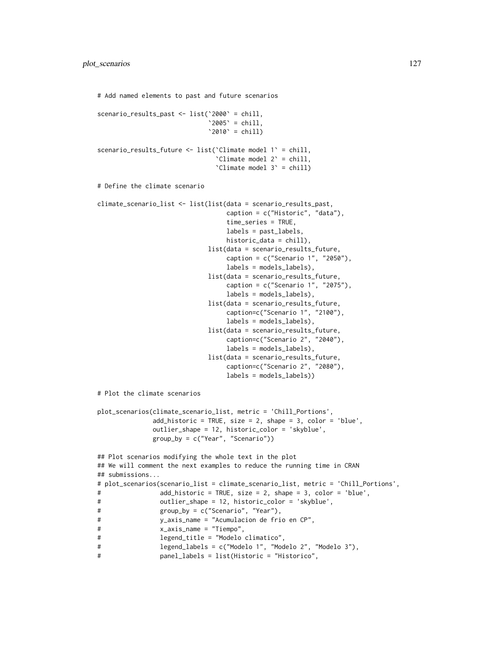```
# Add named elements to past and future scenarios
scenario_results_past <- list(`2000` = chill,
                            '2005' = \text{child},
                            '2010' = \text{chill}scenario_results_future <- list(`Climate model 1` = chill,
                              `Climate model 2` = chill,
                              `Climate model 3` = chill)
# Define the climate scenario
climate_scenario_list <- list(list(data = scenario_results_past,
                                 caption = c("Historic", "data"),
                                 time_series = TRUE,
                                 labels = past_labels,
                                 historic_data = chill),
                            list(data = scenario_results_future,
                                 caption = c("Scenario 1", "2050"),labels = models_labels),
                            list(data = scenario_results_future,
                                 caption = c("Scenario 1", "2075"),
                                 labels = models_labels),
                            list(data = scenario_results_future,
                                 caption=c("Scenario 1", "2100"),
                                 labels = models_labels),
                            list(data = scenario_results_future,
                                 caption=c("Scenario 2", "2040"),
                                 labels = models_labels),
                            list(data = scenario_results_future,
                                 caption=c("Scenario 2", "2080"),
                                 labels = models_labels))
# Plot the climate scenarios
plot_scenarios(climate_scenario_list, metric = 'Chill_Portions',
              add_historic = TRUE, size = 2, shape = 3, color = 'blue',
              outlier_shape = 12, historic_color = 'skyblue',
              group_by = c("Year", "Scenario"))
## Plot scenarios modifying the whole text in the plot
## We will comment the next examples to reduce the running time in CRAN
## submissions...
# plot_scenarios(scenario_list = climate_scenario_list, metric = 'Chill_Portions',
# add_historic = TRUE, size = 2, shape = 3, color = 'blue',
# outlier_shape = 12, historic_color = 'skyblue',
# group_by = c("Scenario", "Year"),
# y_axis_name = "Acumulacion de frio en CP",
# x_axis_name = "Tiempo",
# legend_title = "Modelo climatico",
# legend_labels = c("Modelo 1", "Modelo 2", "Modelo 3"),
# panel_labels = list(Historic = "Historico",
```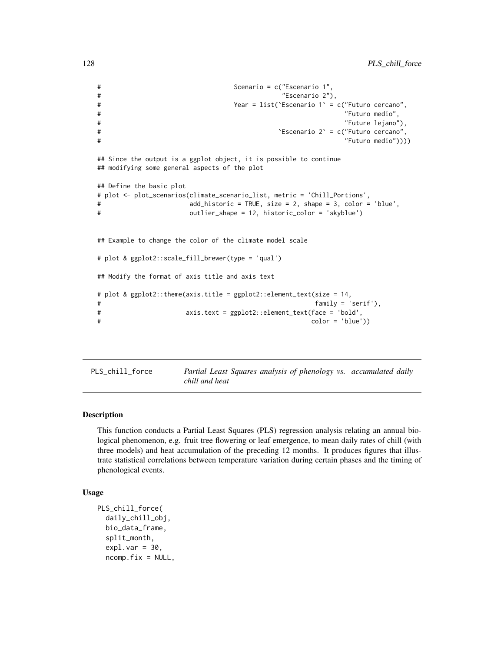```
# Scenario = c("Escenario 1",
# "Escenario 2"),
# Year = list(`Escenario 1` = c("Futuro cercano",
# "Futuro medio",
# "Future lejano"),
# `Escenario 2` = c("Futuro cercano",
# "Futuro medio"))))
## Since the output is a ggplot object, it is possible to continue
## modifying some general aspects of the plot
## Define the basic plot
# plot <- plot_scenarios(climate_scenario_list, metric = 'Chill_Portions',
# add_historic = TRUE, size = 2, shape = 3, color = 'blue',
# outlier_shape = 12, historic_color = 'skyblue')
## Example to change the color of the climate model scale
# plot & ggplot2::scale_fill_brewer(type = 'qual')
## Modify the format of axis title and axis text
# plot & ggplot2::theme(axis.title = ggplot2::element_text(size = 14,
# family = 'serif'),
# axis.text = ggplot2::element_text(face = 'bold',
# color = 'blue'))
```
PLS\_chill\_force *Partial Least Squares analysis of phenology vs. accumulated daily chill and heat*

#### Description

This function conducts a Partial Least Squares (PLS) regression analysis relating an annual biological phenomenon, e.g. fruit tree flowering or leaf emergence, to mean daily rates of chill (with three models) and heat accumulation of the preceding 12 months. It produces figures that illustrate statistical correlations between temperature variation during certain phases and the timing of phenological events.

## Usage

```
PLS_chill_force(
  daily_chill_obj,
  bio_data_frame,
  split_month,
  exp1.var = 30,
  ncomp.fix = NULL,
```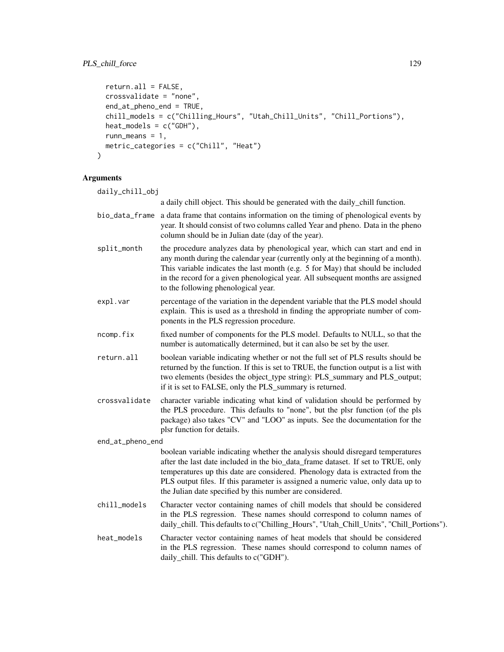```
return.all = FALSE,
  crossvalidate = "none",
  end_at_pheno_end = TRUE,
  chill_models = c("Chilling_Hours", "Utah_Chill_Units", "Chill_Portions"),
  heat_models = c("GDH"),
  runn_means = 1,
  metric_categories = c("Chill", "Heat")
\mathcal{L}
```
# Arguments

| daily_chill_obj  |               |                                                                                                                                                                                                                                                                                                                                                                                                      |
|------------------|---------------|------------------------------------------------------------------------------------------------------------------------------------------------------------------------------------------------------------------------------------------------------------------------------------------------------------------------------------------------------------------------------------------------------|
|                  |               | a daily chill object. This should be generated with the daily_chill function.                                                                                                                                                                                                                                                                                                                        |
|                  |               | bio_data_frame a data frame that contains information on the timing of phenological events by<br>year. It should consist of two columns called Year and pheno. Data in the pheno<br>column should be in Julian date (day of the year).                                                                                                                                                               |
|                  | split_month   | the procedure analyzes data by phenological year, which can start and end in<br>any month during the calendar year (currently only at the beginning of a month).<br>This variable indicates the last month (e.g. 5 for May) that should be included<br>in the record for a given phenological year. All subsequent months are assigned<br>to the following phenological year.                        |
|                  | expl.var      | percentage of the variation in the dependent variable that the PLS model should<br>explain. This is used as a threshold in finding the appropriate number of com-<br>ponents in the PLS regression procedure.                                                                                                                                                                                        |
|                  | ncomp.fix     | fixed number of components for the PLS model. Defaults to NULL, so that the<br>number is automatically determined, but it can also be set by the user.                                                                                                                                                                                                                                               |
|                  | return.all    | boolean variable indicating whether or not the full set of PLS results should be<br>returned by the function. If this is set to TRUE, the function output is a list with<br>two elements (besides the object_type string): PLS_summary and PLS_output;<br>if it is set to FALSE, only the PLS_summary is returned.                                                                                   |
|                  | crossvalidate | character variable indicating what kind of validation should be performed by<br>the PLS procedure. This defaults to "none", but the plsr function (of the pls<br>package) also takes "CV" and "LOO" as inputs. See the documentation for the<br>plsr function for details.                                                                                                                           |
| end_at_pheno_end |               |                                                                                                                                                                                                                                                                                                                                                                                                      |
|                  |               | boolean variable indicating whether the analysis should disregard temperatures<br>after the last date included in the bio_data_frame dataset. If set to TRUE, only<br>temperatures up this date are considered. Phenology data is extracted from the<br>PLS output files. If this parameter is assigned a numeric value, only data up to<br>the Julian date specified by this number are considered. |
|                  | chill_models  | Character vector containing names of chill models that should be considered<br>in the PLS regression. These names should correspond to column names of<br>daily_chill. This defaults to c("Chilling_Hours", "Utah_Chill_Units", "Chill_Portions").                                                                                                                                                   |
|                  | heat_models   | Character vector containing names of heat models that should be considered<br>in the PLS regression. These names should correspond to column names of<br>daily_chill. This defaults to c("GDH").                                                                                                                                                                                                     |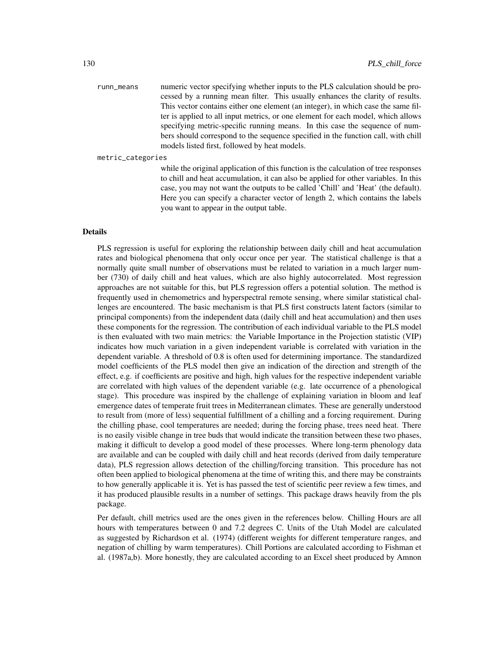runn\_means numeric vector specifying whether inputs to the PLS calculation should be processed by a running mean filter. This usually enhances the clarity of results. This vector contains either one element (an integer), in which case the same filter is applied to all input metrics, or one element for each model, which allows specifying metric-specific running means. In this case the sequence of numbers should correspond to the sequence specified in the function call, with chill models listed first, followed by heat models.

metric\_categories

while the original application of this function is the calculation of tree responses to chill and heat accumulation, it can also be applied for other variables. In this case, you may not want the outputs to be called 'Chill' and 'Heat' (the default). Here you can specify a character vector of length 2, which contains the labels you want to appear in the output table.

#### Details

PLS regression is useful for exploring the relationship between daily chill and heat accumulation rates and biological phenomena that only occur once per year. The statistical challenge is that a normally quite small number of observations must be related to variation in a much larger number (730) of daily chill and heat values, which are also highly autocorrelated. Most regression approaches are not suitable for this, but PLS regression offers a potential solution. The method is frequently used in chemometrics and hyperspectral remote sensing, where similar statistical challenges are encountered. The basic mechanism is that PLS first constructs latent factors (similar to principal components) from the independent data (daily chill and heat accumulation) and then uses these components for the regression. The contribution of each individual variable to the PLS model is then evaluated with two main metrics: the Variable Importance in the Projection statistic (VIP) indicates how much variation in a given independent variable is correlated with variation in the dependent variable. A threshold of 0.8 is often used for determining importance. The standardized model coefficients of the PLS model then give an indication of the direction and strength of the effect, e.g. if coefficients are positive and high, high values for the respective independent variable are correlated with high values of the dependent variable (e.g. late occurrence of a phenological stage). This procedure was inspired by the challenge of explaining variation in bloom and leaf emergence dates of temperate fruit trees in Mediterranean climates. These are generally understood to result from (more of less) sequential fulfillment of a chilling and a forcing requirement. During the chilling phase, cool temperatures are needed; during the forcing phase, trees need heat. There is no easily visible change in tree buds that would indicate the transition between these two phases, making it difficult to develop a good model of these processes. Where long-term phenology data are available and can be coupled with daily chill and heat records (derived from daily temperature data), PLS regression allows detection of the chilling/forcing transition. This procedure has not often been applied to biological phenomena at the time of writing this, and there may be constraints to how generally applicable it is. Yet is has passed the test of scientific peer review a few times, and it has produced plausible results in a number of settings. This package draws heavily from the pls package.

Per default, chill metrics used are the ones given in the references below. Chilling Hours are all hours with temperatures between 0 and 7.2 degrees C. Units of the Utah Model are calculated as suggested by Richardson et al. (1974) (different weights for different temperature ranges, and negation of chilling by warm temperatures). Chill Portions are calculated according to Fishman et al. (1987a,b). More honestly, they are calculated according to an Excel sheet produced by Amnon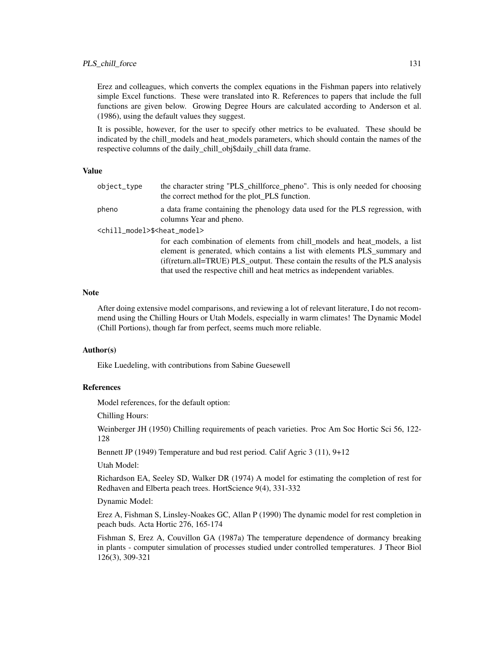Erez and colleagues, which converts the complex equations in the Fishman papers into relatively simple Excel functions. These were translated into R. References to papers that include the full functions are given below. Growing Degree Hours are calculated according to Anderson et al. (1986), using the default values they suggest.

It is possible, however, for the user to specify other metrics to be evaluated. These should be indicated by the chill\_models and heat\_models parameters, which should contain the names of the respective columns of the daily\_chill\_obj\$daily\_chill data frame.

#### Value

| object_type                                            | the character string "PLS_chillforce_pheno". This is only needed for choosing<br>the correct method for the plot_PLS function.                                                                                                                                                                                         |  |
|--------------------------------------------------------|------------------------------------------------------------------------------------------------------------------------------------------------------------------------------------------------------------------------------------------------------------------------------------------------------------------------|--|
| pheno                                                  | a data frame containing the phenology data used for the PLS regression, with<br>columns Year and pheno.                                                                                                                                                                                                                |  |
| <chill_model>\$<heat_model></heat_model></chill_model> |                                                                                                                                                                                                                                                                                                                        |  |
|                                                        | for each combination of elements from chill_models and heat_models, a list<br>element is generated, which contains a list with elements PLS_summary and<br>(if(return.all=TRUE) PLS_output. These contain the results of the PLS analysis<br>that used the respective chill and heat metrics as independent variables. |  |

#### **Note**

After doing extensive model comparisons, and reviewing a lot of relevant literature, I do not recommend using the Chilling Hours or Utah Models, especially in warm climates! The Dynamic Model (Chill Portions), though far from perfect, seems much more reliable.

## Author(s)

Eike Luedeling, with contributions from Sabine Guesewell

#### References

Model references, for the default option:

Chilling Hours:

Weinberger JH (1950) Chilling requirements of peach varieties. Proc Am Soc Hortic Sci 56, 122- 128

Bennett JP (1949) Temperature and bud rest period. Calif Agric 3 (11), 9+12

Utah Model:

Richardson EA, Seeley SD, Walker DR (1974) A model for estimating the completion of rest for Redhaven and Elberta peach trees. HortScience 9(4), 331-332

Dynamic Model:

Erez A, Fishman S, Linsley-Noakes GC, Allan P (1990) The dynamic model for rest completion in peach buds. Acta Hortic 276, 165-174

Fishman S, Erez A, Couvillon GA (1987a) The temperature dependence of dormancy breaking in plants - computer simulation of processes studied under controlled temperatures. J Theor Biol 126(3), 309-321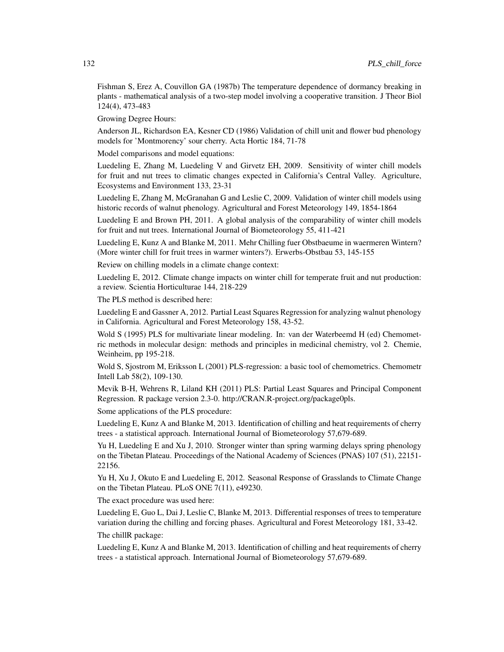Fishman S, Erez A, Couvillon GA (1987b) The temperature dependence of dormancy breaking in plants - mathematical analysis of a two-step model involving a cooperative transition. J Theor Biol 124(4), 473-483

Growing Degree Hours:

Anderson JL, Richardson EA, Kesner CD (1986) Validation of chill unit and flower bud phenology models for 'Montmorency' sour cherry. Acta Hortic 184, 71-78

Model comparisons and model equations:

Luedeling E, Zhang M, Luedeling V and Girvetz EH, 2009. Sensitivity of winter chill models for fruit and nut trees to climatic changes expected in California's Central Valley. Agriculture, Ecosystems and Environment 133, 23-31

Luedeling E, Zhang M, McGranahan G and Leslie C, 2009. Validation of winter chill models using historic records of walnut phenology. Agricultural and Forest Meteorology 149, 1854-1864

Luedeling E and Brown PH, 2011. A global analysis of the comparability of winter chill models for fruit and nut trees. International Journal of Biometeorology 55, 411-421

Luedeling E, Kunz A and Blanke M, 2011. Mehr Chilling fuer Obstbaeume in waermeren Wintern? (More winter chill for fruit trees in warmer winters?). Erwerbs-Obstbau 53, 145-155

Review on chilling models in a climate change context:

Luedeling E, 2012. Climate change impacts on winter chill for temperate fruit and nut production: a review. Scientia Horticulturae 144, 218-229

The PLS method is described here:

Luedeling E and Gassner A, 2012. Partial Least Squares Regression for analyzing walnut phenology in California. Agricultural and Forest Meteorology 158, 43-52.

Wold S (1995) PLS for multivariate linear modeling. In: van der Waterbeemd H (ed) Chemometric methods in molecular design: methods and principles in medicinal chemistry, vol 2. Chemie, Weinheim, pp 195-218.

Wold S, Sjostrom M, Eriksson L (2001) PLS-regression: a basic tool of chemometrics. Chemometr Intell Lab 58(2), 109-130.

Mevik B-H, Wehrens R, Liland KH (2011) PLS: Partial Least Squares and Principal Component Regression. R package version 2.3-0. http://CRAN.R-project.org/package0pls.

Some applications of the PLS procedure:

Luedeling E, Kunz A and Blanke M, 2013. Identification of chilling and heat requirements of cherry trees - a statistical approach. International Journal of Biometeorology 57,679-689.

Yu H, Luedeling E and Xu J, 2010. Stronger winter than spring warming delays spring phenology on the Tibetan Plateau. Proceedings of the National Academy of Sciences (PNAS) 107 (51), 22151- 22156.

Yu H, Xu J, Okuto E and Luedeling E, 2012. Seasonal Response of Grasslands to Climate Change on the Tibetan Plateau. PLoS ONE 7(11), e49230.

The exact procedure was used here:

Luedeling E, Guo L, Dai J, Leslie C, Blanke M, 2013. Differential responses of trees to temperature variation during the chilling and forcing phases. Agricultural and Forest Meteorology 181, 33-42.

The chillR package:

Luedeling E, Kunz A and Blanke M, 2013. Identification of chilling and heat requirements of cherry trees - a statistical approach. International Journal of Biometeorology 57,679-689.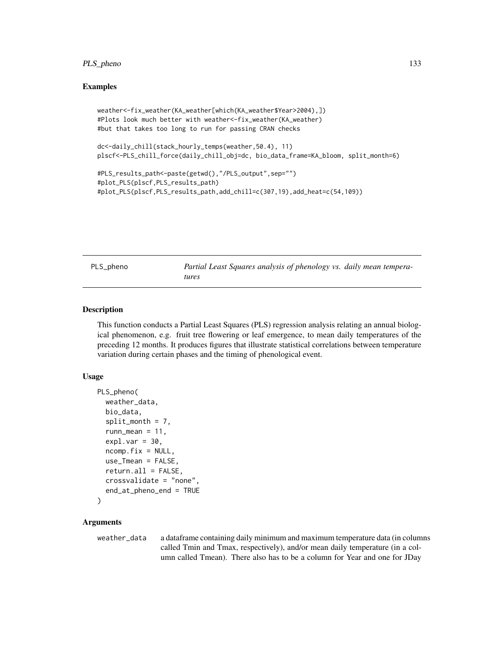## PLS\_pheno 133

## Examples

```
weather<-fix_weather(KA_weather[which(KA_weather$Year>2004),])
#Plots look much better with weather<-fix_weather(KA_weather)
#but that takes too long to run for passing CRAN checks
```
dc<-daily\_chill(stack\_hourly\_temps(weather,50.4), 11) plscf<-PLS\_chill\_force(daily\_chill\_obj=dc, bio\_data\_frame=KA\_bloom, split\_month=6)

```
#PLS_results_path<-paste(getwd(),"/PLS_output",sep="")
#plot_PLS(plscf,PLS_results_path)
#plot_PLS(plscf,PLS_results_path,add_chill=c(307,19),add_heat=c(54,109))
```
PLS\_pheno *Partial Least Squares analysis of phenology vs. daily mean temperatures*

#### Description

This function conducts a Partial Least Squares (PLS) regression analysis relating an annual biological phenomenon, e.g. fruit tree flowering or leaf emergence, to mean daily temperatures of the preceding 12 months. It produces figures that illustrate statistical correlations between temperature variation during certain phases and the timing of phenological event.

#### Usage

```
PLS_pheno(
  weather_data,
  bio_data,
  split\_month = 7,runn_mean = 11,
  exp1.var = 30,
  ncomp.fix = NULL,use_Tmean = FALSE,
  return.all = FALSE,
  crossvalidate = "none",
  end_at_pheno_end = TRUE
)
```
### Arguments

weather\_data a dataframe containing daily minimum and maximum temperature data (in columns called Tmin and Tmax, respectively), and/or mean daily temperature (in a column called Tmean). There also has to be a column for Year and one for JDay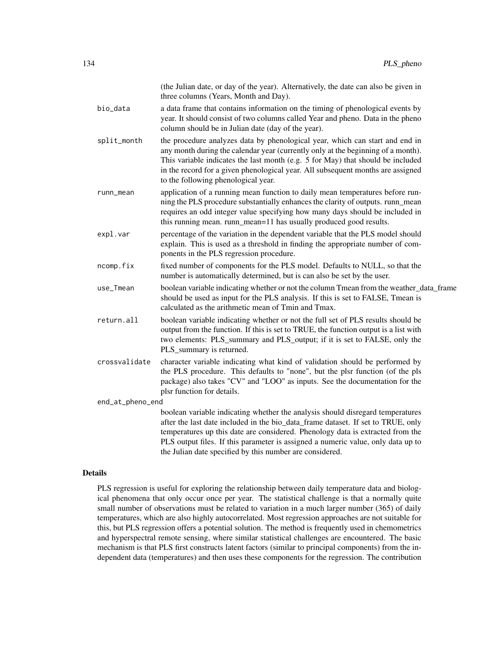|                  | (the Julian date, or day of the year). Alternatively, the date can also be given in<br>three columns (Years, Month and Day).                                                                                                                                                                                                                                                                         |  |
|------------------|------------------------------------------------------------------------------------------------------------------------------------------------------------------------------------------------------------------------------------------------------------------------------------------------------------------------------------------------------------------------------------------------------|--|
| bio_data         | a data frame that contains information on the timing of phenological events by<br>year. It should consist of two columns called Year and pheno. Data in the pheno<br>column should be in Julian date (day of the year).                                                                                                                                                                              |  |
| split_month      | the procedure analyzes data by phenological year, which can start and end in<br>any month during the calendar year (currently only at the beginning of a month).<br>This variable indicates the last month (e.g. 5 for May) that should be included<br>in the record for a given phenological year. All subsequent months are assigned<br>to the following phenological year.                        |  |
| runn_mean        | application of a running mean function to daily mean temperatures before run-<br>ning the PLS procedure substantially enhances the clarity of outputs. runn_mean<br>requires an odd integer value specifying how many days should be included in<br>this running mean. runn_mean=11 has usually produced good results.                                                                               |  |
| expl.var         | percentage of the variation in the dependent variable that the PLS model should<br>explain. This is used as a threshold in finding the appropriate number of com-<br>ponents in the PLS regression procedure.                                                                                                                                                                                        |  |
| ncomp.fix        | fixed number of components for the PLS model. Defaults to NULL, so that the<br>number is automatically determined, but is can also be set by the user.                                                                                                                                                                                                                                               |  |
| use_Tmean        | boolean variable indicating whether or not the column Tmean from the weather_data_frame<br>should be used as input for the PLS analysis. If this is set to FALSE, Tmean is<br>calculated as the arithmetic mean of Tmin and Tmax.                                                                                                                                                                    |  |
| return.all       | boolean variable indicating whether or not the full set of PLS results should be<br>output from the function. If this is set to TRUE, the function output is a list with<br>two elements: PLS_summary and PLS_output; if it is set to FALSE, only the<br>PLS_summary is returned.                                                                                                                    |  |
| crossvalidate    | character variable indicating what kind of validation should be performed by<br>the PLS procedure. This defaults to "none", but the plsr function (of the pls<br>package) also takes "CV" and "LOO" as inputs. See the documentation for the<br>plsr function for details.                                                                                                                           |  |
| end_at_pheno_end |                                                                                                                                                                                                                                                                                                                                                                                                      |  |
|                  | boolean variable indicating whether the analysis should disregard temperatures<br>after the last date included in the bio_data_frame dataset. If set to TRUE, only<br>temperatures up this date are considered. Phenology data is extracted from the<br>PLS output files. If this parameter is assigned a numeric value, only data up to<br>the Julian date specified by this number are considered. |  |

## Details

PLS regression is useful for exploring the relationship between daily temperature data and biological phenomena that only occur once per year. The statistical challenge is that a normally quite small number of observations must be related to variation in a much larger number (365) of daily temperatures, which are also highly autocorrelated. Most regression approaches are not suitable for this, but PLS regression offers a potential solution. The method is frequently used in chemometrics and hyperspectral remote sensing, where similar statistical challenges are encountered. The basic mechanism is that PLS first constructs latent factors (similar to principal components) from the independent data (temperatures) and then uses these components for the regression. The contribution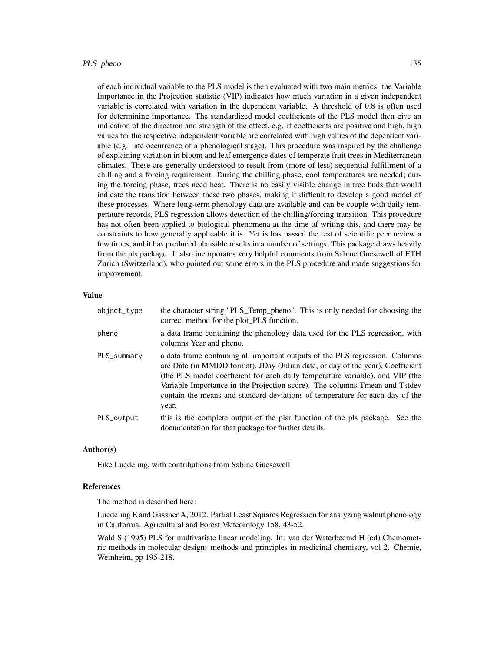of each individual variable to the PLS model is then evaluated with two main metrics: the Variable Importance in the Projection statistic (VIP) indicates how much variation in a given independent variable is correlated with variation in the dependent variable. A threshold of 0.8 is often used for determining importance. The standardized model coefficients of the PLS model then give an indication of the direction and strength of the effect, e.g. if coefficients are positive and high, high values for the respective independent variable are correlated with high values of the dependent variable (e.g. late occurrence of a phenological stage). This procedure was inspired by the challenge of explaining variation in bloom and leaf emergence dates of temperate fruit trees in Mediterranean climates. These are generally understood to result from (more of less) sequential fulfillment of a chilling and a forcing requirement. During the chilling phase, cool temperatures are needed; during the forcing phase, trees need heat. There is no easily visible change in tree buds that would indicate the transition between these two phases, making it difficult to develop a good model of these processes. Where long-term phenology data are available and can be couple with daily temperature records, PLS regression allows detection of the chilling/forcing transition. This procedure has not often been applied to biological phenomena at the time of writing this, and there may be constraints to how generally applicable it is. Yet is has passed the test of scientific peer review a few times, and it has produced plausible results in a number of settings. This package draws heavily from the pls package. It also incorporates very helpful comments from Sabine Guesewell of ETH Zurich (Switzerland), who pointed out some errors in the PLS procedure and made suggestions for improvement.

## Value

| object_type | the character string "PLS_Temp_pheno". This is only needed for choosing the<br>correct method for the plot_PLS function.                                                                                                                                                                                                                                                                                               |
|-------------|------------------------------------------------------------------------------------------------------------------------------------------------------------------------------------------------------------------------------------------------------------------------------------------------------------------------------------------------------------------------------------------------------------------------|
| pheno       | a data frame containing the phenology data used for the PLS regression, with<br>columns Year and pheno.                                                                                                                                                                                                                                                                                                                |
| PLS_summary | a data frame containing all important outputs of the PLS regression. Columns<br>are Date (in MMDD format), JDay (Julian date, or day of the year), Coefficient<br>(the PLS model coefficient for each daily temperature variable), and VIP (the<br>Variable Importance in the Projection score). The columns Tmean and Tstdev<br>contain the means and standard deviations of temperature for each day of the<br>year. |
| PLS_output  | this is the complete output of the plsr function of the pls package. See the<br>documentation for that package for further details.                                                                                                                                                                                                                                                                                    |

## Author(s)

Eike Luedeling, with contributions from Sabine Guesewell

## References

The method is described here:

Luedeling E and Gassner A, 2012. Partial Least Squares Regression for analyzing walnut phenology in California. Agricultural and Forest Meteorology 158, 43-52.

Wold S (1995) PLS for multivariate linear modeling. In: van der Waterbeemd H (ed) Chemometric methods in molecular design: methods and principles in medicinal chemistry, vol 2. Chemie, Weinheim, pp 195-218.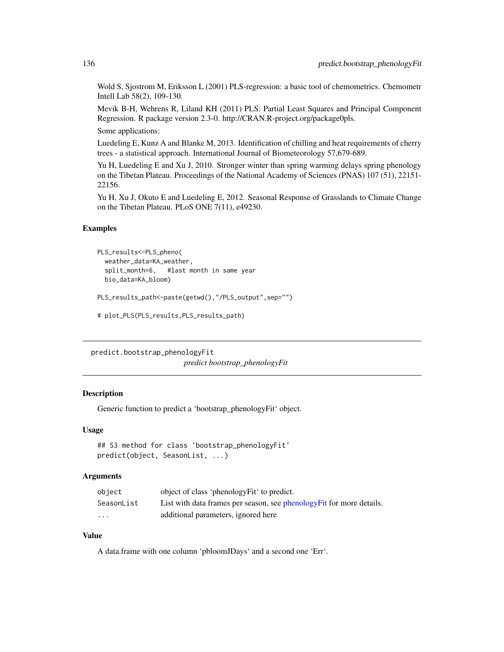Wold S, Sjostrom M, Eriksson L (2001) PLS-regression: a basic tool of chemometrics. Chemometr Intell Lab 58(2), 109-130.

Mevik B-H, Wehrens R, Liland KH (2011) PLS: Partial Least Squares and Principal Component Regression. R package version 2.3-0. http://CRAN.R-project.org/package0pls.

Some applications:

Luedeling E, Kunz A and Blanke M, 2013. Identification of chilling and heat requirements of cherry trees - a statistical approach. International Journal of Biometeorology 57,679-689.

Yu H, Luedeling E and Xu J, 2010. Stronger winter than spring warming delays spring phenology on the Tibetan Plateau. Proceedings of the National Academy of Sciences (PNAS) 107 (51), 22151- 22156.

Yu H, Xu J, Okuto E and Luedeling E, 2012. Seasonal Response of Grasslands to Climate Change on the Tibetan Plateau. PLoS ONE 7(11), e49230.

#### Examples

```
PLS_results<-PLS_pheno(
 weather_data=KA_weather,
 split_month=6, #last month in same year
 bio_data=KA_bloom)
```

```
PLS_results_path<-paste(getwd(),"/PLS_output",sep="")
```

```
# plot_PLS(PLS_results,PLS_results_path)
```
predict.bootstrap\_phenologyFit *predict bootstrap\_phenologyFit*

#### **Description**

Generic function to predict a 'bootstrap\_phenologyFit' object.

#### Usage

```
## S3 method for class 'bootstrap_phenologyFit'
predict(object, SeasonList, ...)
```
# **Arguments**

| object                  | object of class 'phenologyFit' to predict.                            |
|-------------------------|-----------------------------------------------------------------------|
| SeasonList              | List with data frames per season, see phenology Fit for more details. |
| $\cdot$ $\cdot$ $\cdot$ | additional parameters, ignored here                                   |

# Value

A data.frame with one column 'pbloomJDays' and a second one 'Err'.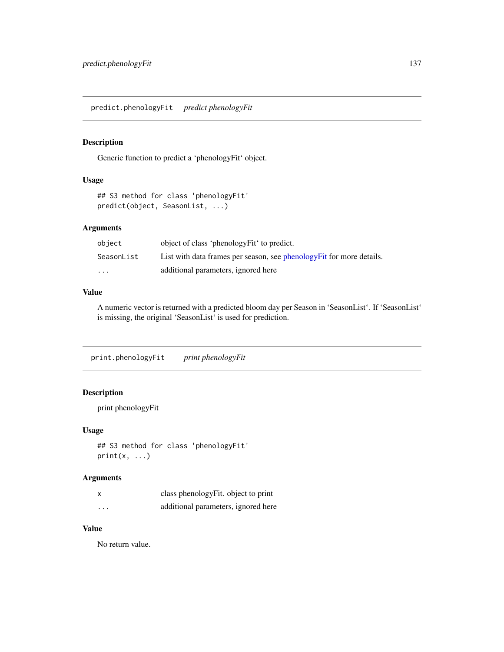predict.phenologyFit *predict phenologyFit*

# Description

Generic function to predict a 'phenologyFit' object.

## Usage

```
## S3 method for class 'phenologyFit'
predict(object, SeasonList, ...)
```
## Arguments

| object                  | object of class 'phenologyFit' to predict.                            |
|-------------------------|-----------------------------------------------------------------------|
| SeasonList              | List with data frames per season, see phenology Fit for more details. |
| $\cdot$ $\cdot$ $\cdot$ | additional parameters, ignored here                                   |

## Value

A numeric vector is returned with a predicted bloom day per Season in 'SeasonList'. If 'SeasonList' is missing, the original 'SeasonList' is used for prediction.

print.phenologyFit *print phenologyFit*

# Description

```
print phenologyFit
```
## Usage

```
## S3 method for class 'phenologyFit'
print(x, \ldots)
```
## Arguments

|                   | class phenology Fit. object to print |
|-------------------|--------------------------------------|
| $\cdot\cdot\cdot$ | additional parameters, ignored here  |

## Value

No return value.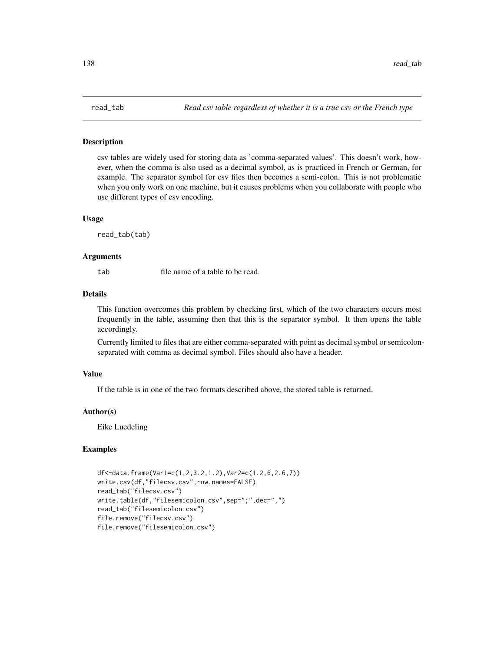csv tables are widely used for storing data as 'comma-separated values'. This doesn't work, however, when the comma is also used as a decimal symbol, as is practiced in French or German, for example. The separator symbol for csv files then becomes a semi-colon. This is not problematic when you only work on one machine, but it causes problems when you collaborate with people who use different types of csv encoding.

#### Usage

read\_tab(tab)

#### Arguments

tab file name of a table to be read.

## Details

This function overcomes this problem by checking first, which of the two characters occurs most frequently in the table, assuming then that this is the separator symbol. It then opens the table accordingly.

Currently limited to files that are either comma-separated with point as decimal symbol or semicolonseparated with comma as decimal symbol. Files should also have a header.

#### Value

If the table is in one of the two formats described above, the stored table is returned.

# Author(s)

Eike Luedeling

#### Examples

```
df<-data.frame(Var1=c(1,2,3.2,1.2),Var2=c(1.2,6,2.6,7))
write.csv(df,"filecsv.csv",row.names=FALSE)
read_tab("filecsv.csv")
write.table(df,"filesemicolon.csv",sep=";",dec=",")
read_tab("filesemicolon.csv")
file.remove("filecsv.csv")
file.remove("filesemicolon.csv")
```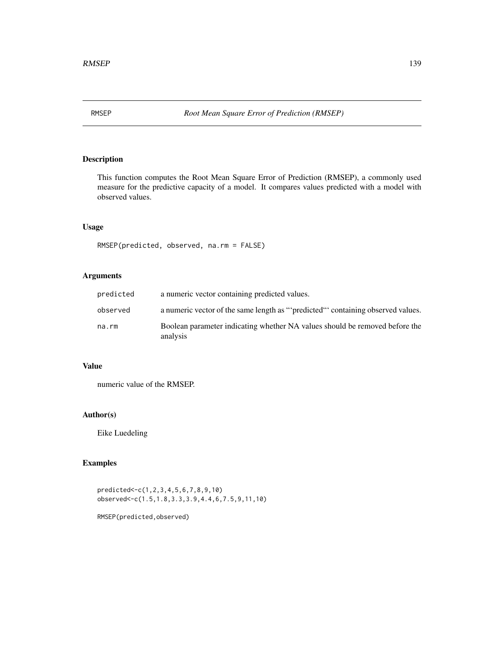This function computes the Root Mean Square Error of Prediction (RMSEP), a commonly used measure for the predictive capacity of a model. It compares values predicted with a model with observed values.

# Usage

RMSEP(predicted, observed, na.rm = FALSE)

# Arguments

| predicted | a numeric vector containing predicted values.                                           |
|-----------|-----------------------------------------------------------------------------------------|
| observed  | a numeric vector of the same length as ""predicted" containing observed values.         |
| na.rm     | Boolean parameter indicating whether NA values should be removed before the<br>analysis |

# Value

numeric value of the RMSEP.

## Author(s)

Eike Luedeling

# Examples

predicted<-c(1,2,3,4,5,6,7,8,9,10) observed<-c(1.5,1.8,3.3,3.9,4.4,6,7.5,9,11,10)

RMSEP(predicted,observed)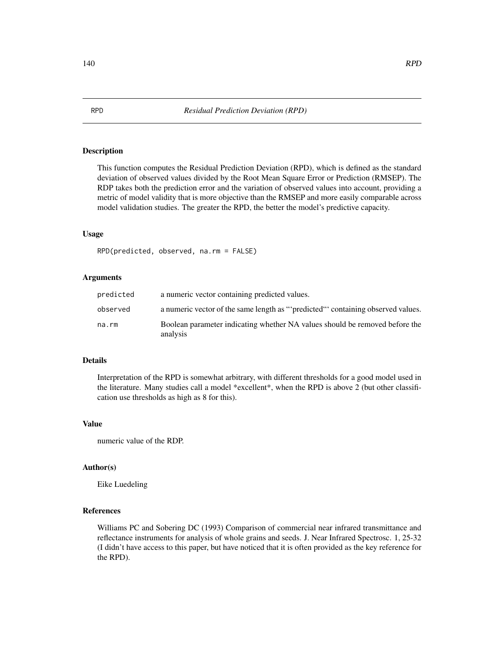This function computes the Residual Prediction Deviation (RPD), which is defined as the standard deviation of observed values divided by the Root Mean Square Error or Prediction (RMSEP). The RDP takes both the prediction error and the variation of observed values into account, providing a metric of model validity that is more objective than the RMSEP and more easily comparable across model validation studies. The greater the RPD, the better the model's predictive capacity.

## Usage

RPD(predicted, observed, na.rm = FALSE)

#### Arguments

| predicted | a numeric vector containing predicted values.                                           |
|-----------|-----------------------------------------------------------------------------------------|
| observed  | a numeric vector of the same length as "'predicted"' containing observed values.        |
| na.rm     | Boolean parameter indicating whether NA values should be removed before the<br>analysis |

#### Details

Interpretation of the RPD is somewhat arbitrary, with different thresholds for a good model used in the literature. Many studies call a model \*excellent\*, when the RPD is above 2 (but other classification use thresholds as high as 8 for this).

#### Value

numeric value of the RDP.

#### Author(s)

Eike Luedeling

# References

Williams PC and Sobering DC (1993) Comparison of commercial near infrared transmittance and reflectance instruments for analysis of whole grains and seeds. J. Near Infrared Spectrosc. 1, 25-32 (I didn't have access to this paper, but have noticed that it is often provided as the key reference for the RPD).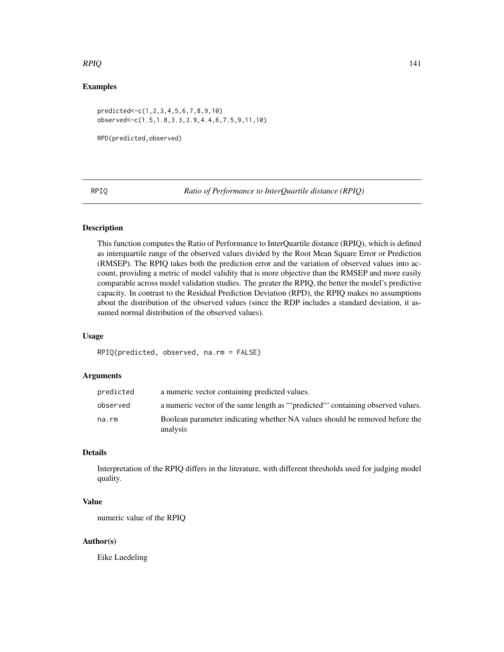## $RPIQ$  and  $141$

# Examples

```
predicted<-c(1,2,3,4,5,6,7,8,9,10)
observed<-c(1.5,1.8,3.3,3.9,4.4,6,7.5,9,11,10)
```

```
RPD(predicted,observed)
```
RPIQ *Ratio of Performance to InterQuartile distance (RPIQ)*

## Description

This function computes the Ratio of Performance to InterQuartile distance (RPIQ), which is defined as interquartile range of the observed values divided by the Root Mean Square Error or Prediction (RMSEP). The RPIQ takes both the prediction error and the variation of observed values into account, providing a metric of model validity that is more objective than the RMSEP and more easily comparable across model validation studies. The greater the RPIQ, the better the model's predictive capacity. In contrast to the Residual Prediction Deviation (RPD), the RPIQ makes no assumptions about the distribution of the observed values (since the RDP includes a standard deviation, it assumed normal distribution of the observed values).

#### Usage

RPIQ(predicted, observed, na.rm = FALSE)

#### Arguments

| predicted | a numeric vector containing predicted values.                                           |
|-----------|-----------------------------------------------------------------------------------------|
| observed  | a numeric vector of the same length as ""predicted" containing observed values.         |
| na.rm     | Boolean parameter indicating whether NA values should be removed before the<br>analysis |

# Details

Interpretation of the RPIQ differs in the literature, with different thresholds used for judging model quality.

### Value

numeric value of the RPIQ

## Author(s)

Eike Luedeling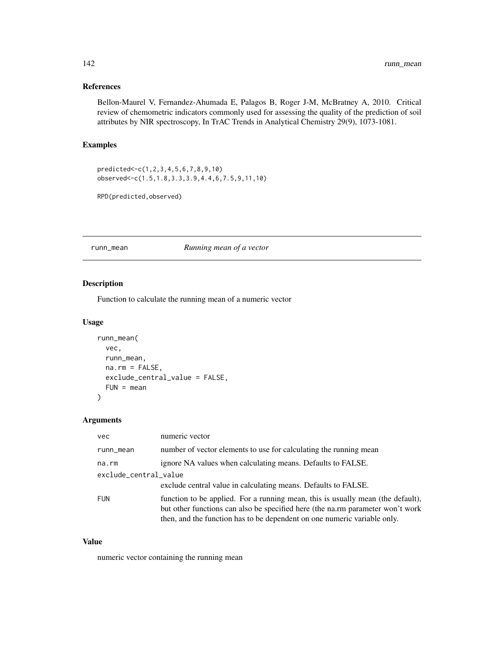## References

Bellon-Maurel V, Fernandez-Ahumada E, Palagos B, Roger J-M, McBratney A, 2010. Critical review of chemometric indicators commonly used for assessing the quality of the prediction of soil attributes by NIR spectroscopy, In TrAC Trends in Analytical Chemistry 29(9), 1073-1081.

# Examples

predicted<-c(1,2,3,4,5,6,7,8,9,10) observed<-c(1.5,1.8,3.3,3.9,4.4,6,7.5,9,11,10)

RPD(predicted,observed)

#### runn\_mean *Running mean of a vector*

# Description

Function to calculate the running mean of a numeric vector

## Usage

```
runn_mean(
  vec,
  runn_mean,
 na.rm = FALSE,
 exclude_central_value = FALSE,
 FUN = mean)
```
# Arguments

| <b>vec</b>            | numeric vector                                                                                                                                                                                                                                |
|-----------------------|-----------------------------------------------------------------------------------------------------------------------------------------------------------------------------------------------------------------------------------------------|
| runn_mean             | number of vector elements to use for calculating the running mean                                                                                                                                                                             |
| na.rm                 | ignore NA values when calculating means. Defaults to FALSE.                                                                                                                                                                                   |
| exclude_central_value |                                                                                                                                                                                                                                               |
|                       | exclude central value in calculating means. Defaults to FALSE.                                                                                                                                                                                |
| <b>FUN</b>            | function to be applied. For a running mean, this is usually mean (the default),<br>but other functions can also be specified here (the na.rm parameter won't work<br>then, and the function has to be dependent on one numeric variable only. |

# Value

numeric vector containing the running mean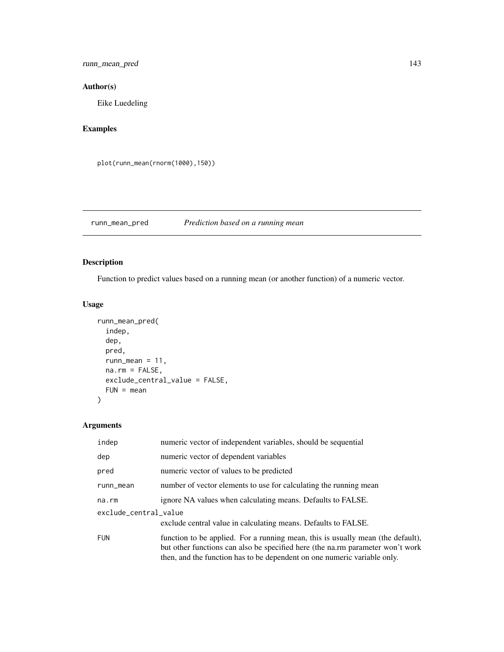runn\_mean\_pred 143

# Author(s)

Eike Luedeling

# Examples

plot(runn\_mean(rnorm(1000),150))

runn\_mean\_pred *Prediction based on a running mean*

# Description

Function to predict values based on a running mean (or another function) of a numeric vector.

# Usage

```
runn_mean_pred(
  indep,
  dep,
 pred,
 runn_mean = 11,
 na.rm = FALSE,
 exclude_central_value = FALSE,
 FUN = mean)
```
# Arguments

| indep                 | numeric vector of independent variables, should be sequential                                                                                                                                                                                 |  |
|-----------------------|-----------------------------------------------------------------------------------------------------------------------------------------------------------------------------------------------------------------------------------------------|--|
| dep                   | numeric vector of dependent variables                                                                                                                                                                                                         |  |
| pred                  | numeric vector of values to be predicted                                                                                                                                                                                                      |  |
| runn_mean             | number of vector elements to use for calculating the running mean                                                                                                                                                                             |  |
| na.rm                 | ignore NA values when calculating means. Defaults to FALSE.                                                                                                                                                                                   |  |
| exclude_central_value |                                                                                                                                                                                                                                               |  |
|                       | exclude central value in calculating means. Defaults to FALSE.                                                                                                                                                                                |  |
| <b>FUN</b>            | function to be applied. For a running mean, this is usually mean (the default),<br>but other functions can also be specified here (the na.rm parameter won't work<br>then, and the function has to be dependent on one numeric variable only. |  |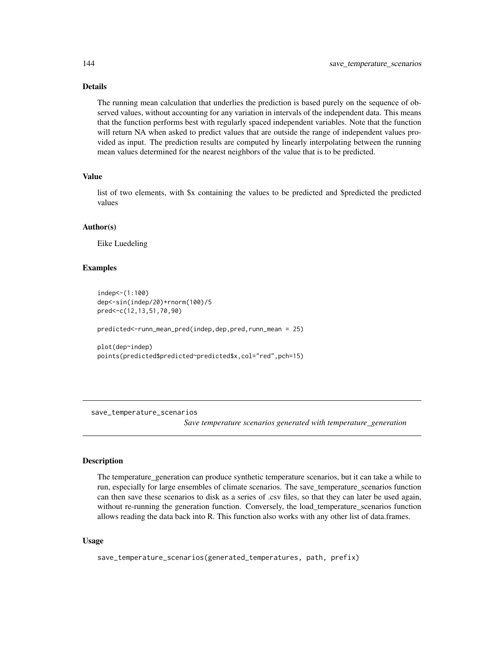# Details

The running mean calculation that underlies the prediction is based purely on the sequence of observed values, without accounting for any variation in intervals of the independent data. This means that the function performs best with regularly spaced independent variables. Note that the function will return NA when asked to predict values that are outside the range of independent values provided as input. The prediction results are computed by linearly interpolating between the running mean values determined for the nearest neighbors of the value that is to be predicted.

## Value

list of two elements, with \$x containing the values to be predicted and \$predicted the predicted values

## Author(s)

Eike Luedeling

## Examples

```
indep<-(1:100)
dep<-sin(indep/20)+rnorm(100)/5
pred<-c(12,13,51,70,90)
predicted<-runn_mean_pred(indep,dep,pred,runn_mean = 25)
plot(dep~indep)
points(predicted$predicted~predicted$x,col="red",pch=15)
```
save\_temperature\_scenarios

*Save temperature scenarios generated with temperature\_generation*

## **Description**

The temperature\_generation can produce synthetic temperature scenarios, but it can take a while to run, especially for large ensembles of climate scenarios. The save\_temperature\_scenarios function can then save these scenarios to disk as a series of .csv files, so that they can later be used again, without re-running the generation function. Conversely, the load\_temperature\_scenarios function allows reading the data back into R. This function also works with any other list of data.frames.

## Usage

save\_temperature\_scenarios(generated\_temperatures, path, prefix)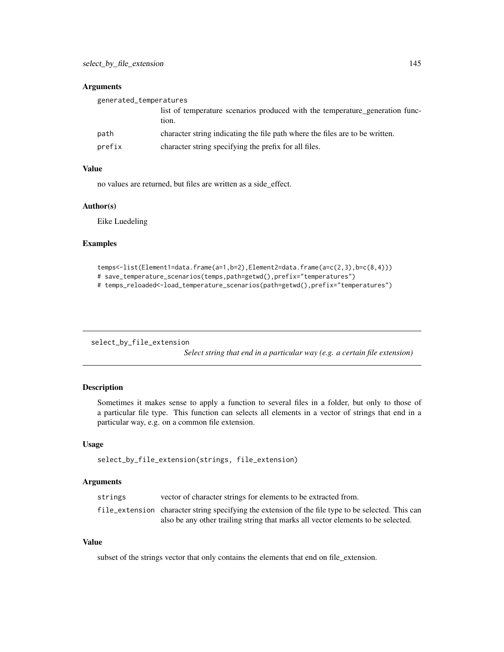#### <span id="page-144-0"></span>**Arguments**

| generated_temperatures |                                                                                       |
|------------------------|---------------------------------------------------------------------------------------|
|                        | list of temperature scenarios produced with the temperature generation func-<br>tion. |
| path                   | character string indicating the file path where the files are to be written.          |
| prefix                 | character string specifying the prefix for all files.                                 |

# Value

no values are returned, but files are written as a side\_effect.

#### Author(s)

Eike Luedeling

#### Examples

```
temps<-list(Element1=data.frame(a=1,b=2),Element2=data.frame(a=c(2,3),b=c(8,4)))
# save_temperature_scenarios(temps,path=getwd(),prefix="temperatures")
# temps_reloaded<-load_temperature_scenarios(path=getwd(),prefix="temperatures")
```
select\_by\_file\_extension

*Select string that end in a particular way (e.g. a certain file extension)*

# Description

Sometimes it makes sense to apply a function to several files in a folder, but only to those of a particular file type. This function can selects all elements in a vector of strings that end in a particular way, e.g. on a common file extension.

# Usage

```
select_by_file_extension(strings, file_extension)
```
#### **Arguments**

| strings | vector of character strings for elements to be extracted from.                                     |
|---------|----------------------------------------------------------------------------------------------------|
|         | file_extension character string specifying the extension of the file type to be selected. This can |
|         | also be any other trailing string that marks all vector elements to be selected.                   |

# Value

subset of the strings vector that only contains the elements that end on file\_extension.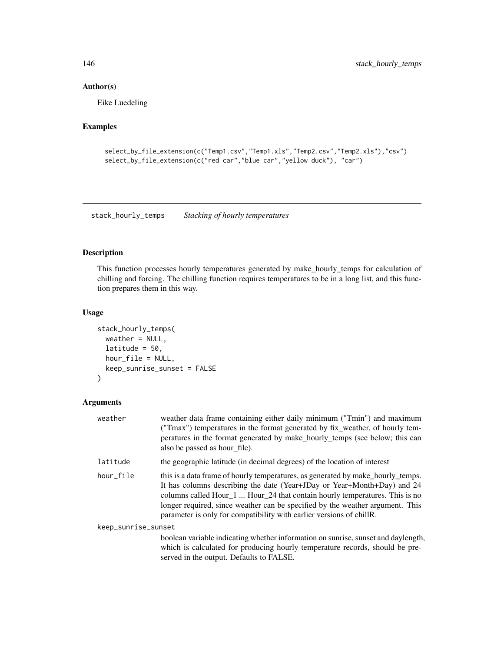# Author(s)

Eike Luedeling

# Examples

```
select_by_file_extension(c("Temp1.csv","Temp1.xls","Temp2.csv","Temp2.xls"),"csv")
select_by_file_extension(c("red car","blue car","yellow duck"), "car")
```
<span id="page-145-0"></span>stack\_hourly\_temps *Stacking of hourly temperatures*

# Description

This function processes hourly temperatures generated by make\_hourly\_temps for calculation of chilling and forcing. The chilling function requires temperatures to be in a long list, and this function prepares them in this way.

# Usage

```
stack_hourly_temps(
  weather = NULL,
  latitude = 50,
  hour_file = NULL,
  keep_sunrise_sunset = FALSE
\mathcal{L}
```
# Arguments

| weather             | weather data frame containing either daily minimum ("Tmin") and maximum<br>("Tmax") temperatures in the format generated by fix_weather, of hourly tem-<br>peratures in the format generated by make_hourly_temps (see below; this can<br>also be passed as hour file).                                                                                                                            |
|---------------------|----------------------------------------------------------------------------------------------------------------------------------------------------------------------------------------------------------------------------------------------------------------------------------------------------------------------------------------------------------------------------------------------------|
| latitude            | the geographic latitude (in decimal degrees) of the location of interest                                                                                                                                                                                                                                                                                                                           |
| hour_file           | this is a data frame of hourly temperatures, as generated by make hourly temps.<br>It has columns describing the date (Year+JDay or Year+Month+Day) and 24<br>columns called Hour_1  Hour_24 that contain hourly temperatures. This is no<br>longer required, since weather can be specified by the weather argument. This<br>parameter is only for compatibility with earlier versions of chillR. |
| keep_sunrise_sunset |                                                                                                                                                                                                                                                                                                                                                                                                    |
|                     | boolean variable indicating whether information on sunrise, sunset and daylength,<br>which is calculated for producing hourly temperature records, should be pre-<br>served in the output. Defaults to FALSE.                                                                                                                                                                                      |

<span id="page-145-1"></span>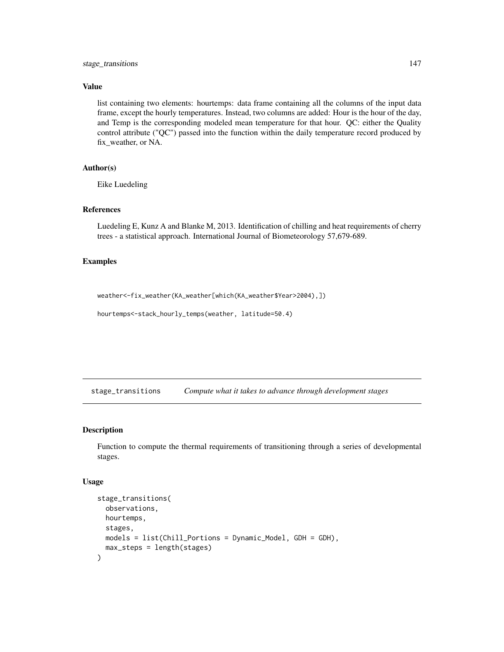# <span id="page-146-0"></span>Value

list containing two elements: hourtemps: data frame containing all the columns of the input data frame, except the hourly temperatures. Instead, two columns are added: Hour is the hour of the day, and Temp is the corresponding modeled mean temperature for that hour. QC: either the Quality control attribute ("QC") passed into the function within the daily temperature record produced by fix\_weather, or NA.

# Author(s)

Eike Luedeling

# References

Luedeling E, Kunz A and Blanke M, 2013. Identification of chilling and heat requirements of cherry trees - a statistical approach. International Journal of Biometeorology 57,679-689.

#### Examples

```
weather<-fix_weather(KA_weather[which(KA_weather$Year>2004),])
```

```
hourtemps<-stack_hourly_temps(weather, latitude=50.4)
```
stage\_transitions *Compute what it takes to advance through development stages*

# Description

Function to compute the thermal requirements of transitioning through a series of developmental stages.

#### Usage

```
stage_transitions(
  observations,
 hourtemps,
 stages,
 models = list(Chill_Portions = Dynamic_Model, GDH = GDH),
 max_steps = length(stages)
)
```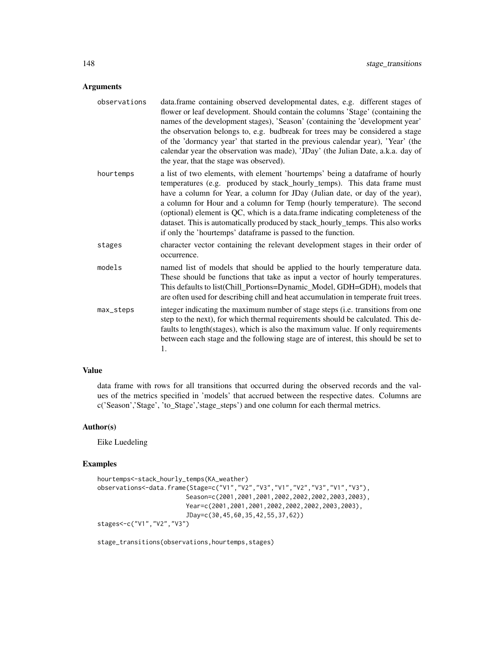# Arguments

| observations | data.frame containing observed developmental dates, e.g. different stages of<br>flower or leaf development. Should contain the columns 'Stage' (containing the<br>names of the development stages), 'Season' (containing the 'development year'<br>the observation belongs to, e.g. budbreak for trees may be considered a stage<br>of the 'dormancy year' that started in the previous calendar year), 'Year' (the<br>calendar year the observation was made), 'JDay' (the Julian Date, a.k.a. day of<br>the year, that the stage was observed).        |
|--------------|----------------------------------------------------------------------------------------------------------------------------------------------------------------------------------------------------------------------------------------------------------------------------------------------------------------------------------------------------------------------------------------------------------------------------------------------------------------------------------------------------------------------------------------------------------|
| hourtemps    | a list of two elements, with element 'hourtemps' being a dataframe of hourly<br>temperatures (e.g. produced by stack_hourly_temps). This data frame must<br>have a column for Year, a column for JDay (Julian date, or day of the year),<br>a column for Hour and a column for Temp (hourly temperature). The second<br>(optional) element is QC, which is a data.frame indicating completeness of the<br>dataset. This is automatically produced by stack_hourly_temps. This also works<br>if only the 'hourtemps' dataframe is passed to the function. |
| stages       | character vector containing the relevant development stages in their order of<br>occurrence.                                                                                                                                                                                                                                                                                                                                                                                                                                                             |
| models       | named list of models that should be applied to the hourly temperature data.<br>These should be functions that take as input a vector of hourly temperatures.<br>This defaults to list(Chill_Portions=Dynamic_Model, GDH=GDH), models that<br>are often used for describing chill and heat accumulation in temperate fruit trees.                                                                                                                                                                                                                         |
| max_steps    | integer indicating the maximum number of stage steps (i.e. transitions from one<br>step to the next), for which thermal requirements should be calculated. This de-<br>faults to length(stages), which is also the maximum value. If only requirements<br>between each stage and the following stage are of interest, this should be set to<br>1.                                                                                                                                                                                                        |

# Value

data frame with rows for all transitions that occurred during the observed records and the values of the metrics specified in 'models' that accrued between the respective dates. Columns are c('Season','Stage', 'to\_Stage','stage\_steps') and one column for each thermal metrics.

# Author(s)

Eike Luedeling

# Examples

```
hourtemps<-stack_hourly_temps(KA_weather)
observations<-data.frame(Stage=c("V1","V2","V3","V1","V2","V3","V1","V3"),
                       Season=c(2001,2001,2001,2002,2002,2002,2003,2003),
                        Year=c(2001,2001,2001,2002,2002,2002,2003,2003),
                        JDay=c(30,45,60,35,42,55,37,62))
stages<-c("V1","V2","V3")
```
stage\_transitions(observations,hourtemps,stages)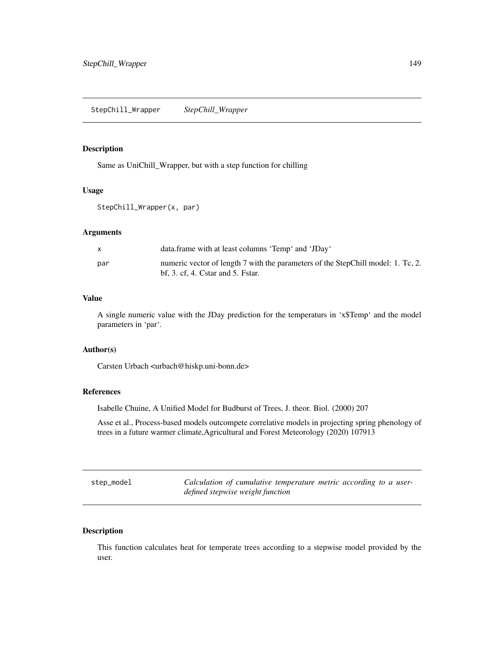# <span id="page-148-0"></span>Description

Same as UniChill\_Wrapper, but with a step function for chilling

#### Usage

StepChill\_Wrapper(x, par)

#### Arguments

|     | data.frame with at least columns 'Temp' and 'JDay'                                                                                |
|-----|-----------------------------------------------------------------------------------------------------------------------------------|
| par | numeric vector of length 7 with the parameters of the StepChill model: 1. Tc, 2.<br>$\mathbf{bf}$ , 3. cf, 4. Cstar and 5. Fstar. |

# Value

A single numeric value with the JDay prediction for the temperaturs in 'x\$Temp' and the model parameters in 'par'.

# Author(s)

Carsten Urbach <urbach@hiskp.uni-bonn.de>

# References

Isabelle Chuine, A Unified Model for Budburst of Trees, J. theor. Biol. (2000) 207

Asse et al., Process-based models outcompete correlative models in projecting spring phenology of trees in a future warmer climate,Agricultural and Forest Meteorology (2020) 107913

step\_model *Calculation of cumulative temperature metric according to a userdefined stepwise weight function*

# Description

This function calculates heat for temperate trees according to a stepwise model provided by the user.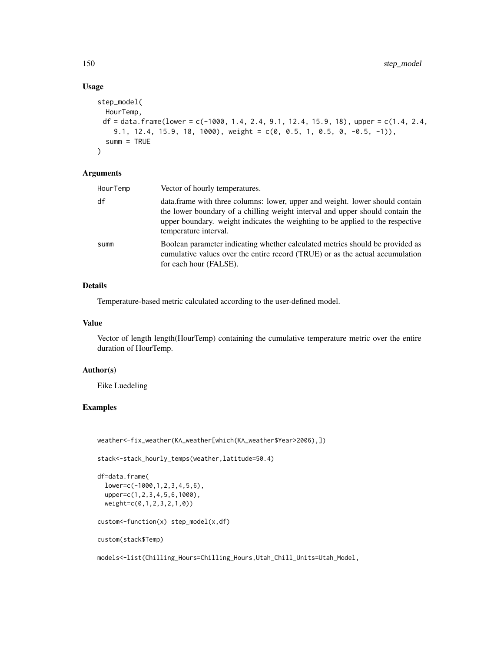# Usage

```
step_model(
 HourTemp,
 df = data frame(lower = c(-1000, 1.4, 2.4, 9.1, 12.4, 15.9, 18), upper = c(1.4, 2.4,9.1, 12.4, 15.9, 18, 1000), weight = c(0, 0.5, 1, 0.5, 0, -0.5, -1)),
  summ = TRUE
)
```
#### Arguments

| HourTemp | Vector of hourly temperatures.                                                                                                                                                                                                                                           |
|----------|--------------------------------------------------------------------------------------------------------------------------------------------------------------------------------------------------------------------------------------------------------------------------|
| df       | data.frame with three columns: lower, upper and weight. lower should contain<br>the lower boundary of a chilling weight interval and upper should contain the<br>upper boundary, weight indicates the weighting to be applied to the respective<br>temperature interval. |
| summ     | Boolean parameter indicating whether calculated metrics should be provided as<br>cumulative values over the entire record (TRUE) or as the actual accumulation<br>for each hour (FALSE).                                                                                 |

# Details

Temperature-based metric calculated according to the user-defined model.

#### Value

Vector of length length(HourTemp) containing the cumulative temperature metric over the entire duration of HourTemp.

#### Author(s)

Eike Luedeling

# Examples

weather<-fix\_weather(KA\_weather[which(KA\_weather\$Year>2006),])

stack<-stack\_hourly\_temps(weather,latitude=50.4)

```
df=data.frame(
 lower=c(-1000,1,2,3,4,5,6),
 upper=c(1,2,3,4,5,6,1000),
 weight=c(0,1,2,3,2,1,0))
```
custom<-function(x) step\_model(x,df)

custom(stack\$Temp)

models<-list(Chilling\_Hours=Chilling\_Hours,Utah\_Chill\_Units=Utah\_Model,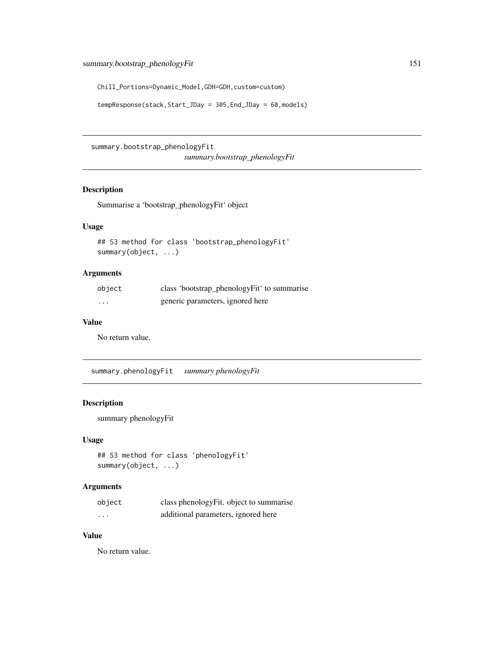<span id="page-150-0"></span>Chill\_Portions=Dynamic\_Model,GDH=GDH,custom=custom)

```
tempResponse(stack,Start_JDay = 305,End_JDay = 60,models)
```
summary.bootstrap\_phenologyFit

*summary.bootstrap\_phenologyFit*

# Description

Summarise a 'bootstrap\_phenologyFit' object

# Usage

```
## S3 method for class 'bootstrap_phenologyFit'
summary(object, ...)
```
# Arguments

| object | class 'bootstrap_phenologyFit' to summarise |
|--------|---------------------------------------------|
| .      | generic parameters, ignored here            |

# Value

No return value.

summary.phenologyFit *summary phenologyFit*

# Description

summary phenologyFit

# Usage

```
## S3 method for class 'phenologyFit'
summary(object, ...)
```
#### Arguments

| object   | class phenologyFit. object to summarise |
|----------|-----------------------------------------|
| $\cdots$ | additional parameters, ignored here     |

# Value

No return value.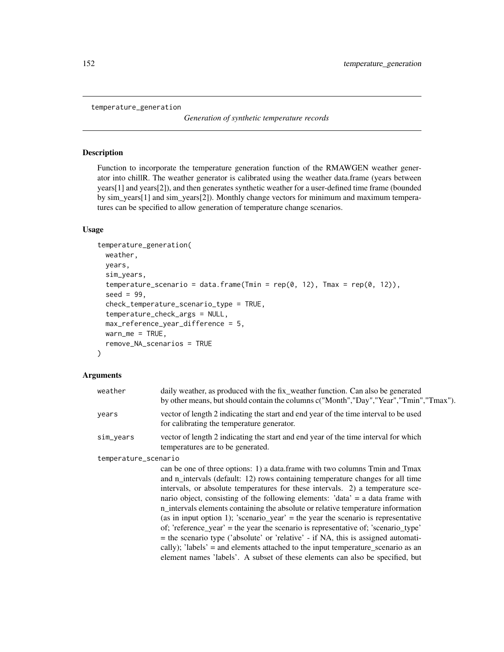```
temperature_generation
```
*Generation of synthetic temperature records*

#### Description

Function to incorporate the temperature generation function of the RMAWGEN weather generator into chillR. The weather generator is calibrated using the weather data.frame (years between years[1] and years[2]), and then generates synthetic weather for a user-defined time frame (bounded by sim\_years[1] and sim\_years[2]). Monthly change vectors for minimum and maximum temperatures can be specified to allow generation of temperature change scenarios.

#### Usage

```
temperature_generation(
 weather,
  years,
  sim_years,
  temperature_scenario = data.frame(Tmin = rep(0, 12), Tmax = rep(0, 12)),
  seed = 99,
  check_temperature_scenario_type = TRUE,
  temperature_check_args = NULL,
  max_reference_year_difference = 5,
 warn_me = TRUE,remove_NA_scenarios = TRUE
)
```
#### Arguments

| weather              | daily weather, as produced with the fix_weather function. Can also be generated<br>by other means, but should contain the columns c("Month", "Day", "Year", "Tmin", "Tmax").                                                                                                                                                                                                                                           |  |
|----------------------|------------------------------------------------------------------------------------------------------------------------------------------------------------------------------------------------------------------------------------------------------------------------------------------------------------------------------------------------------------------------------------------------------------------------|--|
| years                | vector of length 2 indicating the start and end year of the time interval to be used<br>for calibrating the temperature generator.                                                                                                                                                                                                                                                                                     |  |
| sim_years            | vector of length 2 indicating the start and end year of the time interval for which<br>temperatures are to be generated.                                                                                                                                                                                                                                                                                               |  |
| temperature_scenario |                                                                                                                                                                                                                                                                                                                                                                                                                        |  |
|                      | can be one of three options: 1) a data frame with two columns Tmin and Tmax<br>and n_intervals (default: 12) rows containing temperature changes for all time<br>intervals, or absolute temperatures for these intervals. 2) a temperature sce-<br>nario object, consisting of the following elements: $data' = a data frame with$<br>n_intervals elements containing the absolute or relative temperature information |  |

(as in input option 1); 'scenario\_year' = the year the scenario is representative of; 'reference year' = the year the scenario is representative of; 'scenario type' = the scenario type ('absolute' or 'relative' - if NA, this is assigned automatically); 'labels' = and elements attached to the input temperature\_scenario as an element names 'labels'. A subset of these elements can also be specified, but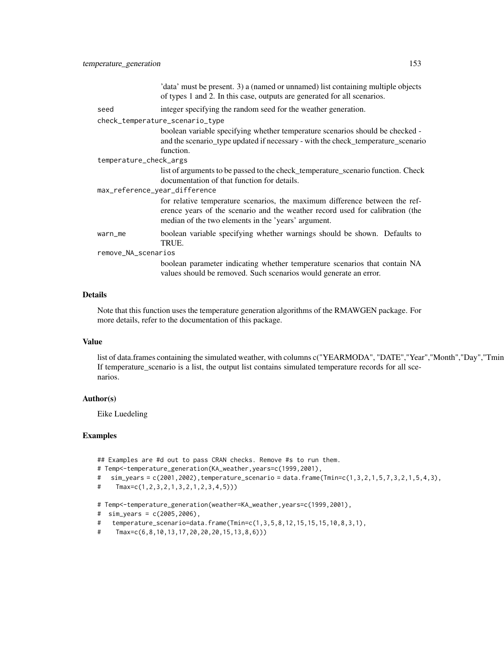|                                 | 'data' must be present. 3) a (named or unnamed) list containing multiple objects<br>of types 1 and 2. In this case, outputs are generated for all scenarios.                                                        |  |
|---------------------------------|---------------------------------------------------------------------------------------------------------------------------------------------------------------------------------------------------------------------|--|
| seed                            | integer specifying the random seed for the weather generation.                                                                                                                                                      |  |
| check_temperature_scenario_type |                                                                                                                                                                                                                     |  |
|                                 | boolean variable specifying whether temperature scenarios should be checked -<br>and the scenario_type updated if necessary - with the check_temperature_scenario<br>function.                                      |  |
| temperature_check_args          |                                                                                                                                                                                                                     |  |
|                                 | list of arguments to be passed to the check_temperature_scenario function. Check<br>documentation of that function for details.                                                                                     |  |
| max_reference_year_difference   |                                                                                                                                                                                                                     |  |
|                                 | for relative temperature scenarios, the maximum difference between the ref-<br>erence years of the scenario and the weather record used for calibration (the<br>median of the two elements in the 'years' argument. |  |
| warn_me                         | boolean variable specifying whether warnings should be shown. Defaults to<br>TRUE.                                                                                                                                  |  |
| remove_NA_scenarios             |                                                                                                                                                                                                                     |  |
|                                 | boolean parameter indicating whether temperature scenarios that contain NA<br>values should be removed. Such scenarios would generate an error.                                                                     |  |

# Details

Note that this function uses the temperature generation algorithms of the RMAWGEN package. For more details, refer to the documentation of this package.

# Value

list of data.frames containing the simulated weather, with columns c("YEARMODA", "DATE","Year","Month","Day","Tmin If temperature\_scenario is a list, the output list contains simulated temperature records for all scenarios.

# Author(s)

Eike Luedeling

# Examples

## Examples are #d out to pass CRAN checks. Remove #s to run them.

```
# Temp<-temperature_generation(KA_weather,years=c(1999,2001),
```
# sim\_years = c(2001,2002),temperature\_scenario = data.frame(Tmin=c(1,3,2,1,5,7,3,2,1,5,4,3),

```
# Tmax=c(1,2,3,2,1,3,2,1,2,3,4,5)))
```
# Temp<-temperature\_generation(weather=KA\_weather,years=c(1999,2001),

```
# sim_years = c(2005,2006),
```
- # temperature\_scenario=data.frame(Tmin=c(1,3,5,8,12,15,15,15,10,8,3,1),
- # Tmax=c(6,8,10,13,17,20,20,20,15,13,8,6)))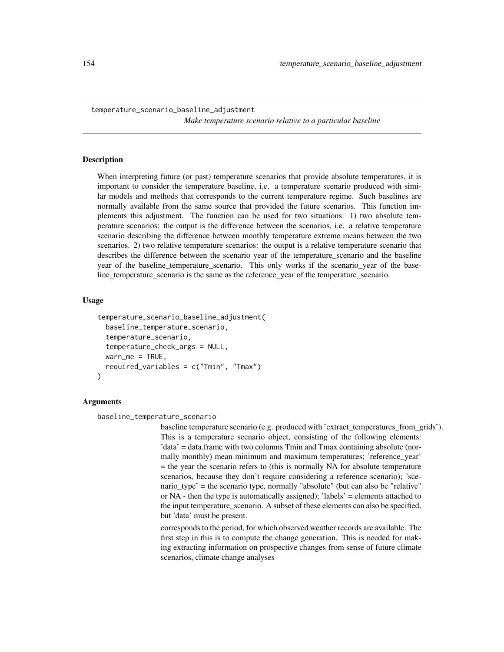<span id="page-153-0"></span>temperature\_scenario\_baseline\_adjustment *Make temperature scenario relative to a particular baseline*

#### Description

When interpreting future (or past) temperature scenarios that provide absolute temperatures, it is important to consider the temperature baseline, i.e. a temperature scenario produced with similar models and methods that corresponds to the current temperature regime. Such baselines are normally available from the same source that provided the future scenarios. This function implements this adjustment. The function can be used for two situations: 1) two absolute temperature scenarios: the output is the difference between the scenarios, i.e. a relative temperature scenario describing the difference between monthly temperature extreme means between the two scenarios. 2) two relative temperature scenarios: the output is a relative temperature scenario that describes the difference between the scenario year of the temperature\_scenario and the baseline year of the baseline\_temperature\_scenario. This only works if the scenario\_year of the baseline\_temperature\_scenario is the same as the reference\_year of the temperature\_scenario.

#### Usage

```
temperature_scenario_baseline_adjustment(
  baseline_temperature_scenario,
  temperature_scenario,
  temperature_check_args = NULL,
  warn_me = TRUE,required_variables = c("Tmin", "Tmax")
)
```
#### Arguments

```
baseline_temperature_scenario
```
baseline temperature scenario (e.g. produced with 'extract\_temperatures\_from\_grids'). This is a temperature scenario object, consisting of the following elements: 'data' = data.frame with two columns Tmin and Tmax containing absolute (normally monthly) mean minimum and maximum temperatures; 'reference\_year' = the year the scenario refers to (this is normally NA for absolute temperature scenarios, because they don't require considering a reference scenario); 'scenario type' = the scenario type, normally "absolute" (but can also be "relative" or NA - then the type is automatically assigned); 'labels' = elements attached to the input temperature\_scenario. A subset of these elements can also be specified, but 'data' must be present.

corresponds to the period, for which observed weather records are available. The first step in this is to compute the change generation. This is needed for making extracting information on prospective changes from sense of future climate scenarios, climate change analyses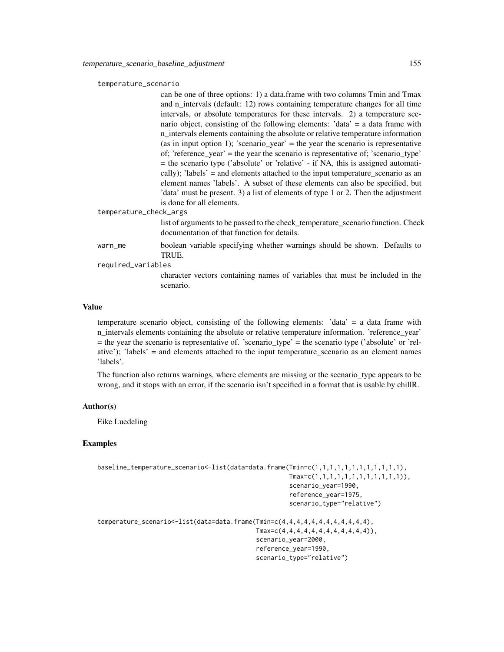#### temperature\_scenario

can be one of three options: 1) a data.frame with two columns Tmin and Tmax and n\_intervals (default: 12) rows containing temperature changes for all time intervals, or absolute temperatures for these intervals. 2) a temperature scenario object, consisting of the following elements: 'data' = a data frame with n intervals elements containing the absolute or relative temperature information (as in input option 1); 'scenario\_year' = the year the scenario is representative of; 'reference\_year' = the year the scenario is representative of; 'scenario\_type' = the scenario type ('absolute' or 'relative' - if NA, this is assigned automatically); 'labels' = and elements attached to the input temperature\_scenario as an element names 'labels'. A subset of these elements can also be specified, but 'data' must be present. 3) a list of elements of type 1 or 2. Then the adjustment is done for all elements.

temperature\_check\_args

list of arguments to be passed to the check temperature scenario function. Check documentation of that function for details.

warn\_me boolean variable specifying whether warnings should be shown. Defaults to TRUE.

required\_variables

character vectors containing names of variables that must be included in the scenario.

## Value

temperature scenario object, consisting of the following elements: 'data' = a data frame with n intervals elements containing the absolute or relative temperature information. 'reference year' = the year the scenario is representative of. 'scenario\_type' = the scenario type ('absolute' or 'relative'); 'labels' = and elements attached to the input temperature\_scenario as an element names 'labels'.

The function also returns warnings, where elements are missing or the scenario\_type appears to be wrong, and it stops with an error, if the scenario isn't specified in a format that is usable by chillR.

# Author(s)

Eike Luedeling

#### Examples

```
baseline_temperature_scenario<-list(data=data.frame(Tmin=c(1,1,1,1,1,1,1,1,1,1,1,1),
                                                    Tmax=c(1,1,1,1,1,1,1,1,1,1,1,1)),
                                                    scenario_year=1990,
                                                    reference_year=1975,
                                                    scenario_type="relative")
temperature_scenario<-list(data=data.frame(Tmin=c(4,4,4,4,4,4,4,4,4,4,4,4),
                                           Tmax=c(4,4,4,4,4,4,4,4,4,4,4,4)),
                                           scenario_year=2000,
                                           reference_year=1990,
                                           scenario_type="relative")
```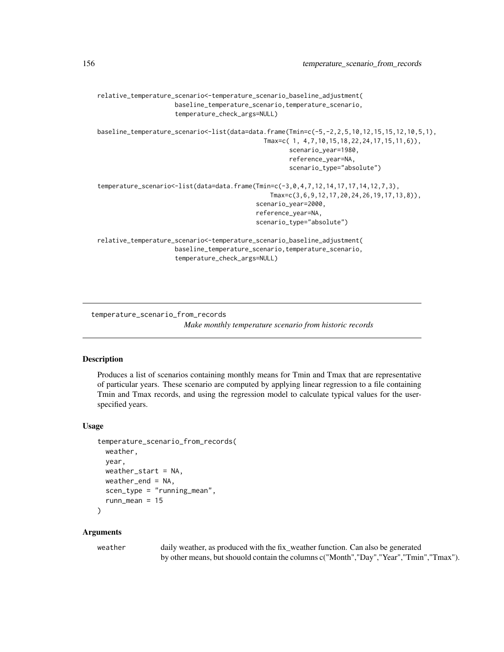```
relative_temperature_scenario<-temperature_scenario_baseline_adjustment(
                     baseline_temperature_scenario,temperature_scenario,
                     temperature_check_args=NULL)
baseline_temperature_scenario<-list(data=data.frame(Tmin=c(-5,-2,2,5,10,12,15,15,12,10,5,1),
                                             Tmax=c( 1, 4,7,10,15,18,22,24,17,15,11,6)),
                                                    scenario_year=1980,
                                                    reference_year=NA,
                                                    scenario_type="absolute")
temperature_scenario<-list(data=data.frame(Tmin=c(-3,0,4,7,12,14,17,17,14,12,7,3),
                                               Tmax=c(3,6,9,12,17,20,24,26,19,17,13,8)),
                                           scenario_year=2000,
                                           reference_year=NA,
                                           scenario_type="absolute")
relative_temperature_scenario<-temperature_scenario_baseline_adjustment(
                     baseline_temperature_scenario,temperature_scenario,
                     temperature_check_args=NULL)
```
temperature\_scenario\_from\_records

*Make monthly temperature scenario from historic records*

#### **Description**

Produces a list of scenarios containing monthly means for Tmin and Tmax that are representative of particular years. These scenario are computed by applying linear regression to a file containing Tmin and Tmax records, and using the regression model to calculate typical values for the userspecified years.

# Usage

```
temperature_scenario_from_records(
  weather,
 year,
  weather_start = NA,
 weather_end = NA,
  scen_type = "running_mean",runn mean = 15)
```
#### Arguments

weather daily weather, as produced with the fix\_weather function. Can also be generated by other means, but shouold contain the columns c("Month","Day","Year","Tmin","Tmax").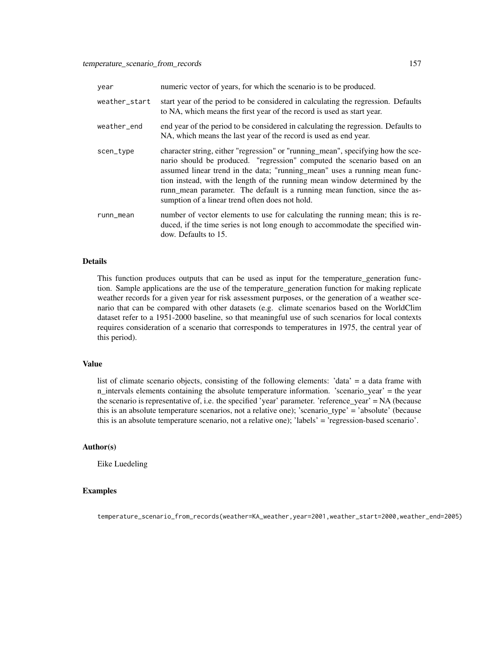| year          | numeric vector of years, for which the scenario is to be produced.                                                                                                                                                                                                                                                                                                                                                                                        |
|---------------|-----------------------------------------------------------------------------------------------------------------------------------------------------------------------------------------------------------------------------------------------------------------------------------------------------------------------------------------------------------------------------------------------------------------------------------------------------------|
| weather_start | start year of the period to be considered in calculating the regression. Defaults<br>to NA, which means the first year of the record is used as start year.                                                                                                                                                                                                                                                                                               |
| weather_end   | end year of the period to be considered in calculating the regression. Defaults to<br>NA, which means the last year of the record is used as end year.                                                                                                                                                                                                                                                                                                    |
| scen_type     | character string, either "regression" or "running_mean", specifying how the sce-<br>nario should be produced. "regression" computed the scenario based on an<br>assumed linear trend in the data; "running_mean" uses a running mean func-<br>tion instead, with the length of the running mean window determined by the<br>runn_mean parameter. The default is a running mean function, since the as-<br>sumption of a linear trend often does not hold. |
| runn_mean     | number of vector elements to use for calculating the running mean; this is re-<br>duced, if the time series is not long enough to accommodate the specified win-<br>dow. Defaults to 15.                                                                                                                                                                                                                                                                  |

#### Details

This function produces outputs that can be used as input for the temperature\_generation function. Sample applications are the use of the temperature\_generation function for making replicate weather records for a given year for risk assessment purposes, or the generation of a weather scenario that can be compared with other datasets (e.g. climate scenarios based on the WorldClim dataset refer to a 1951-2000 baseline, so that meaningful use of such scenarios for local contexts requires consideration of a scenario that corresponds to temperatures in 1975, the central year of this period).

# Value

list of climate scenario objects, consisting of the following elements: 'data' = a data frame with n\_intervals elements containing the absolute temperature information. 'scenario\_year' = the year the scenario is representative of, i.e. the specified 'year' parameter. 'reference\_year' = NA (because this is an absolute temperature scenarios, not a relative one); 'scenario  $type' = 'absolute'$  (because this is an absolute temperature scenario, not a relative one); 'labels' = 'regression-based scenario'.

# Author(s)

Eike Luedeling

#### Examples

temperature\_scenario\_from\_records(weather=KA\_weather,year=2001,weather\_start=2000,weather\_end=2005)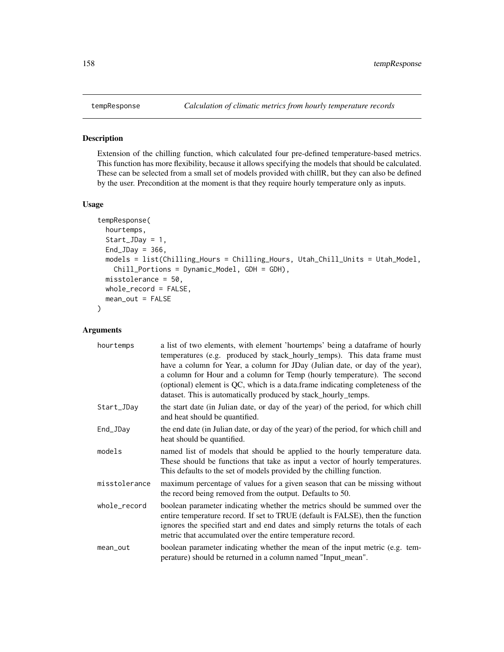<span id="page-157-1"></span><span id="page-157-0"></span>

#### Description

Extension of the chilling function, which calculated four pre-defined temperature-based metrics. This function has more flexibility, because it allows specifying the models that should be calculated. These can be selected from a small set of models provided with chillR, but they can also be defined by the user. Precondition at the moment is that they require hourly temperature only as inputs.

# Usage

```
tempResponse(
 hourtemps,
  Start_JDay = 1,
 End_JDay = 366,
 models = list(Chilling_Hours = Chilling_Hours, Utah_Chill_Units = Utah_Model,
    Chill_Portions = Dynamic_Model, GDH = GDH),
 misstolerance = 50,
 whole_record = FALSE,
 mean_out = FALSE)
```
# Arguments

| hourtemps     | a list of two elements, with element 'hourtemps' being a dataframe of hourly<br>temperatures (e.g. produced by stack_hourly_temps). This data frame must<br>have a column for Year, a column for JDay (Julian date, or day of the year),<br>a column for Hour and a column for Temp (hourly temperature). The second<br>(optional) element is QC, which is a data frame indicating completeness of the<br>dataset. This is automatically produced by stack_hourly_temps. |
|---------------|--------------------------------------------------------------------------------------------------------------------------------------------------------------------------------------------------------------------------------------------------------------------------------------------------------------------------------------------------------------------------------------------------------------------------------------------------------------------------|
| Start_JDay    | the start date (in Julian date, or day of the year) of the period, for which chill<br>and heat should be quantified.                                                                                                                                                                                                                                                                                                                                                     |
| End_JDay      | the end date (in Julian date, or day of the year) of the period, for which chill and<br>heat should be quantified.                                                                                                                                                                                                                                                                                                                                                       |
| models        | named list of models that should be applied to the hourly temperature data.<br>These should be functions that take as input a vector of hourly temperatures.<br>This defaults to the set of models provided by the chilling function.                                                                                                                                                                                                                                    |
| misstolerance | maximum percentage of values for a given season that can be missing without<br>the record being removed from the output. Defaults to 50.                                                                                                                                                                                                                                                                                                                                 |
| whole_record  | boolean parameter indicating whether the metrics should be summed over the<br>entire temperature record. If set to TRUE (default is FALSE), then the function<br>ignores the specified start and end dates and simply returns the totals of each<br>metric that accumulated over the entire temperature record.                                                                                                                                                          |
| mean_out      | boolean parameter indicating whether the mean of the input metric (e.g. tem-<br>perature) should be returned in a column named "Input_mean".                                                                                                                                                                                                                                                                                                                             |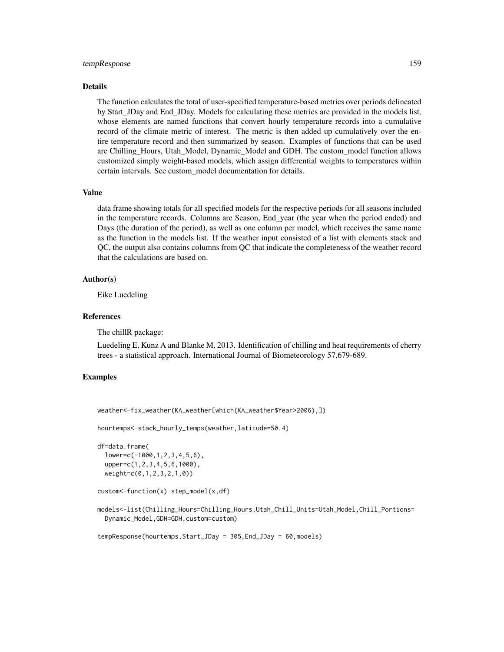#### tempResponse 159

# Details

The function calculates the total of user-specified temperature-based metrics over periods delineated by Start\_JDay and End\_JDay. Models for calculating these metrics are provided in the models list, whose elements are named functions that convert hourly temperature records into a cumulative record of the climate metric of interest. The metric is then added up cumulatively over the entire temperature record and then summarized by season. Examples of functions that can be used are Chilling\_Hours, Utah\_Model, Dynamic\_Model and GDH. The custom\_model function allows customized simply weight-based models, which assign differential weights to temperatures within certain intervals. See custom\_model documentation for details.

#### Value

data frame showing totals for all specified models for the respective periods for all seasons included in the temperature records. Columns are Season, End\_year (the year when the period ended) and Days (the duration of the period), as well as one column per model, which receives the same name as the function in the models list. If the weather input consisted of a list with elements stack and QC, the output also contains columns from QC that indicate the completeness of the weather record that the calculations are based on.

#### Author(s)

Eike Luedeling

#### References

The chillR package:

Luedeling E, Kunz A and Blanke M, 2013. Identification of chilling and heat requirements of cherry trees - a statistical approach. International Journal of Biometeorology 57,679-689.

# Examples

weather<-fix\_weather(KA\_weather[which(KA\_weather\$Year>2006),])

hourtemps<-stack\_hourly\_temps(weather,latitude=50.4)

```
df=data.frame(
 lower=c(-1000,1,2,3,4,5,6),
 upper=c(1,2,3,4,5,6,1000),
 weight=c(0,1,2,3,2,1,0))
```

```
custom<-function(x) step_model(x,df)
```
models<-list(Chilling\_Hours=Chilling\_Hours,Utah\_Chill\_Units=Utah\_Model,Chill\_Portions= Dynamic\_Model,GDH=GDH,custom=custom)

tempResponse(hourtemps,Start\_JDay = 305,End\_JDay = 60,models)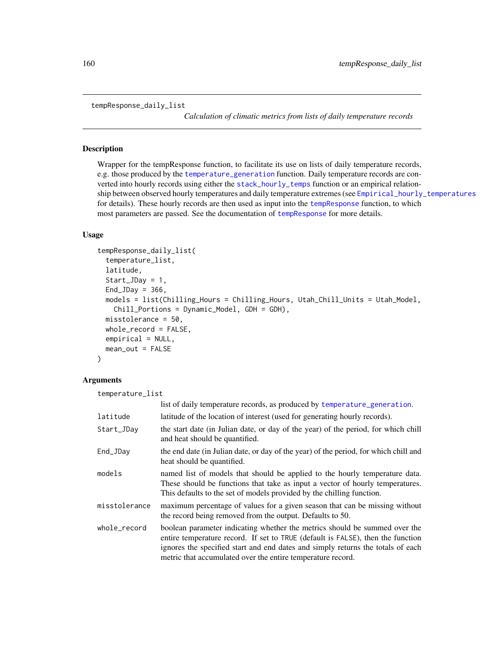```
tempResponse_daily_list
```
*Calculation of climatic metrics from lists of daily temperature records*

# Description

Wrapper for the tempResponse function, to facilitate its use on lists of daily temperature records, e.g. those produced by the [temperature\\_generation](#page-151-0) function. Daily temperature records are converted into hourly records using either the [stack\\_hourly\\_temps](#page-145-0) function or an empirical relationship between observed hourly temperatures and daily temperature extremes (see [Empirical\\_hourly\\_temperatures](#page-39-0) for details). These hourly records are then used as input into the [tempResponse](#page-157-0) function, to which most parameters are passed. See the documentation of [tempResponse](#page-157-0) for more details.

# Usage

```
tempResponse_daily_list(
  temperature_list,
  latitude,
  Start_JDay = 1,
 End_JDay = 366,
 models = list(Chilling_Hours = Chilling_Hours, Utah_Chill_Units = Utah_Model,
    Chill_Portions = Dynamic_Model, GDH = GDH),
 misstolerance = 50,
 whole_record = FALSE,
  empirical = NULL,
  mean_out = FALSE
\lambda
```
# Arguments

temperature\_list

|               | list of daily temperature records, as produced by temperature_generation.                                                                                                                                                                                                                                       |
|---------------|-----------------------------------------------------------------------------------------------------------------------------------------------------------------------------------------------------------------------------------------------------------------------------------------------------------------|
| latitude      | latitude of the location of interest (used for generating hourly records).                                                                                                                                                                                                                                      |
| Start_JDay    | the start date (in Julian date, or day of the year) of the period, for which chill<br>and heat should be quantified.                                                                                                                                                                                            |
| End_JDay      | the end date (in Julian date, or day of the year) of the period, for which chill and<br>heat should be quantified.                                                                                                                                                                                              |
| models        | named list of models that should be applied to the hourly temperature data.<br>These should be functions that take as input a vector of hourly temperatures.<br>This defaults to the set of models provided by the chilling function.                                                                           |
| misstolerance | maximum percentage of values for a given season that can be missing without<br>the record being removed from the output. Defaults to 50.                                                                                                                                                                        |
| whole_record  | boolean parameter indicating whether the metrics should be summed over the<br>entire temperature record. If set to TRUE (default is FALSE), then the function<br>ignores the specified start and end dates and simply returns the totals of each<br>metric that accumulated over the entire temperature record. |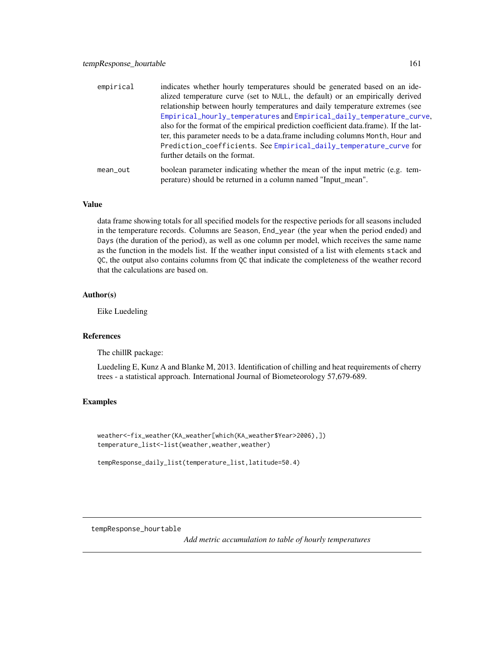<span id="page-160-0"></span>

| empirical | indicates whether hourly temperatures should be generated based on an ide-<br>alized temperature curve (set to NULL, the default) or an empirically derived<br>relationship between hourly temperatures and daily temperature extremes (see<br>Empirical_hourly_temperatures and Empirical_daily_temperature_curve,<br>also for the format of the empirical prediction coefficient data.frame). If the lat-<br>ter, this parameter needs to be a data.frame including columns Month, Hour and<br>Prediction_coefficients. See Empirical_daily_temperature_curve for<br>further details on the format. |
|-----------|-------------------------------------------------------------------------------------------------------------------------------------------------------------------------------------------------------------------------------------------------------------------------------------------------------------------------------------------------------------------------------------------------------------------------------------------------------------------------------------------------------------------------------------------------------------------------------------------------------|
| mean_out  | boolean parameter indicating whether the mean of the input metric (e.g. tem-<br>perature) should be returned in a column named "Input mean".                                                                                                                                                                                                                                                                                                                                                                                                                                                          |

# Value

data frame showing totals for all specified models for the respective periods for all seasons included in the temperature records. Columns are Season, End\_year (the year when the period ended) and Days (the duration of the period), as well as one column per model, which receives the same name as the function in the models list. If the weather input consisted of a list with elements stack and QC, the output also contains columns from QC that indicate the completeness of the weather record that the calculations are based on.

#### Author(s)

Eike Luedeling

# References

The chillR package:

Luedeling E, Kunz A and Blanke M, 2013. Identification of chilling and heat requirements of cherry trees - a statistical approach. International Journal of Biometeorology 57,679-689.

#### Examples

```
weather<-fix_weather(KA_weather[which(KA_weather$Year>2006),])
temperature_list<-list(weather,weather,weather)
```

```
tempResponse_daily_list(temperature_list,latitude=50.4)
```
tempResponse\_hourtable

*Add metric accumulation to table of hourly temperatures*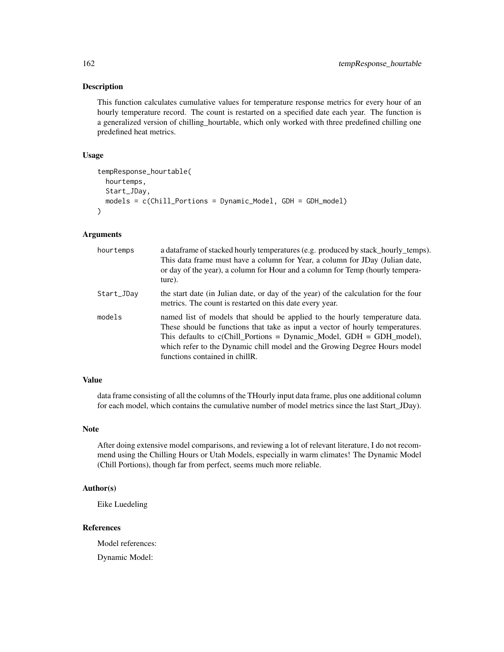#### Description

This function calculates cumulative values for temperature response metrics for every hour of an hourly temperature record. The count is restarted on a specified date each year. The function is a generalized version of chilling\_hourtable, which only worked with three predefined chilling one predefined heat metrics.

#### Usage

```
tempResponse_hourtable(
  hourtemps,
  Start_JDay,
 models = c(Chill_Portions = Dynamic_Model, GDH = GDH_model)
)
```
# Arguments

| hourtemps  | a dataframe of stacked hourly temperatures (e.g. produced by stack_hourly_temps).<br>This data frame must have a column for Year, a column for JDay (Julian date,<br>or day of the year), a column for Hour and a column for Temp (hourly tempera-<br>ture).                                                                                           |
|------------|--------------------------------------------------------------------------------------------------------------------------------------------------------------------------------------------------------------------------------------------------------------------------------------------------------------------------------------------------------|
| Start_JDay | the start date (in Julian date, or day of the year) of the calculation for the four<br>metrics. The count is restarted on this date every year.                                                                                                                                                                                                        |
| models     | named list of models that should be applied to the hourly temperature data.<br>These should be functions that take as input a vector of hourly temperatures.<br>This defaults to $c$ (Chill_Portions = Dynamic_Model, GDH = GDH_model),<br>which refer to the Dynamic chill model and the Growing Degree Hours model<br>functions contained in chillR. |

#### Value

data frame consisting of all the columns of the THourly input data frame, plus one additional column for each model, which contains the cumulative number of model metrics since the last Start\_JDay).

#### Note

After doing extensive model comparisons, and reviewing a lot of relevant literature, I do not recommend using the Chilling Hours or Utah Models, especially in warm climates! The Dynamic Model (Chill Portions), though far from perfect, seems much more reliable.

# Author(s)

Eike Luedeling

#### References

Model references:

Dynamic Model: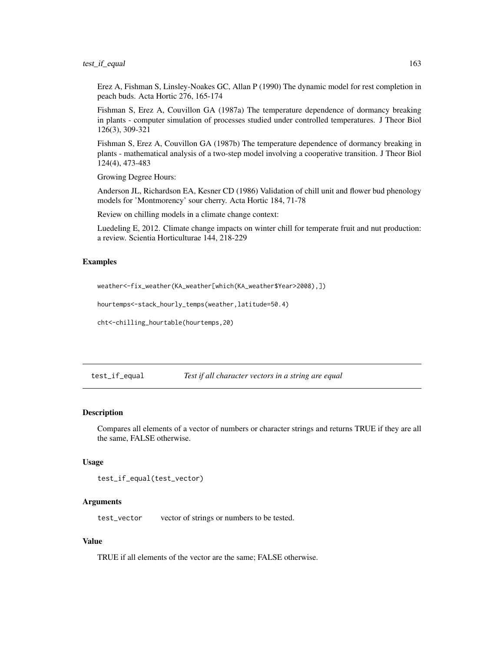# <span id="page-162-0"></span>test\_if\_equal 163

Erez A, Fishman S, Linsley-Noakes GC, Allan P (1990) The dynamic model for rest completion in peach buds. Acta Hortic 276, 165-174

Fishman S, Erez A, Couvillon GA (1987a) The temperature dependence of dormancy breaking in plants - computer simulation of processes studied under controlled temperatures. J Theor Biol 126(3), 309-321

Fishman S, Erez A, Couvillon GA (1987b) The temperature dependence of dormancy breaking in plants - mathematical analysis of a two-step model involving a cooperative transition. J Theor Biol 124(4), 473-483

Growing Degree Hours:

Anderson JL, Richardson EA, Kesner CD (1986) Validation of chill unit and flower bud phenology models for 'Montmorency' sour cherry. Acta Hortic 184, 71-78

Review on chilling models in a climate change context:

Luedeling E, 2012. Climate change impacts on winter chill for temperate fruit and nut production: a review. Scientia Horticulturae 144, 218-229

#### Examples

weather<-fix\_weather(KA\_weather[which(KA\_weather\$Year>2008),])

hourtemps<-stack\_hourly\_temps(weather,latitude=50.4)

cht<-chilling\_hourtable(hourtemps,20)

test\_if\_equal *Test if all character vectors in a string are equal*

#### Description

Compares all elements of a vector of numbers or character strings and returns TRUE if they are all the same, FALSE otherwise.

#### Usage

```
test_if_equal(test_vector)
```
#### Arguments

test\_vector vector of strings or numbers to be tested.

#### Value

TRUE if all elements of the vector are the same; FALSE otherwise.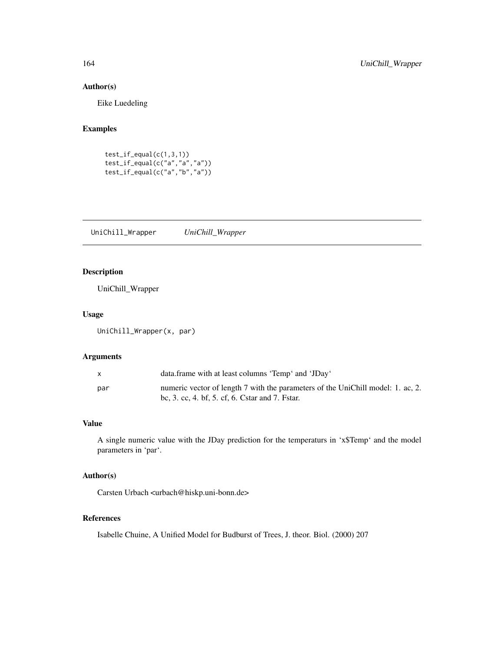# Author(s)

Eike Luedeling

# Examples

```
test_if_eq<sub>c</sub>equal(c(1,3,1))
test_if_equal(c("a","a","a"))
test_if_equal(c("a","b","a"))
```
UniChill\_Wrapper *UniChill\_Wrapper*

# Description

UniChill\_Wrapper

# Usage

UniChill\_Wrapper(x, par)

# Arguments

| $\mathsf{x}$ | data.frame with at least columns 'Temp' and 'JDay'                                                                                 |
|--------------|------------------------------------------------------------------------------------------------------------------------------------|
| par          | numeric vector of length 7 with the parameters of the UniChill model: 1. ac, 2.<br>bc, 3. cc, 4. bf, 5. cf, 6. Cstar and 7. Fstar. |

# Value

A single numeric value with the JDay prediction for the temperaturs in 'x\$Temp' and the model parameters in 'par'.

# Author(s)

Carsten Urbach <urbach@hiskp.uni-bonn.de>

# References

Isabelle Chuine, A Unified Model for Budburst of Trees, J. theor. Biol. (2000) 207

<span id="page-163-0"></span>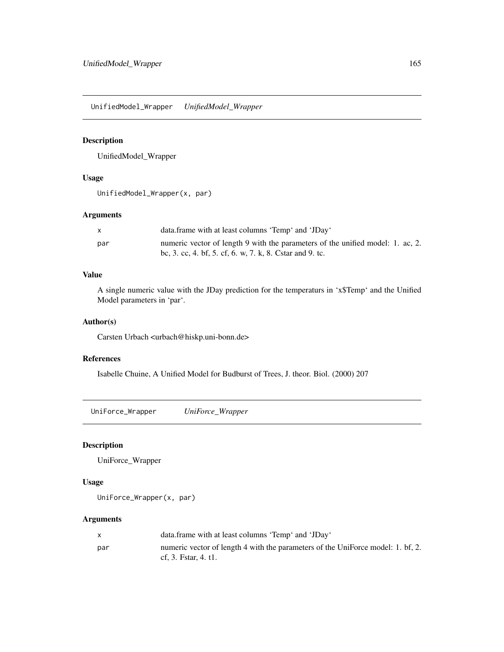<span id="page-164-0"></span>UnifiedModel\_Wrapper *UnifiedModel\_Wrapper*

# Description

UnifiedModel\_Wrapper

# Usage

UnifiedModel\_Wrapper(x, par)

# Arguments

|     | data.frame with at least columns 'Temp' and 'JDay'                             |
|-----|--------------------------------------------------------------------------------|
| par | numeric vector of length 9 with the parameters of the unified model: 1. ac, 2. |
|     | bc, 3. cc, 4. bf, 5. cf, 6. w, 7. k, 8. Cstar and 9. tc.                       |

# Value

A single numeric value with the JDay prediction for the temperaturs in 'x\$Temp' and the Unified Model parameters in 'par'.

# Author(s)

Carsten Urbach <urbach@hiskp.uni-bonn.de>

# References

Isabelle Chuine, A Unified Model for Budburst of Trees, J. theor. Biol. (2000) 207

UniForce\_Wrapper *UniForce\_Wrapper*

## Description

UniForce\_Wrapper

#### Usage

UniForce\_Wrapper(x, par)

# Arguments

| data.frame with at least columns 'Temp' and 'JDay'                                                      |
|---------------------------------------------------------------------------------------------------------|
| numeric vector of length 4 with the parameters of the UniForce model: 1. bf, 2.<br>cf. 3. Fstar. 4. t1. |
|                                                                                                         |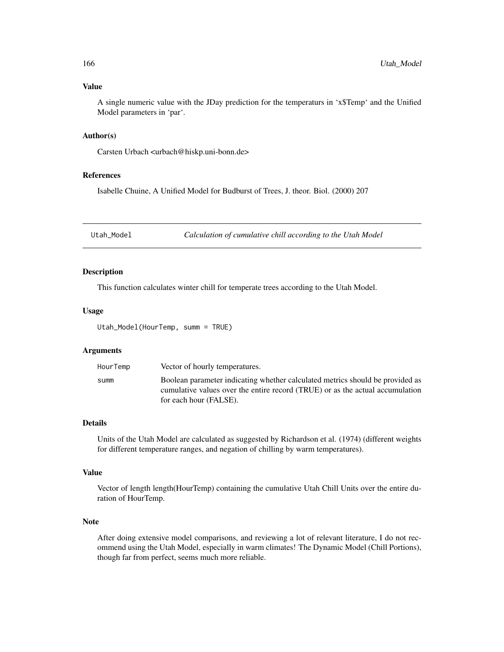#### <span id="page-165-0"></span>Value

A single numeric value with the JDay prediction for the temperaturs in 'x\$Temp' and the Unified Model parameters in 'par'.

# Author(s)

Carsten Urbach <urbach@hiskp.uni-bonn.de>

#### References

Isabelle Chuine, A Unified Model for Budburst of Trees, J. theor. Biol. (2000) 207

Utah\_Model *Calculation of cumulative chill according to the Utah Model*

# Description

This function calculates winter chill for temperate trees according to the Utah Model.

# Usage

Utah\_Model(HourTemp, summ = TRUE)

#### Arguments

| Vector of hourly temperatures.<br>HourTemp                                                                                                                                                       |  |
|--------------------------------------------------------------------------------------------------------------------------------------------------------------------------------------------------|--|
| Boolean parameter indicating whether calculated metrics should be provided as<br>summ<br>cumulative values over the entire record (TRUE) or as the actual accumulation<br>for each hour (FALSE). |  |

# Details

Units of the Utah Model are calculated as suggested by Richardson et al. (1974) (different weights for different temperature ranges, and negation of chilling by warm temperatures).

# Value

Vector of length length(HourTemp) containing the cumulative Utah Chill Units over the entire duration of HourTemp.

#### Note

After doing extensive model comparisons, and reviewing a lot of relevant literature, I do not recommend using the Utah Model, especially in warm climates! The Dynamic Model (Chill Portions), though far from perfect, seems much more reliable.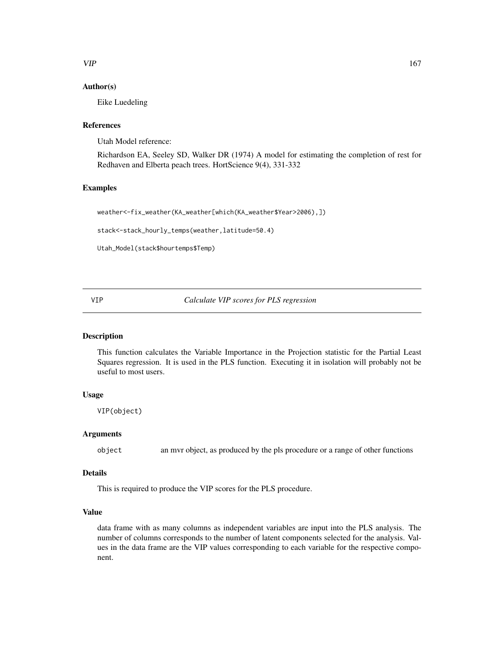# <span id="page-166-0"></span> $VIP$  167

# Author(s)

Eike Luedeling

#### References

Utah Model reference:

Richardson EA, Seeley SD, Walker DR (1974) A model for estimating the completion of rest for Redhaven and Elberta peach trees. HortScience 9(4), 331-332

# Examples

```
weather<-fix_weather(KA_weather[which(KA_weather$Year>2006),])
```
stack<-stack\_hourly\_temps(weather,latitude=50.4)

```
Utah_Model(stack$hourtemps$Temp)
```
VIP *Calculate VIP scores for PLS regression*

# Description

This function calculates the Variable Importance in the Projection statistic for the Partial Least Squares regression. It is used in the PLS function. Executing it in isolation will probably not be useful to most users.

# Usage

VIP(object)

# Arguments

object an mvr object, as produced by the pls procedure or a range of other functions

#### Details

This is required to produce the VIP scores for the PLS procedure.

# Value

data frame with as many columns as independent variables are input into the PLS analysis. The number of columns corresponds to the number of latent components selected for the analysis. Values in the data frame are the VIP values corresponding to each variable for the respective component.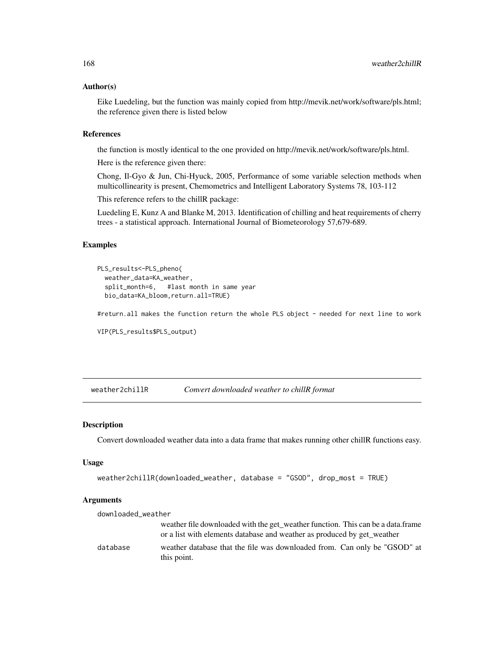#### Author(s)

Eike Luedeling, but the function was mainly copied from http://mevik.net/work/software/pls.html; the reference given there is listed below

# References

the function is mostly identical to the one provided on http://mevik.net/work/software/pls.html.

Here is the reference given there:

Chong, Il-Gyo & Jun, Chi-Hyuck, 2005, Performance of some variable selection methods when multicollinearity is present, Chemometrics and Intelligent Laboratory Systems 78, 103-112

This reference refers to the chillR package:

Luedeling E, Kunz A and Blanke M, 2013. Identification of chilling and heat requirements of cherry trees - a statistical approach. International Journal of Biometeorology 57,679-689.

#### Examples

```
PLS_results<-PLS_pheno(
 weather_data=KA_weather,
 split_month=6, #last month in same year
 bio_data=KA_bloom,return.all=TRUE)
```
#return.all makes the function return the whole PLS object - needed for next line to work

```
VIP(PLS_results$PLS_output)
```
weather2chillR *Convert downloaded weather to chillR format*

#### Description

Convert downloaded weather data into a data frame that makes running other chillR functions easy.

#### Usage

```
weather2chillR(downloaded_weather, database = "GSOD", drop_most = TRUE)
```
#### **Arguments**

| downloaded_weather |                                                                                          |
|--------------------|------------------------------------------------------------------------------------------|
|                    | weather file downloaded with the get_weather function. This can be a data.frame          |
|                    | or a list with elements database and weather as produced by get weather                  |
| database           | weather database that the file was downloaded from. Can only be "GSOD" at<br>this point. |

<span id="page-167-0"></span>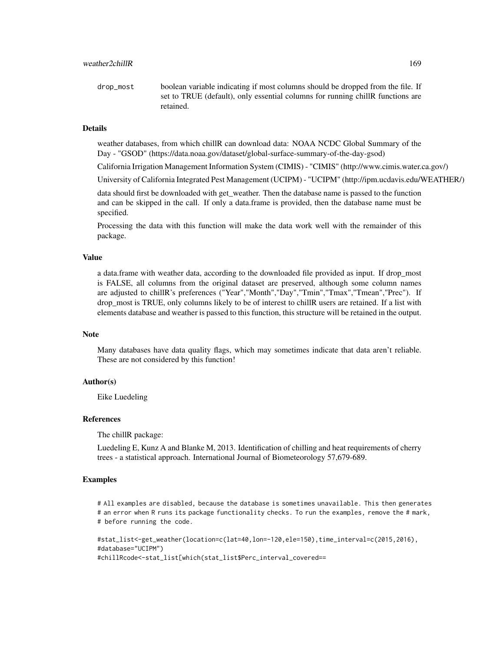drop\_most boolean variable indicating if most columns should be dropped from the file. If set to TRUE (default), only essential columns for running chillR functions are retained.

#### Details

weather databases, from which chillR can download data: NOAA NCDC Global Summary of the Day - "GSOD" (https://data.noaa.gov/dataset/global-surface-summary-of-the-day-gsod)

California Irrigation Management Information System (CIMIS) - "CIMIS" (http://www.cimis.water.ca.gov/)

University of California Integrated Pest Management (UCIPM) - "UCIPM" (http://ipm.ucdavis.edu/WEATHER/)

data should first be downloaded with get weather. Then the database name is passed to the function and can be skipped in the call. If only a data.frame is provided, then the database name must be specified.

Processing the data with this function will make the data work well with the remainder of this package.

#### Value

a data.frame with weather data, according to the downloaded file provided as input. If drop\_most is FALSE, all columns from the original dataset are preserved, although some column names are adjusted to chillR's preferences ("Year","Month","Day","Tmin","Tmax","Tmean","Prec"). If drop\_most is TRUE, only columns likely to be of interest to chillR users are retained. If a list with elements database and weather is passed to this function, this structure will be retained in the output.

#### Note

Many databases have data quality flags, which may sometimes indicate that data aren't reliable. These are not considered by this function!

#### Author(s)

Eike Luedeling

#### References

The chillR package:

Luedeling E, Kunz A and Blanke M, 2013. Identification of chilling and heat requirements of cherry trees - a statistical approach. International Journal of Biometeorology 57,679-689.

#### Examples

# All examples are disabled, because the database is sometimes unavailable. This then generates # an error when R runs its package functionality checks. To run the examples, remove the # mark, # before running the code.

```
#stat_list<-get_weather(location=c(lat=40,lon=-120,ele=150),time_interval=c(2015,2016),
#database="UCIPM")
#chillRcode<-stat_list[which(stat_list$Perc_interval_covered==
```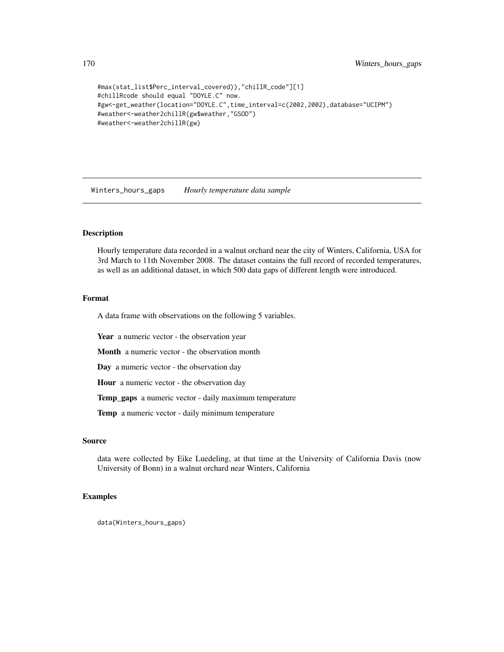```
#max(stat_list$Perc_interval_covered)),"chillR_code"][1]
#chillRcode should equal "DOYLE.C" now.
#gw<-get_weather(location="DOYLE.C",time_interval=c(2002,2002),database="UCIPM")
#weather<-weather2chillR(gw$weather,"GSOD")
#weather<-weather2chillR(gw)
```
Winters\_hours\_gaps *Hourly temperature data sample*

# Description

Hourly temperature data recorded in a walnut orchard near the city of Winters, California, USA for 3rd March to 11th November 2008. The dataset contains the full record of recorded temperatures, as well as an additional dataset, in which 500 data gaps of different length were introduced.

# Format

A data frame with observations on the following 5 variables.

Year a numeric vector - the observation year

Month a numeric vector - the observation month

Day a numeric vector - the observation day

Hour a numeric vector - the observation day

Temp\_gaps a numeric vector - daily maximum temperature

Temp a numeric vector - daily minimum temperature

#### Source

data were collected by Eike Luedeling, at that time at the University of California Davis (now University of Bonn) in a walnut orchard near Winters, California

# Examples

data(Winters\_hours\_gaps)

<span id="page-169-0"></span>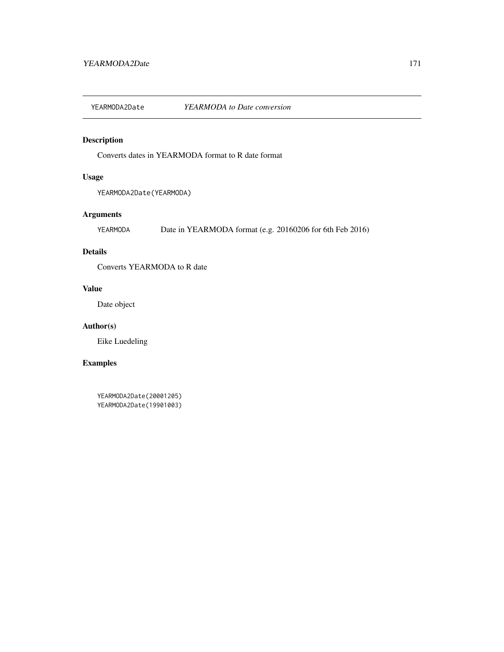<span id="page-170-0"></span>YEARMODA2Date *YEARMODA to Date conversion*

# Description

Converts dates in YEARMODA format to R date format

# Usage

YEARMODA2Date(YEARMODA)

# Arguments

YEARMODA Date in YEARMODA format (e.g. 20160206 for 6th Feb 2016)

# Details

Converts YEARMODA to R date

# Value

Date object

# Author(s)

Eike Luedeling

# Examples

YEARMODA2Date(20001205) YEARMODA2Date(19901003)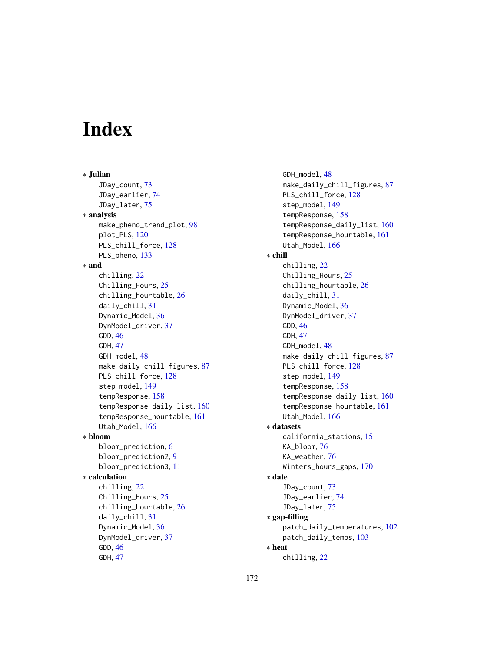# **Index**

∗ Julian JDay\_count, [73](#page-72-0) JDay\_earlier, [74](#page-73-0) JDay\_later, [75](#page-74-0) ∗ analysis make\_pheno\_trend\_plot, [98](#page-97-0) plot\_PLS, [120](#page-119-0) PLS\_chill\_force, [128](#page-127-0) PLS\_pheno, [133](#page-132-0) ∗ and chilling, [22](#page-21-0) Chilling\_Hours, [25](#page-24-0) chilling\_hourtable, [26](#page-25-0) daily\_chill, [31](#page-30-0) Dynamic\_Model, [36](#page-35-0) DynModel\_driver, [37](#page-36-0) GDD, [46](#page-45-0) GDH, [47](#page-46-0) GDH\_model, [48](#page-47-0) make\_daily\_chill\_figures, [87](#page-86-0) PLS\_chill\_force, [128](#page-127-0) step\_model, [149](#page-148-0) tempResponse, [158](#page-157-1) tempResponse\_daily\_list, [160](#page-159-0) tempResponse\_hourtable, [161](#page-160-0) Utah\_Model, [166](#page-165-0) ∗ bloom bloom\_prediction, [6](#page-5-0) bloom\_prediction2, [9](#page-8-0) bloom\_prediction3, [11](#page-10-0) ∗ calculation chilling, [22](#page-21-0) Chilling\_Hours, [25](#page-24-0) chilling\_hourtable, [26](#page-25-0) daily\_chill, [31](#page-30-0) Dynamic\_Model, [36](#page-35-0) DynModel\_driver, [37](#page-36-0) GDD, [46](#page-45-0) GDH, [47](#page-46-0)

GDH\_model, [48](#page-47-0) make\_daily\_chill\_figures, [87](#page-86-0) PLS\_chill\_force, [128](#page-127-0) step\_model, [149](#page-148-0) tempResponse, [158](#page-157-1) tempResponse\_daily\_list, [160](#page-159-0) tempResponse\_hourtable, [161](#page-160-0) Utah\_Model, [166](#page-165-0) ∗ chill chilling, [22](#page-21-0) Chilling\_Hours, [25](#page-24-0) chilling\_hourtable, [26](#page-25-0) daily\_chill, [31](#page-30-0) Dynamic\_Model, [36](#page-35-0) DynModel\_driver, [37](#page-36-0) GDD, [46](#page-45-0) GDH, [47](#page-46-0) GDH\_model, [48](#page-47-0) make\_daily\_chill\_figures, [87](#page-86-0) PLS\_chill\_force, [128](#page-127-0) step\_model, [149](#page-148-0) tempResponse, [158](#page-157-1) tempResponse\_daily\_list, [160](#page-159-0) tempResponse\_hourtable, [161](#page-160-0) Utah\_Model, [166](#page-165-0) ∗ datasets california\_stations, [15](#page-14-0) KA\_bloom, [76](#page-75-0) KA\_weather, [76](#page-75-0) Winters\_hours\_gaps, [170](#page-169-0) ∗ date JDay\_count, [73](#page-72-0) JDay\_earlier, [74](#page-73-0) JDay\_later, [75](#page-74-0) ∗ gap-filling patch\_daily\_temperatures, [102](#page-101-0) patch\_daily\_temps, [103](#page-102-0) ∗ heat chilling, [22](#page-21-0)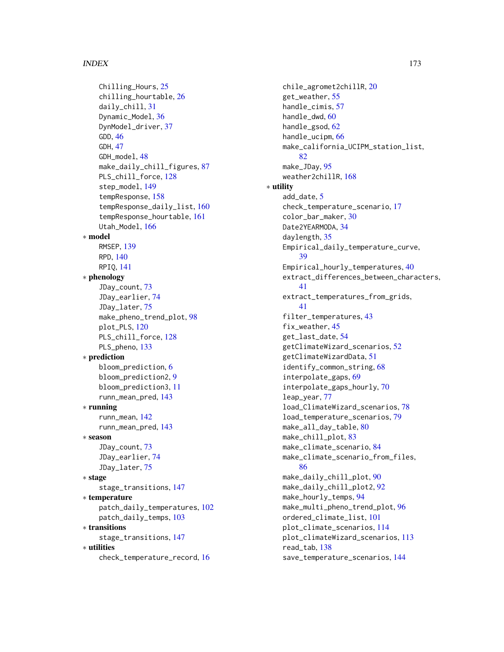#### INDEX 173

Chilling\_Hours, [25](#page-24-0) chilling\_hourtable, [26](#page-25-0) daily\_chill, [31](#page-30-0) Dynamic\_Model, [36](#page-35-0) DynModel\_driver, [37](#page-36-0) GDD, [46](#page-45-0) GDH, [47](#page-46-0) GDH\_model, [48](#page-47-0) make\_daily\_chill\_figures, [87](#page-86-0) PLS\_chill\_force, [128](#page-127-0) step\_model, [149](#page-148-0) tempResponse, [158](#page-157-1) tempResponse\_daily\_list, [160](#page-159-0) tempResponse\_hourtable, [161](#page-160-0) Utah\_Model, [166](#page-165-0) ∗ model RMSEP, [139](#page-138-0) RPD, [140](#page-139-0) RPIQ, [141](#page-140-0) ∗ phenology JDay\_count, [73](#page-72-0) JDay\_earlier, [74](#page-73-0) JDay\_later, [75](#page-74-0) make\_pheno\_trend\_plot, [98](#page-97-0) plot\_PLS, [120](#page-119-0) PLS\_chill\_force, [128](#page-127-0) PLS\_pheno, [133](#page-132-0) ∗ prediction bloom\_prediction, [6](#page-5-0) bloom\_prediction2, [9](#page-8-0) bloom\_prediction3, [11](#page-10-0) runn\_mean\_pred, [143](#page-142-0) ∗ running runn\_mean, [142](#page-141-0) runn\_mean\_pred, [143](#page-142-0) ∗ season JDay\_count, [73](#page-72-0) JDay\_earlier, [74](#page-73-0) JDay\_later, [75](#page-74-0) ∗ stage stage\_transitions, [147](#page-146-0) ∗ temperature patch\_daily\_temperatures, [102](#page-101-0) patch\_daily\_temps, [103](#page-102-0) ∗ transitions stage\_transitions, [147](#page-146-0) ∗ utilities check\_temperature\_record, [16](#page-15-0)

chile\_agromet2chillR, [20](#page-19-0) get\_weather, [55](#page-54-0) handle cimis. [57](#page-56-0) handle\_dwd, [60](#page-59-0) handle\_gsod, [62](#page-61-0) handle\_ucipm, [66](#page-65-0) make\_california\_UCIPM\_station\_list,  $82$ make\_JDay, [95](#page-94-0) weather2chillR, [168](#page-167-0) ∗ utility add\_date, [5](#page-4-0) check\_temperature\_scenario, [17](#page-16-0) color\_bar\_maker, [30](#page-29-0) Date2YEARMODA, [34](#page-33-0) daylength, [35](#page-34-0) Empirical\_daily\_temperature\_curve, [39](#page-38-1) Empirical\_hourly\_temperatures, [40](#page-39-1) extract\_differences\_between\_characters, [41](#page-40-0) extract\_temperatures\_from\_grids, [41](#page-40-0) filter\_temperatures, [43](#page-42-0) fix\_weather, [45](#page-44-0) get\_last\_date, [54](#page-53-0) getClimateWizard\_scenarios, [52](#page-51-0) getClimateWizardData, [51](#page-50-0) identify\_common\_string, [68](#page-67-0) interpolate\_gaps, [69](#page-68-0) interpolate\_gaps\_hourly, [70](#page-69-0) leap\_year, [77](#page-76-0) load\_ClimateWizard\_scenarios, [78](#page-77-0) load\_temperature\_scenarios, [79](#page-78-0) make\_all\_day\_table, [80](#page-79-0) make\_chill\_plot, [83](#page-82-0) make\_climate\_scenario, [84](#page-83-0) make\_climate\_scenario\_from\_files, [86](#page-85-0) make\_daily\_chill\_plot, [90](#page-89-0) make\_daily\_chill\_plot2, [92](#page-91-0) make\_hourly\_temps, [94](#page-93-0) make\_multi\_pheno\_trend\_plot, [96](#page-95-0) ordered\_climate\_list, [101](#page-100-0) plot\_climate\_scenarios, [114](#page-113-0) plot\_climateWizard\_scenarios, [113](#page-112-0) read\_tab, [138](#page-137-0) save\_temperature\_scenarios, [144](#page-143-0)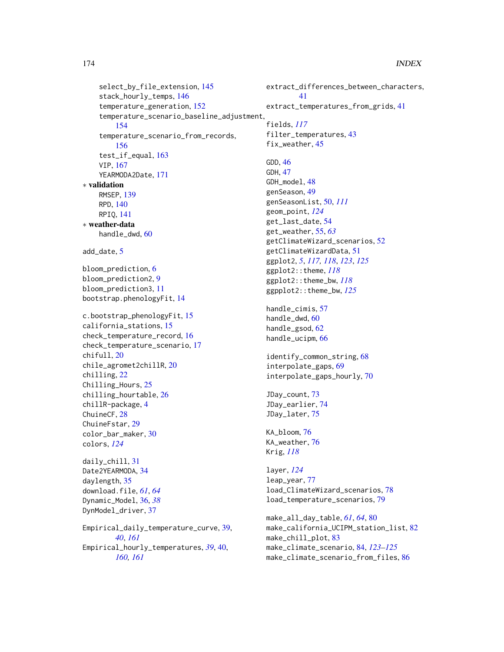```
select_by_file_extension, 145
    stack_hourly_temps, 146
    temperature_generation, 152
    temperature_scenario_baseline_adjustment,
        154
    temperature_scenario_from_records,
        156
    test_if_equal, 163
    VIP, 167
    YEARMODA2Date, 171
∗ validation
    RMSEP, 139
    RPD, 140
    RPIQ, 141
∗ weather-data
    handle_dwd, 60
add_date, 5
bloom_prediction, 6
bloom_prediction2, 9
bloom_prediction3, 11
bootstrap.phenologyFit, 14
c.bootstrap_phenologyFit, 15
california_stations, 15
check_temperature_record, 16
check_temperature_scenario, 17
chifull, 20
chile_agromet2chillR, 20
chilling, 22
Chilling_Hours, 25
chilling_hourtable, 26
chillR-package, 4
ChuineCF, 28
ChuineFstar, 29
color_bar_maker, 30
colors, 124
daily_chill, 31
Date2YEARMODA, 34
daylength, 35
download.file, 61, 64
Dynamic_Model, 36, 38
DynModel_driver, 37
Empirical_daily_temperature_curve, 39,
        40, 161
Empirical_hourly_temperatures, 39, 40,
        160, 161
```
extract\_differences\_between\_characters, [41](#page-40-0) extract\_temperatures\_from\_grids, [41](#page-40-0) fields, *[117](#page-116-0)* filter\_temperatures, [43](#page-42-0) fix\_weather, [45](#page-44-0) GDD, [46](#page-45-0) GDH, [47](#page-46-0) GDH\_model, [48](#page-47-0) genSeason, [49](#page-48-0) genSeasonList, [50,](#page-49-0) *[111](#page-110-0)* geom\_point, *[124](#page-123-0)* get\_last\_date, [54](#page-53-0) get\_weather, [55,](#page-54-0) *[63](#page-62-0)* getClimateWizard\_scenarios, [52](#page-51-0) getClimateWizardData, [51](#page-50-0) ggplot2, *[5](#page-4-0)*, *[117,](#page-116-0) [118](#page-117-0)*, *[123](#page-122-0)*, *[125](#page-124-0)* ggplot2::theme, *[118](#page-117-0)* ggplot2::theme\_bw, *[118](#page-117-0)* ggpplot2::theme\_bw, *[125](#page-124-0)* handle\_cimis, [57](#page-56-0) handle\_dwd, [60](#page-59-0) handle\_gsod, [62](#page-61-0) handle\_ucipm, [66](#page-65-0) identify\_common\_string, [68](#page-67-0) interpolate\_gaps, [69](#page-68-0) interpolate\_gaps\_hourly, [70](#page-69-0) JDay\_count, [73](#page-72-0) JDay\_earlier, [74](#page-73-0) JDay\_later, [75](#page-74-0) KA\_bloom, [76](#page-75-0) KA\_weather, [76](#page-75-0) Krig, *[118](#page-117-0)* layer, *[124](#page-123-0)* leap\_year, [77](#page-76-0) load\_ClimateWizard\_scenarios, [78](#page-77-0) load\_temperature\_scenarios, [79](#page-78-0) make\_all\_day\_table, *[61](#page-60-0)*, *[64](#page-63-0)*, [80](#page-79-0) make\_california\_UCIPM\_station\_list, [82](#page-81-0) make\_chill\_plot, [83](#page-82-0) make\_climate\_scenario, [84,](#page-83-0) *[123](#page-122-0)[–125](#page-124-0)* make\_climate\_scenario\_from\_files, [86](#page-85-0)